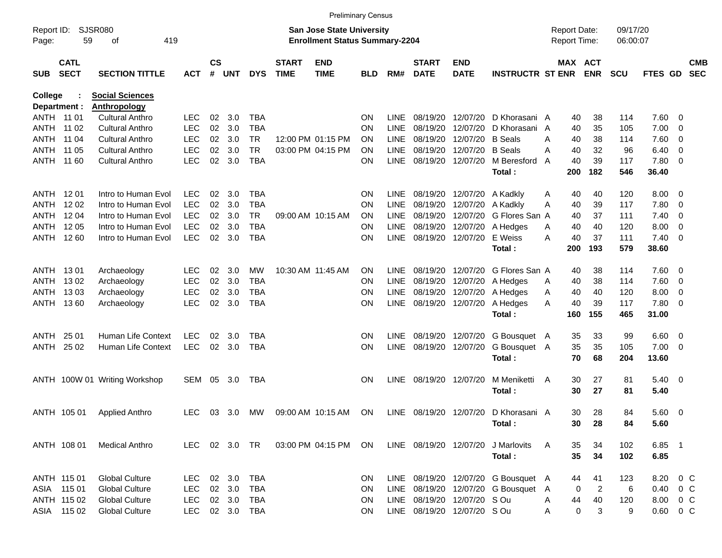|                     |                            |                                                |                          |                    |                  |                          |                             |                                                                           | <b>Preliminary Census</b> |             |                             |                           |                                     |   |                                     |                |                      |                        |                          |                          |
|---------------------|----------------------------|------------------------------------------------|--------------------------|--------------------|------------------|--------------------------|-----------------------------|---------------------------------------------------------------------------|---------------------------|-------------|-----------------------------|---------------------------|-------------------------------------|---|-------------------------------------|----------------|----------------------|------------------------|--------------------------|--------------------------|
| Report ID:<br>Page: | 59                         | SJSR080<br>419<br>оf                           |                          |                    |                  |                          |                             | <b>San Jose State University</b><br><b>Enrollment Status Summary-2204</b> |                           |             |                             |                           |                                     |   | <b>Report Date:</b><br>Report Time: |                | 09/17/20<br>06:00:07 |                        |                          |                          |
| <b>SUB</b>          | <b>CATL</b><br><b>SECT</b> | <b>SECTION TITTLE</b>                          | <b>ACT</b>               | $\mathsf{cs}$<br># | <b>UNT</b>       | <b>DYS</b>               | <b>START</b><br><b>TIME</b> | <b>END</b><br><b>TIME</b>                                                 | BLD                       | RM#         | <b>START</b><br><b>DATE</b> | <b>END</b><br><b>DATE</b> | <b>INSTRUCTR ST ENR</b>             |   | <b>MAX ACT</b>                      | <b>ENR</b>     | <b>SCU</b>           | FTES GD                |                          | <b>CMB</b><br><b>SEC</b> |
| <b>College</b>      |                            | <b>Social Sciences</b>                         |                          |                    |                  |                          |                             |                                                                           |                           |             |                             |                           |                                     |   |                                     |                |                      |                        |                          |                          |
|                     | Department :               | <b>Anthropology</b>                            |                          |                    |                  |                          |                             |                                                                           |                           |             |                             |                           |                                     |   |                                     |                |                      |                        |                          |                          |
|                     | ANTH 11 01                 | <b>Cultural Anthro</b>                         | <b>LEC</b>               | 02                 | 3.0              | <b>TBA</b>               |                             |                                                                           | ΟN                        | <b>LINE</b> | 08/19/20                    | 12/07/20                  | D Khorasani A                       |   | 40                                  | 38             | 114                  | 7.60 0                 |                          |                          |
| ANTH                | 11 02                      | <b>Cultural Anthro</b>                         | <b>LEC</b>               | 02                 | 3.0              | <b>TBA</b>               |                             |                                                                           | ΟN                        | <b>LINE</b> | 08/19/20                    | 12/07/20                  | D Khorasani                         | A | 40                                  | 35             | 105                  | 7.00                   | - 0                      |                          |
| ANTH                | 11 04                      | <b>Cultural Anthro</b>                         | <b>LEC</b>               | 02                 | 3.0              | <b>TR</b>                |                             | 12:00 PM 01:15 PM                                                         | ΟN                        | <b>LINE</b> | 08/19/20                    | 12/07/20                  | <b>B</b> Seals                      | A | 40                                  | 38             | 114                  | 7.60                   | - 0                      |                          |
| ANTH                | 11 05                      | <b>Cultural Anthro</b>                         | <b>LEC</b>               | 02                 | 3.0              | <b>TR</b>                |                             | 03:00 PM 04:15 PM                                                         | ΟN                        | <b>LINE</b> | 08/19/20                    | 12/07/20                  | <b>B</b> Seals                      | A | 40                                  | 32             | 96                   | 6.40                   | 0                        |                          |
| ANTH                | 11 60                      | <b>Cultural Anthro</b>                         | <b>LEC</b>               | 02                 | 3.0              | <b>TBA</b>               |                             |                                                                           | ΟN                        | <b>LINE</b> | 08/19/20                    | 12/07/20                  | M Beresford                         | A | 40                                  | 39             | 117                  | 7.80                   | $\overline{\phantom{0}}$ |                          |
|                     |                            |                                                |                          |                    |                  |                          |                             |                                                                           |                           |             |                             |                           | Total:                              |   | 200                                 | 182            | 546                  | 36.40                  |                          |                          |
|                     | ANTH 1201                  | Intro to Human Evol                            | <b>LEC</b>               | 02                 | 3.0              | <b>TBA</b>               |                             |                                                                           | ΟN                        | <b>LINE</b> | 08/19/20                    | 12/07/20                  | A Kadkly                            | Α | 40                                  | 40             | 120                  | 8.00                   | - 0                      |                          |
| ANTH                | 12 02                      | Intro to Human Evol                            | <b>LEC</b>               | 02                 | 3.0              | <b>TBA</b>               |                             |                                                                           | ΟN                        | <b>LINE</b> | 08/19/20                    | 12/07/20                  | A Kadkly                            | Α | 40                                  | 39             | 117                  | 7.80                   | - 0                      |                          |
| ANTH                | 12 04                      | Intro to Human Evol                            | <b>LEC</b>               | 02                 | 3.0              | <b>TR</b>                |                             | 09:00 AM 10:15 AM                                                         | ΟN                        | <b>LINE</b> | 08/19/20                    | 12/07/20                  | G Flores San A                      |   | 40                                  | 37             | 111                  | 7.40                   | - 0                      |                          |
| ANTH                | 12 05                      | Intro to Human Evol                            | <b>LEC</b>               | 02                 | 3.0              | <b>TBA</b>               |                             |                                                                           | ΟN                        | <b>LINE</b> | 08/19/20                    | 12/07/20                  | A Hedges                            | Α | 40                                  | 40             | 120                  | 8.00                   | 0                        |                          |
| ANTH                | 12 60                      | Intro to Human Evol                            | <b>LEC</b>               | 02                 | 3.0              | <b>TBA</b>               |                             |                                                                           | ΟN                        | <b>LINE</b> | 08/19/20                    | 12/07/20                  | E Weiss                             | Α | 40                                  | 37             | 111                  | 7.40                   | $\overline{\phantom{0}}$ |                          |
|                     |                            |                                                |                          |                    |                  |                          |                             |                                                                           |                           |             |                             |                           | Total:                              |   | 200                                 | 193            | 579                  | 38.60                  |                          |                          |
|                     |                            |                                                |                          |                    |                  |                          |                             |                                                                           |                           |             |                             |                           |                                     |   |                                     |                |                      |                        |                          |                          |
|                     | ANTH 1301                  | Archaeology                                    | <b>LEC</b>               | 02                 | 3.0              | MW                       |                             | 10:30 AM 11:45 AM                                                         | ΟN                        | <b>LINE</b> | 08/19/20                    | 12/07/20                  | G Flores San A                      |   | 40                                  | 38             | 114                  | 7.60 0                 |                          |                          |
| ANTH                | 13 02                      | Archaeology                                    | <b>LEC</b>               | 02                 | 3.0              | <b>TBA</b>               |                             |                                                                           | ΟN                        | <b>LINE</b> | 08/19/20                    | 12/07/20                  | A Hedges                            | Α | 40                                  | 38             | 114                  | 7.60                   | - 0                      |                          |
| ANTH                | 1303                       | Archaeology                                    | <b>LEC</b>               | 02                 | 3.0              | <b>TBA</b>               |                             |                                                                           | ΟN                        | <b>LINE</b> | 08/19/20                    | 12/07/20                  | A Hedges                            | Α | 40                                  | 40             | 120                  | 8.00                   | 0                        |                          |
| ANTH                | 1360                       | Archaeology                                    | <b>LEC</b>               | 02                 | 3.0              | <b>TBA</b>               |                             |                                                                           | ΟN                        | <b>LINE</b> | 08/19/20                    | 12/07/20                  | A Hedges                            | Α | 40                                  | 39             | 117                  | 7.80                   | $\overline{\phantom{0}}$ |                          |
|                     |                            |                                                |                          |                    |                  |                          |                             |                                                                           |                           |             |                             |                           | Total:                              |   | 160                                 | 155            | 465                  | 31.00                  |                          |                          |
| ANTH                | 25 01                      | Human Life Context                             | <b>LEC</b>               | 02                 | 3.0              | TBA                      |                             |                                                                           | ΟN                        | <b>LINE</b> | 08/19/20                    | 12/07/20                  | G Bousquet A                        |   | 35                                  | 33             | 99                   | 6.60                   | $\overline{\phantom{0}}$ |                          |
| ANTH                | 25 02                      | Human Life Context                             | <b>LEC</b>               | 02                 | 3.0              | <b>TBA</b>               |                             |                                                                           | ΟN                        | <b>LINE</b> | 08/19/20                    | 12/07/20                  | G Bousquet A                        |   | 35                                  | 35             | 105                  | 7.00                   | $\overline{\phantom{0}}$ |                          |
|                     |                            |                                                |                          |                    |                  |                          |                             |                                                                           |                           |             |                             |                           | Total:                              |   | 70                                  | 68             | 204                  | 13.60                  |                          |                          |
|                     |                            |                                                |                          |                    |                  |                          |                             |                                                                           |                           |             |                             |                           |                                     |   |                                     |                |                      |                        |                          |                          |
|                     |                            | ANTH 100W 01 Writing Workshop                  | SEM                      | 05                 | 3.0              | TBA                      |                             |                                                                           | ΟN                        | <b>LINE</b> |                             | 08/19/20 12/07/20         | M Meniketti                         | A | 30                                  | 27             | 81                   | $5.40 \ 0$             |                          |                          |
|                     |                            |                                                |                          |                    |                  |                          |                             |                                                                           |                           |             |                             |                           | Total:                              |   | 30                                  | 27             | 81                   | 5.40                   |                          |                          |
|                     |                            |                                                |                          |                    |                  |                          |                             |                                                                           |                           |             |                             |                           |                                     |   |                                     |                |                      |                        |                          |                          |
|                     | ANTH 105 01                | <b>Applied Anthro</b>                          | <b>LEC</b>               | 03                 | 3.0              | MW                       |                             | 09:00 AM 10:15 AM                                                         | <b>ON</b>                 | LINE        | 08/19/20 12/07/20           |                           | D Khorasani A                       |   | 30                                  | 28             | 84                   | 5.60 0                 |                          |                          |
|                     |                            |                                                |                          |                    |                  |                          |                             |                                                                           |                           |             |                             |                           | Total:                              |   | 30                                  | 28             | 84                   | 5.60                   |                          |                          |
|                     |                            |                                                |                          |                    |                  |                          |                             |                                                                           |                           |             |                             |                           |                                     |   |                                     |                |                      |                        |                          |                          |
|                     | ANTH 108 01                | <b>Medical Anthro</b>                          | <b>LEC</b>               |                    | 02 3.0           | TR                       |                             | 03:00 PM 04:15 PM                                                         | ON                        |             | LINE 08/19/20 12/07/20      |                           | J Marlovits                         | A | 35                                  | 34             | 102                  | 6.85 1                 |                          |                          |
|                     |                            |                                                |                          |                    |                  |                          |                             |                                                                           |                           |             |                             |                           | Total:                              |   | 35                                  | 34             | 102                  | 6.85                   |                          |                          |
|                     |                            |                                                |                          |                    |                  |                          |                             |                                                                           |                           |             |                             |                           |                                     |   |                                     |                |                      |                        |                          |                          |
|                     | ANTH 115 01                | <b>Global Culture</b>                          | <b>LEC</b>               |                    | 02 3.0<br>02 3.0 | <b>TBA</b>               |                             |                                                                           | ON                        |             |                             |                           | LINE 08/19/20 12/07/20 G Bousquet A |   | 44                                  | 41             | 123                  | 8.20                   | $0\,C$                   |                          |
|                     | ASIA 115 01<br>ANTH 115 02 | <b>Global Culture</b><br><b>Global Culture</b> | <b>LEC</b><br><b>LEC</b> |                    | 02 3.0           | <b>TBA</b><br><b>TBA</b> |                             |                                                                           | <b>ON</b><br><b>ON</b>    |             | LINE 08/19/20 12/07/20 SOu  |                           | LINE 08/19/20 12/07/20 G Bousquet A |   | 0                                   | $\overline{c}$ | 6                    | $0.40 \quad 0 \quad C$ |                          |                          |
|                     | ASIA 115 02                | <b>Global Culture</b>                          | <b>LEC</b>               |                    | 02 3.0           | <b>TBA</b>               |                             |                                                                           | ΟN                        |             | LINE 08/19/20 12/07/20 SOu  |                           |                                     | Α | 44                                  | 40<br>3        | 120<br>9             | 8.00 0 C<br>$0.60$ 0 C |                          |                          |
|                     |                            |                                                |                          |                    |                  |                          |                             |                                                                           |                           |             |                             |                           |                                     | Α | 0                                   |                |                      |                        |                          |                          |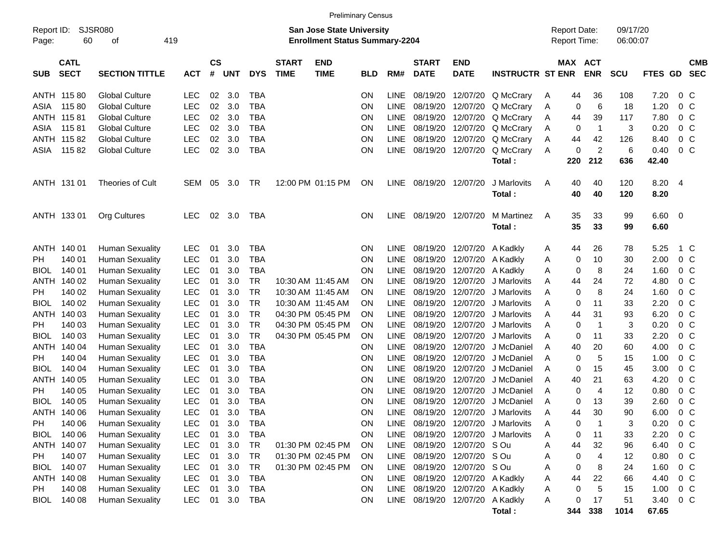|                     |                            |                        |            |                    |            |            |                             |                                                                           | <b>Preliminary Census</b> |             |                             |                                 |                                    |                                     |     |                         |                      |         |                |                          |
|---------------------|----------------------------|------------------------|------------|--------------------|------------|------------|-----------------------------|---------------------------------------------------------------------------|---------------------------|-------------|-----------------------------|---------------------------------|------------------------------------|-------------------------------------|-----|-------------------------|----------------------|---------|----------------|--------------------------|
| Report ID:<br>Page: | 60                         | SJSR080<br>οf          | 419        |                    |            |            |                             | <b>San Jose State University</b><br><b>Enrollment Status Summary-2204</b> |                           |             |                             |                                 |                                    | <b>Report Date:</b><br>Report Time: |     |                         | 09/17/20<br>06:00:07 |         |                |                          |
| <b>SUB</b>          | <b>CATL</b><br><b>SECT</b> | <b>SECTION TITTLE</b>  | <b>ACT</b> | $\mathsf{cs}$<br># | <b>UNT</b> | <b>DYS</b> | <b>START</b><br><b>TIME</b> | <b>END</b><br><b>TIME</b>                                                 | <b>BLD</b>                | RM#         | <b>START</b><br><b>DATE</b> | <b>END</b><br><b>DATE</b>       | <b>INSTRUCTR ST ENR</b>            |                                     |     | MAX ACT<br><b>ENR</b>   | <b>SCU</b>           | FTES GD |                | <b>CMB</b><br><b>SEC</b> |
|                     | ANTH 115 80                | <b>Global Culture</b>  | LEC        | 02                 | 3.0        | <b>TBA</b> |                             |                                                                           | <b>ON</b>                 | LINE        | 08/19/20                    | 12/07/20                        | Q McCrary                          | A                                   | 44  | 36                      | 108                  | 7.20    | 0 <sup>o</sup> |                          |
| ASIA                | 11580                      | <b>Global Culture</b>  | <b>LEC</b> | 02                 | 3.0        | <b>TBA</b> |                             |                                                                           | <b>ON</b>                 | LINE        | 08/19/20                    | 12/07/20                        | Q McCrary                          | A                                   | 0   | 6                       | 18                   | 1.20    | 0 <sup>o</sup> |                          |
|                     | ANTH 11581                 | <b>Global Culture</b>  | <b>LEC</b> | 02                 | 3.0        | <b>TBA</b> |                             |                                                                           | <b>ON</b>                 | LINE        | 08/19/20                    | 12/07/20                        | Q McCrary                          | A                                   | 44  | 39                      | 117                  | 7.80    | 0 <sup>o</sup> |                          |
| ASIA                | 11581                      | <b>Global Culture</b>  | <b>LEC</b> | 02                 | 3.0        | <b>TBA</b> |                             |                                                                           | ON                        | <b>LINE</b> | 08/19/20                    | 12/07/20                        | Q McCrary                          | A                                   | 0   | $\overline{\mathbf{1}}$ | 3                    | 0.20    | 0 <sup>o</sup> |                          |
|                     | ANTH 115 82                | <b>Global Culture</b>  | <b>LEC</b> | 02                 | 3.0        | <b>TBA</b> |                             |                                                                           | ON                        | <b>LINE</b> | 08/19/20                    | 12/07/20                        | Q McCrary                          | A                                   | 44  | 42                      | 126                  | 8.40    | 0 <sup>o</sup> |                          |
| ASIA                | 11582                      | <b>Global Culture</b>  | <b>LEC</b> | 02                 | 3.0        | <b>TBA</b> |                             |                                                                           | ON                        | <b>LINE</b> | 08/19/20                    | 12/07/20                        | Q McCrary                          | A                                   | 0   | $\overline{c}$          | 6                    | 0.40    | 0 <sup>o</sup> |                          |
|                     |                            |                        |            |                    |            |            |                             |                                                                           |                           |             |                             |                                 | Total:                             |                                     | 220 | 212                     | 636                  | 42.40   |                |                          |
|                     | ANTH 131 01                | Theories of Cult       | <b>SEM</b> | 05                 | 3.0        | TR         |                             | 12:00 PM 01:15 PM                                                         | <b>ON</b>                 | LINE.       | 08/19/20                    | 12/07/20                        | J Marlovits                        | A                                   | 40  | 40                      | 120                  | 8.20    | - 4            |                          |
|                     |                            |                        |            |                    |            |            |                             |                                                                           |                           |             |                             |                                 | Total:                             |                                     | 40  | 40                      | 120                  | 8.20    |                |                          |
|                     | ANTH 133 01                | Org Cultures           | <b>LEC</b> |                    | 02 3.0     | TBA        |                             |                                                                           | ON                        |             | LINE 08/19/20               | 12/07/20                        | M Martinez                         | A                                   | 35  | 33                      | 99                   | 6.60    | - 0            |                          |
|                     |                            |                        |            |                    |            |            |                             |                                                                           |                           |             |                             |                                 | Total:                             |                                     | 35  | 33                      | 99                   | 6.60    |                |                          |
|                     | ANTH 140 01                | <b>Human Sexuality</b> | <b>LEC</b> | 01                 | 3.0        | <b>TBA</b> |                             |                                                                           | <b>ON</b>                 | LINE.       | 08/19/20                    | 12/07/20                        | A Kadkly                           | A                                   | 44  | 26                      | 78                   | 5.25    | 1 C            |                          |
| PH                  | 140 01                     | <b>Human Sexuality</b> | <b>LEC</b> | 01                 | 3.0        | <b>TBA</b> |                             |                                                                           | <b>ON</b>                 | <b>LINE</b> | 08/19/20                    | 12/07/20                        | A Kadkly                           | A                                   | 0   | 10                      | 30                   | 2.00    | 0 <sup>o</sup> |                          |
| <b>BIOL</b>         | 140 01                     | <b>Human Sexuality</b> | <b>LEC</b> | 01                 | 3.0        | <b>TBA</b> |                             |                                                                           | <b>ON</b>                 | <b>LINE</b> | 08/19/20                    | 12/07/20                        | A Kadkly                           | Α                                   | 0   | 8                       | 24                   | 1.60    | 0 <sup>o</sup> |                          |
|                     | ANTH 140 02                | <b>Human Sexuality</b> | <b>LEC</b> | 01                 | 3.0        | TR         |                             | 10:30 AM 11:45 AM                                                         | <b>ON</b>                 | <b>LINE</b> | 08/19/20                    | 12/07/20                        | J Marlovits                        | Α                                   | 44  | 24                      | 72                   | 4.80    | 0 <sup>o</sup> |                          |
| PH                  | 140 02                     | <b>Human Sexuality</b> | <b>LEC</b> | 01                 | 3.0        | TR         |                             | 10:30 AM 11:45 AM                                                         | <b>ON</b>                 | <b>LINE</b> | 08/19/20                    | 12/07/20                        | J Marlovits                        | A                                   | 0   | 8                       | 24                   | 1.60    | 0 <sup>o</sup> |                          |
| <b>BIOL</b>         | 140 02                     | <b>Human Sexuality</b> | <b>LEC</b> | 01                 | 3.0        | TR         |                             | 10:30 AM 11:45 AM                                                         | <b>ON</b>                 | LINE        | 08/19/20                    | 12/07/20                        | J Marlovits                        | Α                                   | 0   | 11                      | 33                   | 2.20    | 0 <sup>o</sup> |                          |
|                     | ANTH 140 03                | <b>Human Sexuality</b> | <b>LEC</b> | 01                 | 3.0        | TR         |                             | 04:30 PM 05:45 PM                                                         | <b>ON</b>                 | <b>LINE</b> | 08/19/20                    | 12/07/20                        | J Marlovits                        | A                                   | 44  | 31                      | 93                   | 6.20    | 0 <sup>o</sup> |                          |
| PH                  | 140 03                     | <b>Human Sexuality</b> | <b>LEC</b> | 01                 | 3.0        | TR         |                             | 04:30 PM 05:45 PM                                                         | <b>ON</b>                 | <b>LINE</b> | 08/19/20                    | 12/07/20                        | J Marlovits                        | A                                   | 0   | $\overline{1}$          | 3                    | 0.20    | 0 <sup>o</sup> |                          |
| <b>BIOL</b>         | 140 03                     | <b>Human Sexuality</b> | <b>LEC</b> | 01                 | 3.0        | TR         |                             | 04:30 PM 05:45 PM                                                         | <b>ON</b>                 | LINE        | 08/19/20                    | 12/07/20                        | J Marlovits                        | Α                                   | 0   | 11                      | 33                   | 2.20    | 0 <sup>o</sup> |                          |
|                     | ANTH 140 04                | <b>Human Sexuality</b> | <b>LEC</b> | 01                 | 3.0        | <b>TBA</b> |                             |                                                                           | <b>ON</b>                 | <b>LINE</b> | 08/19/20                    | 12/07/20                        | J McDaniel                         | A                                   | 40  | 20                      | 60                   | 4.00    | 0 <sup>o</sup> |                          |
| PH                  | 140 04                     | <b>Human Sexuality</b> | <b>LEC</b> | 01                 | 3.0        | <b>TBA</b> |                             |                                                                           | <b>ON</b>                 | <b>LINE</b> | 08/19/20                    | 12/07/20                        | J McDaniel                         | A                                   | 0   | 5                       | 15                   | 1.00    | 0 <sup>o</sup> |                          |
| <b>BIOL</b>         | 140 04                     | <b>Human Sexuality</b> | <b>LEC</b> | 01                 | 3.0        | <b>TBA</b> |                             |                                                                           | ON                        | <b>LINE</b> | 08/19/20                    | 12/07/20                        | J McDaniel                         | Α                                   | 0   | 15                      | 45                   | 3.00    | 0 <sup>o</sup> |                          |
|                     | ANTH 140 05                | <b>Human Sexuality</b> | <b>LEC</b> | 01                 | 3.0        | <b>TBA</b> |                             |                                                                           | ON                        | LINE        | 08/19/20                    | 12/07/20                        | J McDaniel                         | Α                                   | 40  | 21                      | 63                   | 4.20    | 0 <sup>o</sup> |                          |
| PH                  | 140 05                     | <b>Human Sexuality</b> | <b>LEC</b> | 01                 | 3.0        | <b>TBA</b> |                             |                                                                           | ON                        | LINE        | 08/19/20                    | 12/07/20                        | J McDaniel                         | A                                   | 0   | $\overline{4}$          | 12                   | 0.80    | 0 <sub>C</sub> |                          |
| <b>BIOL</b>         | 140 05                     | <b>Human Sexuality</b> | <b>LEC</b> | 01                 | 3.0        | <b>TBA</b> |                             |                                                                           | <b>ON</b>                 | <b>LINE</b> | 08/19/20                    | 12/07/20                        | J McDaniel                         | A                                   | 0   | 13                      | 39                   | 2.60    | 0 <sup>o</sup> |                          |
|                     | ANTH 140 06                | <b>Human Sexuality</b> | <b>LEC</b> | 01                 | 3.0        | <b>TBA</b> |                             |                                                                           | ON                        | <b>LINE</b> | 08/19/20                    |                                 | 12/07/20 J Marlovits               | A                                   | 44  | 30                      | 90                   | 6.00    | 0 <sup>o</sup> |                          |
| PH                  | 140 06                     | <b>Human Sexuality</b> | LEC        | 01                 | 3.0        | <b>TBA</b> |                             |                                                                           | ON                        |             |                             |                                 | LINE 08/19/20 12/07/20 J Marlovits |                                     | 0   |                         | 3                    | 0.20    | $0\,C$         |                          |
|                     | BIOL 140 06                | <b>Human Sexuality</b> | LEC        | 01                 | 3.0        | TBA        |                             |                                                                           | <b>ON</b>                 |             |                             |                                 | LINE 08/19/20 12/07/20 J Marlovits | Α                                   | 0   | 11                      | 33                   | 2.20    | 0 <sup>o</sup> |                          |
|                     | ANTH 140 07                | <b>Human Sexuality</b> | LEC        | 01                 | 3.0        | TR         |                             | 01:30 PM 02:45 PM                                                         | <b>ON</b>                 |             |                             | LINE 08/19/20 12/07/20 SOu      |                                    | A                                   | 44  | 32                      | 96                   | 6.40    | $0\,C$         |                          |
| PH                  | 140 07                     | <b>Human Sexuality</b> | LEC        | 01                 | 3.0        | TR         |                             | 01:30 PM 02:45 PM                                                         | <b>ON</b>                 |             |                             | LINE 08/19/20 12/07/20 SOu      |                                    | Α                                   | 0   | $\overline{4}$          | 12                   | 0.80    | $0\,C$         |                          |
| <b>BIOL</b>         | 140 07                     | <b>Human Sexuality</b> | LEC        | 01                 | 3.0        | <b>TR</b>  |                             | 01:30 PM 02:45 PM                                                         | ON                        |             | LINE 08/19/20               | 12/07/20 S Ou                   |                                    | Α                                   | 0   | 8                       | 24                   | 1.60    | $0\,C$         |                          |
|                     | ANTH 140 08                | <b>Human Sexuality</b> | <b>LEC</b> | 01                 | 3.0        | <b>TBA</b> |                             |                                                                           | <b>ON</b>                 |             |                             | LINE 08/19/20 12/07/20 A Kadkly |                                    | Α                                   | 44  | 22                      | 66                   | 4.40    | $0\,C$         |                          |
| <b>PH</b>           | 140 08                     | <b>Human Sexuality</b> | LEC        | 01                 | 3.0        | <b>TBA</b> |                             |                                                                           | ON                        |             |                             | LINE 08/19/20 12/07/20 A Kadkly |                                    | Α                                   | 0   | 5                       | 15                   | 1.00    | $0\,C$         |                          |
| <b>BIOL</b>         | 140 08                     | <b>Human Sexuality</b> | <b>LEC</b> | 01                 | 3.0        | <b>TBA</b> |                             |                                                                           | ON                        |             | LINE 08/19/20               | 12/07/20 A Kadkly               |                                    | Α                                   | 0   | 17                      | 51                   | 3.40    | $0\,C$         |                          |
|                     |                            |                        |            |                    |            |            |                             |                                                                           |                           |             |                             |                                 | Total:                             |                                     | 344 | 338                     | 1014                 | 67.65   |                |                          |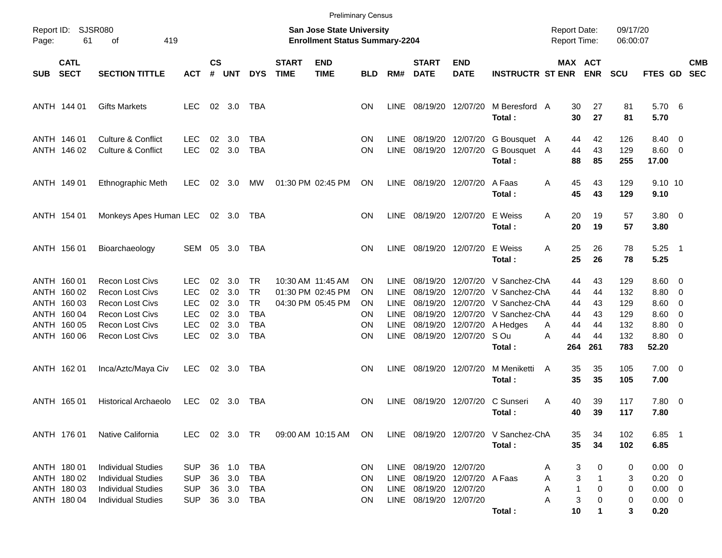|            |                                                                                        |                                                                                                                                                          |                                                                           |                                  |                                        |                                                                         |                             |                                                                    | <b>Preliminary Census</b>                 |                                                            |                                                                       |                               |                                                                                                                                             |                                                      |                                         |                                               |                                                                   |                                                                                      |                          |
|------------|----------------------------------------------------------------------------------------|----------------------------------------------------------------------------------------------------------------------------------------------------------|---------------------------------------------------------------------------|----------------------------------|----------------------------------------|-------------------------------------------------------------------------|-----------------------------|--------------------------------------------------------------------|-------------------------------------------|------------------------------------------------------------|-----------------------------------------------------------------------|-------------------------------|---------------------------------------------------------------------------------------------------------------------------------------------|------------------------------------------------------|-----------------------------------------|-----------------------------------------------|-------------------------------------------------------------------|--------------------------------------------------------------------------------------|--------------------------|
| Page:      | Report ID: SJSR080<br>61                                                               | 419<br>οf                                                                                                                                                |                                                                           |                                  |                                        |                                                                         |                             | San Jose State University<br><b>Enrollment Status Summary-2204</b> |                                           |                                                            |                                                                       |                               |                                                                                                                                             | <b>Report Date:</b><br><b>Report Time:</b>           |                                         | 09/17/20<br>06:00:07                          |                                                                   |                                                                                      |                          |
| <b>SUB</b> | <b>CATL</b><br><b>SECT</b>                                                             | <b>SECTION TITTLE</b>                                                                                                                                    | <b>ACT</b>                                                                | $\mathsf{cs}$<br>#               | <b>UNT</b>                             | <b>DYS</b>                                                              | <b>START</b><br><b>TIME</b> | <b>END</b><br><b>TIME</b>                                          | <b>BLD</b>                                | RM#                                                        | <b>START</b><br><b>DATE</b>                                           | <b>END</b><br><b>DATE</b>     | <b>INSTRUCTR ST ENR</b>                                                                                                                     | <b>MAX ACT</b>                                       | <b>ENR</b>                              | <b>SCU</b>                                    | FTES GD                                                           |                                                                                      | <b>CMB</b><br><b>SEC</b> |
|            | ANTH 144 01                                                                            | <b>Gifts Markets</b>                                                                                                                                     | <b>LEC</b>                                                                |                                  | $02 \quad 3.0$                         | TBA                                                                     |                             |                                                                    | <b>ON</b>                                 | LINE                                                       | 08/19/20 12/07/20                                                     |                               | M Beresford A<br>Total:                                                                                                                     | 30<br>30                                             | 27<br>27                                | 81<br>81                                      | 5.70 6<br>5.70                                                    |                                                                                      |                          |
|            | ANTH 146 01<br>ANTH 146 02                                                             | <b>Culture &amp; Conflict</b><br><b>Culture &amp; Conflict</b>                                                                                           | <b>LEC</b><br><b>LEC</b>                                                  | 02<br>02                         | 3.0<br>3.0                             | TBA<br><b>TBA</b>                                                       |                             |                                                                    | ΟN<br>ΟN                                  | LINE.<br><b>LINE</b>                                       | 08/19/20                                                              | 08/19/20 12/07/20<br>12/07/20 | G Bousquet A<br>G Bousquet<br>Total:                                                                                                        | 44<br>44<br>A<br>88                                  | 42<br>43<br>85                          | 126<br>129<br>255                             | 8.40 0<br>$8.60 \quad 0$<br>17.00                                 |                                                                                      |                          |
|            | ANTH 149 01                                                                            | Ethnographic Meth                                                                                                                                        | <b>LEC</b>                                                                | 02                               | 3.0                                    | МW                                                                      |                             | 01:30 PM 02:45 PM                                                  | ON                                        | <b>LINE</b>                                                | 08/19/20 12/07/20                                                     |                               | A Faas<br>Total:                                                                                                                            | 45<br>Α<br>45                                        | 43<br>43                                | 129<br>129                                    | 9.10 10<br>9.10                                                   |                                                                                      |                          |
|            | ANTH 154 01                                                                            | Monkeys Apes Human LEC                                                                                                                                   |                                                                           |                                  | 02 3.0                                 | TBA                                                                     |                             |                                                                    | <b>ON</b>                                 | LINE                                                       | 08/19/20 12/07/20                                                     |                               | E Weiss<br>Total:                                                                                                                           | Α<br>20<br>20                                        | 19<br>19                                | 57<br>57                                      | 3.80 0<br>3.80                                                    |                                                                                      |                          |
|            | ANTH 156 01                                                                            | Bioarchaeology                                                                                                                                           | SEM                                                                       |                                  | 05 3.0                                 | TBA                                                                     |                             |                                                                    | <b>ON</b>                                 | LINE                                                       | 08/19/20 12/07/20                                                     |                               | E Weiss<br>Total:                                                                                                                           | 25<br>A<br>25                                        | 26<br>26                                | 78<br>78                                      | $5.25$ 1<br>5.25                                                  |                                                                                      |                          |
|            | ANTH 160 01<br>ANTH 160 02<br>ANTH 160 03<br>ANTH 160 04<br>ANTH 160 05<br>ANTH 160 06 | <b>Recon Lost Civs</b><br><b>Recon Lost Civs</b><br><b>Recon Lost Civs</b><br><b>Recon Lost Civs</b><br><b>Recon Lost Civs</b><br><b>Recon Lost Civs</b> | LEC<br><b>LEC</b><br><b>LEC</b><br><b>LEC</b><br><b>LEC</b><br><b>LEC</b> | 02<br>02<br>02<br>02<br>02<br>02 | 3.0<br>3.0<br>3.0<br>3.0<br>3.0<br>3.0 | TR.<br><b>TR</b><br><b>TR</b><br><b>TBA</b><br><b>TBA</b><br><b>TBA</b> |                             | 10:30 AM 11:45 AM<br>01:30 PM 02:45 PM<br>04:30 PM 05:45 PM        | OΝ<br>ΟN<br>ΟN<br>ΟN<br>ΟN<br>ΟN          | <b>LINE</b><br>LINE<br>LINE<br>LINE<br><b>LINE</b><br>LINE | 08/19/20<br>08/19/20<br>08/19/20<br>08/19/20<br>08/19/20              | 08/19/20 12/07/20             | 12/07/20 V Sanchez-ChA<br>12/07/20 V Sanchez-ChA<br>12/07/20 V Sanchez-ChA<br>12/07/20 V Sanchez-ChA<br>12/07/20 A Hedges<br>S Ou<br>Total: | 44<br>44<br>44<br>44<br>44<br>Α<br>44<br>A<br>264    | 43<br>44<br>43<br>43<br>44<br>44<br>261 | 129<br>132<br>129<br>129<br>132<br>132<br>783 | $8.60 \quad 0$<br>8.80<br>8.60<br>8.60<br>8.80<br>8.80 0<br>52.20 | $\overline{\mathbf{0}}$<br>$\overline{\phantom{0}}$<br>$\overline{\phantom{0}}$<br>0 |                          |
|            | ANTH 162 01                                                                            | Inca/Aztc/Maya Civ                                                                                                                                       | <b>LEC</b>                                                                |                                  | 02 3.0                                 | TBA                                                                     |                             |                                                                    | <b>ON</b>                                 | LINE                                                       | 08/19/20 12/07/20                                                     |                               | M Meniketti<br>Total:                                                                                                                       | 35<br>A<br>35                                        | 35<br>35                                | 105<br>105                                    | $7.00 \t 0$<br>7.00                                               |                                                                                      |                          |
|            | ANTH 165 01                                                                            | <b>Historical Archaeolo</b>                                                                                                                              | <b>LEC</b>                                                                |                                  | $02 \quad 3.0$                         | TBA                                                                     |                             |                                                                    | ΟN                                        | <b>LINE</b>                                                | 08/19/20 12/07/20                                                     |                               | C Sunseri<br>Total:                                                                                                                         | 40<br>A<br>40                                        | 39<br>39                                | 117<br>117                                    | 7.80 0<br>7.80                                                    |                                                                                      |                          |
|            | ANTH 176 01                                                                            | Native California                                                                                                                                        |                                                                           |                                  |                                        | LEC 02 3.0 TR                                                           |                             | 09:00 AM 10:15 AM ON                                               |                                           |                                                            |                                                                       |                               | LINE 08/19/20 12/07/20 V Sanchez-ChA<br>Total:                                                                                              | 35<br>35                                             | 34<br>34                                | 102<br>102                                    | $6.85$ 1<br>6.85                                                  |                                                                                      |                          |
|            | ANTH 180 01<br>ANTH 180 02<br>ANTH 180 03<br>ANTH 180 04                               | <b>Individual Studies</b><br><b>Individual Studies</b><br><b>Individual Studies</b><br><b>Individual Studies</b>                                         | <b>SUP</b><br><b>SUP</b><br><b>SUP</b><br><b>SUP</b>                      | 36<br>36                         | 36 1.0<br>3.0<br>3.0<br>36 3.0         | TBA<br>TBA<br>TBA<br>TBA                                                |                             |                                                                    | <b>ON</b><br><b>ON</b><br><b>ON</b><br>ON | LINE<br>LINE                                               | LINE 08/19/20 12/07/20<br>08/19/20 12/07/20<br>LINE 08/19/20 12/07/20 | 08/19/20 12/07/20 A Faas      | Total:                                                                                                                                      | 3<br>A<br>3<br>Α<br>$\mathbf 1$<br>Α<br>Α<br>3<br>10 | 0<br>0<br>0                             | 0<br>3<br>0<br>0<br>3                         | $0.00 \t 0$<br>$0.20 \ 0$<br>$0.00 \t 0$<br>$0.00 \t 0$<br>0.20   |                                                                                      |                          |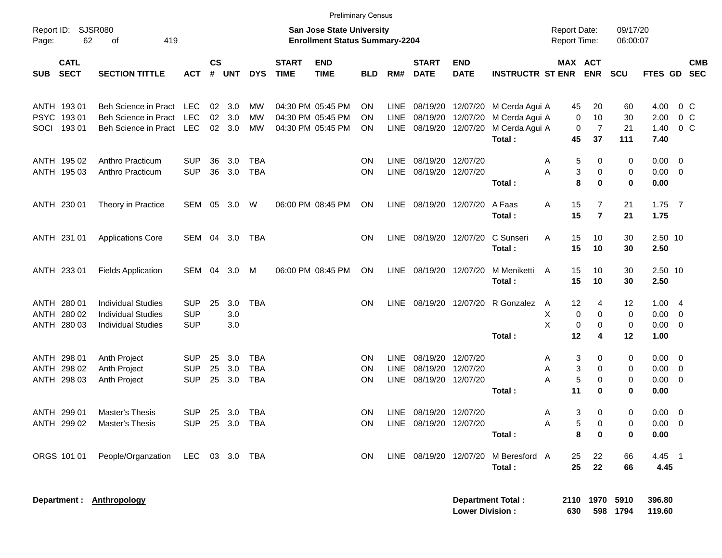|                                          |                                                        |                          |                |                |                          |                             |                                                                           | <b>Preliminary Census</b> |                            |                                             |                                        |                                            |                                            |                                  |                      |                                    |                                  |
|------------------------------------------|--------------------------------------------------------|--------------------------|----------------|----------------|--------------------------|-----------------------------|---------------------------------------------------------------------------|---------------------------|----------------------------|---------------------------------------------|----------------------------------------|--------------------------------------------|--------------------------------------------|----------------------------------|----------------------|------------------------------------|----------------------------------|
| Report ID:<br>62<br>Page:                | <b>SJSR080</b><br>419<br>of                            |                          |                |                |                          |                             | <b>San Jose State University</b><br><b>Enrollment Status Summary-2204</b> |                           |                            |                                             |                                        |                                            | <b>Report Date:</b><br><b>Report Time:</b> |                                  | 09/17/20<br>06:00:07 |                                    |                                  |
| <b>CATL</b><br><b>SECT</b><br><b>SUB</b> | <b>SECTION TITTLE</b>                                  | <b>ACT</b>               | <b>CS</b><br># | <b>UNT</b>     | <b>DYS</b>               | <b>START</b><br><b>TIME</b> | <b>END</b><br><b>TIME</b>                                                 | <b>BLD</b>                | RM#                        | <b>START</b><br><b>DATE</b>                 | <b>END</b><br><b>DATE</b>              | <b>INSTRUCTR ST ENR</b>                    | MAX ACT                                    | <b>ENR</b>                       | <b>SCU</b>           | <b>FTES GD</b>                     | <b>CMB</b><br><b>SEC</b>         |
| ANTH 193 01<br>PSYC 193 01               | Beh Science in Pract LEC<br>Beh Science in Pract       | <b>LEC</b>               |                | $02 \quad 3.0$ | МW                       |                             | 04:30 PM 05:45 PM                                                         | ΟN                        | LINE.                      |                                             | 12/07/20                               | 08/19/20 12/07/20 M Cerda Agui A           | 45<br>0                                    | 20                               | 60                   | 4.00                               | $0\,$ C                          |
| SOCI 193 01                              | <b>Beh Science in Pract</b>                            | LEC                      | 02             | 3.0<br>02 3.0  | MW<br>MW                 |                             | 04:30 PM 05:45 PM<br>04:30 PM 05:45 PM                                    | ΟN<br>ΟN                  | LINE<br>LINE               | 08/19/20                                    | 08/19/20 12/07/20                      | M Cerda Agui A<br>M Cerda Agui A<br>Total: | 0<br>45                                    | 10<br>$\overline{7}$<br>37       | 30<br>21<br>111      | 2.00<br>1.40<br>7.40               | 0 <sup>o</sup><br>0 <sup>o</sup> |
| ANTH 195 02<br>ANTH 195 03               | Anthro Practicum<br>Anthro Practicum                   | SUP<br><b>SUP</b>        | 36<br>36       | 3.0<br>3.0     | TBA<br><b>TBA</b>        |                             |                                                                           | ΟN<br>ON                  | <b>LINE</b><br>LINE        |                                             | 08/19/20 12/07/20<br>08/19/20 12/07/20 |                                            | 5<br>A<br>3<br>Α                           | 0<br>$\mathbf 0$                 | 0<br>0               | $0.00 \t 0$<br>$0.00 \t 0$         |                                  |
|                                          |                                                        |                          |                |                |                          |                             |                                                                           |                           |                            |                                             |                                        | Total:                                     | 8                                          | $\bf{0}$                         | 0                    | 0.00                               |                                  |
| ANTH 230 01                              | Theory in Practice                                     | SEM 05                   |                | 3.0            | W                        |                             | 06:00 PM 08:45 PM                                                         | ON                        | LINE                       |                                             | 08/19/20 12/07/20                      | A Faas<br>Total:                           | 15<br>Α<br>15                              | $\overline{7}$<br>$\overline{7}$ | 21<br>21             | $1.75$ 7<br>1.75                   |                                  |
| ANTH 231 01                              | <b>Applications Core</b>                               | SEM 04 3.0               |                |                | TBA                      |                             |                                                                           | <b>ON</b>                 | <b>LINE</b>                |                                             | 08/19/20 12/07/20                      | C Sunseri<br>Total:                        | 15<br>Α<br>15                              | 10<br>10                         | 30<br>30             | 2.50 10<br>2.50                    |                                  |
| ANTH 233 01                              | <b>Fields Application</b>                              | SEM                      | 04             | 3.0            | M                        |                             | 06:00 PM 08:45 PM                                                         | ON                        | <b>LINE</b>                |                                             | 08/19/20 12/07/20                      | M Meniketti<br>Total:                      | 15<br>A<br>15                              | 10<br>10                         | 30<br>30             | 2.50 10<br>2.50                    |                                  |
| ANTH 280 01<br>ANTH 280 02               | <b>Individual Studies</b><br><b>Individual Studies</b> | <b>SUP</b><br><b>SUP</b> | 25             | 3.0<br>3.0     | <b>TBA</b>               |                             |                                                                           | <b>ON</b>                 | <b>LINE</b>                |                                             |                                        | 08/19/20 12/07/20 R Gonzalez               | 12<br>A<br>Χ<br>0                          | 4<br>0                           | 12<br>0              | 1.004<br>$0.00 \t 0$               |                                  |
| ANTH 280 03                              | <b>Individual Studies</b>                              | <b>SUP</b>               |                | 3.0            |                          |                             |                                                                           |                           |                            |                                             |                                        | Total:                                     | X<br>0<br>12                               | 0<br>4                           | 0<br>12              | $0.00 \t 0$<br>1.00                |                                  |
| ANTH 298 01                              | Anth Project                                           | <b>SUP</b>               | 25             | 3.0            | <b>TBA</b>               |                             |                                                                           | ΟN                        | <b>LINE</b>                | 08/19/20                                    | 12/07/20                               |                                            | 3<br>Α                                     | 0                                | 0                    | $0.00 \t 0$                        |                                  |
| ANTH 298 02<br>ANTH 298 03               | Anth Project<br>Anth Project                           | <b>SUP</b><br><b>SUP</b> | 25<br>25       | 3.0<br>3.0     | <b>TBA</b><br><b>TBA</b> |                             |                                                                           | ΟN<br>ΟN                  | <b>LINE</b><br><b>LINE</b> | 08/19/20                                    | 12/07/20<br>08/19/20 12/07/20          | Total:                                     | 3<br>Α<br>5<br>Α<br>11                     | 0<br>$\mathbf 0$<br>$\bf{0}$     | 0<br>0<br>0          | $0.00 \t 0$<br>$0.00 \t 0$<br>0.00 |                                  |
| ANTH 299 01<br>ANTH 299 02               | <b>Master's Thesis</b><br>Master's Thesis              | <b>SUP</b>               |                | 25 3.0         | TBA<br>SUP 25 3.0 TBA    |                             |                                                                           | ON<br>ON                  | LINE                       | 08/19/20 12/07/20<br>LINE 08/19/20 12/07/20 |                                        |                                            | 3<br>A<br>Α<br>5                           | 0<br>0                           | 0<br>0               | $0.00 \t 0$<br>$0.00 \t 0$         |                                  |
| ORGS 101 01                              | People/Organzation                                     | LEC 03 3.0 TBA           |                |                |                          |                             |                                                                           | ON                        |                            |                                             | LINE 08/19/20 12/07/20                 | Total:<br>M Beresford A<br>Total:          | 8<br>25<br>25                              | 0<br>22<br>22                    | 0<br>66<br>66        | 0.00<br>4.45 1<br>4.45             |                                  |
|                                          | Department : Anthropology                              |                          |                |                |                          |                             |                                                                           |                           |                            |                                             | <b>Lower Division:</b>                 | <b>Department Total:</b>                   | 630                                        | 2110 1970 5910                   | 598 1794             | 396.80<br>119.60                   |                                  |

**Lower Division : 630 598 1794 119.60**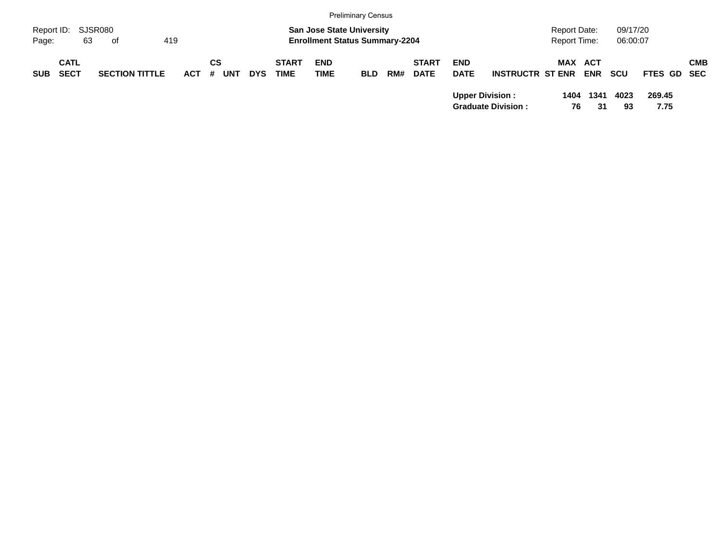|            |             |                       |         |            |            |              |                                       | <b>Preliminary Census</b> |     |              |             |                           |                     |            |            |             |            |
|------------|-------------|-----------------------|---------|------------|------------|--------------|---------------------------------------|---------------------------|-----|--------------|-------------|---------------------------|---------------------|------------|------------|-------------|------------|
| Report ID: |             | SJSR080               |         |            |            |              | <b>San Jose State University</b>      |                           |     |              |             |                           | <b>Report Date:</b> |            | 09/17/20   |             |            |
| Page:      | 63          | of                    | 419     |            |            |              | <b>Enrollment Status Summary-2204</b> |                           |     |              |             |                           | Report Time:        |            | 06:00:07   |             |            |
|            | <b>CATL</b> |                       |         | СS         |            | <b>START</b> | <b>END</b>                            |                           |     | <b>START</b> | <b>END</b>  |                           | <b>MAX ACT</b>      |            |            |             | <b>CMB</b> |
| <b>SUB</b> | <b>SECT</b> | <b>SECTION TITTLE</b> | $ACT$ # | <b>UNT</b> | <b>DYS</b> | <b>TIME</b>  | <b>TIME</b>                           | <b>BLD</b>                | RM# | <b>DATE</b>  | <b>DATE</b> | <b>INSTRUCTR ST ENR</b>   |                     | <b>ENR</b> | <b>SCU</b> | FTES GD SEC |            |
|            |             |                       |         |            |            |              |                                       |                           |     |              |             | <b>Upper Division:</b>    | 1404                | 1341       | 4023       | 269.45      |            |
|            |             |                       |         |            |            |              |                                       |                           |     |              |             | <b>Graduate Division:</b> | 76                  | 31         | 93         | 7.75        |            |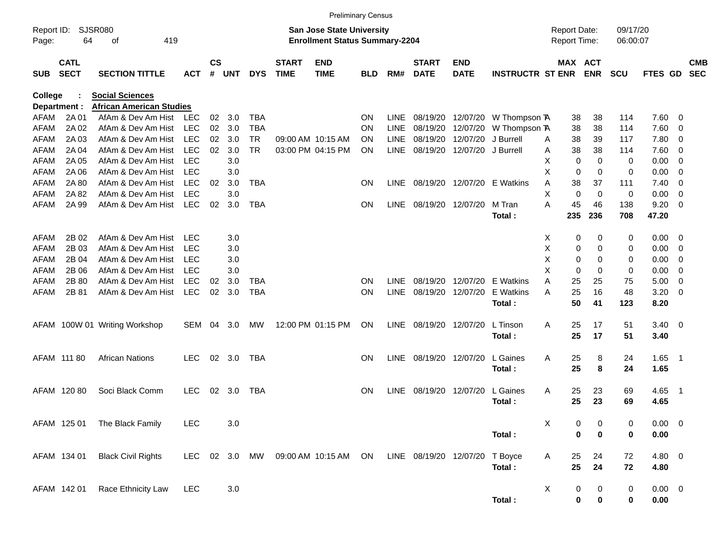|                     |                            |                                          |                          |                |            |                        |                             | <b>Preliminary Census</b>                                                 |            |                            |                                |                           |                         |                |                                            |             |                      |              |                         |                          |
|---------------------|----------------------------|------------------------------------------|--------------------------|----------------|------------|------------------------|-----------------------------|---------------------------------------------------------------------------|------------|----------------------------|--------------------------------|---------------------------|-------------------------|----------------|--------------------------------------------|-------------|----------------------|--------------|-------------------------|--------------------------|
| Report ID:<br>Page: | 64                         | SJSR080<br>419<br>οf                     |                          |                |            |                        |                             | <b>San Jose State University</b><br><b>Enrollment Status Summary-2204</b> |            |                            |                                |                           |                         |                | <b>Report Date:</b><br><b>Report Time:</b> |             | 09/17/20<br>06:00:07 |              |                         |                          |
| <b>SUB</b>          | <b>CATL</b><br><b>SECT</b> | <b>SECTION TITTLE</b>                    | <b>ACT</b>               | <b>CS</b><br># | <b>UNT</b> | <b>DYS</b>             | <b>START</b><br><b>TIME</b> | <b>END</b><br><b>TIME</b>                                                 | <b>BLD</b> | RM#                        | <b>START</b><br><b>DATE</b>    | <b>END</b><br><b>DATE</b> | <b>INSTRUCTR ST ENR</b> |                | MAX ACT                                    | <b>ENR</b>  | <b>SCU</b>           | FTES GD      |                         | <b>CMB</b><br><b>SEC</b> |
| <b>College</b>      |                            | <b>Social Sciences</b>                   |                          |                |            |                        |                             |                                                                           |            |                            |                                |                           |                         |                |                                            |             |                      |              |                         |                          |
|                     | Department :               | <b>African American Studies</b>          |                          |                |            |                        |                             |                                                                           |            |                            |                                |                           |                         |                |                                            |             |                      |              |                         |                          |
| AFAM                | 2A 01                      | AfAm & Dev Am Hist                       | <b>LEC</b>               | 02             | 3.0        | <b>TBA</b>             |                             |                                                                           | <b>ON</b>  | <b>LINE</b>                | 08/19/20                       | 12/07/20                  | W Thompson <b>A</b>     |                | 38                                         | 38          | 114                  | 7.60         | - 0                     |                          |
| AFAM                | 2A 02                      | AfAm & Dev Am Hist                       | <b>LEC</b>               | 02             | 3.0        | <b>TBA</b>             |                             |                                                                           | <b>ON</b>  | <b>LINE</b>                | 08/19/20                       | 12/07/20                  | W Thompson TA           |                | 38                                         | 38          | 114                  | 7.60         | 0                       |                          |
| AFAM                | 2A 03<br>2A 04             | AfAm & Dev Am Hist<br>AfAm & Dev Am Hist | <b>LEC</b><br><b>LEC</b> | 02<br>02       | 3.0<br>3.0 | <b>TR</b><br><b>TR</b> |                             | 09:00 AM 10:15 AM<br>03:00 PM 04:15 PM                                    | <b>ON</b>  | <b>LINE</b><br><b>LINE</b> | 08/19/20                       | 12/07/20                  | J Burrell               | A              | 38<br>38                                   | 39<br>38    | 117                  | 7.80         | $\overline{0}$          |                          |
| AFAM                | 2A 05                      | AfAm & Dev Am Hist                       | LEC                      |                | 3.0        |                        |                             |                                                                           | <b>ON</b>  |                            | 08/19/20                       | 12/07/20                  | J Burrell               | A<br>X         | 0                                          | 0           | 114                  | 7.60         | $\overline{0}$          |                          |
| AFAM<br>AFAM        | 2A 06                      | AfAm & Dev Am Hist                       | LEC                      |                | 3.0        |                        |                             |                                                                           |            |                            |                                |                           |                         | X              | $\mathbf 0$                                | 0           | 0<br>0               | 0.00<br>0.00 | 0<br>$\mathbf 0$        |                          |
| AFAM                | 2A 80                      | AfAm & Dev Am Hist                       | <b>LEC</b>               | 02             | 3.0        | <b>TBA</b>             |                             |                                                                           | <b>ON</b>  | <b>LINE</b>                |                                | 08/19/20 12/07/20         | E Watkins               | A              | 38                                         | 37          | 111                  | 7.40         | $\mathbf 0$             |                          |
| AFAM                | 2A 82                      | AfAm & Dev Am Hist                       | LEC                      |                | 3.0        |                        |                             |                                                                           |            |                            |                                |                           |                         | Χ              | 0                                          | $\mathbf 0$ | 0                    | 0.00         | $\mathbf 0$             |                          |
| <b>AFAM</b>         | 2A 99                      | AfAm & Dev Am Hist                       | <b>LEC</b>               | 02             | 3.0        | <b>TBA</b>             |                             |                                                                           | <b>ON</b>  | <b>LINE</b>                | 08/19/20 12/07/20              |                           | M Tran                  | A              | 45                                         | 46          | 138                  | 9.20         | $\overline{0}$          |                          |
|                     |                            |                                          |                          |                |            |                        |                             |                                                                           |            |                            |                                |                           | Total:                  |                | 235                                        | 236         | 708                  | 47.20        |                         |                          |
| AFAM                | 2B 02                      | AfAm & Dev Am Hist                       | <b>LEC</b>               |                | 3.0        |                        |                             |                                                                           |            |                            |                                |                           |                         | X              | 0                                          | 0           | 0                    | 0.00         | - 0                     |                          |
| AFAM                | 2B 03                      | AfAm & Dev Am Hist                       | LEC                      |                | 3.0        |                        |                             |                                                                           |            |                            |                                |                           |                         | X              | 0                                          | 0           | $\mathbf 0$          | 0.00         | 0                       |                          |
| AFAM                | 2B 04                      | AfAm & Dev Am Hist                       | <b>LEC</b>               |                | 3.0        |                        |                             |                                                                           |            |                            |                                |                           |                         | X              | 0                                          | 0           | 0                    | 0.00         | 0                       |                          |
| AFAM                | 2B 06                      | AfAm & Dev Am Hist                       | <b>LEC</b>               |                | 3.0        |                        |                             |                                                                           |            |                            |                                |                           |                         | X              | $\mathbf 0$                                | 0           | 0                    | 0.00         | 0                       |                          |
| AFAM                | 2B 80                      | AfAm & Dev Am Hist                       | <b>LEC</b>               | 02             | 3.0        | <b>TBA</b>             |                             |                                                                           | <b>ON</b>  | <b>LINE</b>                | 08/19/20 12/07/20              |                           | E Watkins               | A              | 25                                         | 25          | 75                   | 5.00         | $\mathbf 0$             |                          |
| <b>AFAM</b>         | 2B 81                      | AfAm & Dev Am Hist                       | <b>LEC</b>               | 02             | 3.0        | <b>TBA</b>             |                             |                                                                           | <b>ON</b>  | <b>LINE</b>                | 08/19/20                       | 12/07/20                  | E Watkins<br>Total:     | Α              | 25<br>50                                   | 16<br>41    | 48<br>123            | 3.20<br>8.20 | $\overline{0}$          |                          |
|                     |                            | AFAM 100W 01 Writing Workshop            | <b>SEM</b>               | 04             | 3.0        | MW                     |                             | 12:00 PM 01:15 PM                                                         | <b>ON</b>  | LINE                       | 08/19/20 12/07/20              |                           | L Tinson<br>Total:      | A              | 25<br>25                                   | 17<br>17    | 51<br>51             | 3.40<br>3.40 | $\overline{\mathbf{0}}$ |                          |
|                     |                            |                                          |                          |                |            |                        |                             |                                                                           |            |                            |                                |                           |                         |                |                                            |             |                      |              |                         |                          |
|                     | AFAM 111 80                | <b>African Nations</b>                   | <b>LEC</b>               | 02             | 3.0        | TBA                    |                             |                                                                           | <b>ON</b>  | <b>LINE</b>                | 08/19/20 12/07/20              |                           | L Gaines<br>Total:      | A              | 25<br>25                                   | 8<br>8      | 24<br>24             | 1.65<br>1.65 | - 1                     |                          |
|                     |                            |                                          |                          |                |            |                        |                             |                                                                           |            |                            |                                |                           |                         |                |                                            |             |                      |              |                         |                          |
|                     | AFAM 120 80                | Soci Black Comm                          | <b>LEC</b>               | 02             | 3.0        | TBA                    |                             |                                                                           | <b>ON</b>  | <b>LINE</b>                | 08/19/20 12/07/20              |                           | L Gaines                | A              | 25                                         | 23          | 69                   | 4.65         | - 1                     |                          |
|                     |                            |                                          |                          |                |            |                        |                             |                                                                           |            |                            |                                |                           | Total:                  |                | 25                                         | 23          | 69                   | 4.65         |                         |                          |
|                     | AFAM 125 01                | The Black Family                         | LEC                      |                | 3.0        |                        |                             |                                                                           |            |                            |                                |                           |                         | $\pmb{\times}$ | 0                                          | 0           | 0                    | $0.00 \t 0$  |                         |                          |
|                     |                            |                                          |                          |                |            |                        |                             |                                                                           |            |                            |                                |                           | Total:                  |                | 0                                          | 0           | 0                    | $0.00\,$     |                         |                          |
|                     | AFAM 134 01                | <b>Black Civil Rights</b>                | LEC                      |                | 02 3.0     | MW                     |                             | 09:00 AM 10:15 AM ON                                                      |            |                            | LINE 08/19/20 12/07/20 T Boyce |                           |                         | A              | 25                                         | 24          | 72                   | 4.80 0       |                         |                          |
|                     |                            |                                          |                          |                |            |                        |                             |                                                                           |            |                            |                                |                           | Total:                  |                | 25                                         | 24          | 72                   | 4.80         |                         |                          |
|                     | AFAM 142 01                | Race Ethnicity Law                       | <b>LEC</b>               |                | 3.0        |                        |                             |                                                                           |            |                            |                                |                           |                         | X              | 0                                          | $\mathbf 0$ | 0                    | $0.00 \t 0$  |                         |                          |
|                     |                            |                                          |                          |                |            |                        |                             |                                                                           |            |                            |                                |                           | Total:                  |                | $\pmb{0}$                                  | $\pmb{0}$   | $\pmb{0}$            | $0.00\,$     |                         |                          |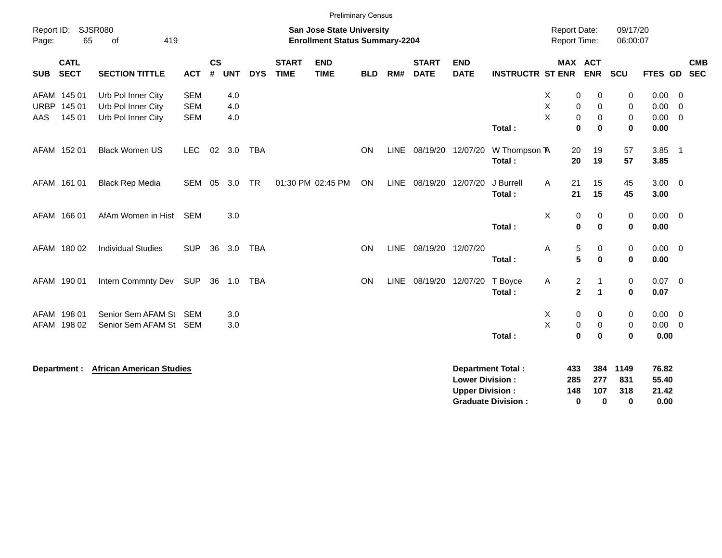|             |                                                                                                                    |                                 |            |                             |            |            |                             |                           | <b>Preliminary Census</b> |      |                             |                                                  |                           |                                              |                                      |                      |                         |                          |                          |
|-------------|--------------------------------------------------------------------------------------------------------------------|---------------------------------|------------|-----------------------------|------------|------------|-----------------------------|---------------------------|---------------------------|------|-----------------------------|--------------------------------------------------|---------------------------|----------------------------------------------|--------------------------------------|----------------------|-------------------------|--------------------------|--------------------------|
| Page:       | Report ID: SJSR080<br><b>San Jose State University</b><br>65<br>419<br><b>Enrollment Status Summary-2204</b><br>of |                                 |            |                             |            |            |                             |                           |                           |      |                             |                                                  |                           | <b>Report Date:</b><br>Report Time:          |                                      | 09/17/20<br>06:00:07 |                         |                          |                          |
| <b>SUB</b>  | <b>CATL</b><br><b>SECT</b>                                                                                         | <b>SECTION TITTLE</b>           | <b>ACT</b> | $\mathsf{cs}$<br>$\pmb{\#}$ | <b>UNT</b> | <b>DYS</b> | <b>START</b><br><b>TIME</b> | <b>END</b><br><b>TIME</b> | <b>BLD</b>                | RM#  | <b>START</b><br><b>DATE</b> | <b>END</b><br><b>DATE</b>                        | <b>INSTRUCTR ST ENR</b>   |                                              | MAX ACT<br><b>ENR</b>                | <b>SCU</b>           | FTES GD                 |                          | <b>CMB</b><br><b>SEC</b> |
|             | AFAM 145 01                                                                                                        | Urb Pol Inner City              | <b>SEM</b> |                             | 4.0        |            |                             |                           |                           |      |                             |                                                  |                           | Χ<br>0                                       | 0                                    | 0                    | 0.00                    | 0                        |                          |
| <b>URBP</b> | 145 01                                                                                                             | Urb Pol Inner City              | <b>SEM</b> |                             | 4.0        |            |                             |                           |                           |      |                             |                                                  |                           | $\mathsf X$<br>$\pmb{0}$                     | $\mathbf 0$                          | 0                    | 0.00                    | $\overline{0}$           |                          |
| AAS         | 145 01                                                                                                             | Urb Pol Inner City              | <b>SEM</b> |                             | 4.0        |            |                             |                           |                           |      |                             |                                                  | Total:                    | $\overline{X}$<br>$\mathbf 0$<br>$\mathbf 0$ | $\mathbf 0$<br>$\bf{0}$              | 0<br>$\bf{0}$        | 0.00<br>0.00            | $\overline{\mathbf{0}}$  |                          |
|             | AFAM 152 01                                                                                                        | <b>Black Women US</b>           | <b>LEC</b> | 02                          | 3.0        | <b>TBA</b> |                             |                           | ON                        | LINE | 08/19/20 12/07/20           |                                                  | W Thompson TA<br>Total:   | 20<br>20                                     | 19<br>19                             | 57<br>57             | $3.85$ 1<br>3.85        |                          |                          |
|             | AFAM 161 01                                                                                                        | <b>Black Rep Media</b>          | <b>SEM</b> | 05                          | 3.0        | <b>TR</b>  |                             | 01:30 PM 02:45 PM         | ON                        | LINE | 08/19/20 12/07/20           |                                                  | J Burrell<br>Total:       | 21<br>A<br>21                                | 15<br>15                             | 45<br>45             | $3.00 \ 0$<br>3.00      |                          |                          |
|             | AFAM 166 01                                                                                                        | AfAm Women in Hist              | <b>SEM</b> |                             | 3.0        |            |                             |                           |                           |      |                             |                                                  | Total:                    | X<br>0<br>$\mathbf 0$                        | 0<br>$\bf{0}$                        | 0<br>$\mathbf 0$     | $0.00 \quad 0$<br>0.00  |                          |                          |
|             | AFAM 180 02                                                                                                        | <b>Individual Studies</b>       | <b>SUP</b> | 36                          | 3.0        | <b>TBA</b> |                             |                           | ON                        | LINE | 08/19/20 12/07/20           |                                                  | Total:                    | 5<br>Α<br>5                                  | 0<br>$\bf{0}$                        | 0<br>$\mathbf 0$     | 0.00<br>0.00            | $\overline{\phantom{0}}$ |                          |
|             | AFAM 190 01                                                                                                        | Intern Commnty Dev              | SUP        |                             | 36 1.0     | TBA        |                             |                           | ON                        | LINE | 08/19/20 12/07/20           |                                                  | T Boyce<br>Total:         | $\overline{c}$<br>A<br>$\overline{2}$        | $\mathbf{1}$<br>$\blacktriangleleft$ | 0<br>$\mathbf 0$     | $0.07 \ 0$<br>0.07      |                          |                          |
|             | AFAM 198 01                                                                                                        | Senior Sem AFAM St SEM          |            |                             | 3.0        |            |                             |                           |                           |      |                             |                                                  |                           | X<br>0                                       | 0                                    | 0                    | $0.00 \t 0$             |                          |                          |
|             | AFAM 198 02                                                                                                        | Senior Sem AFAM St SEM          |            |                             | 3.0        |            |                             |                           |                           |      |                             |                                                  |                           | X<br>$\pmb{0}$                               | 0                                    | 0                    | $0.00 \t 0$             |                          |                          |
|             |                                                                                                                    |                                 |            |                             |            |            |                             |                           |                           |      |                             |                                                  | Total:                    | $\mathbf{0}$                                 | $\bf{0}$                             | $\bf{0}$             | 0.00                    |                          |                          |
|             | Department :                                                                                                       | <b>African American Studies</b> |            |                             |            |            |                             |                           |                           |      |                             | <b>Lower Division:</b><br><b>Upper Division:</b> | <b>Department Total:</b>  | 433<br>285<br>148                            | 384<br>277<br>107                    | 1149<br>831<br>318   | 76.82<br>55.40<br>21.42 |                          |                          |
|             |                                                                                                                    |                                 |            |                             |            |            |                             |                           |                           |      |                             |                                                  | <b>Graduate Division:</b> | 0                                            | 0                                    | 0                    | 0.00                    |                          |                          |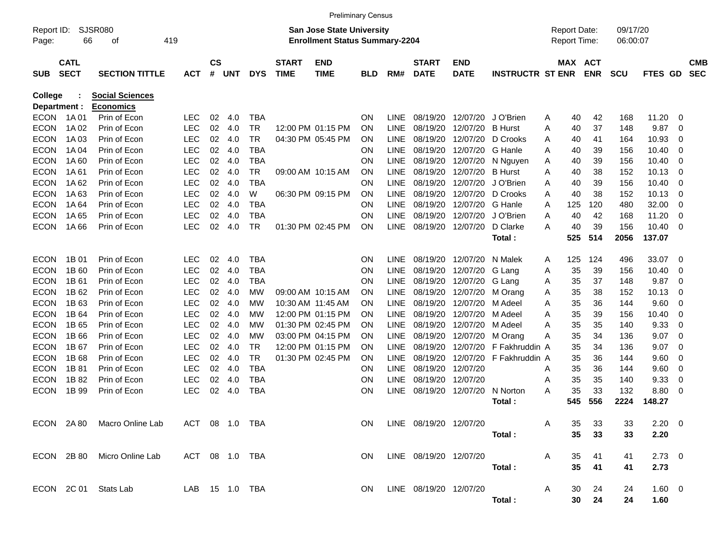|                     |             |                                            |            |               |            |            |              | <b>Preliminary Census</b>                                                 |            |             |              |             |                             |                                            |     |            |                      |             |                |            |
|---------------------|-------------|--------------------------------------------|------------|---------------|------------|------------|--------------|---------------------------------------------------------------------------|------------|-------------|--------------|-------------|-----------------------------|--------------------------------------------|-----|------------|----------------------|-------------|----------------|------------|
| Report ID:<br>Page: | 66          | <b>SJSR080</b><br>οf                       | 419        |               |            |            |              | <b>San Jose State University</b><br><b>Enrollment Status Summary-2204</b> |            |             |              |             |                             | <b>Report Date:</b><br><b>Report Time:</b> |     |            | 09/17/20<br>06:00:07 |             |                |            |
|                     | <b>CATL</b> |                                            |            | $\mathsf{cs}$ |            |            | <b>START</b> | <b>END</b>                                                                |            |             | <b>START</b> | <b>END</b>  |                             |                                            |     | MAX ACT    |                      |             |                | <b>CMB</b> |
| <b>SUB</b>          | <b>SECT</b> | <b>SECTION TITTLE</b>                      | <b>ACT</b> | #             | <b>UNT</b> | <b>DYS</b> | <b>TIME</b>  | <b>TIME</b>                                                               | <b>BLD</b> | RM#         | <b>DATE</b>  | <b>DATE</b> | <b>INSTRUCTR ST ENR</b>     |                                            |     | <b>ENR</b> | <b>SCU</b>           | FTES GD     |                | <b>SEC</b> |
| College             |             | <b>Social Sciences</b>                     |            |               |            |            |              |                                                                           |            |             |              |             |                             |                                            |     |            |                      |             |                |            |
| Department :        |             | <b>Economics</b>                           |            |               |            |            |              |                                                                           |            |             |              |             |                             |                                            |     |            |                      |             |                |            |
| <b>ECON</b>         | 1A 01       | Prin of Econ                               | <b>LEC</b> | 02            | 4.0        | <b>TBA</b> |              |                                                                           | <b>ON</b>  | <b>LINE</b> | 08/19/20     | 12/07/20    | J O'Brien                   | A                                          | 40  | 42         | 168                  | 11.20       | - 0            |            |
| <b>ECON</b>         | 1A 02       | Prin of Econ                               | <b>LEC</b> | 02            | 4.0        | <b>TR</b>  |              | 12:00 PM 01:15 PM                                                         | <b>ON</b>  | <b>LINE</b> | 08/19/20     | 12/07/20    | <b>B</b> Hurst              | A                                          | 40  | 37         | 148                  | 9.87        | $\mathbf 0$    |            |
| <b>ECON</b>         | 1A 03       | Prin of Econ                               | <b>LEC</b> | 02            | 4.0        | <b>TR</b>  |              | 04:30 PM 05:45 PM                                                         | <b>ON</b>  | <b>LINE</b> | 08/19/20     | 12/07/20    | D Crooks                    | A                                          | 40  | 41         | 164                  | 10.93       | 0              |            |
| <b>ECON</b>         | 1A 04       | Prin of Econ                               | <b>LEC</b> | 02            | 4.0        | <b>TBA</b> |              |                                                                           | <b>ON</b>  | <b>LINE</b> | 08/19/20     | 12/07/20    | G Hanle                     | A                                          | 40  | 39         | 156                  | 10.40       | $\mathbf 0$    |            |
| <b>ECON</b>         | 1A 60       | Prin of Econ                               | <b>LEC</b> | 02            | 4.0        | <b>TBA</b> |              |                                                                           | <b>ON</b>  | <b>LINE</b> | 08/19/20     | 12/07/20    | N Nguyen                    | A                                          | 40  | 39         | 156                  | 10.40       | $\overline{0}$ |            |
| <b>ECON</b>         | 1A 61       | Prin of Econ                               | <b>LEC</b> | 02            | 4.0        | <b>TR</b>  |              | 09:00 AM 10:15 AM                                                         | <b>ON</b>  | <b>LINE</b> | 08/19/20     | 12/07/20    | <b>B</b> Hurst              | A                                          | 40  | 38         | 152                  | 10.13       | $\mathbf 0$    |            |
| <b>ECON</b>         | 1A 62       | Prin of Econ                               | <b>LEC</b> | 02            | 4.0        | <b>TBA</b> |              |                                                                           | <b>ON</b>  | <b>LINE</b> | 08/19/20     | 12/07/20    | J O'Brien                   | A                                          | 40  | 39         | 156                  | 10.40       | $\mathbf 0$    |            |
| <b>ECON</b>         | 1A63        | Prin of Econ                               | <b>LEC</b> | 02            | 4.0        | W          |              | 06:30 PM 09:15 PM                                                         | <b>ON</b>  | <b>LINE</b> | 08/19/20     | 12/07/20    | D Crooks                    | A                                          | 40  | 38         | 152                  | 10.13       | $\overline{0}$ |            |
| <b>ECON</b>         | 1A 64       | Prin of Econ                               | <b>LEC</b> | 02            | 4.0        | <b>TBA</b> |              |                                                                           | <b>ON</b>  | <b>LINE</b> | 08/19/20     | 12/07/20    | G Hanle                     | A                                          | 125 | 120        | 480                  | 32.00       | $\mathbf 0$    |            |
| <b>ECON</b>         | 1A 65       | Prin of Econ                               | <b>LEC</b> | 02            | 4.0        | <b>TBA</b> |              |                                                                           | <b>ON</b>  | <b>LINE</b> | 08/19/20     | 12/07/20    | J O'Brien                   | A                                          | 40  | 42         | 168                  | 11.20       | $\mathbf 0$    |            |
| <b>ECON</b>         | 1A66        | Prin of Econ                               | <b>LEC</b> | 02            | 4.0        | <b>TR</b>  |              | 01:30 PM 02:45 PM                                                         | <b>ON</b>  | <b>LINE</b> | 08/19/20     | 12/07/20    | D Clarke                    | A                                          | 40  | 39         | 156                  | 10.40       | $\overline{0}$ |            |
|                     |             |                                            |            |               |            |            |              |                                                                           |            |             |              |             | Total:                      |                                            | 525 | 514        | 2056                 | 137.07      |                |            |
| <b>ECON</b>         | 1B 01       | Prin of Econ                               | <b>LEC</b> | 02            | 4.0        | <b>TBA</b> |              |                                                                           | <b>ON</b>  | <b>LINE</b> | 08/19/20     | 12/07/20    | N Malek                     | A                                          | 125 | 124        | 496                  | 33.07       | $\overline{0}$ |            |
| <b>ECON</b>         | 1B 60       | Prin of Econ                               | <b>LEC</b> | 02            | 4.0        | <b>TBA</b> |              |                                                                           | <b>ON</b>  | <b>LINE</b> | 08/19/20     | 12/07/20    | G Lang                      | A                                          | 35  | 39         | 156                  | 10.40       | $\mathbf 0$    |            |
| <b>ECON</b>         | 1B 61       | Prin of Econ                               | <b>LEC</b> | 02            | 4.0        | <b>TBA</b> |              |                                                                           | <b>ON</b>  | <b>LINE</b> | 08/19/20     | 12/07/20    | G Lang                      | A                                          | 35  | 37         | 148                  | 9.87        | $\mathbf 0$    |            |
| <b>ECON</b>         | 1B 62       | Prin of Econ                               | <b>LEC</b> | 02            | 4.0        | <b>MW</b>  |              | 09:00 AM 10:15 AM                                                         | <b>ON</b>  | <b>LINE</b> | 08/19/20     | 12/07/20    | M Orang                     | Α                                          | 35  | 38         | 152                  | 10.13       | $\mathbf 0$    |            |
| <b>ECON</b>         | 1B 63       | Prin of Econ                               | <b>LEC</b> | 02            | 4.0        | МW         |              | 10:30 AM 11:45 AM                                                         | <b>ON</b>  | <b>LINE</b> | 08/19/20     | 12/07/20    | M Adeel                     | A                                          | 35  | 36         | 144                  | 9.60        | $\mathbf 0$    |            |
| <b>ECON</b>         | 1B 64       | Prin of Econ                               | <b>LEC</b> | 02            | 4.0        | МW         |              | 12:00 PM 01:15 PM                                                         | <b>ON</b>  | <b>LINE</b> | 08/19/20     | 12/07/20    | M Adeel                     | A                                          | 35  | 39         | 156                  | 10.40       | $\mathbf 0$    |            |
| <b>ECON</b>         | 1B 65       | Prin of Econ                               | <b>LEC</b> | 02            | 4.0        | МW         |              | 01:30 PM 02:45 PM                                                         | ON         | <b>LINE</b> | 08/19/20     | 12/07/20    | M Adeel                     | A                                          | 35  | 35         | 140                  | 9.33        | $\mathbf 0$    |            |
| <b>ECON</b>         | 1B 66       | Prin of Econ                               | <b>LEC</b> | 02            | 4.0        | МW         |              | 03:00 PM 04:15 PM                                                         | <b>ON</b>  | <b>LINE</b> | 08/19/20     | 12/07/20    | M Orang                     | A                                          | 35  | 34         | 136                  | 9.07        | $\mathbf 0$    |            |
| <b>ECON</b>         | 1B 67       | Prin of Econ                               | <b>LEC</b> | 02            | 4.0        | <b>TR</b>  |              | 12:00 PM 01:15 PM                                                         | <b>ON</b>  | <b>LINE</b> | 08/19/20     | 12/07/20    | F Fakhruddin A              |                                            | 35  | 34         | 136                  | 9.07        | $\mathbf 0$    |            |
| <b>ECON</b>         | 1B 68       | Prin of Econ                               | <b>LEC</b> | 02            | 4.0        | <b>TR</b>  |              | 01:30 PM 02:45 PM                                                         | <b>ON</b>  | <b>LINE</b> | 08/19/20     | 12/07/20    | F Fakhruddin A              |                                            | 35  | 36         | 144                  | 9.60        | $\mathbf 0$    |            |
| <b>ECON</b>         | 1B 81       | Prin of Econ                               | <b>LEC</b> | 02            | 4.0        | <b>TBA</b> |              |                                                                           | <b>ON</b>  | <b>LINE</b> | 08/19/20     | 12/07/20    |                             | A                                          | 35  | 36         | 144                  | 9.60        | $\mathbf 0$    |            |
| <b>ECON</b>         | 1B 82       | Prin of Econ                               | <b>LEC</b> | 02            | -4.0       | <b>TBA</b> |              |                                                                           | <b>ON</b>  | <b>LINE</b> | 08/19/20     | 12/07/20    |                             | A                                          | 35  | 35         | 140                  | 9.33        | $\mathbf 0$    |            |
| <b>ECON</b>         | 1B 99       | Prin of Econ                               | <b>LEC</b> | 02            | 4.0        | <b>TBA</b> |              |                                                                           | <b>ON</b>  | <b>LINE</b> | 08/19/20     | 12/07/20    | N Norton                    | Α                                          | 35  | 33         | 132                  | 8.80        | $\overline{0}$ |            |
|                     |             |                                            |            |               |            |            |              |                                                                           |            |             |              |             | Total:                      |                                            | 545 | 556        | 2224                 | 148.27      |                |            |
|                     |             | ECON 2A 80 Macro Online Lab ACT 08 1.0 TBA |            |               |            |            |              |                                                                           | ON         |             |              |             | LINE 08/19/20 12/07/20 A    |                                            | 35  | 33         | 33                   | $2.20 \t 0$ |                |            |
|                     |             |                                            |            |               |            |            |              |                                                                           |            |             |              |             | Total:                      |                                            | 35  | 33         | 33                   | 2.20        |                |            |
|                     |             | ECON 2B 80 Micro Online Lab ACT 08 1.0 TBA |            |               |            |            |              | <b>ON</b>                                                                 |            |             |              |             | LINE  08/19/20  12/07/20  A |                                            | 35  | 41         | 41                   | $2.73$ 0    |                |            |
|                     |             |                                            |            |               |            |            |              |                                                                           |            |             |              |             | Total:                      |                                            | 35  | 41         | 41                   | 2.73        |                |            |
|                     |             | ECON 2C 01 Stats Lab LAB 15 1.0 TBA        |            |               |            |            |              |                                                                           | <b>ON</b>  |             |              |             | LINE 08/19/20 12/07/20 A    |                                            |     | 30 24      | 24                   | $1.60 \t 0$ |                |            |
|                     |             |                                            |            |               |            |            |              |                                                                           |            |             |              |             | Total:                      |                                            |     | 30 24      | 24                   | 1.60        |                |            |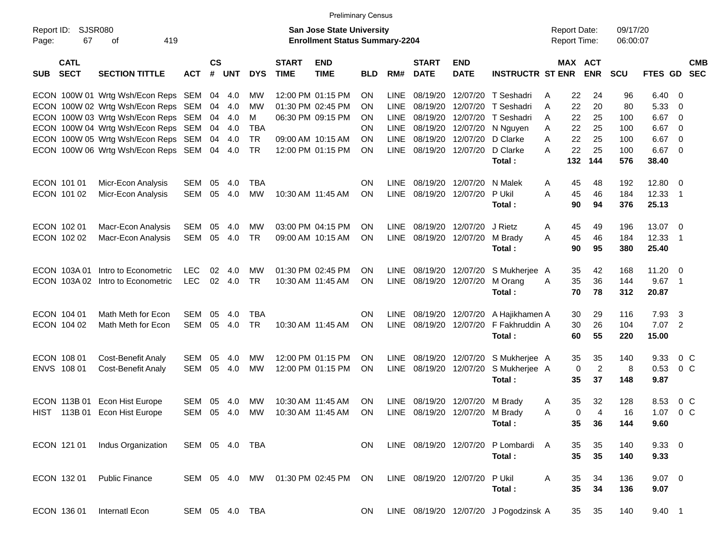|                     |                            |                                     |                |                |            |            |                             |                                                                    | <b>Preliminary Census</b> |             |                             |                                |                                       |   |                                            |                |                      |             |                          |            |
|---------------------|----------------------------|-------------------------------------|----------------|----------------|------------|------------|-----------------------------|--------------------------------------------------------------------|---------------------------|-------------|-----------------------------|--------------------------------|---------------------------------------|---|--------------------------------------------|----------------|----------------------|-------------|--------------------------|------------|
| Report ID:<br>Page: | 67                         | <b>SJSR080</b><br>419<br>οf         |                |                |            |            |                             | San Jose State University<br><b>Enrollment Status Summary-2204</b> |                           |             |                             |                                |                                       |   | <b>Report Date:</b><br><b>Report Time:</b> |                | 09/17/20<br>06:00:07 |             |                          |            |
| <b>SUB</b>          | <b>CATL</b><br><b>SECT</b> | <b>SECTION TITTLE</b>               | <b>ACT</b>     | <b>CS</b><br># | <b>UNT</b> | <b>DYS</b> | <b>START</b><br><b>TIME</b> | <b>END</b><br><b>TIME</b>                                          | <b>BLD</b>                | RM#         | <b>START</b><br><b>DATE</b> | <b>END</b><br><b>DATE</b>      | <b>INSTRUCTR ST ENR</b>               |   | MAX ACT                                    | <b>ENR</b>     | SCU                  | FTES GD SEC |                          | <b>CMB</b> |
|                     |                            | ECON 100W 01 Wrtg Wsh/Econ Reps SEM |                | 04             | 4.0        | МW         |                             | 12:00 PM 01:15 PM                                                  | <b>ON</b>                 | <b>LINE</b> | 08/19/20                    | 12/07/20                       | T Seshadri                            | A | 22                                         | 24             | 96                   | 6.40        | - 0                      |            |
|                     |                            | ECON 100W 02 Wrtg Wsh/Econ Reps SEM |                | 04             | 4.0        | MW         |                             | 01:30 PM 02:45 PM                                                  | OΝ                        | <b>LINE</b> | 08/19/20                    | 12/07/20                       | T Seshadri                            | A | 22                                         | 20             | 80                   | 5.33        | - 0                      |            |
|                     |                            | ECON 100W 03 Wrtg Wsh/Econ Reps SEM |                | 04             | 4.0        | M          |                             | 06:30 PM 09:15 PM                                                  | <b>ON</b>                 | <b>LINE</b> | 08/19/20                    | 12/07/20                       | T Seshadri                            | A | 22                                         | 25             | 100                  | 6.67        | 0                        |            |
|                     |                            | ECON 100W 04 Wrtg Wsh/Econ Reps SEM |                | 04             | 4.0        | <b>TBA</b> |                             |                                                                    | <b>ON</b>                 | <b>LINE</b> | 08/19/20                    | 12/07/20                       | N Nguyen                              | A | 22                                         | 25             | 100                  | 6.67        | 0                        |            |
|                     |                            | ECON 100W 05 Wrtg Wsh/Econ Reps SEM |                | 04             | 4.0        | <b>TR</b>  |                             | 09:00 AM 10:15 AM                                                  | <b>ON</b>                 | <b>LINE</b> | 08/19/20                    | 12/07/20                       | D Clarke                              | A | 22                                         | 25             | 100                  | 6.67        | - 0                      |            |
|                     |                            | ECON 100W 06 Wrtg Wsh/Econ Reps SEM |                | 04             | 4.0        | <b>TR</b>  |                             | 12:00 PM 01:15 PM                                                  | ON                        | LINE        | 08/19/20 12/07/20           |                                | D Clarke                              | А | 22                                         | 25             | 100                  | 6.67        | - 0                      |            |
|                     |                            |                                     |                |                |            |            |                             |                                                                    |                           |             |                             |                                | Total:                                |   | 132                                        | 144            | 576                  | 38.40       |                          |            |
|                     | ECON 101 01                | Micr-Econ Analysis                  | <b>SEM</b>     | 05             | 4.0        | <b>TBA</b> |                             |                                                                    | <b>ON</b>                 | <b>LINE</b> | 08/19/20                    | 12/07/20                       | N Malek                               | A | 45                                         | 48             | 192                  | 12.80       | - 0                      |            |
|                     | ECON 101 02                | Micr-Econ Analysis                  | SEM            | 05             | 4.0        | <b>MW</b>  |                             | 10:30 AM 11:45 AM                                                  | <b>ON</b>                 | <b>LINE</b> | 08/19/20                    | 12/07/20                       | P Ukil                                | A | 45                                         | 46             | 184                  | 12.33       | $\overline{\phantom{1}}$ |            |
|                     |                            |                                     |                |                |            |            |                             |                                                                    |                           |             |                             |                                | Total:                                |   | 90                                         | 94             | 376                  | 25.13       |                          |            |
|                     | ECON 102 01                | Macr-Econ Analysis                  | SEM            | 05             | 4.0        | MW         |                             | 03:00 PM 04:15 PM                                                  | <b>ON</b>                 | LINE        | 08/19/20                    | 12/07/20                       | J Rietz                               | A | 45                                         | 49             | 196                  | 13.07       | - 0                      |            |
|                     | ECON 102 02                | Macr-Econ Analysis                  | SEM            | 05             | 4.0        | <b>TR</b>  |                             | 09:00 AM 10:15 AM                                                  | ON                        | LINE        | 08/19/20                    | 12/07/20                       | M Brady                               | Α | 45                                         | 46             | 184                  | 12.33       | $\overline{\phantom{1}}$ |            |
|                     |                            |                                     |                |                |            |            |                             |                                                                    |                           |             |                             |                                | Total:                                |   | 90                                         | 95             | 380                  | 25.40       |                          |            |
|                     | ECON 103A01                | Intro to Econometric                | <b>LEC</b>     | 02             | 4.0        | MW         |                             | 01:30 PM 02:45 PM                                                  | <b>ON</b>                 | LINE        | 08/19/20                    | 12/07/20                       | S Mukherjee A                         |   | 35                                         | 42             | 168                  | 11.20       | - 0                      |            |
|                     | ECON 103A 02               | Intro to Econometric                | <b>LEC</b>     | 02             | 4.0        | <b>TR</b>  |                             | 10:30 AM 11:45 AM                                                  | <b>ON</b>                 |             | LINE 08/19/20 12/07/20      |                                | M Orang                               | A | 35                                         | 36             | 144                  | 9.67        | $\overline{\phantom{1}}$ |            |
|                     |                            |                                     |                |                |            |            |                             |                                                                    |                           |             |                             |                                | Total:                                |   | 70                                         | 78             | 312                  | 20.87       |                          |            |
|                     | ECON 104 01                | Math Meth for Econ                  | <b>SEM</b>     | 05             | 4.0        | <b>TBA</b> |                             |                                                                    | <b>ON</b>                 | LINE        |                             | 08/19/20 12/07/20              | A Hajikhamen A                        |   | 30                                         | 29             | 116                  | 7.93        | $\overline{\mathbf{3}}$  |            |
|                     | ECON 104 02                | Math Meth for Econ                  | <b>SEM</b>     | 05             | 4.0        | <b>TR</b>  |                             | 10:30 AM 11:45 AM                                                  | ON                        | <b>LINE</b> |                             | 08/19/20 12/07/20              | F Fakhruddin A                        |   | 30                                         | 26             | 104                  | 7.07        | $\overline{2}$           |            |
|                     |                            |                                     |                |                |            |            |                             |                                                                    |                           |             |                             |                                | Total:                                |   | 60                                         | 55             | 220                  | 15.00       |                          |            |
|                     | ECON 108 01                | <b>Cost-Benefit Analy</b>           | <b>SEM</b>     | 05             | 4.0        | MW         |                             | 12:00 PM 01:15 PM                                                  | <b>ON</b>                 | LINE        | 08/19/20                    | 12/07/20                       | S Mukherjee A                         |   | 35                                         | 35             | 140                  | 9.33        | $0\,C$                   |            |
|                     | ENVS 108 01                | Cost-Benefit Analy                  | SEM            | 05             | 4.0        | <b>MW</b>  |                             | 12:00 PM 01:15 PM                                                  | ON                        | LINE        | 08/19/20 12/07/20           |                                | S Mukherjee A                         |   | 0                                          | $\overline{c}$ | 8                    | 0.53        | 0 <sup>C</sup>           |            |
|                     |                            |                                     |                |                |            |            |                             |                                                                    |                           |             |                             |                                | Total:                                |   | 35                                         | 37             | 148                  | 9.87        |                          |            |
|                     | ECON 113B 01               | Econ Hist Europe                    | <b>SEM</b>     | 05             | 4.0        | MW         |                             | 10:30 AM 11:45 AM                                                  | <b>ON</b>                 | <b>LINE</b> | 08/19/20                    | 12/07/20                       | M Brady                               | A | 35                                         | 32             | 128                  | 8.53        | $0\,C$                   |            |
|                     |                            | HIST 113B 01 Econ Hist Europe       | SEM            | 05             | 4.0        | MW         |                             | 10:30 AM 11:45 AM                                                  | ON                        |             |                             | LINE 08/19/20 12/07/20 M Brady |                                       | A | $\Omega$                                   | 4              | 16                   | 1.07        | 0 <sup>C</sup>           |            |
|                     |                            |                                     |                |                |            |            |                             |                                                                    |                           |             |                             |                                | Total :                               |   | 35                                         | 36             | 144                  | 9.60        |                          |            |
|                     | ECON 121 01                | Indus Organization                  | SEM 05 4.0 TBA |                |            |            |                             |                                                                    | ON                        |             |                             | LINE 08/19/20 12/07/20         | P Lombardi A                          |   | 35                                         | 35             | 140                  | 9.3300      |                          |            |
|                     |                            |                                     |                |                |            |            |                             |                                                                    |                           |             |                             |                                | Total:                                |   | 35                                         | 35             | 140                  | 9.33        |                          |            |
|                     | ECON 132 01                | <b>Public Finance</b>               | SEM 05 4.0 MW  |                |            |            |                             | 01:30 PM 02:45 PM                                                  | ON                        |             | LINE 08/19/20 12/07/20      |                                | P Ukil                                | Α | 35                                         | 34             | 136                  | $9.07$ 0    |                          |            |
|                     |                            |                                     |                |                |            |            |                             |                                                                    |                           |             |                             |                                | Total:                                |   | 35                                         | 34             | 136                  | 9.07        |                          |            |
|                     | ECON 136 01                | Internatl Econ                      | SEM 05 4.0 TBA |                |            |            |                             |                                                                    | ON                        |             |                             |                                | LINE 08/19/20 12/07/20 J Pogodzinsk A |   | 35                                         | 35             | 140                  | 9.40 1      |                          |            |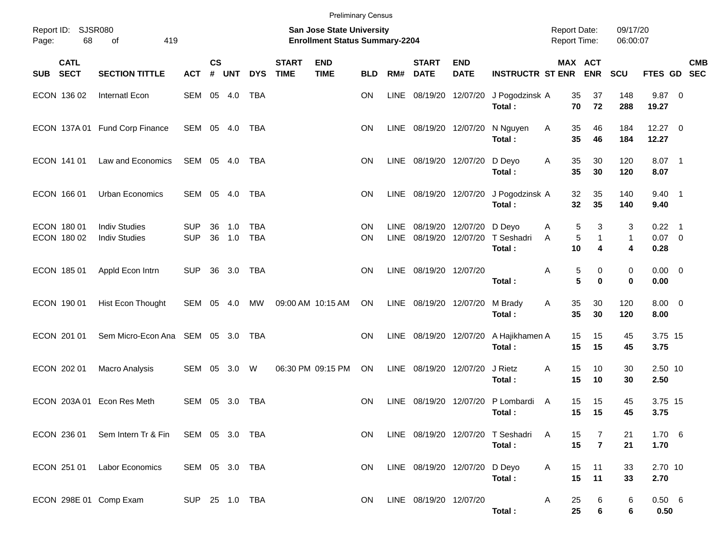|            |                            |                                                |                          |                   |            |                          |                             | <b>Preliminary Census</b>                                                 |                        |                     |                               |                           |                                             |        |                                        |                        |                              |            |
|------------|----------------------------|------------------------------------------------|--------------------------|-------------------|------------|--------------------------|-----------------------------|---------------------------------------------------------------------------|------------------------|---------------------|-------------------------------|---------------------------|---------------------------------------------|--------|----------------------------------------|------------------------|------------------------------|------------|
| Page:      | Report ID: SJSR080<br>68   | 419<br>of                                      |                          |                   |            |                          |                             | <b>San Jose State University</b><br><b>Enrollment Status Summary-2204</b> |                        |                     |                               |                           |                                             |        | <b>Report Date:</b><br>Report Time:    | 09/17/20<br>06:00:07   |                              |            |
| <b>SUB</b> | <b>CATL</b><br><b>SECT</b> | <b>SECTION TITTLE</b>                          | <b>ACT</b>               | <b>CS</b><br>$\#$ | <b>UNT</b> | <b>DYS</b>               | <b>START</b><br><b>TIME</b> | <b>END</b><br><b>TIME</b>                                                 | <b>BLD</b>             | RM#                 | <b>START</b><br><b>DATE</b>   | <b>END</b><br><b>DATE</b> | <b>INSTRUCTR ST ENR</b>                     |        | MAX ACT<br><b>ENR</b>                  | SCU                    | FTES GD SEC                  | <b>CMB</b> |
|            | ECON 136 02                | Internatl Econ                                 | SEM                      |                   | 05 4.0     | <b>TBA</b>               |                             |                                                                           | ON                     | LINE                | 08/19/20 12/07/20             |                           | J Pogodzinsk A<br>Total:                    |        | 35<br>37<br>72<br>70                   | 148<br>288             | $9.87$ 0<br>19.27            |            |
|            |                            | ECON 137A 01 Fund Corp Finance                 | SEM 05 4.0               |                   |            | TBA                      |                             |                                                                           | <b>ON</b>              |                     | LINE 08/19/20 12/07/20        |                           | N Nguyen<br>Total:                          | Α      | 35<br>46<br>35<br>46                   | 184<br>184             | $12.27$ 0<br>12.27           |            |
|            | ECON 141 01                | Law and Economics                              | SEM 05 4.0               |                   |            | TBA                      |                             |                                                                           | <b>ON</b>              |                     | LINE 08/19/20 12/07/20        |                           | D Deyo<br>Total:                            | Α      | 35<br>30<br>35<br>30                   | 120<br>120             | 8.07 1<br>8.07               |            |
|            | ECON 166 01                | <b>Urban Economics</b>                         | SEM                      |                   | 05 4.0     | TBA                      |                             |                                                                           | <b>ON</b>              | LINE                | 08/19/20 12/07/20             |                           | J Pogodzinsk A<br>Total:                    |        | 32<br>35<br>32<br>35                   | 140<br>140             | $9.40$ 1<br>9.40             |            |
|            | ECON 180 01<br>ECON 180 02 | <b>Indiv Studies</b><br><b>Indiv Studies</b>   | <b>SUP</b><br><b>SUP</b> | 36<br>36          | 1.0<br>1.0 | <b>TBA</b><br><b>TBA</b> |                             |                                                                           | <b>ON</b><br><b>ON</b> | LINE<br><b>LINE</b> | 08/19/20 12/07/20<br>08/19/20 | 12/07/20                  | D Deyo<br>T Seshadri<br>Total:              | Α<br>A | 5<br>3<br>5<br>$\mathbf{1}$<br>10<br>4 | 3<br>$\mathbf{1}$<br>4 | $0.22$ 1<br>$0.07$ 0<br>0.28 |            |
|            | ECON 185 01                | Appld Econ Intrn                               | <b>SUP</b>               |                   | 36 3.0     | TBA                      |                             |                                                                           | ΟN                     | <b>LINE</b>         | 08/19/20 12/07/20             |                           | Total:                                      | Α      | 5<br>0<br>5<br>0                       | 0<br>$\bf{0}$          | $0.00 \t 0$<br>0.00          |            |
|            | ECON 190 01                | Hist Econ Thought                              | SEM                      | 05                | 4.0        | MW                       |                             | 09:00 AM 10:15 AM                                                         | ON                     |                     | LINE 08/19/20 12/07/20        |                           | M Brady<br>Total:                           | Α      | 35<br>30<br>35<br>30                   | 120<br>120             | $8.00 \t 0$<br>8.00          |            |
|            | ECON 201 01                | Sem Micro-Econ Ana SEM 05 3.0                  |                          |                   |            | TBA                      |                             |                                                                           | <b>ON</b>              | LINE                | 08/19/20 12/07/20             |                           | A Hajikhamen A<br>Total:                    |        | 15<br>15<br>15<br>15                   | 45<br>45               | 3.75 15<br>3.75              |            |
|            | ECON 202 01                | <b>Macro Analysis</b>                          | SEM                      | 05                | 3.0        | W                        |                             | 06:30 PM 09:15 PM                                                         | ON                     | <b>LINE</b>         | 08/19/20 12/07/20             |                           | J Rietz<br>Total:                           | A      | 15<br>10<br>15<br>10                   | 30<br>30               | 2.50 10<br>2.50              |            |
|            |                            | ECON 203A 01 Econ Res Meth                     | SEM                      | 05                | 3.0        | TBA                      |                             |                                                                           | <b>ON</b>              | LINE                | 08/19/20                      | 12/07/20                  | P Lombardi<br>Total:                        | A      | 15<br>15<br>15<br>15                   | 45<br>45               | 3.75 15<br>3.75              |            |
|            |                            | ECON 236 01 Sem Intern Tr & Fin SEM 05 3.0 TBA |                          |                   |            |                          |                             |                                                                           | ON.                    |                     |                               |                           | LINE 08/19/20 12/07/20 T Seshadri<br>Total: | A      | 15<br>$\overline{7}$<br>15             | 21<br>21               | 1.706<br>1.70                |            |
|            |                            | ECON 251 01 Labor Economics                    | SEM 05 3.0 TBA           |                   |            |                          |                             |                                                                           | <b>ON</b>              |                     | LINE 08/19/20 12/07/20 D Deyo |                           | Total:                                      | A      | 11<br>15<br>15<br>11                   | 33<br>33               | 2.70 10<br>2.70              |            |
|            |                            | ECON 298E 01 Comp Exam                         | SUP 25 1.0 TBA           |                   |            |                          |                             |                                                                           | ON.                    |                     | LINE 08/19/20 12/07/20        |                           | Total:                                      | A      | 25<br>6<br>25<br>$\bf 6$               | 6<br>6                 | 0.50 6<br>0.50               |            |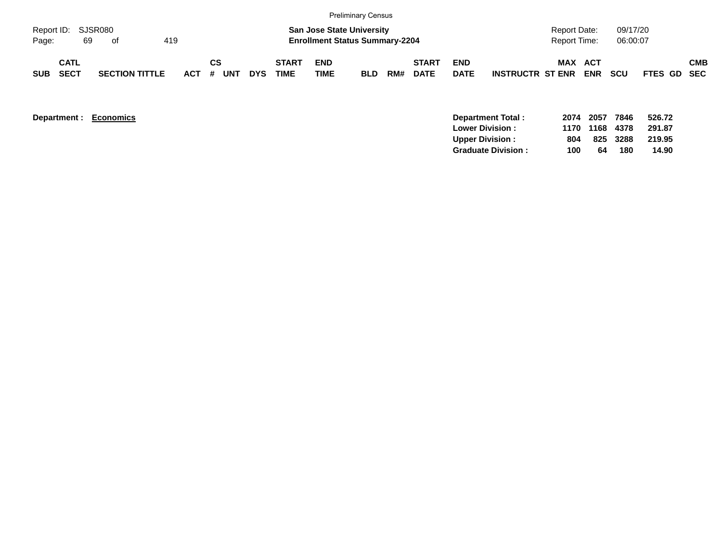|                             |                            |    |                       |     |                 |            |                      |                           | <b>Preliminary Census</b>                                                 |     |                             |                           |                         |                                     |            |                      |                    |            |
|-----------------------------|----------------------------|----|-----------------------|-----|-----------------|------------|----------------------|---------------------------|---------------------------------------------------------------------------|-----|-----------------------------|---------------------------|-------------------------|-------------------------------------|------------|----------------------|--------------------|------------|
| Report ID: SJSR080<br>Page: |                            | 69 | of                    | 419 |                 |            |                      |                           | <b>San Jose State University</b><br><b>Enrollment Status Summary-2204</b> |     |                             |                           |                         | <b>Report Date:</b><br>Report Time: |            | 09/17/20<br>06:00:07 |                    |            |
| SUB                         | <b>CATL</b><br><b>SECT</b> |    | <b>SECTION TITTLE</b> |     | СS<br>ACT # UNT | <b>DYS</b> | <b>START</b><br>TIME | <b>END</b><br><b>TIME</b> | <b>BLD</b>                                                                | RM# | <b>START</b><br><b>DATE</b> | <b>END</b><br><b>DATE</b> | <b>INSTRUCTR ST ENR</b> | <b>MAX ACT</b>                      | <b>ENR</b> | <b>SCU</b>           | <b>FTES GD SEC</b> | <b>CMB</b> |

| Department : | Economics | Department Total:         | 2074 2057 |           | 7846 | 526.72 |
|--------------|-----------|---------------------------|-----------|-----------|------|--------|
|              |           | <b>Lower Division:</b>    |           | 1170 1168 | 4378 | 291.87 |
|              |           | <b>Upper Division:</b>    | 804       | 825 3288  |      | 219.95 |
|              |           | <b>Graduate Division:</b> | 100       | 64        | 180  | 14.90  |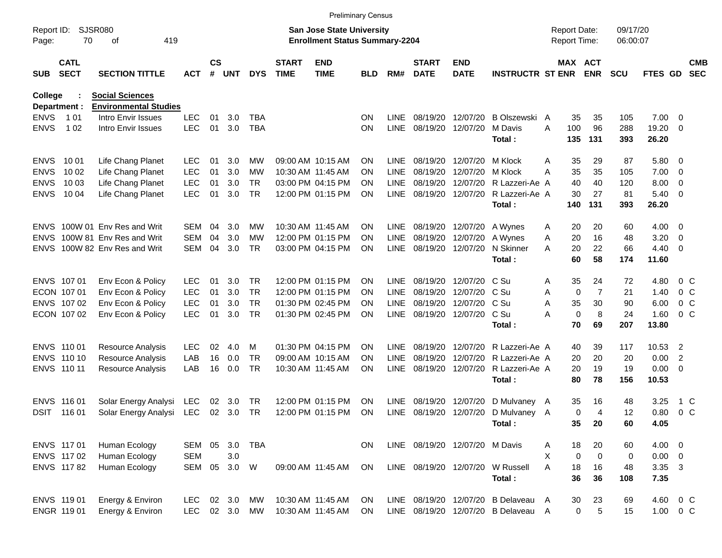|                     |                            |                                                    |            |                    |            |            |                             |                                                                           | <b>Preliminary Census</b> |             |                                |                           |                                     |   |             |                                     |                      |                     |                          |                          |
|---------------------|----------------------------|----------------------------------------------------|------------|--------------------|------------|------------|-----------------------------|---------------------------------------------------------------------------|---------------------------|-------------|--------------------------------|---------------------------|-------------------------------------|---|-------------|-------------------------------------|----------------------|---------------------|--------------------------|--------------------------|
| Report ID:<br>Page: | <b>SJSR080</b><br>70       | 419<br>οf                                          |            |                    |            |            |                             | <b>San Jose State University</b><br><b>Enrollment Status Summary-2204</b> |                           |             |                                |                           |                                     |   |             | <b>Report Date:</b><br>Report Time: | 09/17/20<br>06:00:07 |                     |                          |                          |
| SUB                 | <b>CATL</b><br><b>SECT</b> | <b>SECTION TITTLE</b>                              | <b>ACT</b> | $\mathsf{cs}$<br># | <b>UNT</b> | <b>DYS</b> | <b>START</b><br><b>TIME</b> | <b>END</b><br><b>TIME</b>                                                 | BLD                       | RM#         | <b>START</b><br><b>DATE</b>    | <b>END</b><br><b>DATE</b> | <b>INSTRUCTR ST ENR</b>             |   |             | MAX ACT<br><b>ENR</b>               | <b>SCU</b>           | FTES GD             |                          | <b>CMB</b><br><b>SEC</b> |
| <b>College</b>      |                            | <b>Social Sciences</b>                             |            |                    |            |            |                             |                                                                           |                           |             |                                |                           |                                     |   |             |                                     |                      |                     |                          |                          |
| <b>ENVS</b>         | Department :<br>1 0 1      | <b>Environmental Studies</b><br>Intro Envir Issues | <b>LEC</b> | 01                 | 3.0        | TBA        |                             |                                                                           | ΟN                        | <b>LINE</b> | 08/19/20                       | 12/07/20                  | B Olszewski A                       |   | 35          | 35                                  | 105                  | $7.00 \t 0$         |                          |                          |
| <b>ENVS</b>         | 1 0 2                      | Intro Envir Issues                                 | <b>LEC</b> | 01                 | 3.0        | <b>TBA</b> |                             |                                                                           | ON                        | <b>LINE</b> | 08/19/20                       | 12/07/20                  | M Davis                             | A | 100         | 96                                  | 288                  | 19.20               | - 0                      |                          |
|                     |                            |                                                    |            |                    |            |            |                             |                                                                           |                           |             |                                |                           | Total:                              |   | 135         | 131                                 | 393                  | 26.20               |                          |                          |
| <b>ENVS</b>         | 10 01                      | Life Chang Planet                                  | <b>LEC</b> | 01                 | 3.0        | MW         |                             | 09:00 AM 10:15 AM                                                         | ON                        | <b>LINE</b> | 08/19/20                       | 12/07/20                  | M Klock                             | A | 35          | 29                                  | 87                   | 5.80 0              |                          |                          |
| <b>ENVS</b>         | 10 02                      | Life Chang Planet                                  | <b>LEC</b> | 01                 | 3.0        | MW         |                             | 10:30 AM 11:45 AM                                                         | ΟN                        | <b>LINE</b> | 08/19/20                       | 12/07/20                  | M Klock                             | Α | 35          | 35                                  | 105                  | 7.00                | $\overline{\mathbf{0}}$  |                          |
| <b>ENVS</b>         | 10 03                      | Life Chang Planet                                  | <b>LEC</b> | 01                 | 3.0        | <b>TR</b>  |                             | 03:00 PM 04:15 PM                                                         | ON                        | <b>LINE</b> | 08/19/20                       | 12/07/20                  | R Lazzeri-Ae A                      |   | 40          | 40                                  | 120                  | 8.00                | $\overline{\mathbf{0}}$  |                          |
| <b>ENVS</b>         | 10 04                      | Life Chang Planet                                  | <b>LEC</b> | 01                 | 3.0        | <b>TR</b>  |                             | 12:00 PM 01:15 PM                                                         | ΟN                        | <b>LINE</b> | 08/19/20                       | 12/07/20                  | R Lazzeri-Ae A<br>Total:            |   | 30<br>140   | 27<br>131                           | 81<br>393            | $5.40 \ 0$<br>26.20 |                          |                          |
|                     |                            |                                                    |            |                    |            |            |                             |                                                                           |                           |             |                                |                           |                                     |   |             |                                     |                      |                     |                          |                          |
| <b>ENVS</b>         |                            | 100W 01 Env Res and Writ                           | SEM        | 04                 | 3.0        | MW         |                             | 10:30 AM 11:45 AM                                                         | ON                        | <b>LINE</b> | 08/19/20                       | 12/07/20                  | A Wynes                             | Α | 20          | 20                                  | 60                   | 4.00                | $\overline{\phantom{0}}$ |                          |
| <b>ENVS</b>         |                            | 100W 81 Env Res and Writ                           | <b>SEM</b> | 04                 | 3.0        | MW         |                             | 12:00 PM 01:15 PM                                                         | ΟN                        | <b>LINE</b> | 08/19/20                       | 12/07/20                  | A Wynes                             | Α | 20          | 16                                  | 48                   | 3.20                | 0                        |                          |
| <b>ENVS</b>         |                            | 100W 82 Env Res and Writ                           | <b>SEM</b> | 04                 | 3.0        | <b>TR</b>  |                             | 03:00 PM 04:15 PM                                                         | ΟN                        | <b>LINE</b> | 08/19/20                       | 12/07/20                  | N Skinner                           | Α | 20          | 22                                  | 66                   | 4.40                | $\overline{\phantom{0}}$ |                          |
|                     |                            |                                                    |            |                    |            |            |                             |                                                                           |                           |             |                                |                           | Total:                              |   | 60          | 58                                  | 174                  | 11.60               |                          |                          |
|                     | ENVS 107 01                | Env Econ & Policy                                  | <b>LEC</b> | 01                 | 3.0        | <b>TR</b>  |                             | 12:00 PM 01:15 PM                                                         | ΟN                        | LINE        | 08/19/20                       | 12/07/20                  | C Su                                | Α | 35          | 24                                  | 72                   | 4.80                |                          | $0\,$ C                  |
|                     | ECON 107 01                | Env Econ & Policy                                  | <b>LEC</b> | 01                 | 3.0        | <b>TR</b>  |                             | 12:00 PM 01:15 PM                                                         | ΟN                        | <b>LINE</b> | 08/19/20                       | 12/07/20                  | C Su                                | Α | $\mathbf 0$ | $\overline{7}$                      | 21                   | 1.40                |                          | 0 <sup>o</sup>           |
|                     | ENVS 107 02                | Env Econ & Policy                                  | <b>LEC</b> | 01                 | 3.0        | <b>TR</b>  |                             | 01:30 PM 02:45 PM                                                         | ΟN                        | <b>LINE</b> | 08/19/20                       | 12/07/20                  | C Su                                | Α | 35          | 30                                  | 90                   | 6.00                |                          | 0 <sup>o</sup>           |
|                     | ECON 107 02                | Env Econ & Policy                                  | <b>LEC</b> | 01                 | 3.0        | <b>TR</b>  |                             | 01:30 PM 02:45 PM                                                         | ΟN                        | <b>LINE</b> | 08/19/20                       | 12/07/20                  | C Su                                | А | 0           | 8                                   | 24                   | 1.60                |                          | 0 <sup>o</sup>           |
|                     |                            |                                                    |            |                    |            |            |                             |                                                                           |                           |             |                                |                           | Total:                              |   | 70          | 69                                  | 207                  | 13.80               |                          |                          |
| ENVS 110 01         |                            | Resource Analysis                                  | <b>LEC</b> | 02                 | 4.0        | м          |                             | 01:30 PM 04:15 PM                                                         | ΟN                        | LINE        | 08/19/20                       | 12/07/20                  | R Lazzeri-Ae A                      |   | 40          | 39                                  | 117                  | 10.53               | $\overline{2}$           |                          |
|                     | ENVS 110 10                | Resource Analysis                                  | LAB        | 16                 | 0.0        | <b>TR</b>  |                             | 09:00 AM 10:15 AM                                                         | ON                        | <b>LINE</b> | 08/19/20                       | 12/07/20                  | R Lazzeri-Ae A                      |   | 20          | 20                                  | 20                   | 0.00                | $\overline{2}$           |                          |
|                     | ENVS 110 11                | <b>Resource Analysis</b>                           | LAB        | 16                 | 0.0        | <b>TR</b>  |                             | 10:30 AM 11:45 AM                                                         | ΟN                        | <b>LINE</b> | 08/19/20                       | 12/07/20                  | R Lazzeri-Ae A                      |   | 20          | 19                                  | 19                   | 0.00                | $\overline{\mathbf{0}}$  |                          |
|                     |                            |                                                    |            |                    |            |            |                             |                                                                           |                           |             |                                |                           | Total:                              |   | 80          | 78                                  | 156                  | 10.53               |                          |                          |
|                     | ENVS 116 01                | Solar Energy Analysi                               | LEC        | 02                 | 3.0        | TR         |                             | 12:00 PM 01:15 PM                                                         | ΟN                        | <b>LINE</b> | 08/19/20                       | 12/07/20                  | D Mulvaney A                        |   | 35          | 16                                  | 48                   | 3.25                |                          | 1 C                      |
| DSIT                | 116 01                     | Solar Energy Analysi                               | LEC        | 02                 | 3.0        | <b>TR</b>  |                             | 12:00 PM 01:15 PM                                                         | ΟN                        | <b>LINE</b> |                                | 08/19/20 12/07/20         | D Mulvaney A                        |   | 0           | 4                                   | 12                   | 0.80                |                          | 0 <sup>o</sup>           |
|                     |                            |                                                    |            |                    |            |            |                             |                                                                           |                           |             |                                |                           | Total:                              |   | 35          | 20                                  | 60                   | 4.05                |                          |                          |
|                     | ENVS 117 01                | Human Ecology                                      | SEM 05     |                    | 3.0        | <b>TBA</b> |                             |                                                                           | ON.                       |             | LINE 08/19/20 12/07/20 M Davis |                           |                                     | Α | 18          | 20                                  | 60                   | $4.00 \ 0$          |                          |                          |
|                     | ENVS 117 02                | Human Ecology                                      | <b>SEM</b> |                    | 3.0        |            |                             |                                                                           |                           |             |                                |                           |                                     | X | 0           | $\mathbf 0$                         | 0                    | $0.00 \t 0$         |                          |                          |
|                     | ENVS 11782                 | Human Ecology                                      | SEM        | 05                 | 3.0        | W          |                             | 09:00 AM 11:45 AM                                                         | ON                        |             | LINE 08/19/20 12/07/20         |                           | W Russell                           | A | 18          | 16                                  | 48                   | 3.35 3              |                          |                          |
|                     |                            |                                                    |            |                    |            |            |                             |                                                                           |                           |             |                                |                           | Total:                              |   | 36          | 36                                  | 108                  | 7.35                |                          |                          |
|                     | ENVS 119 01                | Energy & Environ                                   | <b>LEC</b> |                    | 02 3.0     | MW         |                             | 10:30 AM 11:45 AM                                                         | ON                        |             |                                |                           | LINE 08/19/20 12/07/20 B Delaveau A |   | 30          | 23                                  | 69                   | 4.60                | $0\,$ C                  |                          |
|                     | ENGR 119 01                | Energy & Environ                                   | <b>LEC</b> |                    | 02 3.0     | MW         |                             | 10:30 AM 11:45 AM                                                         | <b>ON</b>                 |             |                                |                           | LINE 08/19/20 12/07/20 B Delaveau A |   | $\mathbf 0$ | 5                                   | 15                   | $1.00 \t 0 C$       |                          |                          |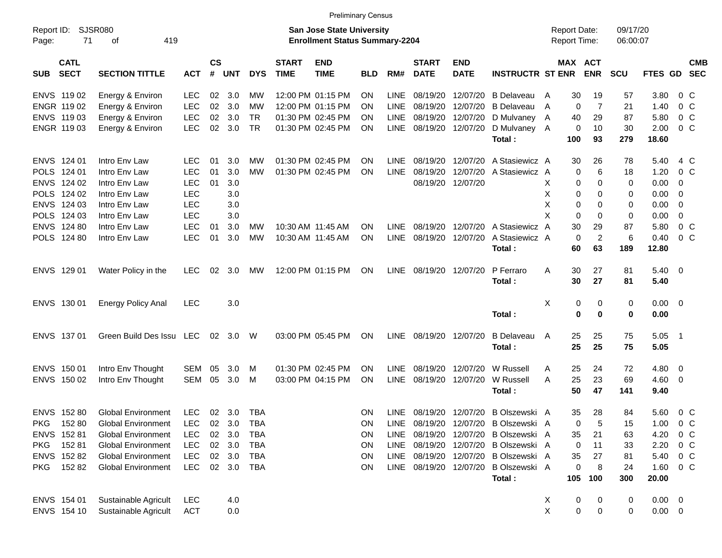|                     |                            |                           |            |                    |                |            |                             |                                                                           | <b>Preliminary Census</b> |             |                             |                           |                         |                                     |                       |                      |                |                         |                          |
|---------------------|----------------------------|---------------------------|------------|--------------------|----------------|------------|-----------------------------|---------------------------------------------------------------------------|---------------------------|-------------|-----------------------------|---------------------------|-------------------------|-------------------------------------|-----------------------|----------------------|----------------|-------------------------|--------------------------|
| Report ID:<br>Page: | <b>SJSR080</b><br>71       | 419<br>οf                 |            |                    |                |            |                             | <b>San Jose State University</b><br><b>Enrollment Status Summary-2204</b> |                           |             |                             |                           |                         | <b>Report Date:</b><br>Report Time: |                       | 09/17/20<br>06:00:07 |                |                         |                          |
| SUB                 | <b>CATL</b><br><b>SECT</b> | <b>SECTION TITTLE</b>     | <b>ACT</b> | $\mathsf{cs}$<br># | <b>UNT</b>     | <b>DYS</b> | <b>START</b><br><b>TIME</b> | <b>END</b><br><b>TIME</b>                                                 | <b>BLD</b>                | RM#         | <b>START</b><br><b>DATE</b> | <b>END</b><br><b>DATE</b> | <b>INSTRUCTR ST ENR</b> |                                     | MAX ACT<br><b>ENR</b> | <b>SCU</b>           | FTES GD        |                         | <b>CMB</b><br><b>SEC</b> |
|                     | ENVS 119 02                | Energy & Environ          | <b>LEC</b> | 02                 | 3.0            | MW         |                             | 12:00 PM 01:15 PM                                                         | ΟN                        | <b>LINE</b> | 08/19/20                    | 12/07/20                  | <b>B</b> Delaveau       | 30<br>A                             | 19                    | 57                   | 3.80           | $0\,$ C                 |                          |
|                     | ENGR 119 02                | Energy & Environ          | <b>LEC</b> | 02                 | 3.0            | <b>MW</b>  |                             | 12:00 PM 01:15 PM                                                         | ΟN                        | <b>LINE</b> | 08/19/20                    | 12/07/20                  | <b>B</b> Delaveau       | A                                   | $\overline{7}$<br>0   | 21                   | 1.40           | 0 <sup>o</sup>          |                          |
|                     | ENVS 119 03                | Energy & Environ          | <b>LEC</b> | 02                 | 3.0            | <b>TR</b>  |                             | 01:30 PM 02:45 PM                                                         | ON                        | <b>LINE</b> | 08/19/20                    | 12/07/20                  | D Mulvaney A            | 40                                  | 29                    | 87                   | 5.80           | 0 <sup>o</sup>          |                          |
|                     | ENGR 119 03                | Energy & Environ          | <b>LEC</b> | 02                 | 3.0            | <b>TR</b>  |                             | 01:30 PM 02:45 PM                                                         | ΟN                        | LINE        |                             | 08/19/20 12/07/20         | D Mulvaney A            |                                     | 0<br>10               | 30                   | 2.00           | 0 <sup>o</sup>          |                          |
|                     |                            |                           |            |                    |                |            |                             |                                                                           |                           |             |                             |                           | Total:                  | 100                                 | 93                    | 279                  | 18.60          |                         |                          |
|                     | ENVS 124 01                | Intro Env Law             | <b>LEC</b> | 01                 | 3.0            | МW         |                             | 01:30 PM 02:45 PM                                                         | ΟN                        | <b>LINE</b> | 08/19/20                    | 12/07/20                  | A Stasiewicz A          | 30                                  | 26                    | 78                   | 5.40           | 4 C                     |                          |
| <b>POLS</b>         | 124 01                     | Intro Env Law             | <b>LEC</b> | 01                 | 3.0            | <b>MW</b>  |                             | 01:30 PM 02:45 PM                                                         | ΟN                        | <b>LINE</b> | 08/19/20                    | 12/07/20                  | A Stasiewicz A          |                                     | 6<br>0                | 18                   | 1.20           | 0 <sup>o</sup>          |                          |
|                     | ENVS 124 02                | Intro Env Law             | <b>LEC</b> | 01                 | 3.0            |            |                             |                                                                           |                           |             |                             | 08/19/20 12/07/20         |                         | X                                   | 0<br>0                | 0                    | 0.00           | 0                       |                          |
| <b>POLS</b>         | 124 02                     | Intro Env Law             | <b>LEC</b> |                    | 3.0            |            |                             |                                                                           |                           |             |                             |                           |                         | X                                   | 0<br>0                | 0                    | 0.00           | 0                       |                          |
|                     | ENVS 124 03                | Intro Env Law             | <b>LEC</b> |                    | 3.0            |            |                             |                                                                           |                           |             |                             |                           |                         | X                                   | 0<br>0                | 0                    | 0.00           | 0                       |                          |
|                     | POLS 124 03                | Intro Env Law             | <b>LEC</b> |                    | 3.0            |            |                             |                                                                           |                           |             |                             |                           |                         | X                                   | 0<br>0                | 0                    | 0.00           | $\mathbf 0$             |                          |
|                     | ENVS 124 80                | Intro Env Law             | <b>LEC</b> | 01                 | 3.0            | MW         |                             | 10:30 AM 11:45 AM                                                         | ΟN                        | LINE        | 08/19/20                    | 12/07/20                  | A Stasiewicz            | 30<br>A                             | 29                    | 87                   | 5.80           | $0\,C$                  |                          |
|                     | POLS 124 80                | Intro Env Law             | <b>LEC</b> | 01                 | 3.0            | <b>MW</b>  |                             | 10:30 AM 11:45 AM                                                         | ΟN                        | <b>LINE</b> | 08/19/20                    | 12/07/20                  | A Stasiewicz A          |                                     | $\overline{c}$<br>0   | 6                    | 0.40           | 0 <sup>o</sup>          |                          |
|                     |                            |                           |            |                    |                |            |                             |                                                                           |                           |             |                             |                           | Total:                  | 60                                  | 63                    | 189                  | 12.80          |                         |                          |
|                     | ENVS 129 01                | Water Policy in the       | <b>LEC</b> | 02                 | 3.0            | MW         |                             | 12:00 PM 01:15 PM                                                         | ΟN                        | LINE        |                             | 08/19/20 12/07/20         | P Ferraro               | Α<br>30                             | 27                    | 81                   | 5.40           | $\overline{\mathbf{0}}$ |                          |
|                     |                            |                           |            |                    |                |            |                             |                                                                           |                           |             |                             |                           | Total:                  | 30                                  | 27                    | 81                   | 5.40           |                         |                          |
|                     | ENVS 130 01                | <b>Energy Policy Anal</b> | LEC        |                    | 3.0            |            |                             |                                                                           |                           |             |                             |                           |                         | X                                   | 0<br>0                | 0                    | 0.00           | $\overline{\mathbf{0}}$ |                          |
|                     |                            |                           |            |                    |                |            |                             |                                                                           |                           |             |                             |                           | Total:                  |                                     | $\mathbf 0$<br>0      | 0                    | 0.00           |                         |                          |
|                     | ENVS 137 01                | Green Build Des Issu LEC  |            | 02                 | 3.0            | W          |                             | 03:00 PM 05:45 PM                                                         | ΟN                        | LINE        | 08/19/20 12/07/20           |                           | <b>B</b> Delaveau       | 25<br>A                             | 25                    | 75                   | 5.05           | - 1                     |                          |
|                     |                            |                           |            |                    |                |            |                             |                                                                           |                           |             |                             |                           | Total:                  | 25                                  | 25                    | 75                   | 5.05           |                         |                          |
|                     | ENVS 150 01                | Intro Env Thought         | <b>SEM</b> | 05                 | 3.0            | м          |                             | 01:30 PM 02:45 PM                                                         | ΟN                        | LINE        | 08/19/20                    | 12/07/20                  | W Russell               | 25<br>A                             | 24                    | 72                   | 4.80           | $\overline{\mathbf{0}}$ |                          |
|                     | ENVS 150 02                | Intro Env Thought         | <b>SEM</b> | 05                 | 3.0            | M          |                             | 03:00 PM 04:15 PM                                                         | ΟN                        | <b>LINE</b> |                             | 08/19/20 12/07/20         | W Russell               | 25<br>A                             | 23                    | 69                   | 4.60           | $\overline{\mathbf{0}}$ |                          |
|                     |                            |                           |            |                    |                |            |                             |                                                                           |                           |             |                             |                           | Total:                  | 50                                  | 47                    | 141                  | 9.40           |                         |                          |
|                     | ENVS 152 80                | <b>Global Environment</b> | LEC        |                    | $02 \quad 3.0$ | TBA        |                             |                                                                           | ΟN                        | LINE        |                             | 08/19/20 12/07/20         | B Olszewski A           | 35                                  | 28                    | 84                   | 5.60           | 0 <sup>o</sup>          |                          |
|                     | PKG 152 80                 | Global Environment        | LEC        | 02                 | 3.0            | TBA        |                             |                                                                           | ON                        |             | LINE 08/19/20 12/07/20      |                           | B Olszewski A           |                                     | 5<br>0                | 15                   | 1.00           | 0 <sup>o</sup>          |                          |
|                     | ENVS 152 81                | <b>Global Environment</b> | LEC        | 02                 | 3.0            | <b>TBA</b> |                             |                                                                           | ON                        | LINE        |                             | 08/19/20 12/07/20         | B Olszewski A           | 35                                  | 21                    | 63                   | 4.20           | $0\,C$                  |                          |
| <b>PKG</b>          | 152 81                     | <b>Global Environment</b> | LEC        |                    | 02 3.0         | <b>TBA</b> |                             |                                                                           | ON                        |             | LINE 08/19/20 12/07/20      |                           | B Olszewski A           |                                     | 11<br>0               | 33                   | 2.20           | $0\,C$                  |                          |
|                     | ENVS 152 82                | <b>Global Environment</b> | LEC        |                    | 02 3.0         | TBA        |                             |                                                                           | ON                        |             | LINE 08/19/20 12/07/20      |                           | B Olszewski A           | 35                                  | 27                    | 81                   | 5.40           | $0\,C$                  |                          |
| <b>PKG</b>          | 15282                      | <b>Global Environment</b> | LEC        |                    | 02 3.0         | TBA        |                             |                                                                           | ON                        |             |                             | LINE 08/19/20 12/07/20    | B Olszewski A           |                                     | 0<br>8                | 24                   | 1.60           | 0 C                     |                          |
|                     |                            |                           |            |                    |                |            |                             |                                                                           |                           |             |                             |                           | Total:                  | 105                                 | 100                   | 300                  | 20.00          |                         |                          |
|                     | ENVS 154 01                | Sustainable Agricult      | <b>LEC</b> |                    | 4.0            |            |                             |                                                                           |                           |             |                             |                           |                         | X                                   | 0<br>0                | 0                    | $0.00 \quad 0$ |                         |                          |
|                     | ENVS 154 10                | Sustainable Agricult      | ACT        |                    | 0.0            |            |                             |                                                                           |                           |             |                             |                           |                         | X                                   | $\pmb{0}$<br>0        | 0                    | $0.00 \t 0$    |                         |                          |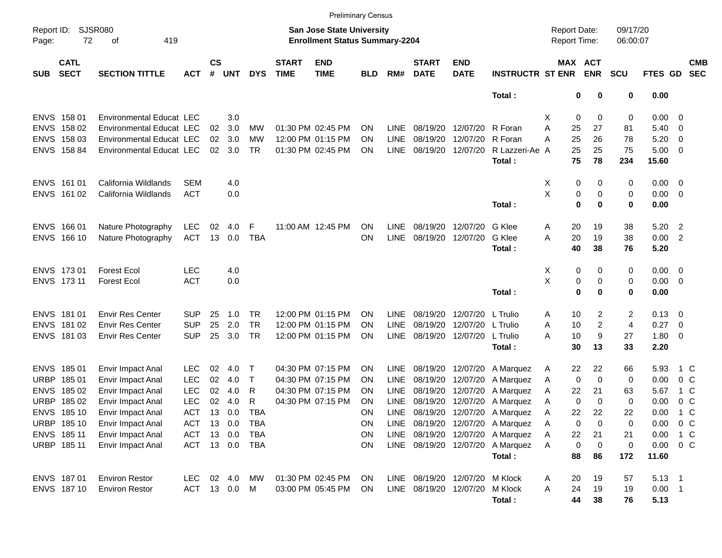|                     |                            |                                 |            |                |                |            |                             | <b>Preliminary Census</b>                                          |            |             |                             |                           |                                  |                                     |            |                      |                |                          |                          |
|---------------------|----------------------------|---------------------------------|------------|----------------|----------------|------------|-----------------------------|--------------------------------------------------------------------|------------|-------------|-----------------------------|---------------------------|----------------------------------|-------------------------------------|------------|----------------------|----------------|--------------------------|--------------------------|
| Report ID:<br>Page: | 72                         | SJSR080<br>419<br>оf            |            |                |                |            |                             | San Jose State University<br><b>Enrollment Status Summary-2204</b> |            |             |                             |                           |                                  | <b>Report Date:</b><br>Report Time: |            | 09/17/20<br>06:00:07 |                |                          |                          |
| <b>SUB</b>          | <b>CATL</b><br><b>SECT</b> | <b>SECTION TITTLE</b>           | <b>ACT</b> | <b>CS</b><br># | <b>UNT</b>     | <b>DYS</b> | <b>START</b><br><b>TIME</b> | <b>END</b><br><b>TIME</b>                                          | <b>BLD</b> | RM#         | <b>START</b><br><b>DATE</b> | <b>END</b><br><b>DATE</b> | <b>INSTRUCTR ST ENR</b>          | MAX ACT                             | <b>ENR</b> | <b>SCU</b>           | <b>FTES GD</b> |                          | <b>CMB</b><br><b>SEC</b> |
|                     |                            |                                 |            |                |                |            |                             |                                                                    |            |             |                             |                           | Total:                           | 0                                   | 0          | 0                    | 0.00           |                          |                          |
|                     | ENVS 158 01                | <b>Environmental Educat LEC</b> |            |                | 3.0            |            |                             |                                                                    |            |             |                             |                           |                                  | Х<br>0                              | 0          | 0                    | 0.00           | - 0                      |                          |
| <b>ENVS</b>         | 158 02                     | <b>Environmental Educat LEC</b> |            | 02             | 3.0            | MW         |                             | 01:30 PM 02:45 PM                                                  | ON         | LINE        | 08/19/20                    | 12/07/20                  | R Foran                          | Α<br>25                             | 27         | 81                   | 5.40           | $\overline{0}$           |                          |
| <b>ENVS</b>         | 158 03                     | <b>Environmental Educat LEC</b> |            | 02             | 3.0            | MW         |                             | 12:00 PM 01:15 PM                                                  | ON         | LINE        | 08/19/20                    | 12/07/20                  | R Foran                          | 25<br>А                             | 26         | 78                   | 5.20           | $\overline{0}$           |                          |
|                     | ENVS 158 84                | Environmental Educat LEC        |            | 02             | 3.0            | TR         |                             | 01:30 PM 02:45 PM                                                  | ΟN         | LINE        | 08/19/20                    | 12/07/20                  | R Lazzeri-Ae A                   | 25                                  | 25         | 75                   | 5.00           | $\overline{\mathbf{0}}$  |                          |
|                     |                            |                                 |            |                |                |            |                             |                                                                    |            |             |                             |                           | Total:                           | 75                                  | 78         | 234                  | 15.60          |                          |                          |
|                     | ENVS 161 01                | California Wildlands            | <b>SEM</b> |                | 4.0            |            |                             |                                                                    |            |             |                             |                           |                                  | X<br>0                              | 0          | 0                    | 0.00           | $\overline{\phantom{0}}$ |                          |
|                     | ENVS 161 02                | California Wildlands            | <b>ACT</b> |                | 0.0            |            |                             |                                                                    |            |             |                             |                           |                                  | X<br>$\pmb{0}$                      | 0          | 0                    | 0.00           | $\overline{\mathbf{0}}$  |                          |
|                     |                            |                                 |            |                |                |            |                             |                                                                    |            |             |                             |                           | Total:                           | $\mathbf 0$                         | $\bf{0}$   | 0                    | 0.00           |                          |                          |
|                     | ENVS 166 01                | Nature Photography              | <b>LEC</b> | 02             | 4.0            | F          |                             | 11:00 AM 12:45 PM                                                  | ΟN         | <b>LINE</b> | 08/19/20                    | 12/07/20                  | G Klee                           | 20<br>A                             | 19         | 38                   | 5.20           | $\overline{\phantom{a}}$ |                          |
|                     | ENVS 166 10                | Nature Photography              | <b>ACT</b> | 13             | 0.0            | <b>TBA</b> |                             |                                                                    | ΟN         | LINE        | 08/19/20                    | 12/07/20                  | G Klee                           | 20<br>Α                             | 19         | 38                   | 0.00           | $\overline{2}$           |                          |
|                     |                            |                                 |            |                |                |            |                             |                                                                    |            |             |                             |                           | Total:                           | 40                                  | 38         | 76                   | 5.20           |                          |                          |
|                     | ENVS 173 01                | <b>Forest Ecol</b>              | <b>LEC</b> |                | 4.0            |            |                             |                                                                    |            |             |                             |                           |                                  | X<br>0                              | 0          | 0                    | 0.00           | $\overline{\mathbf{0}}$  |                          |
|                     | ENVS 173 11                | <b>Forest Ecol</b>              | <b>ACT</b> |                | 0.0            |            |                             |                                                                    |            |             |                             |                           |                                  | Χ<br>$\pmb{0}$                      | 0          | 0                    | 0.00           | $\overline{\mathbf{0}}$  |                          |
|                     |                            |                                 |            |                |                |            |                             |                                                                    |            |             |                             |                           | Total:                           | $\mathbf 0$                         | 0          | 0                    | 0.00           |                          |                          |
|                     |                            |                                 |            |                |                |            |                             |                                                                    |            |             |                             |                           |                                  |                                     |            |                      |                |                          |                          |
|                     | ENVS 181 01                | <b>Envir Res Center</b>         | <b>SUP</b> | 25             | 1.0            | <b>TR</b>  |                             | 12:00 PM 01:15 PM                                                  | ΟN         | LINE        | 08/19/20                    | 12/07/20                  | L Trulio                         | 10<br>A                             | 2          | 2                    | 0.13           | - 0                      |                          |
| <b>ENVS</b>         | 181 02                     | <b>Envir Res Center</b>         | <b>SUP</b> | 25             | 2.0            | <b>TR</b>  |                             | 12:00 PM 01:15 PM                                                  | ON         | LINE        | 08/19/20                    | 12/07/20                  | L Trulio                         | 10<br>Α                             | 2          | $\overline{4}$       | 0.27           | - 0                      |                          |
|                     | ENVS 181 03                | <b>Envir Res Center</b>         | <b>SUP</b> | 25             | 3.0            | TR         |                             | 12:00 PM 01:15 PM                                                  | ΟN         | <b>LINE</b> |                             | 08/19/20 12/07/20         | L Trulio                         | 10<br>Α                             | 9          | 27                   | 1.80           | $\overline{\mathbf{0}}$  |                          |
|                     |                            |                                 |            |                |                |            |                             |                                                                    |            |             |                             |                           | Total:                           | 30                                  | 13         | 33                   | 2.20           |                          |                          |
|                     | ENVS 185 01                | Envir Impact Anal               | <b>LEC</b> | 02             | 4.0            | Т          |                             | 04:30 PM 07:15 PM                                                  | <b>ON</b>  | LINE        | 08/19/20                    | 12/07/20                  | A Marquez                        | 22<br>A                             | 22         | 66                   | 5.93           | 1 C                      |                          |
| <b>URBP</b>         | 18501                      | Envir Impact Anal               | <b>LEC</b> | 02             | 4.0            | $\top$     |                             | 04:30 PM 07:15 PM                                                  | ON         | <b>LINE</b> | 08/19/20                    | 12/07/20                  | A Marquez                        | 0<br>A                              | 0          | 0                    | 0.00           | $0\,$ C                  |                          |
|                     | ENVS 185 02                | Envir Impact Anal               | <b>LEC</b> | 02             | 4.0            | R          |                             | 04:30 PM 07:15 PM                                                  | ON         | LINE        | 08/19/20                    | 12/07/20                  | A Marquez                        | 22<br>A                             | 21         | 63                   | 5.67           | 1 C                      |                          |
| URBP                | 185 02                     | <b>Envir Impact Anal</b>        | <b>LEC</b> | 02             | 4.0            | R          |                             | 04:30 PM 07:15 PM                                                  | ΟN         | LINE        | 08/19/20                    | 12/07/20                  | A Marquez                        | 0<br>A                              | 0          | 0                    | 0.00           | 0 <sup>o</sup>           |                          |
|                     | ENVS 185 10                | Envir Impact Anal               | <b>ACT</b> | 13             | 0.0            | <b>TBA</b> |                             |                                                                    | ΟN         | <b>LINE</b> |                             | 08/19/20 12/07/20         | A Marguez                        | 22<br>Α                             | 22         | 22                   | 0.00           | 1 C                      |                          |
|                     | URBP 185 10                | Envir Impact Anal               | <b>ACT</b> |                | 13 0.0         | TBA        |                             |                                                                    | 0N         |             |                             |                           | LINE 08/19/20 12/07/20 A Marquez | 0<br>A                              | 0          | 0                    | 0.00           | 0 C                      |                          |
|                     | ENVS 185 11                | Envir Impact Anal               | ACT        |                | 13 0.0         | TBA        |                             |                                                                    | ON         | LINE        |                             | 08/19/20 12/07/20         | A Marquez                        | Α<br>22                             | 21         | 21                   | 0.00           | 1 C                      |                          |
|                     | URBP 185 11                | Envir Impact Anal               |            |                | ACT 13 0.0 TBA |            |                             |                                                                    | ON         |             | LINE 08/19/20 12/07/20      |                           | A Marquez                        | 0<br>Α                              | 0          | 0                    | 0.00           | $0\,$ C                  |                          |
|                     |                            |                                 |            |                |                |            |                             |                                                                    |            |             |                             |                           | Total:                           | 88                                  | 86         | 172                  | 11.60          |                          |                          |
|                     | ENVS 187 01                | <b>Environ Restor</b>           | LEC.       |                | 02 4.0         | MW         |                             | 01:30 PM 02:45 PM                                                  | <b>ON</b>  |             | LINE 08/19/20 12/07/20      |                           | M Klock                          | 20<br>A                             | 19         | 57                   | $5.13 \quad 1$ |                          |                          |
|                     | ENVS 18710                 | <b>Environ Restor</b>           |            |                | ACT 13 0.0 M   |            |                             | 03:00 PM 05:45 PM                                                  | <b>ON</b>  |             | LINE 08/19/20 12/07/20      |                           | M Klock                          | 24<br>A                             | 19         | 19                   | $0.00$ 1       |                          |                          |
|                     |                            |                                 |            |                |                |            |                             |                                                                    |            |             |                             |                           | Total:                           | 44                                  | 38         | 76                   | 5.13           |                          |                          |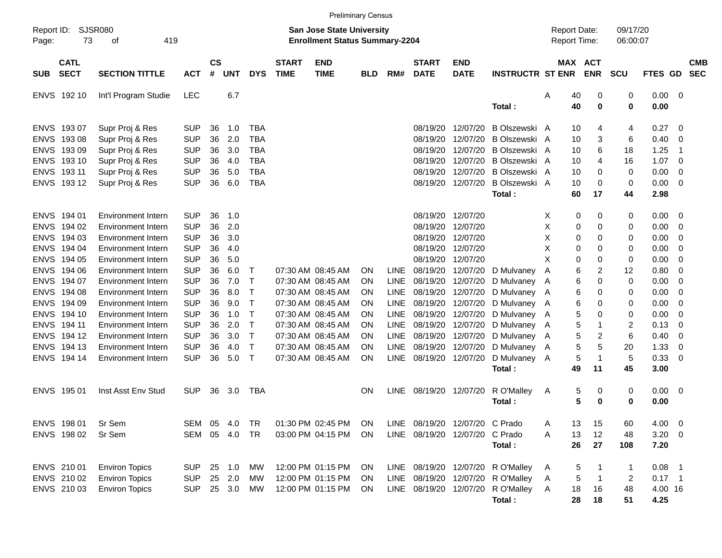|                                                                                                       |                                                                                   |                                                                                                                                                                                            |                                                                                                              |                                              |                                                      |                                                                                  |                             | <b>Preliminary Census</b>                                                                                                  |                                                                            |                                                                          |                                                                      |                                                                                                             |                                                                                                                       |                                              |                                                                               |                                             |                                                                      |                                                      |                          |
|-------------------------------------------------------------------------------------------------------|-----------------------------------------------------------------------------------|--------------------------------------------------------------------------------------------------------------------------------------------------------------------------------------------|--------------------------------------------------------------------------------------------------------------|----------------------------------------------|------------------------------------------------------|----------------------------------------------------------------------------------|-----------------------------|----------------------------------------------------------------------------------------------------------------------------|----------------------------------------------------------------------------|--------------------------------------------------------------------------|----------------------------------------------------------------------|-------------------------------------------------------------------------------------------------------------|-----------------------------------------------------------------------------------------------------------------------|----------------------------------------------|-------------------------------------------------------------------------------|---------------------------------------------|----------------------------------------------------------------------|------------------------------------------------------|--------------------------|
| Report ID:<br>Page:                                                                                   | 73                                                                                | <b>SJSR080</b><br>419<br>οf                                                                                                                                                                |                                                                                                              |                                              |                                                      |                                                                                  |                             | <b>San Jose State University</b><br><b>Enrollment Status Summary-2204</b>                                                  |                                                                            |                                                                          |                                                                      |                                                                                                             |                                                                                                                       | <b>Report Date:</b><br>Report Time:          |                                                                               | 09/17/20<br>06:00:07                        |                                                                      |                                                      |                          |
| <b>SUB</b>                                                                                            | <b>CATL</b><br><b>SECT</b>                                                        | <b>SECTION TITTLE</b>                                                                                                                                                                      | <b>ACT</b>                                                                                                   | $\mathsf{cs}$<br>#                           | <b>UNT</b>                                           | <b>DYS</b>                                                                       | <b>START</b><br><b>TIME</b> | <b>END</b><br><b>TIME</b>                                                                                                  | <b>BLD</b>                                                                 | RM#                                                                      | <b>START</b><br><b>DATE</b>                                          | <b>END</b><br><b>DATE</b>                                                                                   | <b>INSTRUCTR ST ENR</b>                                                                                               |                                              | MAX ACT<br><b>ENR</b>                                                         | <b>SCU</b>                                  | FTES GD                                                              |                                                      | <b>CMB</b><br><b>SEC</b> |
|                                                                                                       | ENVS 192 10                                                                       | Int'l Program Studie                                                                                                                                                                       | <b>LEC</b>                                                                                                   |                                              | 6.7                                                  |                                                                                  |                             |                                                                                                                            |                                                                            |                                                                          |                                                                      |                                                                                                             | Total:                                                                                                                | Α<br>40<br>40                                | 0<br>$\bf{0}$                                                                 | 0<br>0                                      | $0.00 \t 0$<br>0.00                                                  |                                                      |                          |
| <b>ENVS</b><br><b>ENVS</b><br><b>ENVS</b><br><b>ENVS</b>                                              | ENVS 193 07<br>19308<br>19309<br>193 10<br>193 11<br>ENVS 19312                   | Supr Proj & Res<br>Supr Proj & Res<br>Supr Proj & Res<br>Supr Proj & Res<br>Supr Proj & Res<br>Supr Proj & Res                                                                             | <b>SUP</b><br><b>SUP</b><br><b>SUP</b><br><b>SUP</b><br><b>SUP</b><br><b>SUP</b>                             | 36<br>36<br>36<br>36<br>36<br>36             | 1.0<br>2.0<br>3.0<br>4.0<br>5.0<br>6.0               | <b>TBA</b><br><b>TBA</b><br><b>TBA</b><br><b>TBA</b><br><b>TBA</b><br><b>TBA</b> |                             |                                                                                                                            |                                                                            |                                                                          | 08/19/20<br>08/19/20<br>08/19/20<br>08/19/20<br>08/19/20<br>08/19/20 | 12/07/20<br>12/07/20<br>12/07/20<br>12/07/20<br>12/07/20<br>12/07/20                                        | B Olszewski A<br>B Olszewski A<br>B Olszewski A<br>B Olszewski A<br>B Olszewski A<br>B Olszewski A                    | 10<br>10<br>10<br>10<br>10<br>10             | 4<br>3<br>6<br>4<br>0<br>0                                                    | 4<br>6<br>18<br>16<br>0<br>0                | 0.27<br>0.40<br>1.25<br>1.07<br>0.00<br>0.00                         | - 0<br>- 0<br>-1<br>- 0<br>- 0<br>- 0                |                          |
| <b>ENVS</b><br><b>ENVS</b><br><b>ENVS</b><br><b>ENVS</b><br><b>ENVS</b><br><b>ENVS</b><br><b>ENVS</b> | ENVS 194 01<br>194 02<br>194 03<br>194 04<br>194 05<br>194 06<br>194 07<br>194 08 | <b>Environment Intern</b><br><b>Environment Intern</b><br>Environment Intern<br>Environment Intern<br>Environment Intern<br>Environment Intern<br>Environment Intern<br>Environment Intern | <b>SUP</b><br><b>SUP</b><br><b>SUP</b><br><b>SUP</b><br><b>SUP</b><br><b>SUP</b><br><b>SUP</b><br><b>SUP</b> | 36<br>36<br>36<br>36<br>36<br>36<br>36<br>36 | 1.0<br>2.0<br>3.0<br>4.0<br>5.0<br>6.0<br>7.0<br>8.0 | Т<br>Т<br>Τ                                                                      |                             | 07:30 AM 08:45 AM<br>07:30 AM 08:45 AM<br>07:30 AM 08:45 AM                                                                | <b>ON</b><br><b>ON</b><br><b>ON</b>                                        | <b>LINE</b><br><b>LINE</b><br><b>LINE</b>                                | 08/19/20 12/07/20<br>08/19/20<br>08/19/20<br>08/19/20<br>08/19/20    | 12/07/20<br>12/07/20<br>12/07/20<br>12/07/20<br>08/19/20 12/07/20<br>08/19/20 12/07/20<br>08/19/20 12/07/20 | Total:<br>D Mulvaney<br>D Mulvaney<br>D Mulvaney A                                                                    | 60<br>Χ<br>0<br>X<br>X<br>X<br>X<br>A<br>- A | 17<br>0<br>0<br>0<br>0<br>0<br>0<br>0<br>0<br>0<br>6<br>2<br>6<br>0<br>6<br>0 | 44<br>0<br>0<br>0<br>0<br>0<br>12<br>0<br>0 | 2.98<br>0.00<br>0.00<br>0.00<br>0.00<br>0.00<br>0.80<br>0.00<br>0.00 | - 0<br>- 0<br>- 0<br>- 0<br>- 0<br>- 0<br>- 0<br>- 0 |                          |
| <b>ENVS</b><br><b>ENVS</b><br><b>ENVS</b><br><b>ENVS</b><br><b>ENVS</b><br><b>ENVS</b>                | 194 09<br>194 10<br>194 11<br>194 12<br>194 13<br>194 14                          | Environment Intern<br>Environment Intern<br>Environment Intern<br><b>Environment Intern</b><br>Environment Intern<br>Environment Intern                                                    | <b>SUP</b><br><b>SUP</b><br><b>SUP</b><br><b>SUP</b><br><b>SUP</b><br><b>SUP</b>                             | 36<br>36<br>36<br>36<br>36<br>36             | 9.0<br>1.0<br>2.0<br>3.0<br>4.0<br>5.0               | Τ<br>Т<br>Τ<br>Τ<br>Τ<br>$\mathsf{T}$                                            |                             | 07:30 AM 08:45 AM<br>07:30 AM 08:45 AM<br>07:30 AM 08:45 AM<br>07:30 AM 08:45 AM<br>07:30 AM 08:45 AM<br>07:30 AM 08:45 AM | <b>ON</b><br><b>ON</b><br><b>ON</b><br><b>ON</b><br><b>ON</b><br><b>ON</b> | <b>LINE</b><br><b>LINE</b><br><b>LINE</b><br>LINE<br><b>LINE</b><br>LINE | 08/19/20 12/07/20<br>08/19/20                                        | 08/19/20 12/07/20<br>08/19/20 12/07/20<br>08/19/20 12/07/20<br>12/07/20<br>08/19/20 12/07/20                | D Mulvaney A<br>D Mulvaney A<br>D Mulvaney A<br>D Mulvaney A<br>D Mulvaney A<br>D Mulvaney A<br>Total:                | 49                                           | 6<br>0<br>5<br>0<br>5<br>-1<br>5<br>2<br>5<br>5<br>5<br>-1<br>11              | 0<br>0<br>2<br>6<br>20<br>5<br>45           | 0.00<br>0.00<br>0.13<br>0.40<br>1.33<br>0.33<br>3.00                 | - 0<br>- 0<br>- 0<br>- 0<br>- 0<br>- 0               |                          |
|                                                                                                       | ENVS 195 01                                                                       | Inst Asst Env Stud                                                                                                                                                                         | <b>SUP</b>                                                                                                   | 36                                           | 3.0                                                  | TBA                                                                              |                             |                                                                                                                            | <b>ON</b>                                                                  | LINE                                                                     |                                                                      | 08/19/20 12/07/20                                                                                           | R O'Malley<br>Total:                                                                                                  | A                                            | 5<br>0<br>5<br>0                                                              | 0<br>0                                      | $0.00 \t 0$<br>0.00                                                  |                                                      |                          |
|                                                                                                       | ENVS 198 01<br>ENVS 198 02                                                        | Sr Sem<br>Sr Sem                                                                                                                                                                           | SEM 05<br>SEM 05 4.0                                                                                         |                                              | 4.0                                                  | TR<br><b>TR</b>                                                                  |                             | 01:30 PM 02:45 PM<br>03:00 PM 04:15 PM                                                                                     | <b>ON</b><br><b>ON</b>                                                     |                                                                          |                                                                      | LINE 08/19/20 12/07/20 C Prado<br>LINE 08/19/20 12/07/20                                                    | C Prado<br>Total:                                                                                                     | Α<br>13<br>13<br>Α<br>26                     | 15<br>12<br>27                                                                | 60<br>48<br>108                             | $4.00 \ 0$<br>$3.20 \ 0$<br>7.20                                     |                                                      |                          |
|                                                                                                       | ENVS 210 01<br>ENVS 210 02<br>ENVS 210 03                                         | <b>Environ Topics</b><br><b>Environ Topics</b><br><b>Environ Topics</b>                                                                                                                    | <b>SUP</b><br><b>SUP</b><br><b>SUP</b>                                                                       |                                              | 25 1.0<br>25 2.0<br>25 3.0                           | МW<br>MW<br>MW                                                                   |                             | 12:00 PM 01:15 PM<br>12:00 PM 01:15 PM<br>12:00 PM 01:15 PM                                                                | ON<br><b>ON</b><br><b>ON</b>                                               |                                                                          |                                                                      |                                                                                                             | LINE 08/19/20 12/07/20 R O'Malley<br>LINE 08/19/20 12/07/20 R O'Malley<br>LINE 08/19/20 12/07/20 R O'Malley<br>Total: | 5<br>A<br>A<br>18<br>A<br>28                 | 5<br>16<br>18                                                                 | 1<br>$\overline{c}$<br>48<br>51             | $0.08$ 1<br>$0.17$ 1<br>4.00 16<br>4.25                              |                                                      |                          |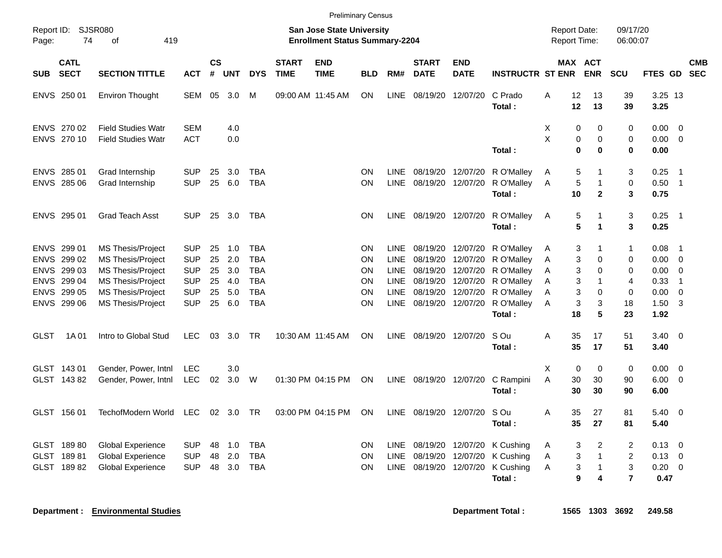|                     |                                                                                   |                                                                                                                                                               |                                                                                  |                                  |                                        |                                                                           |                             | <b>Preliminary Census</b>                                                 |                                         |                                                                                        |                             |                                                                                                                            |                                                                                            |                                                                |                                                         |                                   |                                                      |                                                                                 |                          |
|---------------------|-----------------------------------------------------------------------------------|---------------------------------------------------------------------------------------------------------------------------------------------------------------|----------------------------------------------------------------------------------|----------------------------------|----------------------------------------|---------------------------------------------------------------------------|-----------------------------|---------------------------------------------------------------------------|-----------------------------------------|----------------------------------------------------------------------------------------|-----------------------------|----------------------------------------------------------------------------------------------------------------------------|--------------------------------------------------------------------------------------------|----------------------------------------------------------------|---------------------------------------------------------|-----------------------------------|------------------------------------------------------|---------------------------------------------------------------------------------|--------------------------|
| Report ID:<br>Page: | SJSR080<br>74                                                                     | 419<br>οf                                                                                                                                                     |                                                                                  |                                  |                                        |                                                                           |                             | <b>San Jose State University</b><br><b>Enrollment Status Summary-2204</b> |                                         |                                                                                        |                             |                                                                                                                            |                                                                                            | <b>Report Date:</b><br>Report Time:                            |                                                         | 09/17/20<br>06:00:07              |                                                      |                                                                                 |                          |
| <b>SUB</b>          | <b>CATL</b><br><b>SECT</b>                                                        | <b>SECTION TITTLE</b>                                                                                                                                         | <b>ACT</b>                                                                       | $\mathsf{cs}$<br>#               | <b>UNT</b>                             | <b>DYS</b>                                                                | <b>START</b><br><b>TIME</b> | <b>END</b><br><b>TIME</b>                                                 | <b>BLD</b>                              | RM#                                                                                    | <b>START</b><br><b>DATE</b> | <b>END</b><br><b>DATE</b>                                                                                                  | <b>INSTRUCTR ST ENR</b>                                                                    | MAX ACT                                                        | <b>ENR</b>                                              | <b>SCU</b>                        | <b>FTES GD</b>                                       |                                                                                 | <b>CMB</b><br><b>SEC</b> |
|                     | ENVS 250 01                                                                       | <b>Environ Thought</b>                                                                                                                                        | SEM                                                                              | 05                               | 3.0                                    | M                                                                         |                             | 09:00 AM 11:45 AM                                                         | ON.                                     | LINE                                                                                   | 08/19/20                    | 12/07/20                                                                                                                   | C Prado<br>Total:                                                                          | 12<br>Α<br>12                                                  | 13<br>13                                                | 39<br>39                          | 3.25 13<br>3.25                                      |                                                                                 |                          |
|                     | ENVS 270 02<br>ENVS 270 10                                                        | <b>Field Studies Watr</b><br><b>Field Studies Watr</b>                                                                                                        | <b>SEM</b><br><b>ACT</b>                                                         |                                  | 4.0<br>0.0                             |                                                                           |                             |                                                                           |                                         |                                                                                        |                             |                                                                                                                            | Total:                                                                                     | X<br>0<br>X<br>0<br>0                                          | 0<br>0<br>$\bf{0}$                                      | 0<br>0<br>0                       | 0.00<br>0.00<br>0.00                                 | $\overline{0}$<br>$\overline{0}$                                                |                          |
|                     | ENVS 285 01<br>ENVS 285 06                                                        | Grad Internship<br>Grad Internship                                                                                                                            | <b>SUP</b><br><b>SUP</b>                                                         | 25<br>25                         | 3.0<br>6.0                             | TBA<br><b>TBA</b>                                                         |                             |                                                                           | <b>ON</b><br>ON                         | LINE<br><b>LINE</b>                                                                    |                             | 08/19/20 12/07/20<br>08/19/20 12/07/20                                                                                     | R O'Malley<br>R O'Malley<br>Total:                                                         | 5<br>Α<br>5<br>Α<br>10                                         | 1<br>1<br>$\overline{2}$                                | 3<br>0<br>3                       | 0.25<br>0.50<br>0.75                                 | - 1<br>$\overline{\phantom{0}}$ 1                                               |                          |
|                     | ENVS 295 01                                                                       | <b>Grad Teach Asst</b>                                                                                                                                        | <b>SUP</b>                                                                       | 25                               | 3.0                                    | <b>TBA</b>                                                                |                             |                                                                           | ON                                      | <b>LINE</b>                                                                            |                             | 08/19/20 12/07/20                                                                                                          | R O'Malley<br>Total:                                                                       | 5<br>A<br>5                                                    | 1<br>1                                                  | 3<br>3                            | 0.25<br>0.25                                         | - 1                                                                             |                          |
| ENVS                | ENVS 299 01<br>299 02<br>ENVS 299 03<br>ENVS 299 04<br>ENVS 299 05<br>ENVS 299 06 | <b>MS Thesis/Project</b><br><b>MS Thesis/Project</b><br>MS Thesis/Project<br><b>MS Thesis/Project</b><br><b>MS Thesis/Project</b><br><b>MS Thesis/Project</b> | <b>SUP</b><br><b>SUP</b><br><b>SUP</b><br><b>SUP</b><br><b>SUP</b><br><b>SUP</b> | 25<br>25<br>25<br>25<br>25<br>25 | 1.0<br>2.0<br>3.0<br>4.0<br>5.0<br>6.0 | TBA<br><b>TBA</b><br><b>TBA</b><br><b>TBA</b><br><b>TBA</b><br><b>TBA</b> |                             |                                                                           | <b>ON</b><br>ΟN<br>ΟN<br>ON<br>ON<br>ON | <b>LINE</b><br><b>LINE</b><br><b>LINE</b><br><b>LINE</b><br><b>LINE</b><br><b>LINE</b> |                             | 08/19/20 12/07/20<br>08/19/20 12/07/20<br>08/19/20 12/07/20<br>08/19/20 12/07/20<br>08/19/20 12/07/20<br>08/19/20 12/07/20 | R O'Malley<br>R O'Malley<br>R O'Malley<br>R O'Malley<br>R O'Malley<br>R O'Malley<br>Total: | A<br>3<br>3<br>Α<br>3<br>A<br>3<br>Α<br>3<br>A<br>3<br>A<br>18 | 1<br>0<br>$\Omega$<br>$\mathbf 1$<br>$\Omega$<br>3<br>5 | 1<br>0<br>0<br>4<br>0<br>18<br>23 | 0.08<br>0.00<br>0.00<br>0.33<br>0.00<br>1.50<br>1.92 | -1<br>$\overline{0}$<br>$\overline{0}$<br>$\overline{1}$<br>$\overline{0}$<br>3 |                          |
| <b>GLST</b>         | 1A 01                                                                             | Intro to Global Stud                                                                                                                                          | <b>LEC</b>                                                                       | 03                               | 3.0                                    | TR                                                                        |                             | 10:30 AM 11:45 AM                                                         | ON                                      | <b>LINE</b>                                                                            |                             | 08/19/20 12/07/20                                                                                                          | S Ou<br>Total :                                                                            | 35<br>Α<br>35                                                  | 17<br>17                                                | 51<br>51                          | 3.40<br>3.40                                         | - 0                                                                             |                          |
|                     | GLST 143 01<br>GLST 14382                                                         | Gender, Power, Intnl<br>Gender, Power, Intnl                                                                                                                  | LEC<br><b>LEC</b>                                                                | 02                               | 3.0<br>3.0                             | W                                                                         |                             | 01:30 PM 04:15 PM                                                         | ON                                      |                                                                                        | LINE 08/19/20 12/07/20      |                                                                                                                            | C Rampini<br>Total:                                                                        | X<br>$\mathbf 0$<br>A<br>30<br>30                              | $\mathbf 0$<br>30<br>30                                 | 0<br>90<br>90                     | 0.00<br>6.00<br>6.00                                 | $\overline{0}$<br>$\overline{0}$                                                |                          |
|                     | GLST 156 01                                                                       | TechofModern World                                                                                                                                            | <b>LEC</b>                                                                       |                                  | 02 3.0                                 | TR                                                                        |                             | 03:00 PM 04:15 PM                                                         | <b>ON</b>                               | LINE                                                                                   |                             | 08/19/20 12/07/20                                                                                                          | S Ou<br>Total :                                                                            | 35<br>Α<br>35                                                  | 27<br>27                                                | 81<br>81                          | 5.40<br>5.40                                         | - 0                                                                             |                          |
|                     | GLST 18980<br>GLST 18981<br>GLST 18982                                            | <b>Global Experience</b><br><b>Global Experience</b><br><b>Global Experience</b>                                                                              | <b>SUP</b><br><b>SUP</b><br><b>SUP</b>                                           | 48<br>48<br>48                   | 1.0<br>2.0<br>3.0                      | <b>TBA</b><br><b>TBA</b><br><b>TBA</b>                                    |                             |                                                                           | ΟN<br><b>ON</b><br>ΟN                   | <b>LINE</b><br><b>LINE</b><br><b>LINE</b>                                              | 08/19/20<br>08/19/20        | 08/19/20 12/07/20<br>12/07/20<br>12/07/20                                                                                  | K Cushing<br>K Cushing<br>K Cushing<br>Total :                                             | 3<br>A<br>3<br>A<br>3<br>Α<br>9                                | 2<br>$\mathbf{1}$<br>$\mathbf 1$<br>4                   | 2<br>$\overline{c}$<br>3<br>7     | 0.13<br>0.13<br>0.20<br>0.47                         | - 0<br>$\overline{0}$<br>$\mathbf 0$                                            |                          |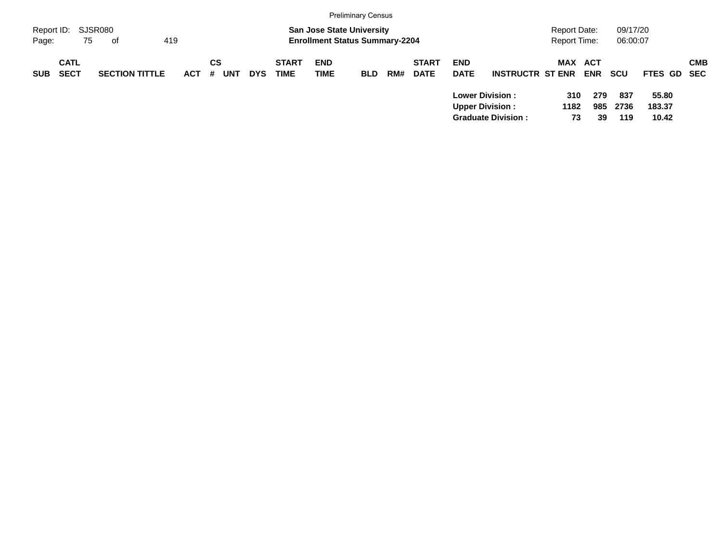|                     |                            |                       |         |    |            |            |                             |                                                                           | <b>Preliminary Census</b> |     |                             |                           |                                                                               |                                     |                  |                      |                          |                           |
|---------------------|----------------------------|-----------------------|---------|----|------------|------------|-----------------------------|---------------------------------------------------------------------------|---------------------------|-----|-----------------------------|---------------------------|-------------------------------------------------------------------------------|-------------------------------------|------------------|----------------------|--------------------------|---------------------------|
| Report ID:<br>Page: | 75                         | SJSR080<br>419<br>оf  |         |    |            |            |                             | <b>San Jose State University</b><br><b>Enrollment Status Summary-2204</b> |                           |     |                             |                           |                                                                               | Report Date:<br><b>Report Time:</b> |                  | 09/17/20<br>06:00:07 |                          |                           |
| <b>SUB</b>          | <b>CATL</b><br><b>SECT</b> | <b>SECTION TITTLE</b> | $ACT$ # | CS | <b>UNT</b> | <b>DYS</b> | <b>START</b><br><b>TIME</b> | <b>END</b><br><b>TIME</b>                                                 | <b>BLD</b>                | RM# | <b>START</b><br><b>DATE</b> | <b>END</b><br><b>DATE</b> | <b>INSTRUCTR ST ENR</b>                                                       | MAX ACT                             | <b>ENR</b>       | <b>SCU</b>           |                          | <b>CMB</b><br>FTES GD SEC |
|                     |                            |                       |         |    |            |            |                             |                                                                           |                           |     |                             |                           | <b>Lower Division:</b><br><b>Upper Division:</b><br><b>Graduate Division:</b> | 310<br>1182<br>73                   | 279<br>985<br>39 | 837<br>2736<br>119   | 55.80<br>183.37<br>10.42 |                           |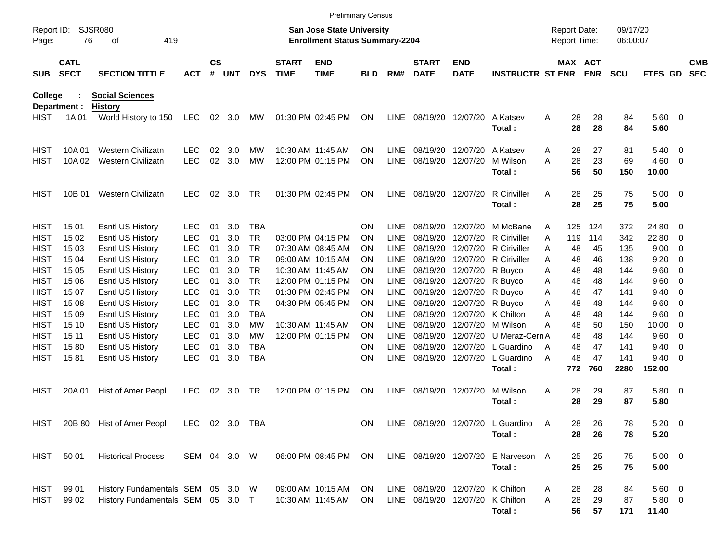|                     |                            |                                   |              |                    |            |            |                             | <b>Preliminary Census</b>                                                 |            |             |                             |                           |                                   |                                            |          |                       |                      |                |     |                          |
|---------------------|----------------------------|-----------------------------------|--------------|--------------------|------------|------------|-----------------------------|---------------------------------------------------------------------------|------------|-------------|-----------------------------|---------------------------|-----------------------------------|--------------------------------------------|----------|-----------------------|----------------------|----------------|-----|--------------------------|
| Report ID:<br>Page: | 76                         | SJSR080<br>419<br>οf              |              |                    |            |            |                             | <b>San Jose State University</b><br><b>Enrollment Status Summary-2204</b> |            |             |                             |                           |                                   | <b>Report Date:</b><br><b>Report Time:</b> |          |                       | 09/17/20<br>06:00:07 |                |     |                          |
| <b>SUB</b>          | <b>CATL</b><br><b>SECT</b> | <b>SECTION TITTLE</b>             | ACT          | $\mathsf{cs}$<br># | <b>UNT</b> | <b>DYS</b> | <b>START</b><br><b>TIME</b> | <b>END</b><br><b>TIME</b>                                                 | <b>BLD</b> | RM#         | <b>START</b><br><b>DATE</b> | <b>END</b><br><b>DATE</b> | <b>INSTRUCTR ST ENR</b>           |                                            |          | MAX ACT<br><b>ENR</b> | <b>SCU</b>           | FTES GD        |     | <b>CMB</b><br><b>SEC</b> |
| <b>College</b>      |                            | <b>Social Sciences</b>            |              |                    |            |            |                             |                                                                           |            |             |                             |                           |                                   |                                            |          |                       |                      |                |     |                          |
|                     | Department :               | <b>History</b>                    |              |                    |            |            |                             |                                                                           |            |             |                             |                           |                                   |                                            |          |                       |                      |                |     |                          |
| <b>HIST</b>         | 1A 01                      | World History to 150              | <b>LEC</b>   | 02                 | 3.0        | МW         |                             | 01:30 PM 02:45 PM                                                         | ON         | LINE        | 08/19/20 12/07/20           |                           | A Katsev<br>Total:                | A                                          | 28<br>28 | 28<br>28              | 84<br>84             | 5.60 0<br>5.60 |     |                          |
| HIST                | 10A 01                     | <b>Western Civilizatn</b>         | <b>LEC</b>   | 02                 | 3.0        | МW         |                             | 10:30 AM 11:45 AM                                                         | <b>ON</b>  | <b>LINE</b> | 08/19/20 12/07/20           |                           | A Katsev                          | A                                          | 28       | 27                    | 81                   | 5.40           | - 0 |                          |
| HIST                | 10A 02                     | <b>Western Civilizatn</b>         | <b>LEC</b>   | 02                 | 3.0        | <b>MW</b>  |                             | 12:00 PM 01:15 PM                                                         | ON         | <b>LINE</b> | 08/19/20                    | 12/07/20                  | M Wilson                          | A                                          | 28       | 23                    | 69                   | 4.60           | - 0 |                          |
|                     |                            |                                   |              |                    |            |            |                             |                                                                           |            |             |                             |                           | Total:                            |                                            | 56       | 50                    | 150                  | 10.00          |     |                          |
| HIST                | 10B 01                     | <b>Western Civilizatn</b>         | <b>LEC</b>   | 02                 | 3.0        | <b>TR</b>  |                             | 01:30 PM 02:45 PM                                                         | <b>ON</b>  | LINE        | 08/19/20 12/07/20           |                           | <b>R</b> Ciriviller               | A                                          | 28       | 25                    | 75                   | $5.00 \t 0$    |     |                          |
|                     |                            |                                   |              |                    |            |            |                             |                                                                           |            |             |                             |                           | Total:                            |                                            | 28       | 25                    | 75                   | 5.00           |     |                          |
| HIST                | 15 01                      | Esntl US History                  | <b>LEC</b>   | 01                 | 3.0        | <b>TBA</b> |                             |                                                                           | <b>ON</b>  | <b>LINE</b> | 08/19/20                    | 12/07/20                  | M McBane                          | A                                          | 125      | 124                   | 372                  | 24.80          | - 0 |                          |
| <b>HIST</b>         | 15 02                      | Esntl US History                  | <b>LEC</b>   | 01                 | 3.0        | <b>TR</b>  |                             | 03:00 PM 04:15 PM                                                         | <b>ON</b>  | LINE        | 08/19/20                    | 12/07/20                  | <b>R</b> Ciriviller               | A                                          | 119      | 114                   | 342                  | 22.80          | - 0 |                          |
| HIST                | 15 03                      | Esntl US History                  | <b>LEC</b>   | 01                 | 3.0        | <b>TR</b>  |                             | 07:30 AM 08:45 AM                                                         | <b>ON</b>  | <b>LINE</b> | 08/19/20                    | 12/07/20                  | R Ciriviller                      | A                                          | 48       | 45                    | 135                  | 9.00           | - 0 |                          |
| HIST                | 15 04                      | Esntl US History                  | <b>LEC</b>   | 01                 | 3.0        | <b>TR</b>  |                             | 09:00 AM 10:15 AM                                                         | <b>ON</b>  | <b>LINE</b> | 08/19/20                    | 12/07/20                  | <b>R</b> Ciriviller               | A                                          | 48       | 46                    | 138                  | 9.20           | - 0 |                          |
| HIST                | 15 05                      | Esntl US History                  | <b>LEC</b>   | 01                 | 3.0        | <b>TR</b>  |                             | 10:30 AM 11:45 AM                                                         | <b>ON</b>  | <b>LINE</b> | 08/19/20                    | 12/07/20                  | R Buyco                           | A                                          | 48       | 48                    | 144                  | 9.60           | - 0 |                          |
| HIST                | 15 06                      | Esntl US History                  | <b>LEC</b>   | 01                 | 3.0        | <b>TR</b>  |                             | 12:00 PM 01:15 PM                                                         | <b>ON</b>  | <b>LINE</b> | 08/19/20                    | 12/07/20                  | R Buyco                           | A                                          | 48       | 48                    | 144                  | 9.60           | - 0 |                          |
| HIST                | 15 07                      | Esntl US History                  | <b>LEC</b>   | 01                 | 3.0        | <b>TR</b>  |                             | 01:30 PM 02:45 PM                                                         | <b>ON</b>  | <b>LINE</b> | 08/19/20                    | 12/07/20                  | R Buyco                           | A                                          | 48       | 47                    | 141                  | 9.40           | - 0 |                          |
| HIST                | 15 08                      | Esntl US History                  | <b>LEC</b>   | 01                 | 3.0        | <b>TR</b>  |                             | 04:30 PM 05:45 PM                                                         | <b>ON</b>  | <b>LINE</b> | 08/19/20                    | 12/07/20                  | R Buyco                           | Α                                          | 48       | 48                    | 144                  | 9.60           | - 0 |                          |
| HIST                | 15 09                      | Esntl US History                  | <b>LEC</b>   | 01                 | 3.0        | <b>TBA</b> |                             |                                                                           | <b>ON</b>  | <b>LINE</b> | 08/19/20                    | 12/07/20                  | K Chilton                         | Α                                          | 48       | 48                    | 144                  | 9.60           | - 0 |                          |
| HIST                | 15 10                      | Esntl US History                  | <b>LEC</b>   | 01                 | 3.0        | МW         | 10:30 AM 11:45 AM           |                                                                           | <b>ON</b>  | <b>LINE</b> | 08/19/20                    | 12/07/20                  | M Wilson                          | Α                                          | 48       | 50                    | 150                  | 10.00          | - 0 |                          |
| HIST                | 15 11                      | Esntl US History                  | <b>LEC</b>   | 01                 | 3.0        | МW         |                             | 12:00 PM 01:15 PM                                                         | <b>ON</b>  | <b>LINE</b> | 08/19/20                    | 12/07/20                  | U Meraz-Cern A                    |                                            | 48       | 48                    | 144                  | 9.60           | - 0 |                          |
| HIST                | 1580                       | Esntl US History                  | <b>LEC</b>   | 01                 | 3.0        | <b>TBA</b> |                             |                                                                           | <b>ON</b>  | <b>LINE</b> | 08/19/20                    | 12/07/20                  | L Guardino                        | $\overline{A}$                             | 48       | 47                    | 141                  | 9.40           | - 0 |                          |
| HIST                | 1581                       | <b>Esntl US History</b>           | <b>LEC</b>   | 01                 | 3.0        | <b>TBA</b> |                             |                                                                           | <b>ON</b>  | <b>LINE</b> |                             | 08/19/20 12/07/20         | L Guardino                        | $\overline{A}$                             | 48       | 47                    | 141                  | 9.40           | - 0 |                          |
|                     |                            |                                   |              |                    |            |            |                             |                                                                           |            |             |                             |                           | Total:                            |                                            | 772      | 760                   | 2280                 | 152.00         |     |                          |
| HIST                | 20A 01                     | Hist of Amer Peopl                | <b>LEC</b>   | 02                 | 3.0        | <b>TR</b>  |                             | 12:00 PM 01:15 PM                                                         | <b>ON</b>  | <b>LINE</b> | 08/19/20 12/07/20           |                           | M Wilson                          | A                                          | 28       | 29                    | 87                   | 5.80 0         |     |                          |
|                     |                            |                                   |              |                    |            |            |                             |                                                                           |            |             |                             |                           | Total:                            |                                            | 28       | 29                    | 87                   | 5.80           |     |                          |
| <b>HIST</b>         |                            | 20B 80 Hist of Amer Peopl         | <b>LEC</b>   |                    |            | 02 3.0 TBA |                             |                                                                           | ON         |             |                             |                           | LINE 08/19/20 12/07/20 L Guardino | A                                          | 28       | 26                    | 78                   | 5.20 0         |     |                          |
|                     |                            |                                   |              |                    |            |            |                             |                                                                           |            |             |                             |                           | Total:                            |                                            | 28       | 26                    | 78                   | 5.20           |     |                          |
| <b>HIST</b>         | 50 01                      | <b>Historical Process</b>         | SEM 04 3.0 W |                    |            |            |                             | 06:00 PM 08:45 PM                                                         | ON         |             | LINE 08/19/20 12/07/20      |                           | E Narveson A                      |                                            | 25       | 25                    | 75                   | $5.00 \t 0$    |     |                          |
|                     |                            |                                   |              |                    |            |            |                             |                                                                           |            |             |                             |                           | Total:                            |                                            | 25       | 25                    | 75                   | 5.00           |     |                          |
| <b>HIST</b>         | 99 01                      | History Fundamentals SEM 05 3.0 W |              |                    |            |            |                             | 09:00 AM 10:15 AM                                                         | ON         |             | LINE 08/19/20 12/07/20      |                           | K Chilton                         | A                                          | 28       | 28                    | 84                   | 5.60 0         |     |                          |
| <b>HIST</b>         | 99 02                      | History Fundamentals SEM 05 3.0 T |              |                    |            |            |                             | 10:30 AM 11:45 AM                                                         | ON.        |             | LINE 08/19/20 12/07/20      |                           | K Chilton                         | Α                                          | 28       | 29                    | 87                   | 5.80 0         |     |                          |
|                     |                            |                                   |              |                    |            |            |                             |                                                                           |            |             |                             |                           | Total:                            |                                            | 56       | 57                    | 171                  | 11.40          |     |                          |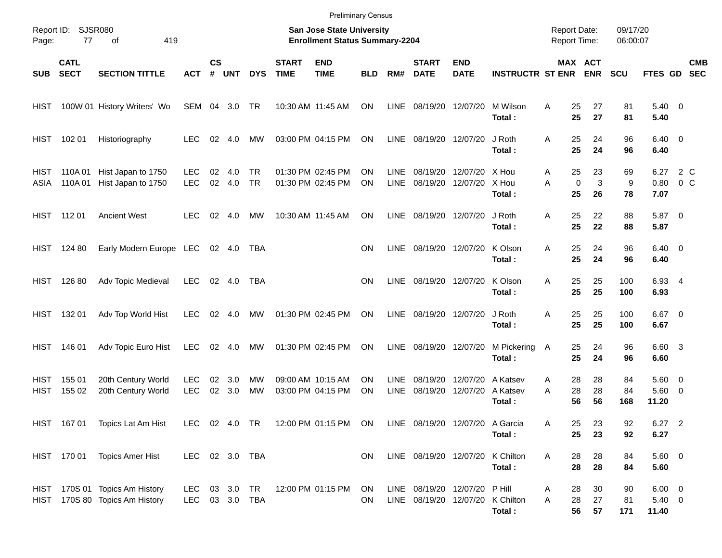|                            |                            |                                                             |                          |                    |            |                        |                             | <b>Preliminary Census</b>                                                 |                 |                            |                                                  |                           |                                |                                            |                         |                          |                      |                                    |                                                    |
|----------------------------|----------------------------|-------------------------------------------------------------|--------------------------|--------------------|------------|------------------------|-----------------------------|---------------------------------------------------------------------------|-----------------|----------------------------|--------------------------------------------------|---------------------------|--------------------------------|--------------------------------------------|-------------------------|--------------------------|----------------------|------------------------------------|----------------------------------------------------|
| Page:                      | Report ID: SJSR080<br>77   | 419<br>οf                                                   |                          |                    |            |                        |                             | <b>San Jose State University</b><br><b>Enrollment Status Summary-2204</b> |                 |                            |                                                  |                           |                                | <b>Report Date:</b><br><b>Report Time:</b> |                         |                          | 09/17/20<br>06:00:07 |                                    |                                                    |
| <b>SUB</b>                 | <b>CATL</b><br><b>SECT</b> | <b>SECTION TITTLE</b>                                       | <b>ACT</b>               | $\mathsf{cs}$<br># | <b>UNT</b> | <b>DYS</b>             | <b>START</b><br><b>TIME</b> | <b>END</b><br><b>TIME</b>                                                 | <b>BLD</b>      | RM#                        | <b>START</b><br><b>DATE</b>                      | <b>END</b><br><b>DATE</b> | <b>INSTRUCTR ST ENR</b>        |                                            | MAX ACT<br><b>ENR</b>   | <b>SCU</b>               |                      | FTES GD                            | <b>CMB</b><br><b>SEC</b>                           |
| HIST                       |                            | 100W 01 History Writers' Wo                                 | SEM                      | 04                 | 3.0        | TR                     |                             | 10:30 AM 11:45 AM                                                         | ON              | <b>LINE</b>                | 08/19/20                                         | 12/07/20                  | M Wilson<br>Total:             | A                                          | 25<br>25                | 27<br>27                 | 81<br>81             | $5.40 \ 0$<br>5.40                 |                                                    |
| <b>HIST</b>                | 102 01                     | Historiography                                              | <b>LEC</b>               | 02                 | 4.0        | MW                     |                             | 03:00 PM 04:15 PM                                                         | ON              | LINE                       | 08/19/20                                         | 12/07/20                  | J Roth<br>Total:               | Α                                          | 25<br>25                | 24<br>24                 | 96<br>96             | $6.40 \quad 0$<br>6.40             |                                                    |
| HIST<br>ASIA               | 110A01<br>110A01           | Hist Japan to 1750<br>Hist Japan to 1750                    | <b>LEC</b><br><b>LEC</b> | 02<br>02           | 4.0<br>4.0 | <b>TR</b><br><b>TR</b> |                             | 01:30 PM 02:45 PM<br>01:30 PM 02:45 PM                                    | ΟN<br>ΟN        | <b>LINE</b><br><b>LINE</b> | 08/19/20<br>08/19/20                             | 12/07/20<br>12/07/20      | X Hou<br>X Hou<br>Total:       | A<br>A                                     | 25<br>$\mathbf 0$<br>25 | 23<br>$\mathbf{3}$<br>26 | 69<br>9<br>78        | 6.27<br>0.80<br>7.07               | 2 C<br>0 <sup>o</sup>                              |
| <b>HIST</b>                | 112 01                     | <b>Ancient West</b>                                         | <b>LEC</b>               | 02                 | 4.0        | МW                     |                             | 10:30 AM 11:45 AM                                                         | ON              | <b>LINE</b>                | 08/19/20 12/07/20                                |                           | J Roth<br>Total:               | Α                                          | 25<br>25                | 22<br>22                 | 88<br>88             | 5.87<br>5.87                       | $\overline{\phantom{0}}$                           |
| <b>HIST</b>                | 124 80                     | Early Modern Europe LEC                                     |                          |                    | 02 4.0     | TBA                    |                             |                                                                           | <b>ON</b>       | <b>LINE</b>                | 08/19/20 12/07/20                                |                           | K Olson<br>Total:              | A                                          | 25<br>25                | 24<br>24                 | 96<br>96             | $6.40 \quad 0$<br>6.40             |                                                    |
| <b>HIST</b>                | 126 80                     | Adv Topic Medieval                                          | <b>LEC</b>               | 02                 | 4.0        | TBA                    |                             |                                                                           | ON              | LINE                       | 08/19/20 12/07/20                                |                           | K Olson<br>Total:              | A                                          | 25<br>25                | 25<br>25                 | 100<br>100           | 6.93 4<br>6.93                     |                                                    |
| <b>HIST</b>                | 132 01                     | Adv Top World Hist                                          | <b>LEC</b>               | 02                 | 4.0        | MW                     |                             | 01:30 PM 02:45 PM                                                         | <b>ON</b>       | LINE                       | 08/19/20 12/07/20                                |                           | J Roth<br>Total:               | Α                                          | 25<br>25                | 25<br>25                 | 100<br>100           | 6.67<br>6.67                       | $\overline{\phantom{0}}$                           |
| <b>HIST</b>                | 146 01                     | Adv Topic Euro Hist                                         | <b>LEC</b>               | 02                 | 4.0        | <b>MW</b>              |                             | 01:30 PM 02:45 PM                                                         | ON              | LINE                       | 08/19/20                                         | 12/07/20                  | M Pickering<br>Total:          | A                                          | 25<br>25                | 24<br>24                 | 96<br>96             | 6.60 3<br>6.60                     |                                                    |
| <b>HIST</b><br><b>HIST</b> | 155 01<br>155 02           | 20th Century World<br>20th Century World                    | <b>LEC</b><br><b>LEC</b> | 02<br>02           | 3.0<br>3.0 | MW<br><b>MW</b>        |                             | 09:00 AM 10:15 AM<br>03:00 PM 04:15 PM                                    | ΟN<br>ON        | <b>LINE</b><br><b>LINE</b> | 08/19/20<br>08/19/20                             | 12/07/20<br>12/07/20      | A Katsev<br>A Katsev<br>Total: | A<br>A                                     | 28<br>28<br>56          | 28<br>28<br>56           | 84<br>84<br>168      | 5.60<br>5.60<br>11.20              | $\overline{\mathbf{0}}$<br>$\overline{\mathbf{0}}$ |
|                            | HIST 167 01                | Topics Lat Am Hist                                          | LEC 02 4.0 TR            |                    |            |                        |                             | 12:00 PM 01:15 PM ON                                                      |                 |                            | LINE 08/19/20 12/07/20 A Garcia                  |                           | Total:                         | Α                                          | 25<br>25                | 23<br>23                 | 92<br>92             | $6.27$ 2<br>6.27                   |                                                    |
|                            | HIST 170 01                | <b>Topics Amer Hist</b>                                     | LEC                      |                    | 02 3.0 TBA |                        |                             |                                                                           | ON              |                            | LINE 08/19/20 12/07/20                           |                           | K Chilton<br>Total:            | Α                                          | 28<br>28                | 28<br>28                 | 84<br>84             | 5.60 0<br>5.60                     |                                                    |
| HIST                       |                            | HIST 170S 01 Topics Am History<br>170S 80 Topics Am History | LEC<br>LEC 03 3.0 TBA    |                    | 03 3.0     | TR                     |                             | 12:00 PM 01:15 PM                                                         | <b>ON</b><br>ON |                            | LINE 08/19/20 12/07/20<br>LINE 08/19/20 12/07/20 |                           | P Hill<br>K Chilton<br>Total:  | A<br>Α                                     | 28<br>28<br>56          | 30<br>27<br>57           | 90<br>81<br>171      | $6.00 \t 0$<br>$5.40 \ 0$<br>11.40 |                                                    |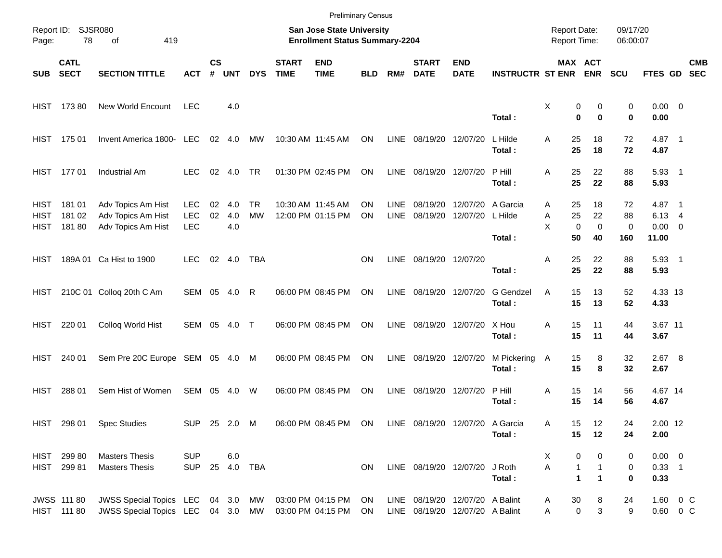|                             |                                       |                                                                        |                                        |                    |                   |                        |                             | <b>Preliminary Census</b>                                          |                 |                            |                             |                                                                    |                         |                                            |                                                                     |                                |                                                  |                          |
|-----------------------------|---------------------------------------|------------------------------------------------------------------------|----------------------------------------|--------------------|-------------------|------------------------|-----------------------------|--------------------------------------------------------------------|-----------------|----------------------------|-----------------------------|--------------------------------------------------------------------|-------------------------|--------------------------------------------|---------------------------------------------------------------------|--------------------------------|--------------------------------------------------|--------------------------|
| Page:                       | Report ID: SJSR080<br>78<br>419<br>of |                                                                        |                                        |                    |                   |                        |                             | San Jose State University<br><b>Enrollment Status Summary-2204</b> |                 |                            |                             |                                                                    |                         | <b>Report Date:</b><br><b>Report Time:</b> |                                                                     | 09/17/20<br>06:00:07           |                                                  |                          |
| <b>SUB</b>                  | <b>CATL</b><br><b>SECT</b>            | <b>SECTION TITTLE</b>                                                  | <b>ACT</b>                             | $\mathsf{cs}$<br># | <b>UNT</b>        | <b>DYS</b>             | <b>START</b><br><b>TIME</b> | <b>END</b><br><b>TIME</b>                                          | <b>BLD</b>      | RM#                        | <b>START</b><br><b>DATE</b> | <b>END</b><br><b>DATE</b>                                          | <b>INSTRUCTR ST ENR</b> |                                            | MAX ACT<br><b>ENR</b>                                               | <b>SCU</b>                     | <b>FTES GD</b>                                   | <b>CMB</b><br><b>SEC</b> |
|                             | HIST 173 80                           | <b>New World Encount</b>                                               | <b>LEC</b>                             |                    | 4.0               |                        |                             |                                                                    |                 |                            |                             |                                                                    | Total:                  | Χ                                          | 0<br>0<br>$\bf{0}$<br>$\bf{0}$                                      | 0<br>0                         | $0.00 \t 0$<br>0.00                              |                          |
|                             | HIST 175 01                           | Invent America 1800- LEC                                               |                                        |                    | 02 4.0            | МW                     |                             | 10:30 AM 11:45 AM                                                  | ON              | LINE                       | 08/19/20 12/07/20           |                                                                    | L Hilde<br>Total:       | 25<br>A<br>25                              | 18<br>18                                                            | 72<br>72                       | 4.87 1<br>4.87                                   |                          |
|                             | HIST 177 01                           | Industrial Am                                                          | <b>LEC</b>                             |                    | 02 4.0            | <b>TR</b>              |                             | 01:30 PM 02:45 PM                                                  | ON              | LINE                       | 08/19/20 12/07/20           |                                                                    | P Hill<br>Total:        | 25<br>A<br>25                              | 22<br>22                                                            | 88<br>88                       | $5.93$ 1<br>5.93                                 |                          |
| HIST<br><b>HIST</b><br>HIST | 18101<br>181 02<br>18180              | Adv Topics Am Hist<br>Adv Topics Am Hist<br>Adv Topics Am Hist         | <b>LEC</b><br><b>LEC</b><br><b>LEC</b> | 02<br>02           | 4.0<br>4.0<br>4.0 | <b>TR</b><br><b>MW</b> |                             | 10:30 AM 11:45 AM<br>12:00 PM 01:15 PM                             | ΟN<br><b>ON</b> | <b>LINE</b><br><b>LINE</b> | 08/19/20<br>08/19/20        | 12/07/20 A Garcia<br>12/07/20                                      | L Hilde<br>Total:       | 25<br>Α<br>25<br>Α<br>X<br>50              | 18<br>22<br>$\mathbf 0$<br>$\mathbf 0$<br>40                        | 72<br>88<br>$\mathbf 0$<br>160 | 4.87 1<br>$6.13 \quad 4$<br>$0.00 \t 0$<br>11.00 |                          |
| HIST.                       |                                       | 189A 01 Ca Hist to 1900                                                | LEC.                                   |                    | 02 4.0            | TBA                    |                             |                                                                    | <b>ON</b>       | LINE                       | 08/19/20 12/07/20           |                                                                    | Total:                  | 25<br>Α<br>25                              | 22<br>22                                                            | 88<br>88                       | $5.93$ 1<br>5.93                                 |                          |
| HIST                        |                                       | 210C 01 Colloq 20th C Am                                               | SEM 05 4.0                             |                    |                   | R                      |                             | 06:00 PM 08:45 PM                                                  | ON              | LINE                       | 08/19/20 12/07/20           |                                                                    | G Gendzel<br>Total:     | 15<br>A<br>15                              | 13<br>13                                                            | 52<br>52                       | 4.33 13<br>4.33                                  |                          |
| HIST                        | 220 01                                | Colloq World Hist                                                      | SEM 05 4.0                             |                    |                   | $\top$                 |                             | 06:00 PM 08:45 PM                                                  | ON              | LINE                       |                             | 08/19/20 12/07/20                                                  | X Hou<br>Total:         | 15<br>Α<br>15                              | 11<br>11                                                            | 44<br>44                       | 3.67 11<br>3.67                                  |                          |
| HIST                        | 240 01                                | Sem Pre 20C Europe SEM 05 4.0 M                                        |                                        |                    |                   |                        |                             | 06:00 PM 08:45 PM                                                  | ON              | LINE                       | 08/19/20 12/07/20           |                                                                    | M Pickering<br>Total:   | 15<br>A<br>15                              | 8<br>8                                                              | 32<br>32                       | $2.67$ 8<br>2.67                                 |                          |
| HIST                        | 288 01                                | Sem Hist of Women                                                      | SEM                                    |                    | 05 4.0            | W                      |                             | 06:00 PM 08:45 PM                                                  | ON              | <b>LINE</b>                | 08/19/20 12/07/20           |                                                                    | P Hill<br>Total:        | 15<br>Α<br>15                              | 14<br>14                                                            | 56<br>56                       | 4.67 14<br>4.67                                  |                          |
|                             |                                       | HIST 298 01 Spec Studies                                               | SUP 25 2.0 M                           |                    |                   |                        |                             | 06:00 PM 08:45 PM ON                                               |                 |                            |                             | LINE 08/19/20 12/07/20 A Garcia                                    | Total:                  | Α<br>15<br>15                              | 12<br>12                                                            | 24<br>24                       | 2.00 12<br>2.00                                  |                          |
|                             | HIST 299 80<br>HIST 299 81            | <b>Masters Thesis</b><br><b>Masters Thesis</b>                         | <b>SUP</b><br>SUP 25 4.0 TBA           |                    | 6.0               |                        |                             |                                                                    | ON              |                            | LINE 08/19/20 12/07/20      |                                                                    | J Roth<br>Total:        | X.<br>A                                    | 0<br>0<br>$\mathbf{1}$<br>$\mathbf{1}$<br>1<br>$\blacktriangleleft$ | 0<br>0<br>0                    | $0.00 \t 0$<br>$0.33$ 1<br>0.33                  |                          |
|                             | <b>JWSS 111 80</b><br>HIST 111 80     | JWSS Special Topics LEC 04 3.0 MW<br>JWSS Special Topics LEC 04 3.0 MW |                                        |                    |                   |                        |                             | 03:00 PM 04:15 PM<br>03:00 PM 04:15 PM                             | ON<br>ON        |                            |                             | LINE 08/19/20 12/07/20 A Balint<br>LINE 08/19/20 12/07/20 A Balint |                         | 30<br>A<br>Α                               | 8<br>$\ensuremath{\mathsf{3}}$<br>$\pmb{0}$                         | 24<br>9                        | 1.60 0 C<br>$0.60 \t 0 C$                        |                          |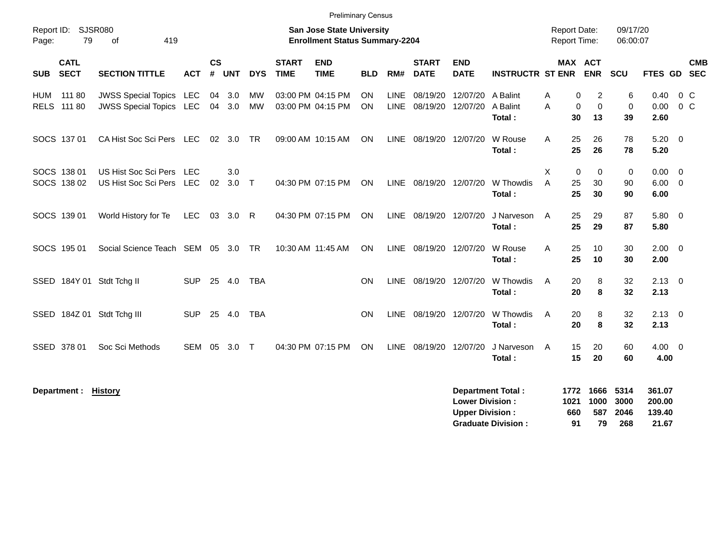|                                          |                                                                  |                          |                    |            |                 |                             | <b>Preliminary Census</b>                                                 |                        |                            |                             |                           |                                |                                            |                                                               |                         |                                       |                          |
|------------------------------------------|------------------------------------------------------------------|--------------------------|--------------------|------------|-----------------|-----------------------------|---------------------------------------------------------------------------|------------------------|----------------------------|-----------------------------|---------------------------|--------------------------------|--------------------------------------------|---------------------------------------------------------------|-------------------------|---------------------------------------|--------------------------|
| Report ID:<br>79<br>Page:                | <b>SJSR080</b><br>419<br>οf                                      |                          |                    |            |                 |                             | <b>San Jose State University</b><br><b>Enrollment Status Summary-2204</b> |                        |                            |                             |                           |                                | <b>Report Date:</b><br><b>Report Time:</b> |                                                               | 09/17/20<br>06:00:07    |                                       |                          |
| <b>CATL</b><br><b>SECT</b><br><b>SUB</b> | <b>SECTION TITTLE</b>                                            | <b>ACT</b>               | $\mathsf{cs}$<br># | <b>UNT</b> | <b>DYS</b>      | <b>START</b><br><b>TIME</b> | <b>END</b><br><b>TIME</b>                                                 | <b>BLD</b>             | RM#                        | <b>START</b><br><b>DATE</b> | <b>END</b><br><b>DATE</b> | <b>INSTRUCTR ST ENR ENR</b>    |                                            | <b>MAX ACT</b>                                                | <b>SCU</b>              | FTES GD                               | <b>CMB</b><br><b>SEC</b> |
| 111 80<br>HUM<br>RELS 111 80             | <b>JWSS Special Topics LEC</b><br><b>JWSS Special Topics LEC</b> |                          | 04<br>04           | 3.0<br>3.0 | <b>MW</b><br>MW |                             | 03:00 PM 04:15 PM<br>03:00 PM 04:15 PM                                    | <b>ON</b><br><b>ON</b> | <b>LINE</b><br><b>LINE</b> | 08/19/20<br>08/19/20        | 12/07/20<br>12/07/20      | A Balint<br>A Balint<br>Total: | A<br>A                                     | $\overline{2}$<br>0<br>$\mathbf 0$<br>$\mathbf 0$<br>13<br>30 | 6<br>$\mathbf 0$<br>39  | 0.40<br>0.00<br>2.60                  | $0\,$ C<br>$0\,$ C       |
| SOCS 137 01                              | CA Hist Soc Sci Pers LEC                                         |                          | 02                 | 3.0        | <b>TR</b>       |                             | 09:00 AM 10:15 AM                                                         | <b>ON</b>              |                            | LINE 08/19/20 12/07/20      |                           | W Rouse<br>Total:              | A                                          | 25<br>26<br>25<br>26                                          | 78<br>78                | $5.20 \ 0$<br>5.20                    |                          |
| SOCS 138 01<br>SOCS 138 02               | US Hist Soc Sci Pers<br>US Hist Soc Sci Pers                     | <b>LEC</b><br><b>LEC</b> | 02                 | 3.0<br>3.0 | $\top$          |                             | 04:30 PM 07:15 PM                                                         | ON                     | <b>LINE</b>                | 08/19/20                    | 12/07/20                  | W Thowdis<br>Total:            | X<br>A                                     | 0<br>$\mathbf 0$<br>25<br>30<br>25<br>30                      | $\mathbf 0$<br>90<br>90 | $0.00 \t 0$<br>$6.00 \quad 0$<br>6.00 |                          |
| SOCS 139 01                              | World History for Te                                             | <b>LEC</b>               | 03                 | 3.0        | R.              |                             | 04:30 PM 07:15 PM                                                         | <b>ON</b>              | <b>LINE</b>                | 08/19/20                    | 12/07/20                  | J Narveson<br>Total:           | A                                          | 29<br>25<br>25<br>29                                          | 87<br>87                | 5.80 0<br>5.80                        |                          |
| SOCS 195 01                              | Social Science Teach SEM 05                                      |                          |                    | 3.0        | <b>TR</b>       |                             | 10:30 AM 11:45 AM                                                         | ON                     | <b>LINE</b>                | 08/19/20 12/07/20           |                           | W Rouse<br>Total:              | A                                          | 25<br>10<br>25<br>10                                          | 30<br>30                | $2.00 \t 0$<br>2.00                   |                          |
| SSED 184Y 01 Stdt Tchg II                |                                                                  | <b>SUP</b>               | 25                 | 4.0        | <b>TBA</b>      |                             |                                                                           | <b>ON</b>              | LINE                       | 08/19/20 12/07/20           |                           | W Thowdis<br>Total:            | A                                          | 20<br>8<br>8<br>20                                            | 32<br>32                | $2.13 \quad 0$<br>2.13                |                          |
| SSED 184Z 01 Stdt Tchg III               |                                                                  | <b>SUP</b>               |                    | 25 4.0     | <b>TBA</b>      |                             |                                                                           | ON                     | <b>LINE</b>                | 08/19/20 12/07/20           |                           | W Thowdis<br>Total:            | A                                          | 20<br>8<br>20<br>8                                            | 32<br>32                | $2.13 \ 0$<br>2.13                    |                          |
| SSED 378 01                              | Soc Sci Methods                                                  | SEM                      | 05                 | 3.0        | $\top$          |                             | 04:30 PM 07:15 PM                                                         | ON                     | LINE                       | 08/19/20                    | 12/07/20                  | J Narveson<br>Total:           | A                                          | 15<br>20<br>15<br>20                                          | 60<br>60                | $4.00 \ 0$<br>4.00                    |                          |

**Department : History 1666 5314 361.07 Lower Division : 1021 1000 3000 200.00 Upper Division : 660 587 2046 139.40 Graduate Division : 91 79 268 21.67**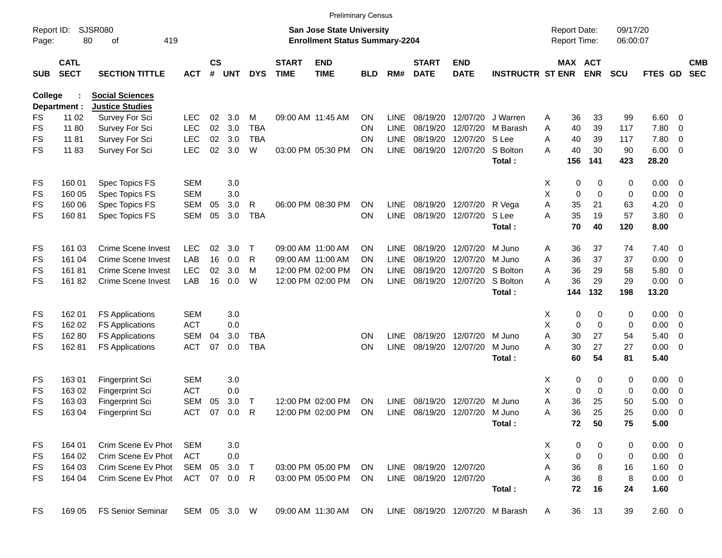|                     |                            |                             |              |                    |            |            |                             |                                                                           | <b>Preliminary Census</b> |             |                             |                           |                                 |   |                                     |             |                      |                |                         |                          |
|---------------------|----------------------------|-----------------------------|--------------|--------------------|------------|------------|-----------------------------|---------------------------------------------------------------------------|---------------------------|-------------|-----------------------------|---------------------------|---------------------------------|---|-------------------------------------|-------------|----------------------|----------------|-------------------------|--------------------------|
| Report ID:<br>Page: | 80                         | <b>SJSR080</b><br>419<br>οf |              |                    |            |            |                             | <b>San Jose State University</b><br><b>Enrollment Status Summary-2204</b> |                           |             |                             |                           |                                 |   | <b>Report Date:</b><br>Report Time: |             | 09/17/20<br>06:00:07 |                |                         |                          |
| <b>SUB</b>          | <b>CATL</b><br><b>SECT</b> | <b>SECTION TITTLE</b>       | <b>ACT</b>   | $\mathsf{cs}$<br># | <b>UNT</b> | <b>DYS</b> | <b>START</b><br><b>TIME</b> | <b>END</b><br><b>TIME</b>                                                 | <b>BLD</b>                | RM#         | <b>START</b><br><b>DATE</b> | <b>END</b><br><b>DATE</b> | <b>INSTRUCTR ST ENR</b>         |   | MAX ACT                             | <b>ENR</b>  | <b>SCU</b>           | <b>FTES GD</b> |                         | <b>CMB</b><br><b>SEC</b> |
| <b>College</b>      |                            | <b>Social Sciences</b>      |              |                    |            |            |                             |                                                                           |                           |             |                             |                           |                                 |   |                                     |             |                      |                |                         |                          |
|                     | Department :               | <b>Justice Studies</b>      |              |                    |            |            |                             |                                                                           |                           |             |                             |                           |                                 |   |                                     |             |                      |                |                         |                          |
| FS                  | 11 02                      | Survey For Sci              | <b>LEC</b>   | 02                 | 3.0        | M          |                             | 09:00 AM 11:45 AM                                                         | <b>ON</b>                 | <b>LINE</b> | 08/19/20                    | 12/07/20                  | J Warren                        | A | 36                                  | 33          | 99                   | 6.60           | $\overline{0}$          |                          |
| FS                  | 11 80                      | Survey For Sci              | <b>LEC</b>   | 02                 | 3.0        | <b>TBA</b> |                             |                                                                           | <b>ON</b>                 | <b>LINE</b> | 08/19/20                    | 12/07/20                  | M Barash                        | A | 40                                  | 39          | 117                  | 7.80           | 0                       |                          |
| FS                  | 11 81                      | Survey For Sci              | <b>LEC</b>   | 02                 | 3.0        | <b>TBA</b> |                             |                                                                           | <b>ON</b>                 | <b>LINE</b> | 08/19/20                    | 12/07/20                  | S Lee                           | A | 40                                  | 39          | 117                  | 7.80           | 0                       |                          |
| <b>FS</b>           | 1183                       | Survey For Sci              | <b>LEC</b>   | 02                 | 3.0        | W          |                             | 03:00 PM 05:30 PM                                                         | <b>ON</b>                 | <b>LINE</b> | 08/19/20                    | 12/07/20                  | S Bolton<br>Total:              | А | 40<br>156                           | 30<br>141   | 90<br>423            | 6.00<br>28.20  | - 0                     |                          |
|                     |                            |                             |              |                    |            |            |                             |                                                                           |                           |             |                             |                           |                                 |   |                                     |             |                      |                |                         |                          |
| FS                  | 160 01                     | Spec Topics FS              | <b>SEM</b>   |                    | 3.0        |            |                             |                                                                           |                           |             |                             |                           |                                 | Х | 0                                   | 0           | 0                    | 0.00           | $\overline{\mathbf{0}}$ |                          |
| FS                  | 160 05                     | Spec Topics FS              | <b>SEM</b>   |                    | 3.0        |            |                             |                                                                           |                           |             |                             |                           |                                 | Χ | $\mathbf 0$                         | $\mathbf 0$ | 0                    | 0.00           | 0                       |                          |
| FS                  | 160 06                     | Spec Topics FS              | <b>SEM</b>   | 05                 | 3.0        | R          |                             | 06:00 PM 08:30 PM                                                         | <b>ON</b>                 | <b>LINE</b> | 08/19/20                    | 12/07/20                  | R Vega                          | Α | 35                                  | 21          | 63                   | 4.20           | 0                       |                          |
| FS                  | 16081                      | Spec Topics FS              | <b>SEM</b>   | 05                 | 3.0        | <b>TBA</b> |                             |                                                                           | <b>ON</b>                 | <b>LINE</b> | 08/19/20                    | 12/07/20                  | S Lee<br>Total:                 | A | 35<br>70                            | 19<br>40    | 57<br>120            | 3.80<br>8.00   | 0                       |                          |
| FS                  | 161 03                     | <b>Crime Scene Invest</b>   | <b>LEC</b>   | 02                 | 3.0        | Т          |                             | 09:00 AM 11:00 AM                                                         | <b>ON</b>                 | LINE        | 08/19/20                    | 12/07/20                  | M Juno                          | Α | 36                                  | 37          | 74                   | 7.40           | 0                       |                          |
| FS                  | 161 04                     | Crime Scene Invest          | LAB          | 16                 | 0.0        | R          |                             | 09:00 AM 11:00 AM                                                         | <b>ON</b>                 | <b>LINE</b> | 08/19/20                    | 12/07/20                  | M Juno                          | A | 36                                  | 37          | 37                   | 0.00           | $\overline{\mathbf{0}}$ |                          |
| FS                  | 16181                      | <b>Crime Scene Invest</b>   | <b>LEC</b>   | 02                 | 3.0        | м          |                             | 12:00 PM 02:00 PM                                                         | <b>ON</b>                 | <b>LINE</b> | 08/19/20                    | 12/07/20                  | S Bolton                        | A | 36                                  | 29          | 58                   | 5.80           | 0                       |                          |
| <b>FS</b>           | 16182                      | <b>Crime Scene Invest</b>   | LAB          | 16                 | 0.0        | W          |                             | 12:00 PM 02:00 PM                                                         | ON                        | <b>LINE</b> | 08/19/20                    | 12/07/20                  | S Bolton                        | А | 36                                  | 29          | 29                   | 0.00           | $\overline{\mathbf{0}}$ |                          |
|                     |                            |                             |              |                    |            |            |                             |                                                                           |                           |             |                             |                           | Total:                          |   | 144                                 | 132         | 198                  | 13.20          |                         |                          |
| FS                  | 162 01                     | <b>FS Applications</b>      | <b>SEM</b>   |                    | 3.0        |            |                             |                                                                           |                           |             |                             |                           |                                 | Х | 0                                   | 0           | 0                    | 0.00           | $\overline{\mathbf{0}}$ |                          |
| FS                  | 162 02                     | <b>FS Applications</b>      | <b>ACT</b>   |                    | 0.0        |            |                             |                                                                           |                           |             |                             |                           |                                 | Χ | $\mathbf 0$                         | $\mathbf 0$ | 0                    | 0.00           | 0                       |                          |
| FS                  | 16280                      | <b>FS Applications</b>      | <b>SEM</b>   | 04                 | 3.0        | <b>TBA</b> |                             |                                                                           | <b>ON</b>                 | LINE        | 08/19/20                    | 12/07/20                  | M Juno                          | Α | 30                                  | 27          | 54                   | 5.40           | 0                       |                          |
| FS                  | 16281                      | <b>FS Applications</b>      | <b>ACT</b>   | 07                 | 0.0        | <b>TBA</b> |                             |                                                                           | ON                        | <b>LINE</b> | 08/19/20                    | 12/07/20                  | M Juno                          | A | 30                                  | 27          | 27                   | 0.00           | 0                       |                          |
|                     |                            |                             |              |                    |            |            |                             |                                                                           |                           |             |                             |                           | Total:                          |   | 60                                  | 54          | 81                   | 5.40           |                         |                          |
| FS                  | 16301                      | <b>Fingerprint Sci</b>      | <b>SEM</b>   |                    | 3.0        |            |                             |                                                                           |                           |             |                             |                           |                                 | Х | 0                                   | 0           | 0                    | 0.00           | $\overline{\mathbf{0}}$ |                          |
| FS                  | 163 02                     | <b>Fingerprint Sci</b>      | <b>ACT</b>   |                    | 0.0        |            |                             |                                                                           |                           |             |                             |                           |                                 | Χ | $\mathbf 0$                         | 0           | 0                    | 0.00           | 0                       |                          |
| FS                  | 163 03                     | Fingerprint Sci             | <b>SEM</b>   | 05                 | 3.0        | т          |                             | 12:00 PM 02:00 PM                                                         | <b>ON</b>                 | LINE        | 08/19/20                    | 12/07/20                  | M Juno                          | Α | 36                                  | 25          | 50                   | 5.00           | 0                       |                          |
| <b>FS</b>           | 163 04                     | Fingerprint Sci             | <b>ACT</b>   | 07                 | 0.0        | R          |                             | 12:00 PM 02:00 PM                                                         | ON                        | <b>LINE</b> | 08/19/20                    | 12/07/20                  | M Juno                          | A | 36                                  | 25          | 25                   | 0.00           | 0                       |                          |
|                     |                            |                             |              |                    |            |            |                             |                                                                           |                           |             |                             |                           | Total:                          |   | 72                                  | 50          | 75                   | 5.00           |                         |                          |
| FS                  | 164 01                     | Crim Scene Ev Phot          | <b>SEM</b>   |                    | 3.0        |            |                             |                                                                           |                           |             |                             |                           |                                 | X | 0                                   | 0           | 0                    | $0.00 \t 0$    |                         |                          |
| FS                  | 164 02                     | Crim Scene Ev Phot          | <b>ACT</b>   |                    | 0.0        |            |                             |                                                                           |                           |             |                             |                           |                                 | X | 0                                   | 0           | 0                    | $0.00 \t 0$    |                         |                          |
| FS                  | 164 03                     | Crim Scene Ev Phot          | SEM          | 05                 | 3.0        | $\top$     |                             | 03:00 PM 05:00 PM                                                         | ON.                       |             | LINE 08/19/20 12/07/20      |                           |                                 | Α | 36                                  | 8           | 16                   | 1.60 0         |                         |                          |
| FS                  | 164 04                     | Crim Scene Ev Phot          | ACT          |                    | 07 0.0 R   |            |                             | 03:00 PM 05:00 PM                                                         | ON.                       |             | LINE 08/19/20 12/07/20      |                           |                                 | A | 36                                  | 8           | 8                    | $0.00 \t 0$    |                         |                          |
|                     |                            |                             |              |                    |            |            |                             |                                                                           |                           |             |                             |                           | Total:                          |   | 72                                  | 16          | 24                   | 1.60           |                         |                          |
| <b>FS</b>           | 169 05                     | <b>FS Senior Seminar</b>    | SEM 05 3.0 W |                    |            |            |                             | 09:00 AM 11:30 AM ON                                                      |                           |             |                             |                           | LINE 08/19/20 12/07/20 M Barash | A | 36                                  | 13          | 39                   | 2.60 0         |                         |                          |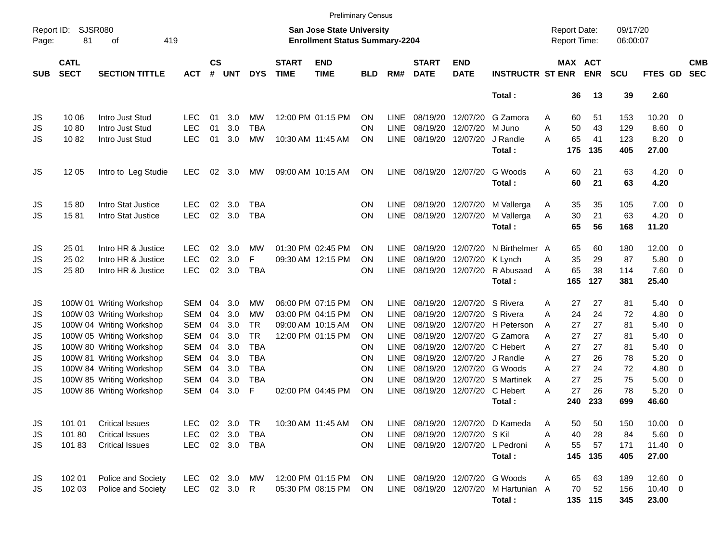|                     |                            |                          |            |                    |            |            |                             |                                                                           | <b>Preliminary Census</b> |             |                             |                           |                                      |   |                                            |            |                      |              |                          |                          |
|---------------------|----------------------------|--------------------------|------------|--------------------|------------|------------|-----------------------------|---------------------------------------------------------------------------|---------------------------|-------------|-----------------------------|---------------------------|--------------------------------------|---|--------------------------------------------|------------|----------------------|--------------|--------------------------|--------------------------|
| Report ID:<br>Page: | <b>SJSR080</b><br>81       | of<br>419                |            |                    |            |            |                             | <b>San Jose State University</b><br><b>Enrollment Status Summary-2204</b> |                           |             |                             |                           |                                      |   | <b>Report Date:</b><br><b>Report Time:</b> |            | 09/17/20<br>06:00:07 |              |                          |                          |
| <b>SUB</b>          | <b>CATL</b><br><b>SECT</b> | <b>SECTION TITTLE</b>    | <b>ACT</b> | $\mathsf{cs}$<br># | <b>UNT</b> | <b>DYS</b> | <b>START</b><br><b>TIME</b> | <b>END</b><br><b>TIME</b>                                                 | <b>BLD</b>                | RM#         | <b>START</b><br><b>DATE</b> | <b>END</b><br><b>DATE</b> | <b>INSTRUCTR ST ENR</b>              |   | MAX ACT                                    | <b>ENR</b> | <b>SCU</b>           | FTES GD      |                          | <b>CMB</b><br><b>SEC</b> |
|                     |                            |                          |            |                    |            |            |                             |                                                                           |                           |             |                             |                           | Total:                               |   | 36                                         | 13         | 39                   | 2.60         |                          |                          |
| JS                  | 10 06                      | Intro Just Stud          | LEC        | 01                 | 3.0        | MW         |                             | 12:00 PM 01:15 PM                                                         | OΝ                        | <b>LINE</b> | 08/19/20                    | 12/07/20                  | G Zamora                             | A | 60                                         | 51         | 153                  | 10.20        | - 0                      |                          |
| JS                  | 1080                       | Intro Just Stud          | <b>LEC</b> | 01                 | 3.0        | <b>TBA</b> |                             |                                                                           | OΝ                        | <b>LINE</b> | 08/19/20                    | 12/07/20                  | M Juno                               | A | 50                                         | 43         | 129                  | 8.60         | $\overline{\phantom{0}}$ |                          |
| <b>JS</b>           | 1082                       | Intro Just Stud          | <b>LEC</b> | 01                 | 3.0        | <b>MW</b>  |                             | 10:30 AM 11:45 AM                                                         | ΟN                        | <b>LINE</b> |                             | 08/19/20 12/07/20         | J Randle                             | A | 65                                         | 41         | 123                  | 8.20         | $\overline{\phantom{0}}$ |                          |
|                     |                            |                          |            |                    |            |            |                             |                                                                           |                           |             |                             |                           | Total:                               |   | 175                                        | 135        | 405                  | 27.00        |                          |                          |
| JS                  | 12 05                      | Intro to Leg Studie      | <b>LEC</b> | 02                 | 3.0        | MW         |                             | 09:00 AM 10:15 AM                                                         | ΟN                        | LINE        | 08/19/20 12/07/20           |                           | G Woods                              | A | 60                                         | 21         | 63                   | $4.20 \ 0$   |                          |                          |
|                     |                            |                          |            |                    |            |            |                             |                                                                           |                           |             |                             |                           | Total:                               |   | 60                                         | 21         | 63                   | 4.20         |                          |                          |
| JS                  | 1580                       | Intro Stat Justice       | <b>LEC</b> | 02                 | 3.0        | <b>TBA</b> |                             |                                                                           | ON                        | <b>LINE</b> |                             | 08/19/20 12/07/20         | M Vallerga                           | A | 35                                         | 35         | 105                  | $7.00 \t 0$  |                          |                          |
| <b>JS</b>           | 1581                       | Intro Stat Justice       | <b>LEC</b> | 02                 | 3.0        | <b>TBA</b> |                             |                                                                           | ON                        | <b>LINE</b> |                             | 08/19/20 12/07/20         | M Vallerga                           | A | 30                                         | 21         | 63                   | $4.20 \ 0$   |                          |                          |
|                     |                            |                          |            |                    |            |            |                             |                                                                           |                           |             |                             |                           | Total:                               |   | 65                                         | 56         | 168                  | 11.20        |                          |                          |
| JS                  | 25 01                      | Intro HR & Justice       | <b>LEC</b> | 02                 | 3.0        | MW         |                             | 01:30 PM 02:45 PM                                                         | OΝ                        | <b>LINE</b> | 08/19/20                    | 12/07/20                  | N Birthelmer A                       |   | 65                                         | 60         | 180                  | $12.00 \t 0$ |                          |                          |
| JS                  | 25 02                      | Intro HR & Justice       | <b>LEC</b> | 02                 | 3.0        | F          |                             | 09:30 AM 12:15 PM                                                         | ΟN                        | <b>LINE</b> | 08/19/20                    | 12/07/20                  | K Lynch                              | A | 35                                         | 29         | 87                   | 5.80         | $\overline{\phantom{0}}$ |                          |
| <b>JS</b>           | 25 80                      | Intro HR & Justice       | <b>LEC</b> | 02                 | 3.0        | <b>TBA</b> |                             |                                                                           | OΝ                        | <b>LINE</b> |                             | 08/19/20 12/07/20         | R Abusaad                            | A | 65                                         | 38         | 114                  | 7.60 0       |                          |                          |
|                     |                            |                          |            |                    |            |            |                             |                                                                           |                           |             |                             |                           | Total:                               |   | 165                                        | 127        | 381                  | 25.40        |                          |                          |
| JS                  |                            | 100W 01 Writing Workshop | SEM        | 04                 | 3.0        | MW         |                             | 06:00 PM 07:15 PM                                                         | OΝ                        | <b>LINE</b> | 08/19/20                    | 12/07/20                  | S Rivera                             | A | 27                                         | 27         | 81                   | $5.40 \ 0$   |                          |                          |
| JS                  |                            | 100W 03 Writing Workshop | <b>SEM</b> | 04                 | 3.0        | MW         |                             | 03:00 PM 04:15 PM                                                         | OΝ                        | <b>LINE</b> | 08/19/20                    |                           | 12/07/20 S Rivera                    | Α | 24                                         | 24         | 72                   | 4.80         | $\overline{\mathbf{0}}$  |                          |
| JS                  |                            | 100W 04 Writing Workshop | <b>SEM</b> | 04                 | 3.0        | <b>TR</b>  |                             | 09:00 AM 10:15 AM                                                         | ON                        | <b>LINE</b> | 08/19/20                    |                           | 12/07/20 H Peterson                  | A | 27                                         | 27         | 81                   | 5.40         | - 0                      |                          |
| <b>JS</b>           |                            | 100W 05 Writing Workshop | <b>SEM</b> | 04                 | 3.0        | <b>TR</b>  |                             | 12:00 PM 01:15 PM                                                         | ΟN                        | <b>LINE</b> | 08/19/20                    | 12/07/20                  | G Zamora                             | A | 27                                         | 27         | 81                   | 5.40         | $\overline{0}$           |                          |
| <b>JS</b>           |                            | 100W 80 Writing Workshop | <b>SEM</b> | 04                 | 3.0        | <b>TBA</b> |                             |                                                                           | OΝ                        | <b>LINE</b> | 08/19/20                    | 12/07/20                  | C Hebert                             | A | 27                                         | 27         | 81                   | 5.40         | - 0                      |                          |
| <b>JS</b>           |                            | 100W 81 Writing Workshop | <b>SEM</b> | 04                 | 3.0        | <b>TBA</b> |                             |                                                                           | ON                        | <b>LINE</b> | 08/19/20                    | 12/07/20                  | J Randle                             | A | 27                                         | 26         | 78                   | 5.20         | $\overline{0}$           |                          |
| <b>JS</b>           |                            | 100W 84 Writing Workshop | <b>SEM</b> | 04                 | 3.0        | <b>TBA</b> |                             |                                                                           | ΟN                        | <b>LINE</b> | 08/19/20                    | 12/07/20                  | G Woods                              | A | 27                                         | 24         | 72                   | 4.80         | - 0                      |                          |
| <b>JS</b>           |                            | 100W 85 Writing Workshop | <b>SEM</b> | 04                 | 3.0        | <b>TBA</b> |                             |                                                                           | ON                        | <b>LINE</b> | 08/19/20                    |                           | 12/07/20 S Martinek                  | A | 27                                         | 25         | 75                   | 5.00         | $\overline{\mathbf{0}}$  |                          |
| <b>JS</b>           |                            | 100W 86 Writing Workshop | <b>SEM</b> | 04                 | 3.0        | F          |                             | 02:00 PM 04:45 PM                                                         | ON                        | <b>LINE</b> | 08/19/20                    | 12/07/20                  | C Hebert                             | A | 27                                         | 26         | 78                   | 5.20         | $\overline{\phantom{0}}$ |                          |
|                     |                            |                          |            |                    |            |            |                             |                                                                           |                           |             |                             |                           | Total:                               |   | 240                                        | 233        | 699                  | 46.60        |                          |                          |
| JS                  | 101 01                     | <b>Critical Issues</b>   | LEC        |                    | 02 3.0     | TR         |                             | 10:30 AM 11:45 AM                                                         | ON                        | LINE        |                             |                           | 08/19/20 12/07/20 D Kameda           | Α | 50                                         | 50         | 150                  | 10.00 0      |                          |                          |
| JS                  | 101 80                     | <b>Critical Issues</b>   | <b>LEC</b> |                    | 02 3.0     | TBA        |                             |                                                                           | ΟN                        | LINE        | 08/19/20 12/07/20 SKil      |                           |                                      | А | 40                                         | 28         | 84                   | $5.60$ 0     |                          |                          |
| JS                  | 10183                      | <b>Critical Issues</b>   | <b>LEC</b> |                    | 02 3.0 TBA |            |                             |                                                                           | ON.                       |             |                             |                           | LINE 08/19/20 12/07/20 L Pedroni     | Α | 55                                         | 57         | 171                  | $11.40 \t 0$ |                          |                          |
|                     |                            |                          |            |                    |            |            |                             |                                                                           |                           |             |                             |                           | Total:                               |   | 145                                        | 135        | 405                  | 27.00        |                          |                          |
| JS                  | 102 01                     | Police and Society       | LEC.       |                    | 02 3.0     | МW         |                             | 12:00 PM 01:15 PM                                                         | <b>ON</b>                 |             |                             |                           | LINE 08/19/20 12/07/20 G Woods       | Α | 65                                         | 63         | 189                  | $12.60$ 0    |                          |                          |
| JS                  | 102 03                     | Police and Society       | LEC 02 3.0 |                    |            | R.         |                             | 05:30 PM 08:15 PM                                                         | <b>ON</b>                 |             |                             |                           | LINE 08/19/20 12/07/20 M Hartunian A |   | 70                                         | 52         | 156                  | $10.40 \ 0$  |                          |                          |
|                     |                            |                          |            |                    |            |            |                             |                                                                           |                           |             |                             |                           | Total:                               |   |                                            | 135 115    | 345                  | 23.00        |                          |                          |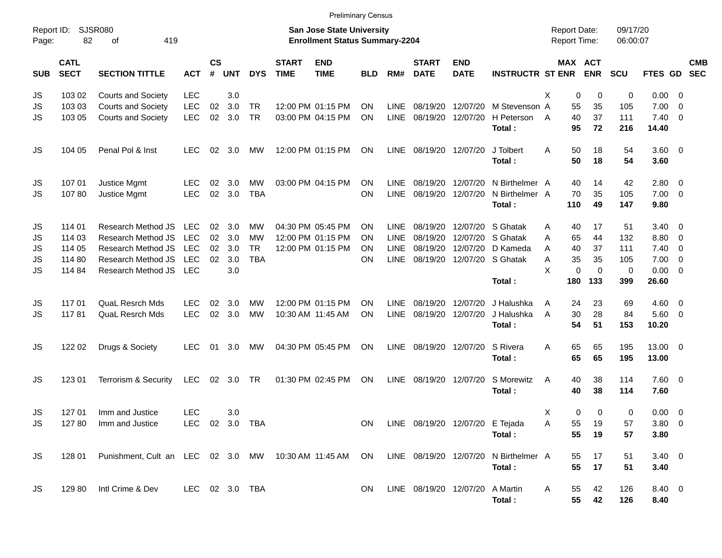|                     |                            |                                                                                              |                |                |            |            |                             | <b>Preliminary Census</b>                                                 |            |             |                                    |                           |                          |                                            |             |                              |                      |                     |                          |            |
|---------------------|----------------------------|----------------------------------------------------------------------------------------------|----------------|----------------|------------|------------|-----------------------------|---------------------------------------------------------------------------|------------|-------------|------------------------------------|---------------------------|--------------------------|--------------------------------------------|-------------|------------------------------|----------------------|---------------------|--------------------------|------------|
| Report ID:<br>Page: | 82                         | <b>SJSR080</b><br>419<br>оf                                                                  |                |                |            |            |                             | <b>San Jose State University</b><br><b>Enrollment Status Summary-2204</b> |            |             |                                    |                           |                          | <b>Report Date:</b><br><b>Report Time:</b> |             |                              | 09/17/20<br>06:00:07 |                     |                          |            |
| <b>SUB</b>          | <b>CATL</b><br><b>SECT</b> | <b>SECTION TITTLE</b>                                                                        | <b>ACT</b>     | <b>CS</b><br># | <b>UNT</b> | <b>DYS</b> | <b>START</b><br><b>TIME</b> | <b>END</b><br><b>TIME</b>                                                 | <b>BLD</b> | RM#         | <b>START</b><br><b>DATE</b>        | <b>END</b><br><b>DATE</b> | <b>INSTRUCTR ST ENR</b>  |                                            |             | <b>MAX ACT</b><br><b>ENR</b> | <b>SCU</b>           | FTES GD SEC         |                          | <b>CMB</b> |
| JS                  | 103 02                     | <b>Courts and Society</b>                                                                    | <b>LEC</b>     |                | 3.0        |            |                             |                                                                           |            |             |                                    |                           |                          | X                                          | 0           | 0                            | 0                    | $0.00 \t 0$         |                          |            |
| JS                  | 103 03                     | <b>Courts and Society</b>                                                                    | <b>LEC</b>     | 02             | 3.0        | TR         |                             | 12:00 PM 01:15 PM                                                         | ΟN         | <b>LINE</b> | 08/19/20                           | 12/07/20                  | M Stevenson A            |                                            | 55          | 35                           | 105                  | 7.00                | - 0                      |            |
| JS                  | 103 05                     | <b>Courts and Society</b>                                                                    | LEC            | 02             | 3.0        | <b>TR</b>  |                             | 03:00 PM 04:15 PM                                                         | <b>ON</b>  | <b>LINE</b> | 08/19/20                           | 12/07/20                  | H Peterson<br>Total:     | A                                          | 40<br>95    | 37<br>72                     | 111<br>216           | 7.40<br>14.40       | $\overline{\phantom{0}}$ |            |
| JS                  | 104 05                     | Penal Pol & Inst                                                                             | <b>LEC</b>     | 02             | 3.0        | МW         |                             | 12:00 PM 01:15 PM                                                         | <b>ON</b>  | <b>LINE</b> | 08/19/20 12/07/20                  |                           | J Tolbert<br>Total:      | A                                          | 50<br>50    | 18<br>18                     | 54<br>54             | $3.60 \ 0$<br>3.60  |                          |            |
|                     |                            |                                                                                              |                |                |            |            |                             |                                                                           |            |             |                                    |                           |                          |                                            |             |                              |                      |                     |                          |            |
| JS                  | 107 01                     | Justice Mgmt                                                                                 | LEC            | 02             | 3.0        | МW         |                             | 03:00 PM 04:15 PM                                                         | ΟN         | LINE        | 08/19/20                           | 12/07/20                  | N Birthelmer A           |                                            | 40          | 14                           | 42                   | 2.80 0              |                          |            |
| JS                  | 10780                      | Justice Mgmt                                                                                 | <b>LEC</b>     | 02             | 3.0        | <b>TBA</b> |                             |                                                                           | ON         | <b>LINE</b> | 08/19/20                           | 12/07/20                  | N Birthelmer A<br>Total: |                                            | 70<br>110   | 35<br>49                     | 105<br>147           | $7.00 \t 0$<br>9.80 |                          |            |
|                     | 114 01                     | Research Method JS                                                                           | LEC            | 02             | 3.0        | МW         |                             | 04:30 PM 05:45 PM                                                         | ON         | LINE        | 08/19/20                           |                           | 12/07/20 S Ghatak        |                                            | 40          | 17                           | 51                   | $3.40 \ 0$          |                          |            |
| JS<br>JS            | 114 03                     | Research Method JS                                                                           | <b>LEC</b>     | 02             | 3.0        | <b>MW</b>  |                             | 12:00 PM 01:15 PM                                                         | ON         | <b>LINE</b> | 08/19/20                           |                           | 12/07/20 S Ghatak        | Α<br>A                                     | 65          | 44                           | 132                  | 8.80                | $\overline{\mathbf{0}}$  |            |
| JS                  | 114 05                     | Research Method JS                                                                           | <b>LEC</b>     | 02             | 3.0        | <b>TR</b>  |                             | 12:00 PM 01:15 PM                                                         | ON         | <b>LINE</b> | 08/19/20                           |                           | 12/07/20 D Kameda        | A                                          | 40          | 37                           | 111                  | 7.40                | $\overline{\phantom{0}}$ |            |
| JS                  | 114 80                     | Research Method JS                                                                           | <b>LEC</b>     | 02             | 3.0        | <b>TBA</b> |                             |                                                                           | ON         | LINE        | 08/19/20                           |                           | 12/07/20 S Ghatak        | Α                                          | 35          | 35                           | 105                  | 7.00                | $\overline{\phantom{0}}$ |            |
| JS                  | 114 84                     | Research Method JS                                                                           | <b>LEC</b>     |                | 3.0        |            |                             |                                                                           |            |             |                                    |                           |                          | X                                          | $\mathbf 0$ | 0                            | $\mathbf 0$          | $0.00 \t 0$         |                          |            |
|                     |                            |                                                                                              |                |                |            |            |                             |                                                                           |            |             |                                    |                           | Total:                   |                                            | 180         | 133                          | 399                  | 26.60               |                          |            |
| JS                  | 11701                      | <b>QuaL Resrch Mds</b>                                                                       | LEC            | 02             | 3.0        | МW         |                             | 12:00 PM 01:15 PM                                                         | ON         | <b>LINE</b> | 08/19/20                           | 12/07/20                  | J Halushka               | Α                                          | 24          | 23                           | 69                   | $4.60 \ 0$          |                          |            |
| JS                  | 11781                      | <b>QuaL Resrch Mds</b>                                                                       | <b>LEC</b>     | 02             | 3.0        | <b>MW</b>  |                             | 10:30 AM 11:45 AM                                                         | ON         | LINE        | 08/19/20                           | 12/07/20                  | J Halushka               | A                                          | 30          | 28                           | 84                   | $5.60$ 0            |                          |            |
|                     |                            |                                                                                              |                |                |            |            |                             |                                                                           |            |             |                                    |                           | Total:                   |                                            | 54          | 51                           | 153                  | 10.20               |                          |            |
| JS                  | 122 02                     | Drugs & Society                                                                              | <b>LEC</b>     | 01             | 3.0        | MW         |                             | 04:30 PM 05:45 PM                                                         | ON         | LINE        |                                    | 08/19/20 12/07/20         | S Rivera<br>Total:       | A                                          | 65<br>65    | 65<br>65                     | 195<br>195           | 13.00 0<br>13.00    |                          |            |
| JS                  | 123 01                     | Terrorism & Security                                                                         | LEC            |                | 02 3.0     | TR         |                             | 01:30 PM 02:45 PM                                                         | ON         | LINE        | 08/19/20                           | 12/07/20                  | S Morewitz<br>Total:     | A                                          | 40<br>40    | 38<br>38                     | 114<br>114           | 7.60 0<br>7.60      |                          |            |
| JS                  | 127 01                     | Imm and Justice                                                                              | <b>LEC</b>     |                | 3.0        |            |                             |                                                                           |            |             |                                    |                           |                          | Χ                                          | 0           | 0                            | 0                    | $0.00 \ 0$          |                          |            |
| JS                  |                            | 127 80 Imm and Justice                                                                       | LEC 02 3.0 TBA |                |            |            |                             |                                                                           |            |             | ON LINE 08/19/20 12/07/20 E Tejada |                           |                          | Α                                          | 55          | 19                           | 57                   | 3.80 0              |                          |            |
|                     |                            |                                                                                              |                |                |            |            |                             |                                                                           |            |             |                                    |                           | Total:                   |                                            | 55          | 19                           | 57                   | 3.80                |                          |            |
| JS                  | 128 01                     | Punishment, Cult an LEC 02 3.0 MW 10:30 AM 11:45 AM ON LINE 08/19/20 12/07/20 N Birthelmer A |                |                |            |            |                             |                                                                           |            |             |                                    |                           |                          |                                            | 55          | 17                           | 51                   | $3.40 \ 0$          |                          |            |
|                     |                            |                                                                                              |                |                |            |            |                             |                                                                           |            |             |                                    |                           | Total:                   |                                            | 55          | 17                           | 51                   | 3.40                |                          |            |
| JS                  | 129 80                     | Intl Crime & Dev                                                                             | LEC 02 3.0 TBA |                |            |            |                             |                                                                           | ON         |             | LINE 08/19/20 12/07/20 A Martin    |                           | Total:                   | A                                          | 55<br>55    | 42<br>42                     | 126<br>126           | 8.40 0<br>8.40      |                          |            |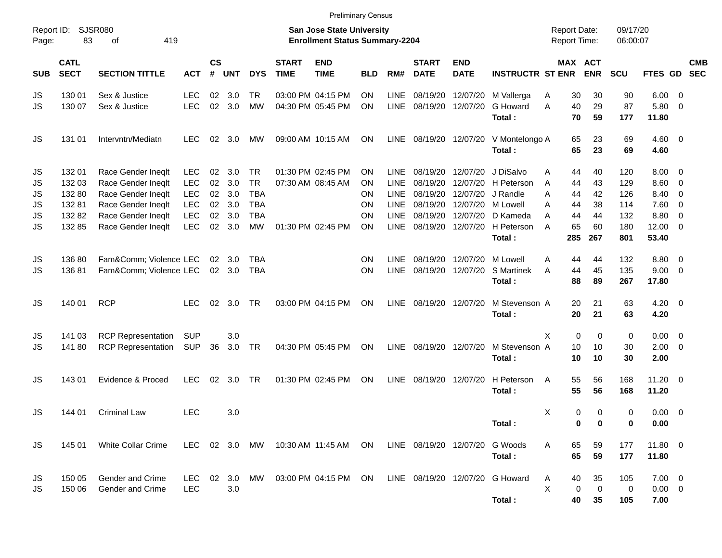|                     |                            |                                                                |                          |                    |               |                                        |                             | <b>Preliminary Census</b>                                                 |                 |                                           |                                  |                                        |                                           |                                            |                                  |                              |                                    |                                                     |            |
|---------------------|----------------------------|----------------------------------------------------------------|--------------------------|--------------------|---------------|----------------------------------------|-----------------------------|---------------------------------------------------------------------------|-----------------|-------------------------------------------|----------------------------------|----------------------------------------|-------------------------------------------|--------------------------------------------|----------------------------------|------------------------------|------------------------------------|-----------------------------------------------------|------------|
| Report ID:<br>Page: | 83                         | <b>SJSR080</b><br>419<br>οf                                    |                          |                    |               |                                        |                             | <b>San Jose State University</b><br><b>Enrollment Status Summary-2204</b> |                 |                                           |                                  |                                        |                                           | <b>Report Date:</b><br><b>Report Time:</b> |                                  | 09/17/20<br>06:00:07         |                                    |                                                     |            |
| <b>SUB</b>          | <b>CATL</b><br><b>SECT</b> | <b>SECTION TITTLE</b>                                          | <b>ACT</b>               | $\mathsf{cs}$<br># | <b>UNT</b>    | <b>DYS</b>                             | <b>START</b><br><b>TIME</b> | <b>END</b><br><b>TIME</b>                                                 | <b>BLD</b>      | RM#                                       | <b>START</b><br><b>DATE</b>      | <b>END</b><br><b>DATE</b>              | <b>INSTRUCTR ST ENR</b>                   |                                            | MAX ACT<br><b>ENR</b>            | <b>SCU</b>                   | FTES GD SEC                        |                                                     | <b>CMB</b> |
| JS<br>JS            | 130 01<br>130 07           | Sex & Justice<br>Sex & Justice                                 | <b>LEC</b><br><b>LEC</b> | 02<br>02           | 3.0<br>3.0    | <b>TR</b><br><b>MW</b>                 |                             | 03:00 PM 04:15 PM<br>04:30 PM 05:45 PM                                    | <b>ON</b><br>ON | LINE<br>LINE                              | 08/19/20<br>08/19/20             | 12/07/20<br>12/07/20                   | M Vallerga<br>G Howard                    | A<br>A                                     | 30<br>30<br>29<br>40             | 90<br>87                     | 6.00<br>5.80                       | - 0<br>- 0                                          |            |
| JS                  | 131 01                     | Intervntn/Mediatn                                              | <b>LEC</b>               | 02                 | 3.0           | МW                                     |                             | 09:00 AM 10:15 AM                                                         | ON.             | <b>LINE</b>                               | 08/19/20 12/07/20                |                                        | Total:<br>V Montelongo A<br>Total:        |                                            | 70<br>59<br>65<br>23<br>65<br>23 | 177<br>69<br>69              | 11.80<br>$4.60$ 0<br>4.60          |                                                     |            |
| JS<br>JS            | 132 01<br>132 03           | Race Gender Ineqlt<br>Race Gender Ineqlt                       | <b>LEC</b><br><b>LEC</b> | 02<br>02           | 3.0<br>3.0    | <b>TR</b><br><b>TR</b>                 |                             | 01:30 PM 02:45 PM<br>07:30 AM 08:45 AM                                    | ON<br><b>ON</b> | <b>LINE</b><br><b>LINE</b>                | 08/19/20<br>08/19/20             | 12/07/20<br>12/07/20                   | J DiSalvo<br>H Peterson                   | A<br>A                                     | 44<br>40<br>43<br>44             | 120<br>129                   | $8.00 \t 0$<br>8.60                | $\overline{\mathbf{0}}$                             |            |
| JS<br>JS            | 13280<br>13281             | Race Gender Ineqlt<br>Race Gender Ineqlt<br>Race Gender Ineqlt | <b>LEC</b><br><b>LEC</b> | 02<br>02           | 3.0<br>3.0    | <b>TBA</b><br><b>TBA</b><br><b>TBA</b> |                             |                                                                           | ON<br>ON        | <b>LINE</b><br><b>LINE</b><br><b>LINE</b> | 08/19/20<br>08/19/20<br>08/19/20 | 12/07/20 M Lowell<br>12/07/20          | 12/07/20 J Randle<br>D Kameda             | A<br>A                                     | 44<br>42<br>38<br>44<br>44       | 126<br>114                   | 8.40<br>7.60                       | $\overline{\mathbf{0}}$<br>$\overline{\phantom{0}}$ |            |
| JS<br>JS            | 132 82<br>132 85           | Race Gender Ineqlt                                             | <b>LEC</b><br><b>LEC</b> | 02<br>02           | 3.0<br>3.0    | <b>MW</b>                              |                             | 01:30 PM 02:45 PM                                                         | ON<br>ON.       | <b>LINE</b>                               | 08/19/20                         | 12/07/20                               | H Peterson<br>Total:                      | A<br>A<br>285                              | 44<br>65<br>60<br>267            | 132<br>180<br>801            | 8.80<br>12.00<br>53.40             | - 0<br>$\overline{\phantom{0}}$                     |            |
| JS<br>JS            | 136 80<br>13681            | Fam&Comm Violence LEC<br>Fam&Comm Violence LEC                 |                          | 02                 | 3.0<br>02 3.0 | <b>TBA</b><br><b>TBA</b>               |                             |                                                                           | ON<br><b>ON</b> | <b>LINE</b><br><b>LINE</b>                |                                  | 08/19/20 12/07/20<br>08/19/20 12/07/20 | M Lowell<br><b>S</b> Martinek<br>Total:   | Α<br>A                                     | 44<br>44<br>44<br>45<br>88<br>89 | 132<br>135<br>267            | 8.80<br>$9.00 \t 0$<br>17.80       | $\overline{\phantom{0}}$                            |            |
| JS                  | 140 01                     | <b>RCP</b>                                                     | <b>LEC</b>               | 02                 | 3.0           | TR                                     |                             | 03:00 PM 04:15 PM                                                         | ON              | LINE                                      | 08/19/20 12/07/20                |                                        | M Stevenson A<br>Total:                   |                                            | 20<br>21<br>20<br>21             | 63<br>63                     | $4.20 \ 0$<br>4.20                 |                                                     |            |
| JS<br>JS            | 141 03<br>14180            | <b>RCP Representation</b><br><b>RCP Representation</b>         | <b>SUP</b><br><b>SUP</b> | 36                 | 3.0<br>3.0    | TR                                     |                             | 04:30 PM 05:45 PM                                                         | ON              | LINE                                      | 08/19/20 12/07/20                |                                        | M Stevenson A<br>Total:                   | X                                          | 0<br>10<br>10<br>10<br>10        | $\mathbf 0$<br>0<br>30<br>30 | $0.00 \t 0$<br>$2.00 \t 0$<br>2.00 |                                                     |            |
| JS                  | 143 01                     | Evidence & Proced                                              | <b>LEC</b>               | 02                 | 3.0           | <b>TR</b>                              |                             | 01:30 PM 02:45 PM                                                         | ON              | LINE                                      |                                  | 08/19/20 12/07/20                      | H Peterson<br>Total:                      | A                                          | 55<br>56<br>55<br>56             | 168<br>168                   | 11.20 0<br>11.20                   |                                                     |            |
| JS                  | 144 01                     | <b>Criminal Law</b>                                            | <b>LEC</b>               |                    | 3.0           |                                        |                             |                                                                           |                 |                                           |                                  |                                        | Total:                                    | X                                          | 0<br>0                           | 0<br>0<br>0<br>0             | $0.00 \t 0$<br>0.00                |                                                     |            |
| JS                  | 145 01                     | White Collar Crime                                             | LEC 02 3.0 MW            |                    |               |                                        |                             | 10:30 AM 11:45 AM                                                         | ON              |                                           | LINE 08/19/20 12/07/20           |                                        | G Woods<br>Total:                         | Α                                          | 65<br>59<br>65<br>59             | 177<br>177                   | 11.80 0<br>11.80                   |                                                     |            |
| JS<br>JS            | 150 05<br>150 06           | Gender and Crime<br>Gender and Crime                           | <b>LEC</b><br><b>LEC</b> | 02                 | 3.0<br>3.0    | MW                                     |                             | 03:00 PM 04:15 PM ON                                                      |                 |                                           |                                  |                                        | LINE 08/19/20 12/07/20 G Howard<br>Total: | A<br>X                                     | 40<br>35<br>0<br>40<br>35        | 105<br>0<br>0<br>105         | $7.00 \t 0$<br>$0.00 \t 0$<br>7.00 |                                                     |            |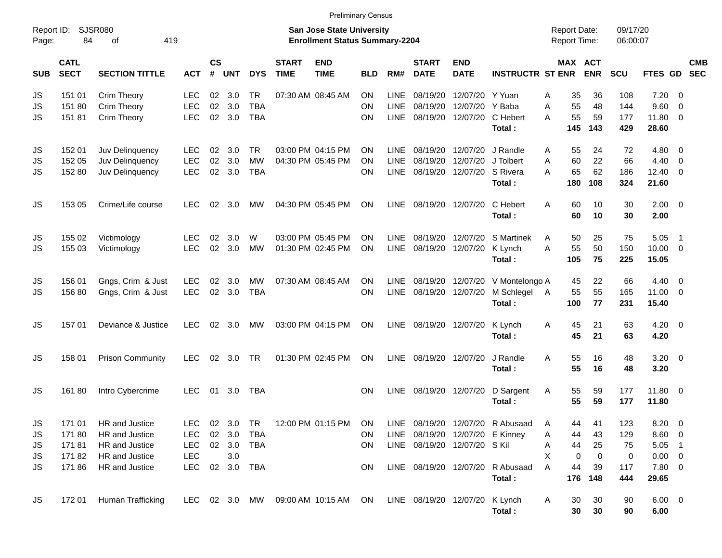|                     |                            |                             |            |                    |                |            |                             | <b>Preliminary Census</b>                                                 |            |             |                             |                                 |                                  |                                            |                              |                      |                |                          |            |
|---------------------|----------------------------|-----------------------------|------------|--------------------|----------------|------------|-----------------------------|---------------------------------------------------------------------------|------------|-------------|-----------------------------|---------------------------------|----------------------------------|--------------------------------------------|------------------------------|----------------------|----------------|--------------------------|------------|
| Report ID:<br>Page: | 84                         | <b>SJSR080</b><br>419<br>οf |            |                    |                |            |                             | <b>San Jose State University</b><br><b>Enrollment Status Summary-2204</b> |            |             |                             |                                 |                                  | <b>Report Date:</b><br><b>Report Time:</b> |                              | 09/17/20<br>06:00:07 |                |                          |            |
| <b>SUB</b>          | <b>CATL</b><br><b>SECT</b> | <b>SECTION TITTLE</b>       | <b>ACT</b> | $\mathsf{cs}$<br># | <b>UNT</b>     | <b>DYS</b> | <b>START</b><br><b>TIME</b> | <b>END</b><br><b>TIME</b>                                                 | <b>BLD</b> | RM#         | <b>START</b><br><b>DATE</b> | <b>END</b><br><b>DATE</b>       | <b>INSTRUCTR ST ENR</b>          |                                            | <b>MAX ACT</b><br><b>ENR</b> | <b>SCU</b>           | FTES GD SEC    |                          | <b>CMB</b> |
| JS                  | 151 01                     | Crim Theory                 | LEC        | 02                 | 3.0            | <b>TR</b>  |                             | 07:30 AM 08:45 AM                                                         | <b>ON</b>  | <b>LINE</b> | 08/19/20                    | 12/07/20 Y Yuan                 |                                  | 35<br>Α                                    | 36                           | 108                  | 7.20           | - 0                      |            |
| JS                  | 151 80                     | Crim Theory                 | <b>LEC</b> | 02                 | 3.0            | <b>TBA</b> |                             |                                                                           | <b>ON</b>  | <b>LINE</b> | 08/19/20                    | 12/07/20 Y Baba                 |                                  | 55<br>A                                    | 48                           | 144                  | 9.60           | $\overline{\phantom{0}}$ |            |
| JS                  | 15181                      | Crim Theory                 | <b>LEC</b> |                    | 02 3.0         | <b>TBA</b> |                             |                                                                           | OΝ         | LINE        | 08/19/20                    |                                 | 12/07/20 C Hebert                | 55<br>A                                    | 59                           | 177                  | 11.80 0        |                          |            |
|                     |                            |                             |            |                    |                |            |                             |                                                                           |            |             |                             |                                 | Total:                           | 145                                        | 143                          | 429                  | 28.60          |                          |            |
| JS                  | 152 01                     | Juv Delinquency             | <b>LEC</b> | 02                 | 3.0            | <b>TR</b>  |                             | 03:00 PM 04:15 PM                                                         | ON         | <b>LINE</b> | 08/19/20                    |                                 | 12/07/20 J Randle                | 55<br>A                                    | 24                           | 72                   | $4.80\ 0$      |                          |            |
| JS                  | 152 05                     | Juv Delinquency             | <b>LEC</b> | 02                 | 3.0            | <b>MW</b>  |                             | 04:30 PM 05:45 PM                                                         | ON         | <b>LINE</b> | 08/19/20                    |                                 | 12/07/20 J Tolbert               | 60<br>Α                                    | 22                           | 66                   | 4.40           | $\overline{\phantom{0}}$ |            |
| JS                  | 152 80                     | Juv Delinquency             | LEC        | 02                 | 3.0            | <b>TBA</b> |                             |                                                                           | <b>ON</b>  | <b>LINE</b> | 08/19/20                    | 12/07/20 S Rivera               |                                  | 65<br>A                                    | 62                           | 186                  | $12.40 \t 0$   |                          |            |
|                     |                            |                             |            |                    |                |            |                             |                                                                           |            |             |                             |                                 | Total:                           | 180                                        | 108                          | 324                  | 21.60          |                          |            |
| JS                  | 153 05                     | Crime/Life course           | LEC        | 02                 | - 3.0          | MW         |                             | 04:30 PM 05:45 PM                                                         | <b>ON</b>  | <b>LINE</b> |                             | 08/19/20 12/07/20               | C Hebert                         | 60<br>A                                    | 10                           | 30                   | $2.00 \t 0$    |                          |            |
|                     |                            |                             |            |                    |                |            |                             |                                                                           |            |             |                             |                                 | Total:                           | 60                                         | 10                           | 30                   | 2.00           |                          |            |
| JS                  | 155 02                     | Victimology                 | LEC        | 02                 | 3.0            | W          |                             | 03:00 PM 05:45 PM                                                         | ON         | <b>LINE</b> | 08/19/20                    |                                 | 12/07/20 S Martinek              | 50<br>A                                    | 25                           | 75                   | 5.05           | $\overline{\phantom{1}}$ |            |
| JS                  | 155 03                     | Victimology                 | <b>LEC</b> | 02                 | 3.0            | MW         |                             | 01:30 PM 02:45 PM                                                         | <b>ON</b>  | <b>LINE</b> | 08/19/20                    | 12/07/20                        | K Lynch                          | 55<br>A                                    | 50                           | 150                  | $10.00 \t 0$   |                          |            |
|                     |                            |                             |            |                    |                |            |                             |                                                                           |            |             |                             |                                 | Total:                           | 105                                        | 75                           | 225                  | 15.05          |                          |            |
| JS                  | 156 01                     | Gngs, Crim & Just           | <b>LEC</b> | 02                 | 3.0            | МW         |                             | 07:30 AM 08:45 AM                                                         | <b>ON</b>  | <b>LINE</b> | 08/19/20                    |                                 | 12/07/20 V Montelongo A          | 45                                         | 22                           | 66                   | $4.40 \quad 0$ |                          |            |
| JS                  | 156 80                     | Gngs, Crim & Just           | <b>LEC</b> |                    | 02 3.0         | <b>TBA</b> |                             |                                                                           | <b>ON</b>  | <b>LINE</b> | 08/19/20                    |                                 | 12/07/20 M Schlegel              | 55<br>A                                    | 55                           | 165                  | $11.00 \t 0$   |                          |            |
|                     |                            |                             |            |                    |                |            |                             |                                                                           |            |             |                             |                                 | Total:                           | 100                                        | 77                           | 231                  | 15.40          |                          |            |
| JS                  | 157 01                     | Deviance & Justice          | <b>LEC</b> |                    | $02 \quad 3.0$ | MW         |                             | 03:00 PM 04:15 PM                                                         | <b>ON</b>  |             |                             | LINE 08/19/20 12/07/20          | K Lynch                          | 45<br>Α                                    | 21                           | 63                   | $4.20 \ 0$     |                          |            |
|                     |                            |                             |            |                    |                |            |                             |                                                                           |            |             |                             |                                 | Total:                           | 45                                         | 21                           | 63                   | 4.20           |                          |            |
| JS                  | 158 01                     | <b>Prison Community</b>     | <b>LEC</b> | 02                 | 3.0            | TR         |                             | 01:30 PM 02:45 PM                                                         | <b>ON</b>  | <b>LINE</b> |                             | 08/19/20 12/07/20               | J Randle                         | 55<br>A                                    | 16                           | 48                   | $3.20 \ 0$     |                          |            |
|                     |                            |                             |            |                    |                |            |                             |                                                                           |            |             |                             |                                 | Total:                           | 55                                         | 16                           | 48                   | 3.20           |                          |            |
| JS                  | 16180                      | Intro Cybercrime            | <b>LEC</b> |                    | 01 3.0         | TBA        |                             |                                                                           | <b>ON</b>  | <b>LINE</b> |                             |                                 | 08/19/20 12/07/20 D Sargent      | 55<br>A                                    | 59                           | 177                  | 11.80 0        |                          |            |
|                     |                            |                             |            |                    |                |            |                             |                                                                           |            |             |                             |                                 | Total:                           | 55                                         | 59                           | 177                  | 11.80          |                          |            |
| JS                  | 171 01                     | HR and Justice              | LEC        |                    | 02 3.0         | TR         |                             | 12:00 PM 01:15 PM                                                         | ON         |             |                             |                                 | LINE 08/19/20 12/07/20 R Abusaad | A<br>44                                    | 41                           | 123                  | $8.20 \ 0$     |                          |            |
| JS                  | 17180                      | HR and Justice              | <b>LEC</b> |                    | 02 3.0         | TBA        |                             |                                                                           | ON.        |             |                             | LINE 08/19/20 12/07/20 E Kinney |                                  | 44<br>Α                                    | 43                           | 129                  | 8.60 0         |                          |            |
| JS                  | 17181                      | HR and Justice              | <b>LEC</b> |                    | 02 3.0         | TBA        |                             |                                                                           | <b>ON</b>  |             |                             | LINE 08/19/20 12/07/20 S Kil    |                                  | Α<br>44                                    | 25                           | 75                   | $5.05$ 1       |                          |            |
| JS                  | 17182                      | HR and Justice              | <b>LEC</b> |                    | 3.0            |            |                             |                                                                           |            |             |                             |                                 |                                  | X<br>0                                     | 0                            | 0                    | $0.00 \t 0$    |                          |            |
| JS                  | 17186                      | HR and Justice              | <b>LEC</b> |                    |                | 02 3.0 TBA |                             |                                                                           | <b>ON</b>  |             |                             |                                 | LINE 08/19/20 12/07/20 R Abusaad | A<br>44                                    | 39                           | 117                  | 7.80 0         |                          |            |
|                     |                            |                             |            |                    |                |            |                             |                                                                           |            |             |                             |                                 | Total:                           | 176                                        | 148                          | 444                  | 29.65          |                          |            |
| JS                  | 172 01                     | Human Trafficking           |            |                    |                |            |                             | LEC 02 3.0 MW 09:00 AM 10:15 AM ON                                        |            |             |                             | LINE 08/19/20 12/07/20 K Lynch  |                                  | 30<br>A                                    | 30                           | 90                   | $6.00 \t 0$    |                          |            |
|                     |                            |                             |            |                    |                |            |                             |                                                                           |            |             |                             |                                 | Total:                           | 30                                         | 30                           | 90                   | 6.00           |                          |            |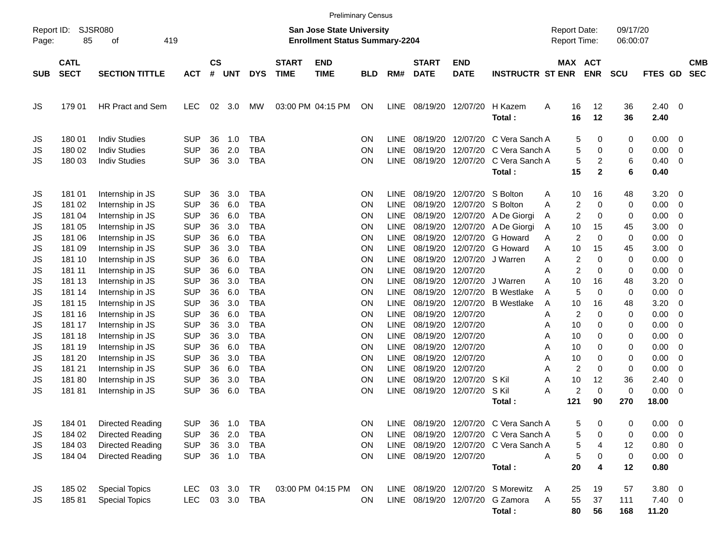|                     |                            |                         |            |                    |            |                                                                    |                                                          | <b>Preliminary Census</b> |            |             |                             |                           |                                       |     |                       |                      |            |                    |                          |                          |
|---------------------|----------------------------|-------------------------|------------|--------------------|------------|--------------------------------------------------------------------|----------------------------------------------------------|---------------------------|------------|-------------|-----------------------------|---------------------------|---------------------------------------|-----|-----------------------|----------------------|------------|--------------------|--------------------------|--------------------------|
| Report ID:<br>Page: | <b>SJSR080</b><br>85       | 419                     |            |                    |            | San Jose State University<br><b>Enrollment Status Summary-2204</b> |                                                          |                           |            |             |                             |                           | <b>Report Date:</b><br>Report Time:   |     |                       | 09/17/20<br>06:00:07 |            |                    |                          |                          |
| <b>SUB</b>          | <b>CATL</b><br><b>SECT</b> | <b>SECTION TITTLE</b>   | <b>ACT</b> | $\mathsf{cs}$<br># | <b>UNT</b> | <b>DYS</b>                                                         | <b>START</b><br><b>END</b><br><b>TIME</b><br><b>TIME</b> |                           | <b>BLD</b> | RM#         | <b>START</b><br><b>DATE</b> | <b>END</b><br><b>DATE</b> | <b>INSTRUCTR ST ENR</b>               |     | MAX ACT<br><b>ENR</b> |                      | <b>SCU</b> | FTES GD            |                          | <b>CMB</b><br><b>SEC</b> |
| JS                  | 179 01                     | <b>HR Pract and Sem</b> | <b>LEC</b> | 02                 | 3.0        | MW                                                                 | 03:00 PM 04:15 PM                                        |                           | ON         | LINE        | 08/19/20 12/07/20           |                           | H Kazem<br>Total:                     | A   | 16<br>16              | 12<br>12             | 36<br>36   | $2.40 \ 0$<br>2.40 |                          |                          |
| JS                  | 180 01                     | <b>Indiv Studies</b>    | <b>SUP</b> | 36                 | 1.0        | <b>TBA</b>                                                         |                                                          |                           | ON         | <b>LINE</b> | 08/19/20                    | 12/07/20                  | C Vera Sanch A                        |     | 5                     | 0                    | 0          | 0.00               | $\overline{\phantom{0}}$ |                          |
| JS                  | 180 02                     | <b>Indiv Studies</b>    | <b>SUP</b> | 36                 | 2.0        | <b>TBA</b>                                                         |                                                          |                           | ΟN         | <b>LINE</b> | 08/19/20                    | 12/07/20                  | C Vera Sanch A                        |     | 5                     | 0                    | 0          | 0.00               | - 0                      |                          |
| JS                  | 180 03                     | <b>Indiv Studies</b>    | <b>SUP</b> | 36                 | 3.0        | <b>TBA</b>                                                         |                                                          |                           | ON         | <b>LINE</b> | 08/19/20                    | 12/07/20                  | C Vera Sanch A                        |     | 5                     | 2                    | 6          | 0.40               | $\overline{0}$           |                          |
|                     |                            |                         |            |                    |            |                                                                    |                                                          |                           |            |             |                             |                           | Total:                                |     | 15                    | $\mathbf{2}$         | 6          | 0.40               |                          |                          |
| JS                  | 181 01                     | Internship in JS        | <b>SUP</b> | 36                 | 3.0        | <b>TBA</b>                                                         |                                                          |                           | ON         | <b>LINE</b> | 08/19/20                    | 12/07/20                  | S Bolton                              | Α   | 10                    | 16                   | 48         | 3.20               | - 0                      |                          |
| JS                  | 181 02                     | Internship in JS        | <b>SUP</b> | 36                 | 6.0        | <b>TBA</b>                                                         |                                                          |                           | ΟN         | <b>LINE</b> | 08/19/20                    | 12/07/20                  | S Bolton                              | Α   | $\overline{2}$        | 0                    | 0          | 0.00               | - 0                      |                          |
| JS                  | 181 04                     | Internship in JS        | <b>SUP</b> | 36                 | 6.0        | <b>TBA</b>                                                         |                                                          |                           | ΟN         | <b>LINE</b> | 08/19/20                    | 12/07/20                  | A De Giorgi                           | Α   | 2                     | 0                    | 0          | 0.00               | - 0                      |                          |
| JS                  | 181 05                     | Internship in JS        | <b>SUP</b> | 36                 | 3.0        | <b>TBA</b>                                                         |                                                          |                           | ΟN         | <b>LINE</b> | 08/19/20                    | 12/07/20                  | A De Giorgi                           | Α   | 10                    | 15                   | 45         | 3.00               | - 0                      |                          |
| JS                  | 181 06                     | Internship in JS        | <b>SUP</b> | 36                 | 6.0        | <b>TBA</b>                                                         |                                                          |                           | ΟN         | <b>LINE</b> | 08/19/20                    | 12/07/20                  | G Howard                              | A   | $\overline{2}$        | $\Omega$             | 0          | 0.00               | - 0                      |                          |
| JS                  | 18109                      | Internship in JS        | <b>SUP</b> | 36                 | 3.0        | <b>TBA</b>                                                         |                                                          |                           | ΟN         | <b>LINE</b> | 08/19/20                    | 12/07/20                  | G Howard                              | Α   | 10                    | 15                   | 45         | 3.00               | - 0                      |                          |
| JS                  | 181 10                     | Internship in JS        | <b>SUP</b> | 36                 | 6.0        | <b>TBA</b>                                                         |                                                          |                           | ΟN         | <b>LINE</b> | 08/19/20                    | 12/07/20                  | J Warren                              | Α   | 2                     | 0                    | 0          | 0.00               | $\overline{0}$           |                          |
| JS                  | 181 11                     | Internship in JS        | <b>SUP</b> | 36                 | 6.0        | <b>TBA</b>                                                         |                                                          |                           | ΟN         | <b>LINE</b> | 08/19/20                    | 12/07/20                  |                                       | Α   | $\overline{c}$        | 0                    | 0          | 0.00               | - 0                      |                          |
| JS                  | 181 13                     | Internship in JS        | <b>SUP</b> | 36                 | 3.0        | <b>TBA</b>                                                         |                                                          |                           | ΟN         | <b>LINE</b> | 08/19/20                    | 12/07/20                  | J Warren                              | Α   | 10                    | 16                   | 48         | 3.20               | 0                        |                          |
| JS                  | 181 14                     | Internship in JS        | <b>SUP</b> | 36                 | 6.0        | <b>TBA</b>                                                         |                                                          |                           | ΟN         | <b>LINE</b> | 08/19/20                    | 12/07/20                  | <b>B</b> Westlake                     | Α   | 5                     | 0                    | 0          | 0.00               | $\overline{0}$           |                          |
| JS                  | 181 15                     | Internship in JS        | <b>SUP</b> | 36                 | 3.0        | <b>TBA</b>                                                         |                                                          |                           | ΟN         | <b>LINE</b> | 08/19/20                    | 12/07/20                  | <b>B</b> Westlake                     | A   | 10                    | 16                   | 48         | 3.20               | 0                        |                          |
| JS                  | 181 16                     | Internship in JS        | <b>SUP</b> | 36                 | 6.0        | <b>TBA</b>                                                         |                                                          |                           | ΟN         | <b>LINE</b> | 08/19/20                    | 12/07/20                  |                                       | Α   | $\overline{c}$        | 0                    | 0          | 0.00               | 0                        |                          |
| JS                  | 181 17                     | Internship in JS        | <b>SUP</b> | 36                 | 3.0        | <b>TBA</b>                                                         |                                                          |                           | ΟN         | <b>LINE</b> | 08/19/20                    | 12/07/20                  |                                       | Α   | 10                    | 0                    | 0          | 0.00               | $\overline{0}$           |                          |
| JS                  | 181 18                     | Internship in JS        | <b>SUP</b> | 36                 | 3.0        | <b>TBA</b>                                                         |                                                          |                           | ΟN         | <b>LINE</b> | 08/19/20                    | 12/07/20                  |                                       | Α   | 10                    | 0                    | 0          | 0.00               | - 0                      |                          |
| JS                  | 181 19                     | Internship in JS        | <b>SUP</b> | 36                 | 6.0        | <b>TBA</b>                                                         |                                                          |                           | ΟN         | <b>LINE</b> | 08/19/20                    | 12/07/20                  |                                       | Α   | 10                    | 0                    | 0          | 0.00               | 0                        |                          |
| JS                  | 181 20                     | Internship in JS        | <b>SUP</b> | 36                 | 3.0        | <b>TBA</b>                                                         |                                                          |                           | ΟN         | <b>LINE</b> | 08/19/20                    | 12/07/20                  |                                       | Α   | 10                    | 0                    | 0          | 0.00               | $\overline{0}$           |                          |
| JS                  | 181 21                     | Internship in JS        | <b>SUP</b> | 36                 | 6.0        | <b>TBA</b>                                                         |                                                          |                           | ΟN         | <b>LINE</b> | 08/19/20                    | 12/07/20                  |                                       | Α   | $\overline{2}$        | 0                    | 0          | 0.00               | 0                        |                          |
| JS                  | 18180                      | Internship in JS        | <b>SUP</b> | 36                 | 3.0        | <b>TBA</b>                                                         |                                                          |                           | ΟN         | <b>LINE</b> | 08/19/20                    | 12/07/20                  | S Kil                                 | Α   | 10                    | 12                   | 36         | 2.40               | 0                        |                          |
| JS                  | 18181                      | Internship in JS        | <b>SUP</b> | 36                 | 6.0        | <b>TBA</b>                                                         |                                                          |                           | ON         | <b>LINE</b> | 08/19/20                    | 12/07/20                  | S Kil                                 | Α   | $\overline{c}$        | $\mathbf 0$          | 0          | 0.00               | $\overline{0}$           |                          |
|                     |                            |                         |            |                    |            |                                                                    |                                                          |                           |            |             |                             |                           | Total:                                | 121 |                       | 90                   | 270        | 18.00              |                          |                          |
|                     |                            |                         |            |                    |            |                                                                    |                                                          |                           |            |             |                             |                           |                                       |     |                       |                      |            |                    |                          |                          |
| JS                  | 184 01                     | Directed Reading        | <b>SUP</b> | 36                 | 1.0        | TBA                                                                |                                                          |                           | ON         |             |                             |                           | LINE 08/19/20 12/07/20 C Vera Sanch A |     | 5                     | 0                    | 0          | $0.00 \t 0$        |                          |                          |
| JS                  | 184 02                     | Directed Reading        | <b>SUP</b> |                    | 36 2.0     | <b>TBA</b>                                                         |                                                          |                           | ON         | LINE        |                             |                           | 08/19/20 12/07/20 C Vera Sanch A      |     | 5                     | 0                    | 0          | $0.00 \t 0$        |                          |                          |
| JS                  | 184 03                     | Directed Reading        | <b>SUP</b> | 36                 | 3.0        | TBA                                                                |                                                          |                           | ON         |             |                             |                           | LINE 08/19/20 12/07/20 C Vera Sanch A |     | 5                     | 4                    | 12         | 0.80 0             |                          |                          |
| JS                  | 184 04                     | Directed Reading        | <b>SUP</b> |                    |            | 36 1.0 TBA                                                         |                                                          |                           | <b>ON</b>  |             | LINE 08/19/20 12/07/20      |                           |                                       | A   | 5                     | 0                    | 0          | $0.00 \t 0$        |                          |                          |
|                     |                            |                         |            |                    |            |                                                                    |                                                          |                           |            |             |                             |                           | Total:                                |     | 20                    | 4                    | 12         | 0.80               |                          |                          |
| JS                  | 185 02                     | <b>Special Topics</b>   | <b>LEC</b> |                    | 03 3.0 TR  |                                                                    | 03:00 PM 04:15 PM                                        |                           | <b>ON</b>  |             |                             |                           | LINE 08/19/20 12/07/20 S Morewitz     | A   | 25                    | 19                   | 57         | $3.80\ 0$          |                          |                          |
| JS                  | 18581                      | <b>Special Topics</b>   | <b>LEC</b> |                    |            | 03 3.0 TBA                                                         |                                                          |                           | <b>ON</b>  |             |                             |                           | LINE 08/19/20 12/07/20 G Zamora       | A   | 55                    | 37                   | 111        | $7.40 \ 0$         |                          |                          |
|                     |                            |                         |            |                    |            |                                                                    |                                                          |                           |            |             |                             |                           | Total:                                |     | 80                    | 56                   | 168        | 11.20              |                          |                          |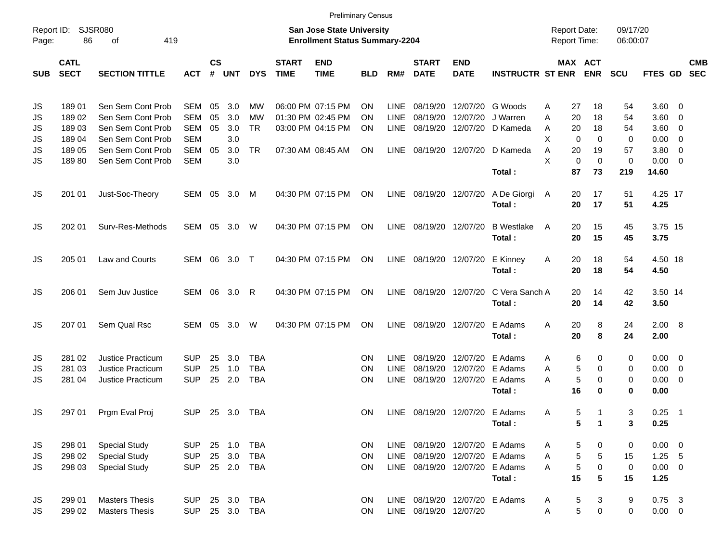|                     |                            |                             |            |                |        |            |                             |                                                                           | <b>Preliminary Census</b> |             |                                |                           |                             |                                            |                              |                      |                 |                          |                          |
|---------------------|----------------------------|-----------------------------|------------|----------------|--------|------------|-----------------------------|---------------------------------------------------------------------------|---------------------------|-------------|--------------------------------|---------------------------|-----------------------------|--------------------------------------------|------------------------------|----------------------|-----------------|--------------------------|--------------------------|
| Report ID:<br>Page: | 86                         | <b>SJSR080</b><br>419<br>оf |            |                |        |            |                             | <b>San Jose State University</b><br><b>Enrollment Status Summary-2204</b> |                           |             |                                |                           |                             | <b>Report Date:</b><br><b>Report Time:</b> |                              | 09/17/20<br>06:00:07 |                 |                          |                          |
| <b>SUB</b>          | <b>CATL</b><br><b>SECT</b> | <b>SECTION TITTLE</b>       | <b>ACT</b> | <b>CS</b><br># | UNT    | <b>DYS</b> | <b>START</b><br><b>TIME</b> | <b>END</b><br><b>TIME</b>                                                 | <b>BLD</b>                | RM#         | <b>START</b><br><b>DATE</b>    | <b>END</b><br><b>DATE</b> | <b>INSTRUCTR ST ENR</b>     |                                            | <b>MAX ACT</b><br><b>ENR</b> | <b>SCU</b>           | FTES GD         |                          | <b>CMB</b><br><b>SEC</b> |
| JS                  | 18901                      | Sen Sem Cont Prob           | SEM        | 05             | 3.0    | МW         |                             | 06:00 PM 07:15 PM                                                         | ON                        | LINE        | 08/19/20                       | 12/07/20                  | G Woods                     | 27<br>Α                                    | 18                           | 54                   | 3.60 0          |                          |                          |
| JS                  | 189 02                     | Sen Sem Cont Prob           | <b>SEM</b> | 05             | 3.0    | МW         |                             | 01:30 PM 02:45 PM                                                         | ON                        | <b>LINE</b> | 08/19/20                       | 12/07/20                  | J Warren                    | 20<br>Α                                    | 18                           | 54                   | 3.60            | $\overline{\mathbf{0}}$  |                          |
| JS                  | 18903                      | Sen Sem Cont Prob           | <b>SEM</b> | 05             | 3.0    | <b>TR</b>  |                             | 03:00 PM 04:15 PM                                                         | ΟN                        | <b>LINE</b> | 08/19/20                       |                           | 12/07/20 D Kameda           | 20<br>Α                                    | 18                           | 54                   | 3.60            | $\overline{\phantom{0}}$ |                          |
| JS                  | 18904                      | Sen Sem Cont Prob           | <b>SEM</b> |                | 3.0    |            |                             |                                                                           |                           |             |                                |                           |                             | X<br>$\Omega$                              | 0                            | 0                    | 0.00            | $\overline{\mathbf{0}}$  |                          |
| JS                  | 189 05                     | Sen Sem Cont Prob           | <b>SEM</b> | 05             | 3.0    | <b>TR</b>  |                             | 07:30 AM 08:45 AM                                                         | ON                        | LINE        |                                | 08/19/20 12/07/20         | D Kameda                    | Α<br>20                                    | 19                           | 57                   | 3.80            | $\overline{\mathbf{0}}$  |                          |
| JS                  | 18980                      | Sen Sem Cont Prob           | <b>SEM</b> |                | 3.0    |            |                             |                                                                           |                           |             |                                |                           |                             | X                                          | $\mathbf 0$<br>0             | 0                    | $0.00 \t 0$     |                          |                          |
|                     |                            |                             |            |                |        |            |                             |                                                                           |                           |             |                                |                           | Total:                      | 87                                         | 73                           | 219                  | 14.60           |                          |                          |
| JS                  | 201 01                     | Just-Soc-Theory             | SEM        | 05             | 3.0    | M          |                             | 04:30 PM 07:15 PM                                                         | ON                        | LINE        | 08/19/20 12/07/20              |                           | A De Giorgi<br>Total:       | 20<br>A<br>20                              | 17<br>17                     | 51<br>51             | 4.25 17<br>4.25 |                          |                          |
| JS                  | 202 01                     | Surv-Res-Methods            | <b>SEM</b> | 05             | 3.0    | W          |                             | 04:30 PM 07:15 PM                                                         | ON                        | LINE        | 08/19/20 12/07/20              |                           | <b>B</b> Westlake<br>Total: | 20<br>A<br>20                              | 15<br>15                     | 45<br>45             | 3.75 15<br>3.75 |                          |                          |
| JS                  | 205 01                     | Law and Courts              | SEM        | 06             | 3.0    | $\top$     |                             | 04:30 PM 07:15 PM                                                         | ON                        | LINE        | 08/19/20 12/07/20              |                           | E Kinney<br>Total:          | 20<br>A<br>20                              | 18<br>18                     | 54<br>54             | 4.50 18<br>4.50 |                          |                          |
| JS                  | 206 01                     | Sem Juv Justice             | <b>SEM</b> | 06             | 3.0    | R          |                             | 04:30 PM 07:15 PM                                                         | ON                        | LINE        |                                | 08/19/20 12/07/20         | C Vera Sanch A<br>Total:    | 20<br>20                                   | 14<br>14                     | 42<br>42             | 3.50 14<br>3.50 |                          |                          |
| JS                  | 207 01                     | Sem Qual Rsc                | <b>SEM</b> | 05             | 3.0    | W          |                             | 04:30 PM 07:15 PM                                                         | ON                        | <b>LINE</b> |                                | 08/19/20 12/07/20         | E Adams<br>Total:           | 20<br>Α<br>20                              | 8<br>8                       | 24<br>24             | 2.00 8<br>2.00  |                          |                          |
| JS                  | 281 02                     | <b>Justice Practicum</b>    | SUP        | 25             | 3.0    | <b>TBA</b> |                             |                                                                           | ON                        | LINE        | 08/19/20                       | 12/07/20                  | E Adams                     | Α                                          | 6<br>0                       | 0                    | $0.00 \t 0$     |                          |                          |
| JS                  | 281 03                     | <b>Justice Practicum</b>    | <b>SUP</b> | 25             | 1.0    | <b>TBA</b> |                             |                                                                           | ΟN                        | <b>LINE</b> | 08/19/20                       | 12/07/20                  | E Adams                     | Α                                          | 5<br>0                       | 0                    | 0.00            | $\overline{\phantom{0}}$ |                          |
| JS                  | 281 04                     | <b>Justice Practicum</b>    | <b>SUP</b> | 25             | 2.0    | <b>TBA</b> |                             |                                                                           | ΟN                        | <b>LINE</b> | 08/19/20                       | 12/07/20                  | E Adams                     | Α                                          | 5<br>0                       | 0                    | $0.00 \t 0$     |                          |                          |
|                     |                            |                             |            |                |        |            |                             |                                                                           |                           |             |                                |                           | Total:                      | 16                                         | $\bf{0}$                     | 0                    | 0.00            |                          |                          |
| JS                  | 297 01                     | Prgm Eval Proj              | <b>SUP</b> |                | 25 3.0 | TBA        |                             |                                                                           | ΟN                        | LINE        | 08/19/20 12/07/20 E Adams      |                           | Total:                      | Α                                          | 5<br>-1<br>5<br>1            | 3<br>3               | 0.25<br>0.25    | $\overline{\phantom{0}}$ |                          |
| JS                  | 298 01                     | <b>Special Study</b>        | <b>SUP</b> | 25             | 1.0    | <b>TBA</b> |                             |                                                                           | ON.                       | LINE        |                                | 08/19/20 12/07/20 E Adams |                             | A                                          | 5<br>0                       | 0                    | $0.00 \t 0$     |                          |                          |
| JS                  | 298 02                     | <b>Special Study</b>        | <b>SUP</b> | 25             | 3.0    | <b>TBA</b> |                             |                                                                           | ON.                       | LINE        | 08/19/20                       |                           | 12/07/20 E Adams            | Α                                          | 5<br>5                       | 15                   | $1.25$ 5        |                          |                          |
| JS                  | 298 03                     | <b>Special Study</b>        | <b>SUP</b> |                | 25 2.0 | TBA        |                             |                                                                           | ON.                       | LINE        | 08/19/20                       | 12/07/20 E Adams          |                             | A                                          | 5<br>0                       | 0                    | $0.00 \t 0$     |                          |                          |
|                     |                            |                             |            |                |        |            |                             |                                                                           |                           |             |                                |                           | Total:                      | 15                                         | 5                            | 15                   | 1.25            |                          |                          |
| JS                  | 299 01                     | <b>Masters Thesis</b>       | <b>SUP</b> |                | 25 3.0 | <b>TBA</b> |                             |                                                                           | ON.                       |             | LINE 08/19/20 12/07/20 E Adams |                           |                             | A                                          | 5<br>3                       | 9                    | $0.75$ 3        |                          |                          |
| JS                  | 299 02                     | <b>Masters Thesis</b>       | <b>SUP</b> |                | 25 3.0 | TBA        |                             |                                                                           | ON.                       |             | LINE 08/19/20 12/07/20         |                           |                             | Α                                          | 5<br>0                       | 0                    | $0.00\quad$ $0$ |                          |                          |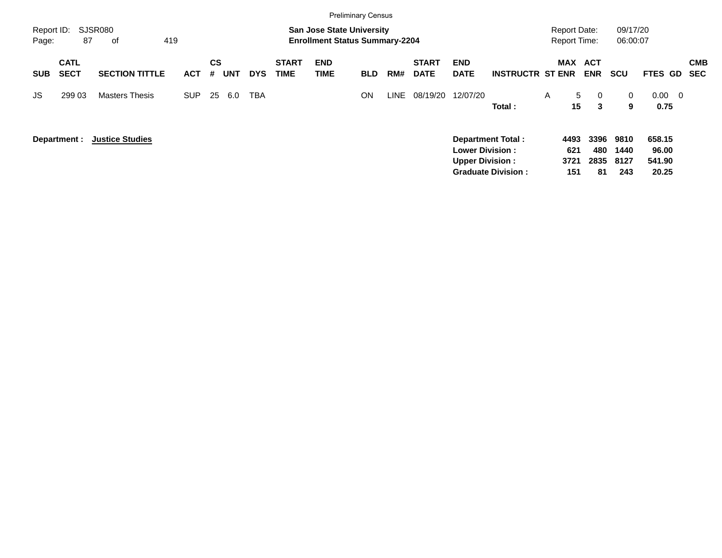|                     |                            |                        |            |         |            |            |                             | <b>Preliminary Census</b>                                                 |            |      |                             |                                                                              |                           |                     |                                            |                   |                             |                                    |                          |
|---------------------|----------------------------|------------------------|------------|---------|------------|------------|-----------------------------|---------------------------------------------------------------------------|------------|------|-----------------------------|------------------------------------------------------------------------------|---------------------------|---------------------|--------------------------------------------|-------------------|-----------------------------|------------------------------------|--------------------------|
| Report ID:<br>Page: | 87                         | SJSR080<br>419<br>οf   |            |         |            |            |                             | <b>San Jose State University</b><br><b>Enrollment Status Summary-2204</b> |            |      |                             |                                                                              |                           |                     | <b>Report Date:</b><br><b>Report Time:</b> |                   | 09/17/20<br>06:00:07        |                                    |                          |
| <b>SUB</b>          | <b>CATL</b><br><b>SECT</b> | <b>SECTION TITTLE</b>  | <b>ACT</b> | CS<br># | <b>UNT</b> | <b>DYS</b> | <b>START</b><br><b>TIME</b> | <b>END</b><br><b>TIME</b>                                                 | <b>BLD</b> | RM#  | <b>START</b><br><b>DATE</b> | <b>END</b><br><b>DATE</b>                                                    | <b>INSTRUCTR ST ENR</b>   |                     | MAX ACT<br><b>ENR</b>                      | <b>SCU</b>        |                             | <b>FTES GD</b>                     | <b>CMB</b><br><b>SEC</b> |
| JS.                 | 299 03                     | <b>Masters Thesis</b>  | <b>SUP</b> | 25      | 6.0        | <b>TBA</b> |                             |                                                                           | ON         | LINE | 08/19/20                    | 12/07/20                                                                     | Total:                    | A                   | 5<br>15                                    | $\mathbf{0}$<br>3 | $\mathbf{0}$<br>9           | $0.00 \quad 0$<br>0.75             |                          |
|                     | Department :               | <b>Justice Studies</b> |            |         |            |            |                             |                                                                           |            |      |                             | <b>Department Total:</b><br><b>Lower Division:</b><br><b>Upper Division:</b> | <b>Graduate Division:</b> | 4493<br>621<br>3721 | 3396<br>2835<br>151                        | 480<br>81         | 9810<br>1440<br>8127<br>243 | 658.15<br>96.00<br>541.90<br>20.25 |                          |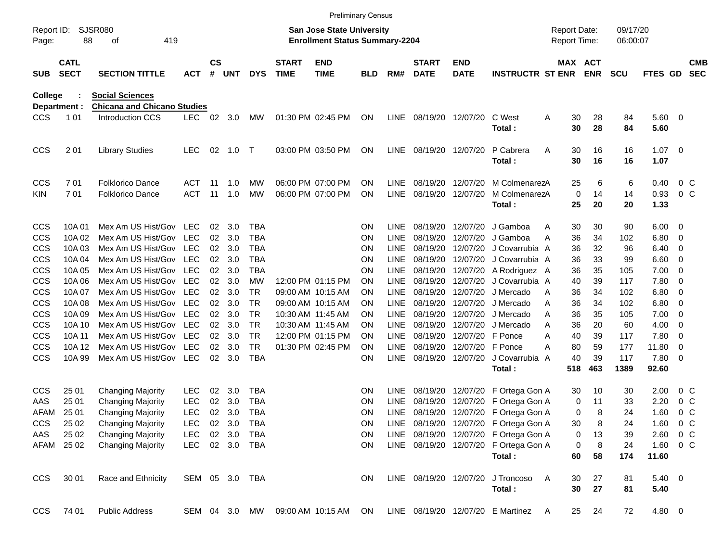|                     |                            |                                    |            |               |        |                |                             | <b>Preliminary Census</b>                                                 |            |             |                             |                           |                                       |     |                                            |            |                      |                        |        |                          |
|---------------------|----------------------------|------------------------------------|------------|---------------|--------|----------------|-----------------------------|---------------------------------------------------------------------------|------------|-------------|-----------------------------|---------------------------|---------------------------------------|-----|--------------------------------------------|------------|----------------------|------------------------|--------|--------------------------|
| Report ID:<br>Page: | 88                         | SJSR080<br>οf<br>419               |            |               |        |                |                             | <b>San Jose State University</b><br><b>Enrollment Status Summary-2204</b> |            |             |                             |                           |                                       |     | <b>Report Date:</b><br><b>Report Time:</b> |            | 09/17/20<br>06:00:07 |                        |        |                          |
| <b>SUB</b>          | <b>CATL</b><br><b>SECT</b> | <b>SECTION TITTLE</b>              | <b>ACT</b> | $\mathsf{cs}$ | # UNT  | <b>DYS</b>     | <b>START</b><br><b>TIME</b> | <b>END</b><br><b>TIME</b>                                                 | <b>BLD</b> | RM#         | <b>START</b><br><b>DATE</b> | <b>END</b><br><b>DATE</b> | <b>INSTRUCTR ST ENR</b>               |     | MAX ACT                                    | <b>ENR</b> | <b>SCU</b>           | FTES GD                |        | <b>CMB</b><br><b>SEC</b> |
| <b>College</b>      |                            | <b>Social Sciences</b>             |            |               |        |                |                             |                                                                           |            |             |                             |                           |                                       |     |                                            |            |                      |                        |        |                          |
| Department :        |                            | <b>Chicana and Chicano Studies</b> |            |               |        |                |                             |                                                                           |            |             |                             |                           |                                       |     |                                            |            |                      |                        |        |                          |
| <b>CCS</b>          | 1 0 1                      | Introduction CCS                   | <b>LEC</b> | 02            | 3.0    | MW             |                             | 01:30 PM 02:45 PM                                                         | ON         |             | LINE 08/19/20 12/07/20      |                           | C West<br>Total:                      | A   | 30<br>30                                   | 28<br>28   | 84<br>84             | $5.60 \quad 0$<br>5.60 |        |                          |
| <b>CCS</b>          | 201                        | <b>Library Studies</b>             | <b>LEC</b> | 02            | 1.0    | $\top$         |                             | 03:00 PM 03:50 PM                                                         | ON         |             | LINE 08/19/20 12/07/20      |                           | P Cabrera                             | Α   | 30                                         | 16         | 16                   | $1.07 \t 0$            |        |                          |
|                     |                            |                                    |            |               |        |                |                             |                                                                           |            |             |                             |                           | Total:                                |     | 30                                         | 16         | 16                   | 1.07                   |        |                          |
| <b>CCS</b>          | 701                        | <b>Folklorico Dance</b>            | ACT        | 11            | 1.0    | МW             |                             | 06:00 PM 07:00 PM                                                         | <b>ON</b>  | LINE        | 08/19/20                    | 12/07/20                  | M ColmenarezA                         |     | 25                                         | 6          | 6                    | 0.40                   |        | 0 <sup>o</sup>           |
| <b>KIN</b>          | 701                        | <b>Folklorico Dance</b>            | <b>ACT</b> | 11            | 1.0    | МW             |                             | 06:00 PM 07:00 PM                                                         | <b>ON</b>  | <b>LINE</b> | 08/19/20                    | 12/07/20                  | M ColmenarezA                         |     | 0                                          | 14         | 14                   | 0.93                   |        | 0 <sup>o</sup>           |
|                     |                            |                                    |            |               |        |                |                             |                                                                           |            |             |                             |                           | Total:                                |     | 25                                         | 20         | 20                   | 1.33                   |        |                          |
| <b>CCS</b>          | 10A 01                     | Mex Am US Hist/Gov                 | <b>LEC</b> | 02            | 3.0    | TBA            |                             |                                                                           | <b>ON</b>  | LINE.       | 08/19/20                    | 12/07/20                  | J Gamboa                              | A   | 30                                         | 30         | 90                   | 6.00                   | - 0    |                          |
| <b>CCS</b>          | 10A 02                     | Mex Am US Hist/Gov                 | <b>LEC</b> | 02            | 3.0    | TBA            |                             |                                                                           | <b>ON</b>  | LINE        | 08/19/20                    | 12/07/20                  | J Gamboa                              | A   | 36                                         | 34         | 102                  | 6.80                   | 0      |                          |
| <b>CCS</b>          | 10A03                      | Mex Am US Hist/Gov                 | <b>LEC</b> | 02            | 3.0    | TBA            |                             |                                                                           | <b>ON</b>  | <b>LINE</b> | 08/19/20                    | 12/07/20                  | J Covarrubia A                        |     | 36                                         | 32         | 96                   | 6.40                   | 0      |                          |
| <b>CCS</b>          | 10A 04                     | Mex Am US Hist/Gov                 | <b>LEC</b> | 02            | 3.0    | TBA            |                             |                                                                           | <b>ON</b>  | <b>LINE</b> | 08/19/20                    | 12/07/20                  | J Covarrubia A                        |     | 36                                         | 33         | 99                   | 6.60                   | 0      |                          |
| <b>CCS</b>          | 10A 05                     | Mex Am US Hist/Gov                 | <b>LEC</b> | 02            | 3.0    | TBA            |                             |                                                                           | <b>ON</b>  | <b>LINE</b> | 08/19/20                    |                           | 12/07/20 A Rodriguez A                |     | 36                                         | 35         | 105                  | 7.00                   | 0      |                          |
| CCS                 | 10A 06                     | Mex Am US Hist/Gov                 | <b>LEC</b> | 02            | 3.0    | МW             |                             | 12:00 PM 01:15 PM                                                         | <b>ON</b>  | <b>LINE</b> | 08/19/20                    | 12/07/20                  | J Covarrubia A                        |     | 40                                         | 39         | 117                  | 7.80                   | 0      |                          |
| CCS                 | 10A 07                     | Mex Am US Hist/Gov                 | <b>LEC</b> | 02            | 3.0    | TR             | 09:00 AM 10:15 AM           |                                                                           | <b>ON</b>  | <b>LINE</b> | 08/19/20                    | 12/07/20                  | J Mercado                             | A   | 36                                         | 34         | 102                  | 6.80                   | 0      |                          |
| CCS                 | 10A 08                     | Mex Am US Hist/Gov                 | <b>LEC</b> | 02            | 3.0    | TR.            | 09:00 AM 10:15 AM           |                                                                           | <b>ON</b>  | <b>LINE</b> | 08/19/20                    | 12/07/20                  | J Mercado                             | A   | 36                                         | 34         | 102                  | 6.80                   | 0      |                          |
| CCS                 | 10A 09                     | Mex Am US Hist/Gov                 | <b>LEC</b> | 02            | 3.0    | <b>TR</b>      | 10:30 AM 11:45 AM           |                                                                           | <b>ON</b>  | <b>LINE</b> | 08/19/20                    | 12/07/20                  | J Mercado                             | A   | 36                                         | 35         | 105                  | 7.00                   | 0      |                          |
| CCS                 | 10A 10                     | Mex Am US Hist/Gov                 | <b>LEC</b> | 02            | 3.0    | TR.            | 10:30 AM 11:45 AM           |                                                                           | <b>ON</b>  | <b>LINE</b> | 08/19/20                    | 12/07/20                  | J Mercado                             | A   | 36                                         | 20         | 60                   | 4.00                   | 0      |                          |
| CCS                 | 10A 11                     | Mex Am US Hist/Gov                 | <b>LEC</b> | 02            | 3.0    | <b>TR</b>      |                             | 12:00 PM 01:15 PM                                                         | <b>ON</b>  | <b>LINE</b> | 08/19/20                    | 12/07/20 F Ponce          |                                       | A   | 40                                         | 39         | 117                  | 7.80                   | 0      |                          |
| CCS                 | 10A 12                     | Mex Am US Hist/Gov                 | LEC        | 02            | 3.0    | <b>TR</b>      |                             | 01:30 PM 02:45 PM                                                         | ON         | <b>LINE</b> | 08/19/20                    | 12/07/20 F Ponce          |                                       | А   | 80                                         | 59         | 177                  | 11.80                  | 0      |                          |
| CCS                 | 10A 99                     | Mex Am US Hist/Gov                 | <b>LEC</b> | 02            | 3.0    | <b>TBA</b>     |                             |                                                                           | ON         | <b>LINE</b> |                             | 08/19/20 12/07/20         | J Covarrubia A                        |     | 40                                         | 39         | 117                  | 7.80                   | 0      |                          |
|                     |                            |                                    |            |               |        |                |                             |                                                                           |            |             |                             |                           | Total:                                |     | 518                                        | 463        | 1389                 | 92.60                  |        |                          |
| <b>CCS</b>          | 25 01                      | <b>Changing Majority</b>           | LEC.       | 02            | 3.0    | <b>TBA</b>     |                             |                                                                           | <b>ON</b>  | LINE        | 08/19/20                    |                           | 12/07/20 F Ortega Gon A               |     | 30                                         | 10         | 30                   | 2.00                   |        | $0\,$ C                  |
| AAS                 | 25 01                      | <b>Changing Majority</b>           | <b>LEC</b> | 02            | 3.0    | <b>TBA</b>     |                             |                                                                           | <b>ON</b>  | <b>LINE</b> | 08/19/20                    |                           | 12/07/20 F Ortega Gon A               |     | 0                                          | 11         | 33                   | 2.20                   |        | 0 <sup>o</sup>           |
| AFAM                | 25 01                      | <b>Changing Majority</b>           | <b>LEC</b> | 02            | 3.0    | TBA            |                             |                                                                           | ON         |             |                             |                           | LINE 08/19/20 12/07/20 F Ortega Gon A |     | 0                                          | 8          | 24                   | 1.60                   | $0\,C$ |                          |
| <b>CCS</b>          | 25 02                      | <b>Changing Majority</b>           | <b>LEC</b> |               | 02 3.0 | TBA            |                             |                                                                           | <b>ON</b>  |             |                             |                           | LINE 08/19/20 12/07/20 F Ortega Gon A |     | 30                                         | 8          | 24                   | $1.60 \t 0 C$          |        |                          |
| AAS                 | 25 02                      | <b>Changing Majority</b>           | LEC.       |               | 02 3.0 | TBA            |                             |                                                                           | ON         |             |                             |                           | LINE 08/19/20 12/07/20 F Ortega Gon A |     | 0                                          | 13         | 39                   | 2.60 0 C               |        |                          |
|                     | AFAM 25 02                 | <b>Changing Majority</b>           |            |               |        | LEC 02 3.0 TBA |                             |                                                                           | ON         |             |                             |                           | LINE 08/19/20 12/07/20 F Ortega Gon A |     | 0                                          | 8          | 24                   | $1.60 \t 0 C$          |        |                          |
|                     |                            |                                    |            |               |        |                |                             |                                                                           |            |             |                             |                           | Total:                                |     | 60                                         | 58         | 174                  | 11.60                  |        |                          |
| <b>CCS</b>          | 30 01                      | Race and Ethnicity                 |            |               |        | SEM 05 3.0 TBA |                             |                                                                           | ON         |             |                             | LINE 08/19/20 12/07/20    | J Troncoso                            | A   | 30                                         | 27         | 81                   | $5.40\ 0$              |        |                          |
|                     |                            |                                    |            |               |        |                |                             |                                                                           |            |             |                             |                           | Total:                                |     | 30                                         | 27         | 81                   | 5.40                   |        |                          |
| <b>CCS</b>          | 74 01                      | <b>Public Address</b>              |            |               |        | SEM 04 3.0 MW  |                             | 09:00 AM 10:15 AM ON                                                      |            |             |                             |                           | LINE 08/19/20 12/07/20 E Martinez     | - A | 25                                         | 24         | 72                   | 4.80 0                 |        |                          |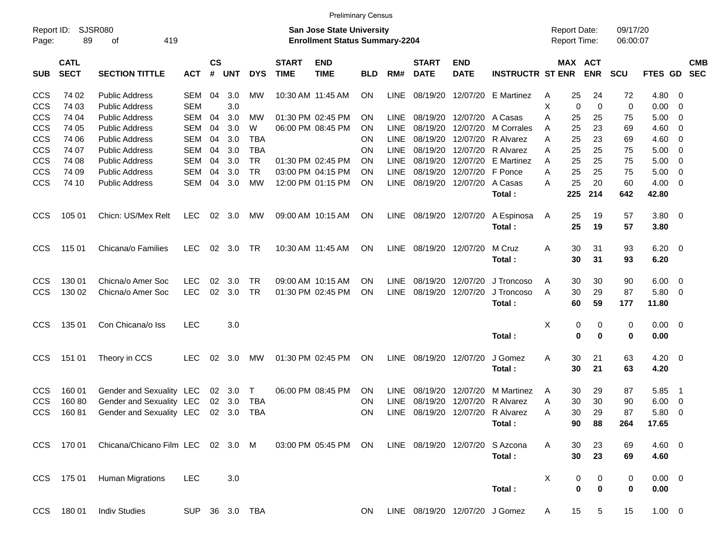|                          |                            |                                                      |            |                    |            |                      |                             | <b>Preliminary Census</b>                                                 |            |                     |                             |                           |                                |        |          |                                            |                      |                |                          |                          |
|--------------------------|----------------------------|------------------------------------------------------|------------|--------------------|------------|----------------------|-----------------------------|---------------------------------------------------------------------------|------------|---------------------|-----------------------------|---------------------------|--------------------------------|--------|----------|--------------------------------------------|----------------------|----------------|--------------------------|--------------------------|
| Report ID:<br>Page:      | 89                         | SJSR080<br>419<br>оf                                 |            |                    |            |                      |                             | <b>San Jose State University</b><br><b>Enrollment Status Summary-2204</b> |            |                     |                             |                           |                                |        |          | <b>Report Date:</b><br><b>Report Time:</b> | 09/17/20<br>06:00:07 |                |                          |                          |
| <b>SUB</b>               | <b>CATL</b><br><b>SECT</b> | <b>SECTION TITTLE</b>                                | <b>ACT</b> | $\mathsf{cs}$<br># | <b>UNT</b> | <b>DYS</b>           | <b>START</b><br><b>TIME</b> | <b>END</b><br><b>TIME</b>                                                 | <b>BLD</b> | RM#                 | <b>START</b><br><b>DATE</b> | <b>END</b><br><b>DATE</b> | <b>INSTRUCTR ST ENR</b>        |        |          | MAX ACT<br><b>ENR</b>                      | <b>SCU</b>           | FTES GD        |                          | <b>CMB</b><br><b>SEC</b> |
| <b>CCS</b>               | 74 02                      | <b>Public Address</b>                                | SEM        | 04                 | 3.0        | МW                   |                             | 10:30 AM 11:45 AM                                                         | <b>ON</b>  | LINE                | 08/19/20                    |                           | 12/07/20 E Martinez            | Α      | 25       | 24                                         | 72                   | 4.80           | - 0                      |                          |
| <b>CCS</b>               | 74 03                      | <b>Public Address</b>                                | <b>SEM</b> |                    | 3.0        |                      |                             |                                                                           |            |                     |                             |                           |                                | X      | 0        | 0                                          | 0                    | 0.00           | - 0                      |                          |
| <b>CCS</b>               | 74 04                      | <b>Public Address</b>                                | <b>SEM</b> | 04                 | 3.0        | МW                   |                             | 01:30 PM 02:45 PM                                                         | ΟN         | <b>LINE</b>         | 08/19/20                    | 12/07/20                  | A Casas                        | Α      | 25       | 25                                         | 75                   | 5.00           | - 0                      |                          |
| <b>CCS</b>               | 74 05                      | <b>Public Address</b>                                | <b>SEM</b> | 04                 | 3.0        | W                    |                             | 06:00 PM 08:45 PM                                                         | ΟN         | <b>LINE</b>         | 08/19/20                    | 12/07/20                  | M Corrales                     | A      | 25       | 23                                         | 69                   | 4.60           | 0                        |                          |
| <b>CCS</b>               | 74 06                      | <b>Public Address</b>                                | <b>SEM</b> | 04                 | 3.0        | <b>TBA</b>           |                             |                                                                           | ΟN         | <b>LINE</b>         | 08/19/20                    | 12/07/20                  | R Alvarez                      | Α      | 25       | 23                                         | 69                   | 4.60           | - 0                      |                          |
| <b>CCS</b>               | 74 07                      | <b>Public Address</b>                                | <b>SEM</b> | 04                 | 3.0        | <b>TBA</b>           |                             |                                                                           | ON         | <b>LINE</b>         | 08/19/20                    | 12/07/20                  | R Alvarez                      | Α      | 25       | 25                                         | 75                   | 5.00           | - 0                      |                          |
| <b>CCS</b>               | 74 08                      | <b>Public Address</b>                                | <b>SEM</b> | 04                 | 3.0        | <b>TR</b>            |                             | 01:30 PM 02:45 PM                                                         | ΟN         | <b>LINE</b>         | 08/19/20                    | 12/07/20                  | <b>E</b> Martinez              | A      | 25       | 25                                         | 75                   | 5.00           | $\overline{\mathbf{0}}$  |                          |
| <b>CCS</b>               | 74 09                      | <b>Public Address</b>                                | SEM        | 04                 | 3.0        | <b>TR</b>            |                             | 03:00 PM 04:15 PM                                                         | ΟN         | LINE                | 08/19/20                    | 12/07/20 F Ponce          |                                | Α      | 25       | 25                                         | 75                   | 5.00           | 0                        |                          |
| CCS                      | 74 10                      | <b>Public Address</b>                                | <b>SEM</b> | 04                 | 3.0        | MW                   |                             | 12:00 PM 01:15 PM                                                         | ΟN         | LINE                | 08/19/20                    | 12/07/20                  | A Casas                        | A      | 25       | 20                                         | 60                   | 4.00           | $\overline{\mathbf{0}}$  |                          |
|                          |                            |                                                      |            |                    |            |                      |                             |                                                                           |            |                     |                             |                           | Total:                         |        | 225      | 214                                        | 642                  | 42.80          |                          |                          |
| <b>CCS</b>               | 105 01                     | Chicn: US/Mex Relt                                   | <b>LEC</b> | 02                 | 3.0        | МW                   |                             | 09:00 AM 10:15 AM                                                         | ON         | <b>LINE</b>         |                             | 08/19/20 12/07/20         | A Espinosa<br>Total:           | A      | 25<br>25 | 19<br>19                                   | 57<br>57             | 3.80 0<br>3.80 |                          |                          |
|                          |                            |                                                      |            |                    |            |                      |                             |                                                                           |            |                     |                             |                           |                                |        |          |                                            |                      |                |                          |                          |
| <b>CCS</b>               | 115 01                     | Chicana/o Families                                   | <b>LEC</b> | 02                 | 3.0        | TR                   |                             | 10:30 AM 11:45 AM                                                         | ΟN         | <b>LINE</b>         |                             | 08/19/20 12/07/20         | M Cruz                         | Α      | 30       | 31                                         | 93                   | 6.20           | $\overline{\phantom{0}}$ |                          |
|                          |                            |                                                      |            |                    |            |                      |                             |                                                                           |            |                     |                             |                           | Total:                         |        | 30       | 31                                         | 93                   | 6.20           |                          |                          |
| <b>CCS</b>               | 130 01                     | Chicna/o Amer Soc                                    | <b>LEC</b> | 02                 | 3.0        | <b>TR</b>            |                             | 09:00 AM 10:15 AM                                                         | ΟN         | <b>LINE</b>         | 08/19/20                    | 12/07/20                  | J Troncoso                     | A      | 30       | 30                                         | 90                   | 6.00           | $\overline{\mathbf{0}}$  |                          |
| <b>CCS</b>               | 130 02                     | Chicna/o Amer Soc                                    | <b>LEC</b> | 02                 | 3.0        | <b>TR</b>            |                             | 01:30 PM 02:45 PM                                                         | ΟN         | LINE                | 08/19/20                    | 12/07/20                  | J Troncoso                     | A      | 30       | 29                                         | 87                   | 5.80           | - 0                      |                          |
|                          |                            |                                                      |            |                    |            |                      |                             |                                                                           |            |                     |                             |                           | Total:                         |        | 60       | 59                                         | 177                  | 11.80          |                          |                          |
| <b>CCS</b>               | 135 01                     | Con Chicana/o Iss                                    | <b>LEC</b> |                    | 3.0        |                      |                             |                                                                           |            |                     |                             |                           |                                | X      | 0        | 0                                          | 0                    | $0.00 \t 0$    |                          |                          |
|                          |                            |                                                      |            |                    |            |                      |                             |                                                                           |            |                     |                             |                           | Total:                         |        | 0        | 0                                          | 0                    | 0.00           |                          |                          |
| <b>CCS</b>               | 151 01                     | Theory in CCS                                        | <b>LEC</b> | 02                 | 3.0        | МW                   | 01:30 PM 02:45 PM           |                                                                           | ΟN         | LINE                | 08/19/20                    | 12/07/20                  | J Gomez                        | Α      | 30       | 21                                         | 63                   | 4.20           | $\overline{\phantom{0}}$ |                          |
|                          |                            |                                                      |            |                    |            |                      |                             |                                                                           |            |                     |                             |                           | Total:                         |        | 30       | 21                                         | 63                   | 4.20           |                          |                          |
|                          |                            |                                                      |            |                    |            |                      |                             |                                                                           |            |                     | 08/19/20                    | 12/07/20                  |                                |        |          |                                            |                      |                |                          |                          |
| <b>CCS</b><br><b>CCS</b> | 160 01                     | Gender and Sexuality LEC                             |            | 02                 | 3.0        | $\top$<br><b>TBA</b> |                             | 06:00 PM 08:45 PM                                                         | ΟN         | <b>LINE</b>         |                             | 12/07/20                  | M Martinez<br>R Alvarez        | A      | 30<br>30 | 29<br>30                                   | 87                   | 5.85           | - 1                      |                          |
| <b>CCS</b>               | 16080<br>16081             | Gender and Sexuality LEC<br>Gender and Sexuality LEC |            | 02<br>02           | 3.0<br>3.0 | <b>TBA</b>           |                             |                                                                           | ΟN<br>ΟN   | LINE<br><b>LINE</b> | 08/19/20<br>08/19/20        |                           | 12/07/20 R Alvarez             | Α<br>Α | 30       | 29                                         | 90<br>87             | 6.00<br>5.80   | $\overline{\mathbf{0}}$  |                          |
|                          |                            |                                                      |            |                    |            |                      |                             |                                                                           |            |                     |                             |                           | Total:                         |        | 90       | 88                                         |                      | 17.65          | - 0                      |                          |
|                          |                            |                                                      |            |                    |            |                      |                             |                                                                           |            |                     |                             |                           |                                |        |          |                                            | 264                  |                |                          |                          |
| <b>CCS</b>               | 170 01                     | Chicana/Chicano Film LEC 02 3.0 M                    |            |                    |            |                      |                             | 03:00 PM 05:45 PM ON                                                      |            |                     |                             | LINE 08/19/20 12/07/20    | S Azcona                       | A      | 30       | 23                                         | 69                   | $4.60$ 0       |                          |                          |
|                          |                            |                                                      |            |                    |            |                      |                             |                                                                           |            |                     |                             |                           | Total:                         |        | 30       | 23                                         | 69                   | 4.60           |                          |                          |
| <b>CCS</b>               | 175 01                     | <b>Human Migrations</b>                              | <b>LEC</b> |                    | 3.0        |                      |                             |                                                                           |            |                     |                             |                           |                                | X      | 0        | 0                                          | 0                    | $0.00 \t 0$    |                          |                          |
|                          |                            |                                                      |            |                    |            |                      |                             |                                                                           |            |                     |                             |                           | Total:                         |        | $\bf{0}$ | $\bf{0}$                                   | 0                    | 0.00           |                          |                          |
|                          |                            |                                                      |            |                    |            |                      |                             |                                                                           |            |                     |                             |                           |                                |        |          |                                            |                      |                |                          |                          |
| <b>CCS</b>               | 18001                      | <b>Indiv Studies</b>                                 |            |                    |            | SUP 36 3.0 TBA       |                             |                                                                           | ON         |                     |                             |                           | LINE 08/19/20 12/07/20 J Gomez | A      | 15       | $5\phantom{.0}$                            | 15                   | $1.00 \t 0$    |                          |                          |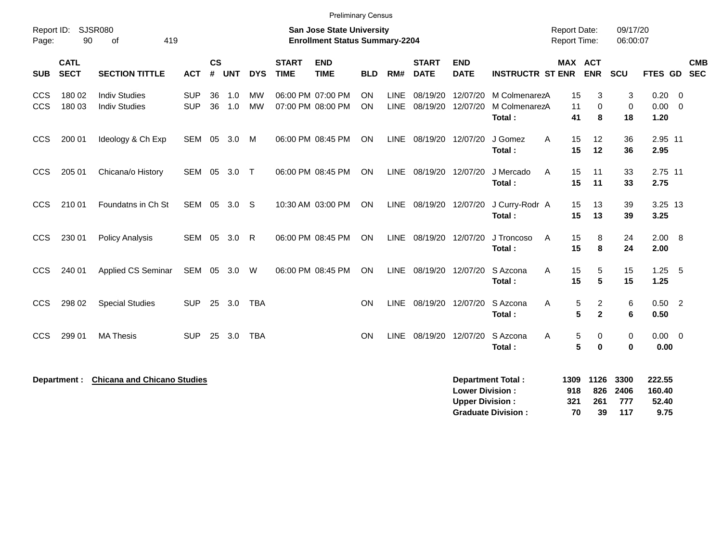|                                                                                                                                | <b>Preliminary Census</b>  |                                              |                   |                    |            |                        |                             |                                        |                        |                            |                             |                                                  |                                                       |                                            |                                            |                            |                                   |                         |            |
|--------------------------------------------------------------------------------------------------------------------------------|----------------------------|----------------------------------------------|-------------------|--------------------|------------|------------------------|-----------------------------|----------------------------------------|------------------------|----------------------------|-----------------------------|--------------------------------------------------|-------------------------------------------------------|--------------------------------------------|--------------------------------------------|----------------------------|-----------------------------------|-------------------------|------------|
| SJSR080<br><b>San Jose State University</b><br>Report ID:<br>90<br>419<br><b>Enrollment Status Summary-2204</b><br>Page:<br>οf |                            |                                              |                   |                    |            |                        |                             |                                        |                        |                            |                             |                                                  |                                                       | <b>Report Date:</b><br><b>Report Time:</b> |                                            | 09/17/20<br>06:00:07       |                                   |                         |            |
| <b>SUB</b>                                                                                                                     | <b>CATL</b><br><b>SECT</b> | <b>SECTION TITTLE</b>                        | <b>ACT</b>        | $\mathsf{cs}$<br># | <b>UNT</b> | <b>DYS</b>             | <b>START</b><br><b>TIME</b> | <b>END</b><br><b>TIME</b>              | <b>BLD</b>             | RM#                        | <b>START</b><br><b>DATE</b> | <b>END</b><br><b>DATE</b>                        | <b>INSTRUCTR ST ENR</b>                               |                                            | <b>MAX ACT</b><br><b>ENR</b>               | <b>SCU</b>                 | FTES GD                           | <b>SEC</b>              | <b>CMB</b> |
| <b>CCS</b><br><b>CCS</b>                                                                                                       | 180 02<br>180 03           | <b>Indiv Studies</b><br><b>Indiv Studies</b> | SUP<br><b>SUP</b> | 36<br>36           | 1.0<br>1.0 | <b>MW</b><br><b>MW</b> |                             | 06:00 PM 07:00 PM<br>07:00 PM 08:00 PM | <b>ON</b><br><b>ON</b> | <b>LINE</b><br><b>LINE</b> | 08/19/20<br>08/19/20        | 12/07/20<br>12/07/20                             | M ColmenarezA<br>M ColmenarezA<br>Total:              | 15<br>11<br>41                             | 3<br>$\mathbf 0$<br>8                      | 3<br>$\mathbf 0$<br>18     | 0.20<br>$0.00 \t 0$<br>1.20       | $\overline{\mathbf{0}}$ |            |
| <b>CCS</b>                                                                                                                     | 200 01                     | Ideology & Ch Exp                            | <b>SEM</b>        | 05                 | 3.0        | M                      |                             | 06:00 PM 08:45 PM                      | <b>ON</b>              |                            | LINE 08/19/20 12/07/20      |                                                  | J Gomez<br>Total:                                     | A<br>15<br>15                              | 12<br>12                                   | 36<br>36                   | 2.95 11<br>2.95                   |                         |            |
| <b>CCS</b>                                                                                                                     | 205 01                     | Chicana/o History                            | <b>SEM</b>        | 05                 | 3.0        | $\top$                 |                             | 06:00 PM 08:45 PM                      | <b>ON</b>              | LINE                       | 08/19/20 12/07/20           |                                                  | J Mercado<br>Total:                                   | 15<br>A<br>15                              | 11<br>11                                   | 33<br>33                   | 2.75 11<br>2.75                   |                         |            |
| <b>CCS</b>                                                                                                                     | 210 01                     | Foundatns in Ch St                           | <b>SEM</b>        | 05                 | 3.0        | -S                     |                             | 10:30 AM 03:00 PM                      | ON                     | LINE                       | 08/19/20 12/07/20           |                                                  | J Curry-Rodr A<br>Total:                              | 15<br>15                                   | 13<br>13                                   | 39<br>39                   | 3.25 13<br>3.25                   |                         |            |
| <b>CCS</b>                                                                                                                     | 230 01                     | <b>Policy Analysis</b>                       | <b>SEM</b>        | 05                 | 3.0        | R                      |                             | 06:00 PM 08:45 PM                      | <b>ON</b>              |                            | LINE 08/19/20 12/07/20      |                                                  | J Troncoso<br>Total:                                  | 15<br>A<br>15                              | 8<br>8                                     | 24<br>24                   | 2.00 8<br>2.00                    |                         |            |
| CCS                                                                                                                            | 240 01                     | Applied CS Seminar                           | SEM 05            |                    | 3.0        | W                      |                             | 06:00 PM 08:45 PM                      | <b>ON</b>              |                            | LINE 08/19/20 12/07/20      |                                                  | S Azcona<br>Total:                                    | 15<br>A<br>15                              | 5<br>5                                     | 15<br>15                   | 1.25<br>1.25                      | 5                       |            |
| CCS                                                                                                                            | 298 02                     | <b>Special Studies</b>                       | <b>SUP</b>        | 25                 | 3.0        | <b>TBA</b>             |                             |                                        | <b>ON</b>              | <b>LINE</b>                | 08/19/20 12/07/20           |                                                  | S Azcona<br>Total:                                    | Α                                          | $\overline{c}$<br>5<br>5<br>$\overline{2}$ | 6<br>6                     | $0.50$ 2<br>0.50                  |                         |            |
| CCS                                                                                                                            | 299 01                     | <b>MA Thesis</b>                             | <b>SUP</b>        | 25                 | 3.0        | <b>TBA</b>             |                             |                                        | <b>ON</b>              | <b>LINE</b>                | 08/19/20                    | 12/07/20                                         | S Azcona<br>Total:                                    | A                                          | 5<br>0<br>5<br>$\mathbf 0$                 | $\mathbf 0$<br>$\bf{0}$    | $0.00 \t 0$<br>0.00               |                         |            |
|                                                                                                                                | Department :               | <b>Chicana and Chicano Studies</b>           |                   |                    |            |                        |                             |                                        |                        |                            |                             | <b>Lower Division:</b><br><b>Upper Division:</b> | <b>Department Total:</b><br><b>Graduate Division:</b> | 1309<br>918<br>321<br>70                   | 1126<br>826<br>261<br>39                   | 3300<br>2406<br>777<br>117 | 222.55<br>160.40<br>52.40<br>9.75 |                         |            |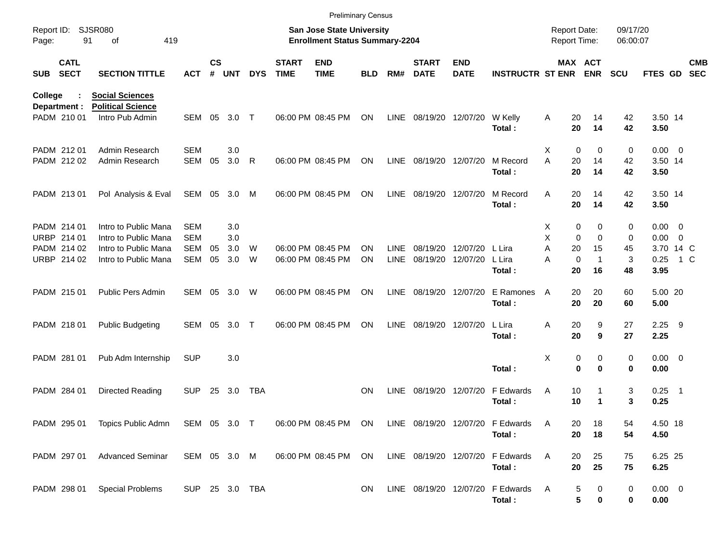|                     |                            |                                                    |            |                             |                |            |                             | <b>Preliminary Census</b>                                                 |            |             |                             |                           |                                            |   |                                     |                              |                      |                     |                          |                          |
|---------------------|----------------------------|----------------------------------------------------|------------|-----------------------------|----------------|------------|-----------------------------|---------------------------------------------------------------------------|------------|-------------|-----------------------------|---------------------------|--------------------------------------------|---|-------------------------------------|------------------------------|----------------------|---------------------|--------------------------|--------------------------|
| Report ID:<br>Page: | 91                         | <b>SJSR080</b><br>419<br>οf                        |            |                             |                |            |                             | <b>San Jose State University</b><br><b>Enrollment Status Summary-2204</b> |            |             |                             |                           |                                            |   | <b>Report Date:</b><br>Report Time: |                              | 09/17/20<br>06:00:07 |                     |                          |                          |
| <b>SUB</b>          | <b>CATL</b><br><b>SECT</b> | <b>SECTION TITTLE</b>                              | <b>ACT</b> | $\mathsf{cs}$<br>$\pmb{\#}$ | <b>UNT</b>     | <b>DYS</b> | <b>START</b><br><b>TIME</b> | <b>END</b><br><b>TIME</b>                                                 | <b>BLD</b> | RM#         | <b>START</b><br><b>DATE</b> | <b>END</b><br><b>DATE</b> | <b>INSTRUCTR ST ENR</b>                    |   |                                     | <b>MAX ACT</b><br><b>ENR</b> | <b>SCU</b>           | FTES GD             |                          | <b>CMB</b><br><b>SEC</b> |
| <b>College</b>      | ÷<br>Department :          | <b>Social Sciences</b><br><b>Political Science</b> |            |                             |                |            |                             |                                                                           |            |             |                             |                           |                                            |   |                                     |                              |                      |                     |                          |                          |
|                     | PADM 210 01                | Intro Pub Admin                                    | SEM        | 05                          | 3.0            | $\top$     |                             | 06:00 PM 08:45 PM                                                         | ON         | <b>LINE</b> | 08/19/20                    | 12/07/20                  | W Kelly<br>Total:                          | Α | 20<br>20                            | 14<br>14                     | 42<br>42             | 3.50 14<br>3.50     |                          |                          |
|                     | PADM 212 01                | Admin Research                                     | <b>SEM</b> |                             | 3.0            |            |                             |                                                                           |            |             |                             |                           |                                            | Χ | 0                                   | 0                            | 0                    | 0.00                | $\overline{\phantom{0}}$ |                          |
|                     | PADM 212 02                | Admin Research                                     | <b>SEM</b> | 05                          | 3.0            | R          |                             | 06:00 PM 08:45 PM                                                         | ON         | LINE        | 08/19/20 12/07/20           |                           | M Record<br>Total:                         | A | 20<br>20                            | 14<br>14                     | 42<br>42             | 3.50 14<br>3.50     |                          |                          |
|                     | PADM 213 01                | Pol Analysis & Eval                                | SEM        | 05                          | 3.0            | M          |                             | 06:00 PM 08:45 PM                                                         | ON         | <b>LINE</b> | 08/19/20 12/07/20           |                           | M Record<br>Total:                         | A | 20<br>20                            | 14<br>14                     | 42<br>42             | 3.50 14<br>3.50     |                          |                          |
|                     | PADM 214 01                | Intro to Public Mana                               | <b>SEM</b> |                             | 3.0            |            |                             |                                                                           |            |             |                             |                           |                                            | х | 0                                   | 0                            | 0                    | 0.00                | $\overline{\phantom{0}}$ |                          |
| <b>URBP</b>         | 214 01                     | Intro to Public Mana                               | <b>SEM</b> |                             | 3.0            |            |                             |                                                                           |            |             |                             |                           |                                            | X | 0                                   | $\mathbf 0$                  | 0                    | 0.00                | $\overline{0}$           |                          |
|                     | PADM 214 02                | Intro to Public Mana                               | <b>SEM</b> | 05                          | 3.0            | W          |                             | 06:00 PM 08:45 PM                                                         | ON         | <b>LINE</b> | 08/19/20                    | 12/07/20                  | L Lira                                     | A | 20                                  | 15                           | 45                   | 3.70 14 C           |                          |                          |
|                     | URBP 214 02                | Intro to Public Mana                               | <b>SEM</b> | 05                          | 3.0            | W          |                             | 06:00 PM 08:45 PM                                                         | ON         | <b>LINE</b> | 08/19/20                    | 12/07/20                  | L Lira                                     | A | 0                                   | $\mathbf{1}$                 | 3                    | 0.25                | 1 C                      |                          |
|                     |                            |                                                    |            |                             |                |            |                             |                                                                           |            |             |                             |                           | Total:                                     |   | 20                                  | 16                           | 48                   | 3.95                |                          |                          |
|                     | PADM 215 01                | Public Pers Admin                                  | <b>SEM</b> | 05                          | 3.0            | W          |                             | 06:00 PM 08:45 PM                                                         | ΟN         | <b>LINE</b> | 08/19/20                    | 12/07/20                  | E Ramones<br>Total:                        | A | 20<br>20                            | 20<br>20                     | 60<br>60             | 5.00 20<br>5.00     |                          |                          |
|                     | PADM 218 01                | <b>Public Budgeting</b>                            | <b>SEM</b> | 05                          | 3.0            | Т          |                             | 06:00 PM 08:45 PM                                                         | ON         | <b>LINE</b> | 08/19/20 12/07/20           |                           | L Lira                                     | Α | 20                                  | 9                            | 27                   | 2.25                | - 9                      |                          |
|                     |                            |                                                    |            |                             |                |            |                             |                                                                           |            |             |                             |                           | Total:                                     |   | 20                                  | 9                            | 27                   | 2.25                |                          |                          |
|                     | PADM 281 01                | Pub Adm Internship                                 | <b>SUP</b> |                             | 3.0            |            |                             |                                                                           |            |             |                             |                           |                                            | Χ | 0                                   | 0                            | 0                    | $0.00 \t 0$         |                          |                          |
|                     |                            |                                                    |            |                             |                |            |                             |                                                                           |            |             |                             |                           | Total:                                     |   | 0                                   | 0                            | 0                    | 0.00                |                          |                          |
|                     | PADM 284 01                | Directed Reading                                   | <b>SUP</b> | 25                          | 3.0            | <b>TBA</b> |                             |                                                                           | <b>ON</b>  | <b>LINE</b> | 08/19/20 12/07/20           |                           | F Edwards                                  | Α | 10                                  | 1                            | 3                    | 0.25                | $\overline{\phantom{1}}$ |                          |
|                     |                            |                                                    |            |                             |                |            |                             |                                                                           |            |             |                             |                           | Total:                                     |   | 10                                  | 1                            | 3                    | 0.25                |                          |                          |
|                     | PADM 295 01                | Topics Public Admn SEM 05 3.0 T                    |            |                             |                |            |                             | 06:00 PM 08:45 PM                                                         | ON         |             |                             |                           | LINE 08/19/20 12/07/20 F Edwards           | A | 20                                  | 18                           | 54                   | 4.50 18             |                          |                          |
|                     |                            |                                                    |            |                             |                |            |                             |                                                                           |            |             |                             |                           | Total:                                     |   | 20                                  | 18                           | 54                   | 4.50                |                          |                          |
|                     | PADM 297 01                | <b>Advanced Seminar</b>                            |            |                             | SEM 05 3.0 M   |            |                             | 06:00 PM 08:45 PM                                                         | ON         |             |                             |                           | LINE 08/19/20 12/07/20 F Edwards           | A | 20                                  | 25                           | 75                   | 6.25 25             |                          |                          |
|                     |                            |                                                    |            |                             |                |            |                             |                                                                           |            |             |                             |                           | Total:                                     |   | 20                                  | 25                           | 75                   | 6.25                |                          |                          |
|                     | PADM 298 01                | <b>Special Problems</b>                            |            |                             | SUP 25 3.0 TBA |            |                             |                                                                           | ON         |             |                             |                           | LINE 08/19/20 12/07/20 F Edwards<br>Total: | A | 5<br>5                              | $\bf{0}$<br>$\bf{0}$         | 0<br>0               | $0.00 \t 0$<br>0.00 |                          |                          |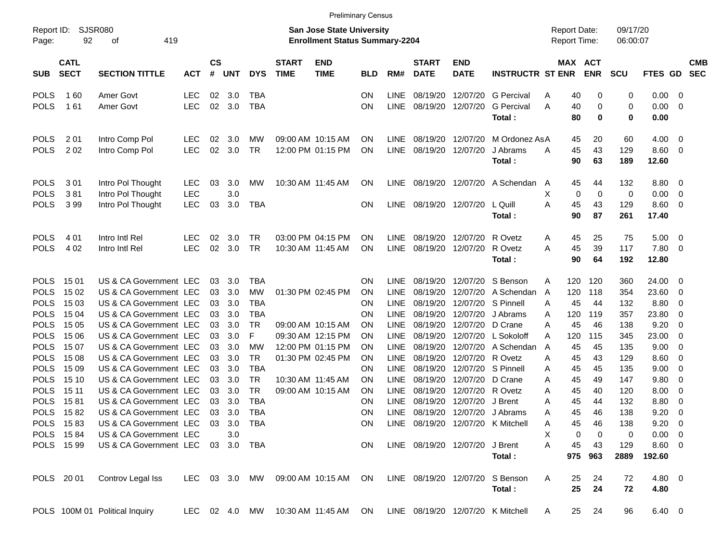|                            |                            |                                                  |               |                |            |                        |                             |                                                                           | <b>Preliminary Census</b> |              |                             |                           |                                   |                                     |                       |                      |              |                          |  |
|----------------------------|----------------------------|--------------------------------------------------|---------------|----------------|------------|------------------------|-----------------------------|---------------------------------------------------------------------------|---------------------------|--------------|-----------------------------|---------------------------|-----------------------------------|-------------------------------------|-----------------------|----------------------|--------------|--------------------------|--|
| Report ID:<br>Page:        | 92                         | <b>SJSR080</b><br>419<br>οf                      |               |                |            |                        |                             | <b>San Jose State University</b><br><b>Enrollment Status Summary-2204</b> |                           |              |                             |                           |                                   | <b>Report Date:</b><br>Report Time: |                       | 09/17/20<br>06:00:07 |              |                          |  |
| <b>SUB</b>                 | <b>CATL</b><br><b>SECT</b> | <b>SECTION TITTLE</b>                            | <b>ACT</b>    | <b>CS</b><br># | <b>UNT</b> | <b>DYS</b>             | <b>START</b><br><b>TIME</b> | <b>END</b><br><b>TIME</b>                                                 | <b>BLD</b>                | RM#          | <b>START</b><br><b>DATE</b> | <b>END</b><br><b>DATE</b> | <b>INSTRUCTR ST ENR</b>           |                                     | MAX ACT<br><b>ENR</b> | <b>SCU</b>           | FTES GD SEC  | <b>CMB</b>               |  |
| <b>POLS</b>                | 160                        | Amer Govt                                        | <b>LEC</b>    | 02             | 3.0        | TBA                    |                             |                                                                           | ΟN                        | <b>LINE</b>  | 08/19/20                    | 12/07/20                  | <b>G</b> Percival                 | 40<br>Α                             | 0                     | 0                    | 0.00         | 0                        |  |
| <b>POLS</b>                | 161                        | Amer Govt                                        | <b>LEC</b>    | 02             | 3.0        | <b>TBA</b>             |                             |                                                                           | ON                        | <b>LINE</b>  | 08/19/20                    | 12/07/20                  | <b>G</b> Percival                 | 40<br>Α                             | 0                     | 0                    | 0.00         | $\mathbf{0}$             |  |
|                            |                            |                                                  |               |                |            |                        |                             |                                                                           |                           |              |                             |                           | Total:                            | 80                                  | $\mathbf 0$           | $\mathbf 0$          | 0.00         |                          |  |
| <b>POLS</b>                | 2 0 1                      | Intro Comp Pol                                   | <b>LEC</b>    | 02             | 3.0        | МW                     |                             | 09:00 AM 10:15 AM                                                         | ΟN                        | <b>LINE</b>  | 08/19/20                    | 12/07/20                  | M Ordonez AsA                     | 45                                  | 20                    | 60                   | 4.00         | $\overline{0}$           |  |
| <b>POLS</b>                | 202                        | Intro Comp Pol                                   | <b>LEC</b>    | 02             | 3.0        | <b>TR</b>              |                             | 12:00 PM 01:15 PM                                                         | ΟN                        | <b>LINE</b>  | 08/19/20                    | 12/07/20                  | J Abrams                          | 45<br>Α                             | 43                    | 129                  | 8.60         | $\overline{0}$           |  |
|                            |                            |                                                  |               |                |            |                        |                             |                                                                           |                           |              |                             |                           | Total:                            | 90                                  | 63                    | 189                  | 12.60        |                          |  |
| <b>POLS</b>                | 301                        | Intro Pol Thought                                | LEC           | 03             | 3.0        | MW                     |                             | 10:30 AM 11:45 AM                                                         | ON                        | <b>LINE</b>  |                             | 08/19/20 12/07/20         | A Schendan                        | 45<br>A                             | 44                    | 132                  | 8.80         | $\overline{0}$           |  |
| <b>POLS</b>                | 381                        | Intro Pol Thought                                | <b>LEC</b>    |                | 3.0        |                        |                             |                                                                           |                           |              |                             |                           |                                   | Х                                   | 0<br>$\mathbf 0$      | 0                    | 0.00         | 0                        |  |
| <b>POLS</b>                | 399                        | Intro Pol Thought                                | <b>LEC</b>    | 03             | 3.0        | <b>TBA</b>             |                             |                                                                           | OΝ                        | LINE         |                             | 08/19/20 12/07/20         | L Quill                           | 45<br>Α                             | 43                    | 129                  | 8.60         | $\overline{0}$           |  |
|                            |                            |                                                  |               |                |            |                        |                             |                                                                           |                           |              |                             |                           | Total:                            | 90                                  | 87                    | 261                  | 17.40        |                          |  |
| <b>POLS</b>                | 4 0 1                      | Intro Intl Rel                                   | <b>LEC</b>    | 02             | 3.0        | TR                     |                             | 03:00 PM 04:15 PM                                                         | ΟN                        | <b>LINE</b>  | 08/19/20                    | 12/07/20                  | R Ovetz                           | 45<br>A                             | 25                    | 75                   | 5.00         | $\overline{0}$           |  |
| <b>POLS</b>                | 4 0 2                      | Intro Intl Rel                                   | <b>LEC</b>    | 02             | 3.0        | <b>TR</b>              |                             | 10:30 AM 11:45 AM                                                         | ΟN                        | <b>LINE</b>  |                             | 08/19/20 12/07/20         | R Ovetz                           | 45<br>Α                             | 39                    | 117                  | 7.80         | 0                        |  |
|                            |                            |                                                  |               |                |            |                        |                             |                                                                           |                           |              |                             |                           | Total:                            | 90                                  | 64                    | 192                  | 12.80        |                          |  |
| <b>POLS</b>                | 15 01                      | US & CA Government LEC                           |               | 03             | 3.0        | <b>TBA</b>             |                             |                                                                           | ΟN                        | <b>LINE</b>  | 08/19/20                    | 12/07/20                  | S Benson                          | 120<br>A                            | 120                   | 360                  | 24.00        | 0                        |  |
| <b>POLS</b>                | 15 02                      | US & CA Government LEC                           |               | 03             | 3.0        | <b>MW</b>              |                             | 01:30 PM 02:45 PM                                                         | ΟN                        | LINE         | 08/19/20                    | 12/07/20                  | A Schendan                        | 120<br>A                            | 118                   | 354                  | 23.60        | 0                        |  |
| <b>POLS</b>                | 15 03                      | US & CA Government LEC                           |               | 03             | 3.0        | <b>TBA</b>             |                             |                                                                           | ΟN                        | LINE         | 08/19/20                    | 12/07/20                  | S Pinnell                         | 45<br>A                             | 44                    | 132                  | 8.80         | 0                        |  |
| <b>POLS</b>                | 15 04                      | US & CA Government LEC                           |               | 03             | 3.0        | <b>TBA</b>             |                             |                                                                           | ΟN                        | <b>LINE</b>  | 08/19/20                    | 12/07/20                  | J Abrams                          | 120<br>A                            | 119                   | 357                  | 23.80        | 0                        |  |
| <b>POLS</b>                | 15 05                      | US & CA Government LEC                           |               | 03             | 3.0        | <b>TR</b>              |                             | 09:00 AM 10:15 AM                                                         | ΟN                        | LINE         | 08/19/20                    | 12/07/20                  | D Crane                           | 45<br>A                             | 46                    | 138                  | 9.20         | 0                        |  |
| <b>POLS</b>                | 15 06                      | US & CA Government LEC                           |               | 03             | 3.0        | F                      |                             | 09:30 AM 12:15 PM                                                         | ΟN                        | LINE         | 08/19/20                    | 12/07/20                  | L Sokoloff                        | 120<br>A                            | 115                   | 345                  | 23.00        | 0                        |  |
| <b>POLS</b>                | 15 07                      | US & CA Government LEC                           |               | 03             | 3.0        | <b>MW</b>              |                             | 12:00 PM 01:15 PM                                                         | ΟN                        | LINE         | 08/19/20                    | 12/07/20                  | A Schendan                        | 45<br>A                             | 45                    | 135                  | 9.00         | 0                        |  |
| <b>POLS</b>                | 15 08                      | US & CA Government LEC                           |               | 03             | 3.0        | <b>TR</b>              |                             | 01:30 PM 02:45 PM                                                         | ΟN                        | LINE         | 08/19/20                    | 12/07/20                  | R Ovetz                           | 45<br>A                             | 43                    | 129                  | 8.60         | 0                        |  |
| <b>POLS</b>                | 15 09                      | US & CA Government LEC                           |               | 03             | 3.0        | <b>TBA</b>             |                             |                                                                           | ΟN                        | LINE         | 08/19/20                    | 12/07/20                  | S Pinnell                         | 45<br>Α                             | 45                    | 135                  | 9.00         | 0                        |  |
| <b>POLS</b><br><b>POLS</b> | 15 10                      | US & CA Government LEC<br>US & CA Government LEC |               | 03             | 3.0        | <b>TR</b><br><b>TR</b> |                             | 10:30 AM 11:45 AM                                                         | ΟN                        | LINE         | 08/19/20                    | 12/07/20                  | D Crane                           | 45<br>Α                             | 49                    | 147                  | 9.80         | 0                        |  |
| <b>POLS</b>                | 15 11<br>1581              | US & CA Government LEC                           |               | 03<br>03       | 3.0<br>3.0 | <b>TBA</b>             |                             | 09:00 AM 10:15 AM                                                         | ΟN<br>ΟN                  | LINE<br>LINE | 08/19/20<br>08/19/20        | 12/07/20<br>12/07/20      | R Ovetz<br>J Brent                | 45<br>A<br>45                       | 40<br>44              | 120<br>132           | 8.00<br>8.80 | 0                        |  |
| <b>POLS</b>                | 1582                       | US & CA Government LEC                           |               | 03             | 3.0        | <b>TBA</b>             |                             |                                                                           | ΟN                        | LINE.        |                             | 08/19/20 12/07/20         | J Abrams                          | A<br>45<br>A                        | 46                    | 138                  | 9.20         | 0<br>0                   |  |
|                            | POLS 1583                  | US & CA Government LEC                           |               |                |            | 03 3.0 TBA             |                             |                                                                           | <b>ON</b>                 |              |                             |                           | LINE 08/19/20 12/07/20 K Mitchell |                                     |                       |                      | 9.20         | $\overline{\phantom{0}}$ |  |
|                            | POLS 1584                  | US & CA Government LEC                           |               |                | 3.0        |                        |                             |                                                                           |                           |              |                             |                           |                                   | A<br>45<br>X                        | 46<br>0<br>0          | 138<br>0             | $0.00 \t 0$  |                          |  |
|                            | POLS 1599                  | US & CA Government LEC                           |               |                |            | 03 3.0 TBA             |                             |                                                                           | <b>ON</b>                 |              | LINE 08/19/20 12/07/20      |                           | J Brent                           | A<br>45                             | 43                    | 129                  | 8.60 0       |                          |  |
|                            |                            |                                                  |               |                |            |                        |                             |                                                                           |                           |              |                             |                           | Total:                            |                                     | 975 963               | 2889                 | 192.60       |                          |  |
|                            | POLS 2001                  | Controv Legal Iss                                |               |                |            |                        |                             | LEC 03 3.0 MW 09:00 AM 10:15 AM                                           | ON                        |              |                             |                           | LINE 08/19/20 12/07/20 S Benson   | 25<br>A                             | 24                    | 72                   | 4.80 0       |                          |  |
|                            |                            |                                                  |               |                |            |                        |                             |                                                                           |                           |              |                             |                           | Total:                            | 25                                  | 24                    | 72                   | 4.80         |                          |  |
|                            |                            | POLS 100M 01 Political Inquiry                   | LEC 02 4.0 MW |                |            |                        |                             | 10:30 AM 11:45 AM                                                         | ON                        |              |                             |                           | LINE 08/19/20 12/07/20 K Mitchell | 25<br>A                             | 24                    | 96                   | $6.40\ 0$    |                          |  |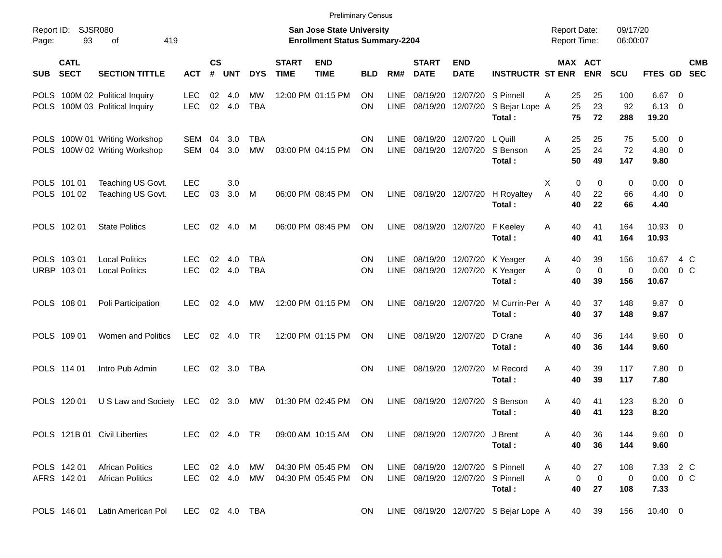|                     |                            |                                                                  |                          |                    |                  |                          |                             | <b>Preliminary Census</b>                                                 |                        |                            |                             |                                                                      |                                                |                                            |                              |                           |                                       |                          |            |
|---------------------|----------------------------|------------------------------------------------------------------|--------------------------|--------------------|------------------|--------------------------|-----------------------------|---------------------------------------------------------------------------|------------------------|----------------------------|-----------------------------|----------------------------------------------------------------------|------------------------------------------------|--------------------------------------------|------------------------------|---------------------------|---------------------------------------|--------------------------|------------|
| Report ID:<br>Page: | 93                         | SJSR080<br>419<br>οf                                             |                          |                    |                  |                          |                             | <b>San Jose State University</b><br><b>Enrollment Status Summary-2204</b> |                        |                            |                             |                                                                      |                                                | <b>Report Date:</b><br><b>Report Time:</b> |                              | 09/17/20<br>06:00:07      |                                       |                          |            |
| <b>SUB</b>          | <b>CATL</b><br><b>SECT</b> | <b>SECTION TITTLE</b>                                            | <b>ACT</b>               | $\mathsf{cs}$<br># | <b>UNT</b>       | <b>DYS</b>               | <b>START</b><br><b>TIME</b> | <b>END</b><br><b>TIME</b>                                                 | <b>BLD</b>             | RM#                        | <b>START</b><br><b>DATE</b> | <b>END</b><br><b>DATE</b>                                            | <b>INSTRUCTR ST ENR</b>                        |                                            | <b>MAX ACT</b><br><b>ENR</b> | SCU                       | FTES GD SEC                           |                          | <b>CMB</b> |
|                     |                            | POLS 100M 02 Political Inquiry<br>POLS 100M 03 Political Inquiry | <b>LEC</b><br><b>LEC</b> | 02<br>02           | 4.0<br>4.0       | МW<br><b>TBA</b>         |                             | 12:00 PM 01:15 PM                                                         | <b>ON</b><br><b>ON</b> | <b>LINE</b><br><b>LINE</b> | 08/19/20<br>08/19/20        | 12/07/20                                                             | 12/07/20 S Pinnell<br>S Bejar Lope A<br>Total: | 25<br>Α<br>25<br>75                        | 25<br>23<br>72               | 100<br>92<br>288          | 6.67<br>6.13<br>19.20                 | - 0<br>- 0               |            |
| <b>POLS</b>         |                            | POLS 100W 01 Writing Workshop<br>100W 02 Writing Workshop        | <b>SEM</b><br><b>SEM</b> | 04<br>04           | 3.0<br>3.0       | <b>TBA</b><br><b>MW</b>  |                             | 03:00 PM 04:15 PM                                                         | <b>ON</b><br>ON        | <b>LINE</b><br><b>LINE</b> | 08/19/20<br>08/19/20        | 12/07/20<br>12/07/20                                                 | L Quill<br>S Benson<br>Total:                  | 25<br>A<br>25<br>A<br>50                   | 25<br>24<br>49               | 75<br>72<br>147           | 5.00<br>4.80 0<br>9.80                | $\overline{\phantom{0}}$ |            |
|                     | POLS 101 01<br>POLS 101 02 | Teaching US Govt.<br>Teaching US Govt.                           | <b>LEC</b><br><b>LEC</b> | 03                 | 3.0<br>3.0       | M                        |                             | 06:00 PM 08:45 PM                                                         | ON                     | LINE                       |                             |                                                                      | 08/19/20 12/07/20 H Royaltey<br>Total:         | X<br>0<br>A<br>40<br>40                    | 0<br>22<br>22                | $\mathbf 0$<br>66<br>66   | $0.00 \t 0$<br>$4.40 \quad 0$<br>4.40 |                          |            |
|                     | POLS 102 01                | <b>State Politics</b>                                            | <b>LEC</b>               | 02                 | 4.0              | M                        |                             | 06:00 PM 08:45 PM                                                         | <b>ON</b>              | <b>LINE</b>                |                             | 08/19/20 12/07/20                                                    | F Keeley<br>Total:                             | A<br>40<br>40                              | 41<br>41                     | 164<br>164                | 10.93 0<br>10.93                      |                          |            |
|                     | POLS 103 01<br>URBP 103 01 | <b>Local Politics</b><br><b>Local Politics</b>                   | <b>LEC</b><br><b>LEC</b> | 02<br>02           | 4.0<br>4.0       | <b>TBA</b><br><b>TBA</b> |                             |                                                                           | <b>ON</b><br><b>ON</b> | <b>LINE</b><br><b>LINE</b> | 08/19/20                    | 08/19/20 12/07/20 K Yeager<br>12/07/20                               | K Yeager<br>Total:                             | 40<br>A<br>A<br>0<br>40                    | 39<br>$\mathbf 0$<br>39      | 156<br>$\mathbf 0$<br>156 | 10.67<br>0.00<br>10.67                | 4 C<br>$0\,C$            |            |
|                     | POLS 108 01                | Poli Participation                                               | <b>LEC</b>               | 02                 | 4.0              | MW                       |                             | 12:00 PM 01:15 PM                                                         | ON                     | <b>LINE</b>                | 08/19/20                    | 12/07/20                                                             | M Currin-Per A<br>Total:                       | 40<br>40                                   | 37<br>37                     | 148<br>148                | $9.87$ 0<br>9.87                      |                          |            |
|                     | POLS 109 01                | <b>Women and Politics</b>                                        | <b>LEC</b>               | 02                 | 4.0              | <b>TR</b>                |                             | 12:00 PM 01:15 PM                                                         | ON                     | <b>LINE</b>                | 08/19/20                    | 12/07/20                                                             | D Crane<br>Total:                              | A<br>40<br>40                              | 36<br>36                     | 144<br>144                | 9.60 0<br>9.60                        |                          |            |
|                     | POLS 114 01                | Intro Pub Admin                                                  | <b>LEC</b>               | 02                 | 3.0              | <b>TBA</b>               |                             |                                                                           | <b>ON</b>              | LINE                       | 08/19/20                    | 12/07/20                                                             | M Record<br>Total:                             | 40<br>A<br>40                              | 39<br>39                     | 117<br>117                | 7.80 0<br>7.80                        |                          |            |
|                     | POLS 120 01                | U S Law and Society                                              | LEC                      | 02                 | 3.0              | МW                       |                             | 01:30 PM 02:45 PM                                                         | ON                     | <b>LINE</b>                | 08/19/20                    | 12/07/20                                                             | S Benson<br>Total:                             | 40<br>Α<br>40                              | 41<br>41                     | 123<br>123                | 8.20<br>8.20                          | - 0                      |            |
|                     |                            | POLS 121B 01 Civil Liberties                                     | LEC 02 4.0 TR            |                    |                  |                          |                             | 09:00 AM 10:15 AM                                                         | ON.                    |                            |                             | LINE 08/19/20 12/07/20                                               | J Brent<br>Total:                              | 40<br>40                                   | 36<br>36                     | 144<br>144                | 9.60 0<br>9.60                        |                          |            |
|                     | POLS 142 01<br>AFRS 142 01 | <b>African Politics</b><br><b>African Politics</b>               | LEC.<br>LEC              |                    | 02 4.0<br>02 4.0 | MW<br>MW                 |                             | 04:30 PM 05:45 PM<br>04:30 PM 05:45 PM                                    | ON.<br>ON              |                            |                             | LINE 08/19/20 12/07/20 S Pinnell<br>LINE 08/19/20 12/07/20 S Pinnell | Total:                                         | 40<br>A<br>$\mathbf 0$<br>A<br>40          | 27<br>$\mathbf 0$<br>27      | 108<br>$\mathbf 0$<br>108 | 7.33 2 C<br>$0.00 \t 0 C$<br>7.33     |                          |            |
|                     | POLS 146 01                | Latin American Pol                                               | LEC 02 4.0 TBA           |                    |                  |                          |                             |                                                                           | ON                     |                            |                             |                                                                      | LINE 08/19/20 12/07/20 S Bejar Lope A          | 40                                         | 39                           | 156                       | 10.40 0                               |                          |            |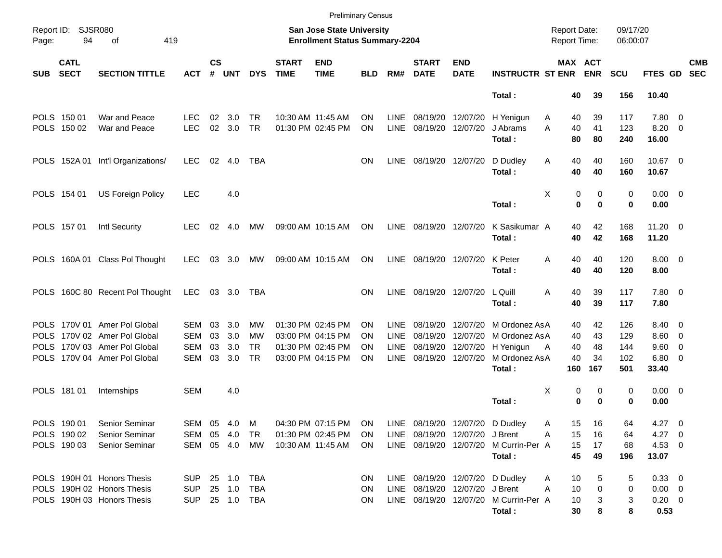|            |                            |                                   |            |               |        |            |                             |                                                                           | <b>Preliminary Census</b> |             |                                 |                           |                                       |                                            |            |                      |                |                          |
|------------|----------------------------|-----------------------------------|------------|---------------|--------|------------|-----------------------------|---------------------------------------------------------------------------|---------------------------|-------------|---------------------------------|---------------------------|---------------------------------------|--------------------------------------------|------------|----------------------|----------------|--------------------------|
| Page:      | Report ID: SJSR080<br>94   | 419<br>οf                         |            |               |        |            |                             | <b>San Jose State University</b><br><b>Enrollment Status Summary-2204</b> |                           |             |                                 |                           |                                       | <b>Report Date:</b><br><b>Report Time:</b> |            | 09/17/20<br>06:00:07 |                |                          |
| <b>SUB</b> | <b>CATL</b><br><b>SECT</b> | <b>SECTION TITTLE</b>             | <b>ACT</b> | $\mathsf{cs}$ | # UNT  | <b>DYS</b> | <b>START</b><br><b>TIME</b> | <b>END</b><br><b>TIME</b>                                                 | BLD.                      | RM#         | <b>START</b><br><b>DATE</b>     | <b>END</b><br><b>DATE</b> | <b>INSTRUCTR ST ENR</b>               | MAX ACT                                    | <b>ENR</b> | <b>SCU</b>           | <b>FTES GD</b> | <b>CMB</b><br><b>SEC</b> |
|            |                            |                                   |            |               |        |            |                             |                                                                           |                           |             |                                 |                           | Total:                                | 40                                         | 39         | 156                  | 10.40          |                          |
|            | POLS 150 01                | War and Peace                     | <b>LEC</b> | 02            | 3.0    | TR         |                             | 10:30 AM 11:45 AM                                                         | OΝ                        | <b>LINE</b> |                                 | 08/19/20 12/07/20         | H Yenigun                             | 40<br>Α                                    | 39         | 117                  | 7.80 0         |                          |
|            | POLS 150 02                | War and Peace                     | <b>LEC</b> | 02            | 3.0    | <b>TR</b>  |                             | 01:30 PM 02:45 PM                                                         | ΟN                        | <b>LINE</b> | 08/19/20 12/07/20               |                           | J Abrams                              | 40<br>Α                                    | 41         | 123                  | $8.20 \ 0$     |                          |
|            |                            |                                   |            |               |        |            |                             |                                                                           |                           |             |                                 |                           | Total:                                | 80                                         | 80         | 240                  | 16.00          |                          |
|            |                            | POLS 152A 01 Int'l Organizations/ | <b>LEC</b> | 02            | 4.0    | TBA        |                             |                                                                           | ON                        | <b>LINE</b> | 08/19/20 12/07/20               |                           | D Dudley                              | Α<br>40                                    | 40         | 160                  | 10.67 0        |                          |
|            |                            |                                   |            |               |        |            |                             |                                                                           |                           |             |                                 |                           | Total:                                | 40                                         | 40         | 160                  | 10.67          |                          |
|            | POLS 154 01                | <b>US Foreign Policy</b>          | <b>LEC</b> |               | 4.0    |            |                             |                                                                           |                           |             |                                 |                           |                                       | Χ<br>0                                     | 0          | 0                    | $0.00 \t 0$    |                          |
|            |                            |                                   |            |               |        |            |                             |                                                                           |                           |             |                                 |                           | Total:                                | 0                                          | $\bf{0}$   | 0                    | 0.00           |                          |
|            | POLS 157 01                | Intl Security                     | LEC.       | 02            | 4.0    | МW         |                             | 09:00 AM 10:15 AM                                                         | ON                        | LINE        | 08/19/20 12/07/20               |                           | K Sasikumar A                         | 40                                         | 42         | 168                  | $11.20 \t 0$   |                          |
|            |                            |                                   |            |               |        |            |                             |                                                                           |                           |             |                                 |                           | Total:                                | 40                                         | 42         | 168                  | 11.20          |                          |
|            |                            | POLS 160A 01 Class Pol Thought    | LEC.       |               | 03 3.0 | MW         |                             | 09:00 AM 10:15 AM                                                         | <b>ON</b>                 | <b>LINE</b> | 08/19/20 12/07/20               |                           | K Peter                               | Α<br>40                                    | 40         | 120                  | $8.00 \t 0$    |                          |
|            |                            |                                   |            |               |        |            |                             |                                                                           |                           |             |                                 |                           | Total:                                | 40                                         | 40         | 120                  | 8.00           |                          |
|            |                            | POLS 160C 80 Recent Pol Thought   | <b>LEC</b> |               | 03 3.0 | TBA        |                             |                                                                           | ON                        | LINE        | 08/19/20 12/07/20               |                           | L Quill                               | Α<br>40                                    | 39         | 117                  | 7.80 0         |                          |
|            |                            |                                   |            |               |        |            |                             |                                                                           |                           |             |                                 |                           | Total:                                | 40                                         | 39         | 117                  | 7.80           |                          |
|            |                            | POLS 170V 01 Amer Pol Global      | <b>SEM</b> | 03            | 3.0    | MW         |                             | 01:30 PM 02:45 PM                                                         | ON                        | <b>LINE</b> |                                 | 08/19/20 12/07/20         | M Ordonez AsA                         | 40                                         | 42         | 126                  | 8.40 0         |                          |
|            |                            | POLS 170V 02 Amer Pol Global      | <b>SEM</b> | 03            | 3.0    | MW         |                             | 03:00 PM 04:15 PM                                                         | ON                        | <b>LINE</b> | 08/19/20                        | 12/07/20                  | M Ordonez AsA                         | 40                                         | 43         | 129                  | $8.60 \quad 0$ |                          |
| POLS       |                            | 170V 03 Amer Pol Global           | <b>SEM</b> | 03            | 3.0    | TR         |                             | 01:30 PM 02:45 PM                                                         | ON                        | <b>LINE</b> | 08/19/20                        | 12/07/20                  | H Yenigun                             | 40<br>A                                    | 48         | 144                  | $9.60 \quad 0$ |                          |
|            |                            | POLS 170V 04 Amer Pol Global      | <b>SEM</b> | 03            | 3.0    | <b>TR</b>  |                             | 03:00 PM 04:15 PM                                                         | ΟN                        | <b>LINE</b> |                                 | 08/19/20 12/07/20         | M Ordonez AsA                         | 40                                         | 34         | 102                  | $6.80$ 0       |                          |
|            |                            |                                   |            |               |        |            |                             |                                                                           |                           |             |                                 |                           | Total:                                | 160                                        | 167        | 501                  | 33.40          |                          |
|            | POLS 181 01                | Internships                       | <b>SEM</b> |               | 4.0    |            |                             |                                                                           |                           |             |                                 |                           |                                       | Χ<br>0                                     | 0          | 0                    | $0.00 \t 0$    |                          |
|            |                            |                                   |            |               |        |            |                             |                                                                           |                           |             |                                 |                           | Total:                                | 0                                          | 0          | 0                    | 0.00           |                          |
|            | POLS 190 01                | Senior Seminar                    | SEM 05 4.0 |               |        | M          |                             | 04:30 PM 07:15 PM                                                         | <b>ON</b>                 |             | LINE 08/19/20 12/07/20 D Dudley |                           |                                       | A<br>15                                    | 16         | 64                   | $4.27 \t 0$    |                          |
|            | POLS 190 02                | Senior Seminar                    | SEM        |               | 05 4.0 | TR         |                             | 01:30 PM 02:45 PM                                                         | ON.                       |             | LINE 08/19/20 12/07/20 J Brent  |                           |                                       | 15<br>A                                    | 16         | 64                   | $4.27$ 0       |                          |
|            | POLS 190 03                | <b>Senior Seminar</b>             | SEM 05 4.0 |               |        | MW         |                             | 10:30 AM 11:45 AM                                                         | ON.                       |             |                                 |                           | LINE 08/19/20 12/07/20 M Currin-Per A | 15                                         | 17         | 68                   | $4.53$ 0       |                          |
|            |                            |                                   |            |               |        |            |                             |                                                                           |                           |             |                                 |                           | Total:                                | 45                                         | 49         | 196                  | 13.07          |                          |
|            |                            | POLS 190H 01 Honors Thesis        | <b>SUP</b> |               |        |            |                             |                                                                           | <b>ON</b>                 |             |                                 |                           | LINE 08/19/20 12/07/20 D Dudley       | 10<br>Α                                    | 5          | 5                    | 0.33 0         |                          |
|            |                            | POLS 190H 02 Honors Thesis        | <b>SUP</b> |               | 25 1.0 | TBA        |                             |                                                                           | ON                        |             | LINE 08/19/20 12/07/20 J Brent  |                           |                                       | 10<br>A                                    | 0          | 0                    | $0.00 \t 0$    |                          |
|            |                            | POLS 190H 03 Honors Thesis        | <b>SUP</b> |               |        | 25 1.0 TBA |                             |                                                                           | ON                        |             |                                 |                           | LINE 08/19/20 12/07/20 M Currin-Per A | 10                                         | 3          | 3                    | $0.20 \ 0$     |                          |
|            |                            |                                   |            |               |        |            |                             |                                                                           |                           |             |                                 |                           | Total:                                | 30                                         | 8          | 8                    | 0.53           |                          |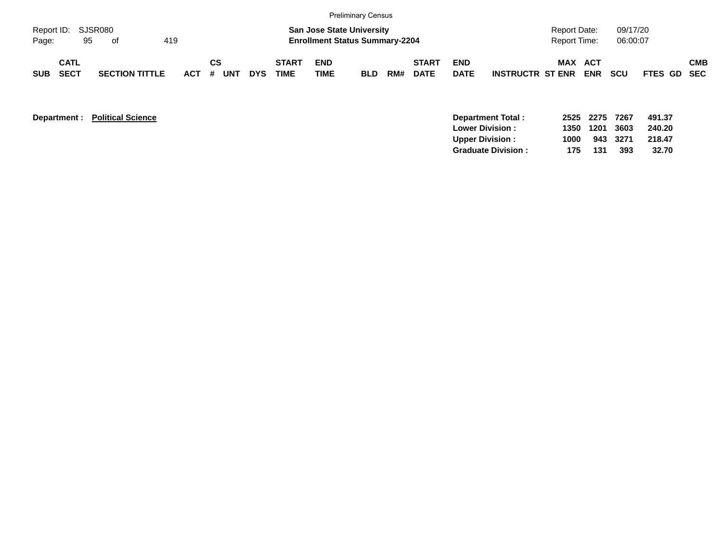|                     |                            |               |                       |     |         |           |     |            |                             |                    | <b>Preliminary Census</b>                                                 |     |                             |                           |                         |                                     |            |                      |             |            |
|---------------------|----------------------------|---------------|-----------------------|-----|---------|-----------|-----|------------|-----------------------------|--------------------|---------------------------------------------------------------------------|-----|-----------------------------|---------------------------|-------------------------|-------------------------------------|------------|----------------------|-------------|------------|
| Report ID:<br>Page: |                            | SJSR080<br>95 | of                    | 419 |         |           |     |            |                             |                    | <b>San Jose State University</b><br><b>Enrollment Status Summary-2204</b> |     |                             |                           |                         | Report Date:<br><b>Report Time:</b> |            | 09/17/20<br>06:00:07 |             |            |
| <b>SUB</b>          | <b>CATL</b><br><b>SECT</b> |               | <b>SECTION TITTLE</b> |     | $ACT$ # | <b>CS</b> | UNT | <b>DYS</b> | <b>START</b><br><b>TIME</b> | <b>END</b><br>TIME | <b>BLD</b>                                                                | RM# | <b>START</b><br><b>DATE</b> | <b>END</b><br><b>DATE</b> | <b>INSTRUCTR ST ENR</b> | MAX ACT                             | <b>ENR</b> | <b>SCU</b>           | FTES GD SEC | <b>CMB</b> |

| <b>Department:</b> | <b>Political Science</b> | Department Total:         |      | 2525 2275 | 7267 | 491.37 |
|--------------------|--------------------------|---------------------------|------|-----------|------|--------|
|                    |                          | <b>Lower Division:</b>    | 1350 | 1201      | 3603 | 240.20 |
|                    |                          | <b>Upper Division:</b>    | 1000 | 943       | 3271 | 218.47 |
|                    |                          | <b>Graduate Division:</b> | 175  | 131       | 393  | 32.70  |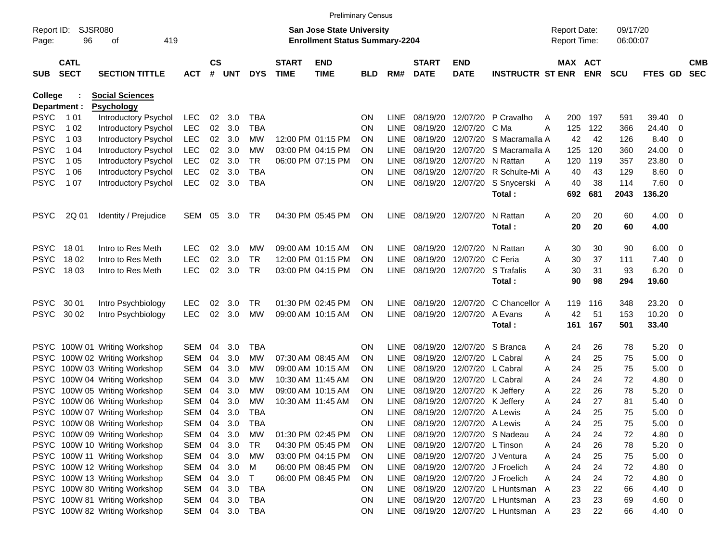|                     |                            |                               |            |                    |            |            |                             | <b>Preliminary Census</b>                                          |            |             |                             |                           |                                     |   |                                     |            |                      |                |                          |                          |
|---------------------|----------------------------|-------------------------------|------------|--------------------|------------|------------|-----------------------------|--------------------------------------------------------------------|------------|-------------|-----------------------------|---------------------------|-------------------------------------|---|-------------------------------------|------------|----------------------|----------------|--------------------------|--------------------------|
| Report ID:<br>Page: | SJSR080<br>96              | 419<br>οf                     |            |                    |            |            |                             | San Jose State University<br><b>Enrollment Status Summary-2204</b> |            |             |                             |                           |                                     |   | <b>Report Date:</b><br>Report Time: |            | 09/17/20<br>06:00:07 |                |                          |                          |
| <b>SUB</b>          | <b>CATL</b><br><b>SECT</b> | <b>SECTION TITTLE</b>         | <b>ACT</b> | $\mathsf{cs}$<br># | <b>UNT</b> | <b>DYS</b> | <b>START</b><br><b>TIME</b> | <b>END</b><br><b>TIME</b>                                          | <b>BLD</b> | RM#         | <b>START</b><br><b>DATE</b> | <b>END</b><br><b>DATE</b> | <b>INSTRUCTR ST ENR</b>             |   | MAX ACT                             | <b>ENR</b> | <b>SCU</b>           | FTES GD        |                          | <b>CMB</b><br><b>SEC</b> |
| College             |                            | <b>Social Sciences</b>        |            |                    |            |            |                             |                                                                    |            |             |                             |                           |                                     |   |                                     |            |                      |                |                          |                          |
|                     | Department :               | <b>Psychology</b>             |            |                    |            |            |                             |                                                                    |            |             |                             |                           |                                     |   |                                     |            |                      |                |                          |                          |
| <b>PSYC</b>         | 1 0 1                      | Introductory Psychol          | LEC        | 02                 | 3.0        | <b>TBA</b> |                             |                                                                    | <b>ON</b>  | <b>LINE</b> | 08/19/20                    | 12/07/20                  | P Cravalho                          | A | 200                                 | 197        | 591                  | 39.40          | - 0                      |                          |
| <b>PSYC</b>         | 1 0 2                      | <b>Introductory Psychol</b>   | <b>LEC</b> | 02                 | 3.0        | <b>TBA</b> |                             |                                                                    | <b>ON</b>  | LINE        | 08/19/20                    | 12/07/20                  | C Ma                                | A | 125                                 | 122        | 366                  | 24.40          | 0                        |                          |
| <b>PSYC</b>         | 1 0 3                      | Introductory Psychol          | <b>LEC</b> | 02                 | 3.0        | MW         |                             | 12:00 PM 01:15 PM                                                  | <b>ON</b>  | <b>LINE</b> | 08/19/20                    | 12/07/20                  | S Macramalla A                      |   | 42                                  | 42         | 126                  | 8.40           | 0                        |                          |
| <b>PSYC</b>         | 1 04                       | <b>Introductory Psychol</b>   | <b>LEC</b> | 02                 | 3.0        | МW         |                             | 03:00 PM 04:15 PM                                                  | <b>ON</b>  | <b>LINE</b> | 08/19/20                    | 12/07/20                  | S Macramalla A                      |   | 125                                 | 120        | 360                  | 24.00          | 0                        |                          |
| <b>PSYC</b>         | 1 0 5                      | <b>Introductory Psychol</b>   | <b>LEC</b> | 02                 | 3.0        | <b>TR</b>  |                             | 06:00 PM 07:15 PM                                                  | <b>ON</b>  | <b>LINE</b> | 08/19/20                    | 12/07/20                  | N Rattan                            | A | 120                                 | 119        | 357                  | 23.80          | 0                        |                          |
| <b>PSYC</b>         | 1 0 6                      | Introductory Psychol          | <b>LEC</b> | 02                 | 3.0        | <b>TBA</b> |                             |                                                                    | <b>ON</b>  | <b>LINE</b> | 08/19/20                    | 12/07/20                  | R Schulte-Mi A                      |   | 40                                  | 43         | 129                  | 8.60           | 0                        |                          |
| <b>PSYC</b>         | 1 0 7                      | Introductory Psychol          | <b>LEC</b> | 02                 | 3.0        | <b>TBA</b> |                             |                                                                    | <b>ON</b>  | <b>LINE</b> |                             | 08/19/20 12/07/20         | S Snycerski A<br>Total:             |   | 40<br>692                           | 38<br>681  | 114<br>2043          | 7.60<br>136.20 | - 0                      |                          |
| <b>PSYC</b>         | 2Q 01                      | Identity / Prejudice          | SEM        | 05                 | 3.0        | <b>TR</b>  |                             | 04:30 PM 05:45 PM                                                  | <b>ON</b>  | LINE        | 08/19/20 12/07/20           |                           | N Rattan<br>Total:                  | A | 20<br>20                            | 20<br>20   | 60<br>60             | 4.00<br>4.00   | $\overline{\phantom{0}}$ |                          |
| <b>PSYC</b>         | 18 01                      | Intro to Res Meth             | <b>LEC</b> | 02                 | 3.0        | МW         |                             | 09:00 AM 10:15 AM                                                  | <b>ON</b>  | LINE        | 08/19/20                    | 12/07/20                  | N Rattan                            | A | 30                                  | 30         | 90                   | 6.00           | $\overline{\mathbf{0}}$  |                          |
| <b>PSYC</b>         | 18 02                      | Intro to Res Meth             | <b>LEC</b> | 02                 | 3.0        | <b>TR</b>  |                             | 12:00 PM 01:15 PM                                                  | <b>ON</b>  | <b>LINE</b> | 08/19/20                    | 12/07/20                  | C Feria                             | Α | 30                                  | 37         | 111                  | 7.40           | 0                        |                          |
| <b>PSYC</b>         | 18 03                      | Intro to Res Meth             | <b>LEC</b> | 02                 | 3.0        | <b>TR</b>  |                             | 03:00 PM 04:15 PM                                                  | <b>ON</b>  | <b>LINE</b> | 08/19/20                    | 12/07/20                  | S Trafalis                          | Α | 30                                  | 31         | 93                   | 6.20           | $\overline{\mathbf{0}}$  |                          |
|                     |                            |                               |            |                    |            |            |                             |                                                                    |            |             |                             |                           | Total:                              |   | 90                                  | 98         | 294                  | 19.60          |                          |                          |
| <b>PSYC</b>         | 30 01                      | Intro Psychbiology            | <b>LEC</b> | 02                 | 3.0        | <b>TR</b>  |                             | 01:30 PM 02:45 PM                                                  | <b>ON</b>  | <b>LINE</b> | 08/19/20                    | 12/07/20                  | C Chancellor A                      |   | 119                                 | 116        | 348                  | 23.20          | $\overline{\mathbf{0}}$  |                          |
| <b>PSYC</b>         | 30 02                      | Intro Psychbiology            | <b>LEC</b> | 02                 | 3.0        | MW         |                             | 09:00 AM 10:15 AM                                                  | <b>ON</b>  | <b>LINE</b> | 08/19/20                    | 12/07/20                  | A Evans                             | A | 42                                  | 51         | 153                  | 10.20          | $\overline{\mathbf{0}}$  |                          |
|                     |                            |                               |            |                    |            |            |                             |                                                                    |            |             |                             |                           | Total:                              |   | 161                                 | 167        | 501                  | 33.40          |                          |                          |
| <b>PSYC</b>         |                            | 100W 01 Writing Workshop      | <b>SEM</b> | 04                 | 3.0        | <b>TBA</b> |                             |                                                                    | <b>ON</b>  | <b>LINE</b> | 08/19/20                    | 12/07/20                  | S Branca                            | A | 24                                  | 26         | 78                   | 5.20           | $\overline{\mathbf{0}}$  |                          |
| <b>PSYC</b>         |                            | 100W 02 Writing Workshop      | <b>SEM</b> | 04                 | 3.0        | MW         |                             | 07:30 AM 08:45 AM                                                  | <b>ON</b>  | LINE        | 08/19/20                    | 12/07/20                  | L Cabral                            | A | 24                                  | 25         | 75                   | 5.00           | $\mathbf 0$              |                          |
| <b>PSYC</b>         |                            | 100W 03 Writing Workshop      | <b>SEM</b> | 04                 | 3.0        | МW         |                             | 09:00 AM 10:15 AM                                                  | <b>ON</b>  | <b>LINE</b> | 08/19/20                    | 12/07/20                  | L Cabral                            | A | 24                                  | 25         | 75                   | 5.00           | 0                        |                          |
| <b>PSYC</b>         |                            | 100W 04 Writing Workshop      | <b>SEM</b> | 04                 | 3.0        | МW         |                             | 10:30 AM 11:45 AM                                                  | <b>ON</b>  | <b>LINE</b> | 08/19/20                    | 12/07/20                  | L Cabral                            | A | 24                                  | 24         | 72                   | 4.80           | 0                        |                          |
| <b>PSYC</b>         |                            | 100W 05 Writing Workshop      | <b>SEM</b> | 04                 | 3.0        | МW         |                             | 09:00 AM 10:15 AM                                                  | ON         | <b>LINE</b> | 08/19/20                    | 12/07/20                  | K Jeffery                           | Α | 22                                  | 26         | 78                   | 5.20           | $\mathbf 0$              |                          |
| <b>PSYC</b>         |                            | 100W 06 Writing Workshop      | <b>SEM</b> | 04                 | 3.0        | <b>MW</b>  |                             | 10:30 AM 11:45 AM                                                  | <b>ON</b>  | LINE        | 08/19/20                    | 12/07/20                  | K Jeffery                           | Α | 24                                  | 27         | 81                   | 5.40           | 0                        |                          |
|                     |                            | PSYC 100W 07 Writing Workshop | <b>SEM</b> | 04                 | 3.0        | <b>TBA</b> |                             |                                                                    | <b>ON</b>  | LINE        |                             | 08/19/20 12/07/20         | A Lewis                             | A | 24                                  | 25         | 75                   | 5.00           | 0                        |                          |
|                     |                            | PSYC 100W 08 Writing Workshop | SEM        | 04                 | 3.0        | TBA        |                             |                                                                    | <b>ON</b>  | LINE        |                             | 08/19/20 12/07/20 A Lewis |                                     | Α | 24                                  | 25         | 75                   | 5.00           | $\overline{\phantom{0}}$ |                          |
|                     |                            | PSYC 100W 09 Writing Workshop | SEM        | 04                 | 3.0        | МW         |                             | 01:30 PM 02:45 PM                                                  | ON         | LINE        |                             |                           | 08/19/20 12/07/20 S Nadeau          | Α | 24                                  | 24         | 72                   | 4.80 0         |                          |                          |
|                     |                            | PSYC 100W 10 Writing Workshop | SEM        | 04                 | 3.0        | TR         |                             | 04:30 PM 05:45 PM                                                  | ON.        | LINE        |                             | 08/19/20 12/07/20         | L Tinson                            | Α | 24                                  | 26         | 78                   | 5.20           | $\overline{\phantom{0}}$ |                          |
|                     |                            | PSYC 100W 11 Writing Workshop | SEM        | 04                 | 3.0        | MW         |                             | 03:00 PM 04:15 PM                                                  | <b>ON</b>  | LINE        |                             | 08/19/20 12/07/20         | J Ventura                           | Α | 24                                  | 25         | 75                   | 5.00           | $\overline{\phantom{0}}$ |                          |
|                     |                            | PSYC 100W 12 Writing Workshop | <b>SEM</b> | 04                 | 3.0        | м          |                             | 06:00 PM 08:45 PM                                                  | ON         | LINE        |                             | 08/19/20 12/07/20         | J Froelich                          | Α | 24                                  | 24         | 72                   | 4.80 0         |                          |                          |
|                     |                            | PSYC 100W 13 Writing Workshop | <b>SEM</b> | 04                 | 3.0        | T          |                             | 06:00 PM 08:45 PM                                                  | <b>ON</b>  | LINE        |                             | 08/19/20 12/07/20         | J Froelich                          | Α | 24                                  | 24         | 72                   | $4.80$ 0       |                          |                          |
|                     |                            | PSYC 100W 80 Writing Workshop | SEM        | 04                 | 3.0        | <b>TBA</b> |                             |                                                                    | <b>ON</b>  | LINE        |                             | 08/19/20 12/07/20         | L Huntsman A                        |   | 23                                  | 22         | 66                   | 4.40           | $\overline{\phantom{0}}$ |                          |
|                     |                            | PSYC 100W 81 Writing Workshop | SEM        | 04                 | 3.0        | <b>TBA</b> |                             |                                                                    | ON         | LINE        |                             |                           | 08/19/20 12/07/20 L Huntsman A      |   | 23                                  | 23         | 69                   | $4.60$ 0       |                          |                          |
|                     |                            | PSYC 100W 82 Writing Workshop | SEM 04 3.0 |                    |            | <b>TBA</b> |                             |                                                                    | ON         |             |                             |                           | LINE 08/19/20 12/07/20 L Huntsman A |   | 23                                  | 22         | 66                   | 4.40 0         |                          |                          |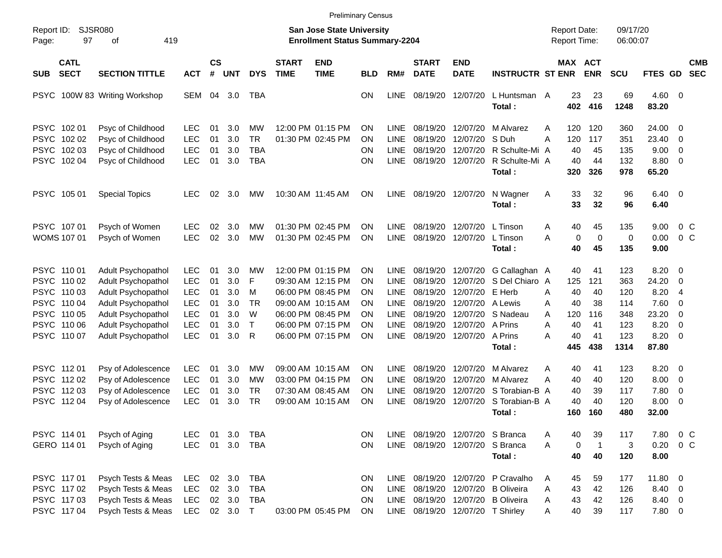|                                                                                        |                                                                         |                                                                                                                                                                      |                                                                                  |                                        |                                               |                                                     |                             |                                                                                                                                                 | <b>Preliminary Census</b>                                                        |                                                                                                       |                                                                                  |                                                                                                 |                                                                                                  |                                     |                                                 |                                                 |                                                       |                                                                 |                                                                                                                         |                          |
|----------------------------------------------------------------------------------------|-------------------------------------------------------------------------|----------------------------------------------------------------------------------------------------------------------------------------------------------------------|----------------------------------------------------------------------------------|----------------------------------------|-----------------------------------------------|-----------------------------------------------------|-----------------------------|-------------------------------------------------------------------------------------------------------------------------------------------------|----------------------------------------------------------------------------------|-------------------------------------------------------------------------------------------------------|----------------------------------------------------------------------------------|-------------------------------------------------------------------------------------------------|--------------------------------------------------------------------------------------------------|-------------------------------------|-------------------------------------------------|-------------------------------------------------|-------------------------------------------------------|-----------------------------------------------------------------|-------------------------------------------------------------------------------------------------------------------------|--------------------------|
| Report ID:<br>Page:                                                                    | <b>SJSR080</b><br>97                                                    | 419<br>οf                                                                                                                                                            |                                                                                  |                                        |                                               |                                                     |                             | <b>San Jose State University</b><br><b>Enrollment Status Summary-2204</b>                                                                       |                                                                                  |                                                                                                       |                                                                                  |                                                                                                 |                                                                                                  | <b>Report Date:</b><br>Report Time: |                                                 |                                                 | 09/17/20<br>06:00:07                                  |                                                                 |                                                                                                                         |                          |
| <b>SUB</b>                                                                             | <b>CATL</b><br><b>SECT</b>                                              | <b>SECTION TITTLE</b>                                                                                                                                                | <b>ACT</b>                                                                       | <b>CS</b><br>#                         | <b>UNT</b>                                    | <b>DYS</b>                                          | <b>START</b><br><b>TIME</b> | <b>END</b><br><b>TIME</b>                                                                                                                       | BLD                                                                              | RM#                                                                                                   | <b>START</b><br><b>DATE</b>                                                      | <b>END</b><br><b>DATE</b>                                                                       | <b>INSTRUCTR ST ENR</b>                                                                          |                                     | MAX ACT<br><b>ENR</b>                           |                                                 | <b>SCU</b>                                            | FTES GD                                                         |                                                                                                                         | <b>CMB</b><br><b>SEC</b> |
| <b>PSYC</b>                                                                            |                                                                         | 100W 83 Writing Workshop                                                                                                                                             | SEM                                                                              | 04                                     | 3.0                                           | TBA                                                 |                             |                                                                                                                                                 | <b>ON</b>                                                                        | <b>LINE</b>                                                                                           | 08/19/20                                                                         | 12/07/20                                                                                        | L Huntsman A<br>Total:                                                                           |                                     | 23<br>402                                       | 23<br>416                                       | 69<br>1248                                            | 4.60<br>83.20                                                   | $\overline{\mathbf{0}}$                                                                                                 |                          |
| <b>PSYC</b><br><b>PSYC</b><br><b>PSYC</b><br><b>PSYC</b>                               | 102 01<br>102 02<br>102 03<br>102 04                                    | Psyc of Childhood<br>Psyc of Childhood<br>Psyc of Childhood<br>Psyc of Childhood                                                                                     | <b>LEC</b><br>LEC<br><b>LEC</b><br>LEC                                           | 01<br>01<br>01<br>01                   | 3.0<br>3.0<br>3.0<br>3.0                      | MW<br><b>TR</b><br><b>TBA</b><br><b>TBA</b>         |                             | 12:00 PM 01:15 PM<br>01:30 PM 02:45 PM                                                                                                          | <b>ON</b><br>ΟN<br>ON<br>ON                                                      | <b>LINE</b><br><b>LINE</b><br><b>LINE</b><br><b>LINE</b>                                              | 08/19/20<br>08/19/20<br>08/19/20<br>08/19/20                                     | 12/07/20<br>12/07/20<br>12/07/20<br>12/07/20                                                    | M Alvarez<br>S Duh<br>R Schulte-Mi A<br>R Schulte-Mi A<br>Total:                                 | A<br>A                              | 120<br>120<br>40<br>40<br>320                   | 120<br>117<br>45<br>44<br>326                   | 360<br>351<br>135<br>132<br>978                       | 24.00<br>23.40<br>9.00<br>8.80<br>65.20                         | $\overline{0}$<br>$\mathbf 0$<br>$\mathbf 0$<br>$\overline{\mathbf{0}}$                                                 |                          |
| <b>PSYC</b>                                                                            | 105 01                                                                  | <b>Special Topics</b>                                                                                                                                                | <b>LEC</b>                                                                       | 02                                     | 3.0                                           | MW                                                  |                             | 10:30 AM 11:45 AM                                                                                                                               | <b>ON</b>                                                                        | LINE                                                                                                  |                                                                                  | 08/19/20 12/07/20                                                                               | N Wagner<br>Total:                                                                               | A                                   | 33<br>33                                        | 32<br>32                                        | 96<br>96                                              | 6.40<br>6.40                                                    | - 0                                                                                                                     |                          |
|                                                                                        | PSYC 107 01<br>WOMS 107 01                                              | Psych of Women<br>Psych of Women                                                                                                                                     | <b>LEC</b><br>LEC                                                                | 02<br>02                               | 3.0<br>3.0                                    | MW<br>MW                                            |                             | 01:30 PM 02:45 PM<br>01:30 PM 02:45 PM                                                                                                          | <b>ON</b><br><b>ON</b>                                                           | <b>LINE</b><br><b>LINE</b>                                                                            | 08/19/20<br>08/19/20                                                             | 12/07/20<br>12/07/20                                                                            | L Tinson<br>L Tinson<br>Total:                                                                   | Α<br>А                              | 40<br>0<br>40                                   | 45<br>$\mathbf 0$<br>45                         | 135<br>0<br>135                                       | 9.00<br>0.00<br>9.00                                            | 0 <sup>o</sup><br>$0\,C$                                                                                                |                          |
| <b>PSYC</b><br><b>PSYC</b><br><b>PSYC</b><br><b>PSYC</b><br><b>PSYC</b><br><b>PSYC</b> | PSYC 110 01<br>110 02<br>110 03<br>110 04<br>110 05<br>110 06<br>110 07 | <b>Adult Psychopathol</b><br>Adult Psychopathol<br>Adult Psychopathol<br>Adult Psychopathol<br>Adult Psychopathol<br>Adult Psychopathol<br><b>Adult Psychopathol</b> | <b>LEC</b><br>LEC<br><b>LEC</b><br><b>LEC</b><br><b>LEC</b><br><b>LEC</b><br>LEC | 01<br>01<br>01<br>01<br>01<br>01<br>01 | 3.0<br>3.0<br>3.0<br>3.0<br>3.0<br>3.0<br>3.0 | МW<br>F<br>M<br><b>TR</b><br>W<br>$\mathsf{T}$<br>R |                             | 12:00 PM 01:15 PM<br>09:30 AM 12:15 PM<br>06:00 PM 08:45 PM<br>09:00 AM 10:15 AM<br>06:00 PM 08:45 PM<br>06:00 PM 07:15 PM<br>06:00 PM 07:15 PM | <b>ON</b><br><b>ON</b><br><b>ON</b><br><b>ON</b><br><b>ON</b><br><b>ON</b><br>ON | <b>LINE</b><br><b>LINE</b><br><b>LINE</b><br><b>LINE</b><br><b>LINE</b><br><b>LINE</b><br><b>LINE</b> | 08/19/20<br>08/19/20<br>08/19/20<br>08/19/20<br>08/19/20<br>08/19/20<br>08/19/20 | 12/07/20<br>12/07/20<br>12/07/20<br>12/07/20<br>12/07/20<br>12/07/20<br>12/07/20                | G Callaghan A<br>S Del Chiaro A<br>E Herb<br>A Lewis<br>S Nadeau<br>A Prins<br>A Prins<br>Total: | Α<br>Α<br>A<br>Α<br>А               | 40<br>125<br>40<br>40<br>120<br>40<br>40<br>445 | 41<br>121<br>40<br>38<br>116<br>41<br>41<br>438 | 123<br>363<br>120<br>114<br>348<br>123<br>123<br>1314 | 8.20<br>24.20<br>8.20<br>7.60<br>23.20<br>8.20<br>8.20<br>87.80 | $\overline{\mathbf{0}}$<br>$\mathbf 0$<br>$\overline{4}$<br>$\mathbf 0$<br>$\mathbf 0$<br>$\mathbf 0$<br>$\overline{0}$ |                          |
| <b>PSYC</b><br><b>PSYC</b><br><b>PSYC</b>                                              | PSYC 11201<br>112 02<br>112 03<br>112 04                                | Psy of Adolescence<br>Psy of Adolescence<br>Psy of Adolescence<br>Psy of Adolescence                                                                                 | <b>LEC</b><br>LEC<br><b>LEC</b><br>LEC                                           | 01<br>01<br>01<br>0 <sub>1</sub>       | 3.0<br>3.0<br>3.0<br>3.0                      | МW<br>МW<br><b>TR</b><br><b>TR</b>                  |                             | 09:00 AM 10:15 AM<br>03:00 PM 04:15 PM<br>07:30 AM 08:45 AM<br>09:00 AM 10:15 AM                                                                | <b>ON</b><br><b>ON</b><br><b>ON</b><br>ON                                        | <b>LINE</b><br><b>LINE</b><br><b>LINE</b><br>LINE                                                     | 08/19/20<br>08/19/20<br>08/19/20<br>08/19/20                                     | 12/07/20<br>12/07/20<br>12/07/20<br>12/07/20                                                    | M Alvarez<br>M Alvarez<br>S Torabian-B A<br>S Torabian-B A<br>Total:                             | A<br>Α                              | 40<br>40<br>40<br>40<br>160                     | 41<br>40<br>39<br>40<br>160                     | 123<br>120<br>117<br>120<br>480                       | 8.20<br>8.00<br>7.80<br>8.00<br>32.00                           | $\overline{\mathbf{0}}$<br>0<br>0<br>0                                                                                  |                          |
|                                                                                        | PSYC 114 01<br>GERO 114 01                                              | Psych of Aging<br>Psych of Aging                                                                                                                                     | <b>LEC</b><br><b>LEC</b>                                                         | 01<br>01                               | 3.0<br>3.0                                    | <b>TBA</b><br><b>TBA</b>                            |                             |                                                                                                                                                 | ON<br>ON                                                                         | LINE                                                                                                  |                                                                                  | 08/19/20 12/07/20 S Branca<br>LINE 08/19/20 12/07/20                                            | S Branca<br>Total:                                                                               | Α<br>A                              | 40<br>0<br>40                                   | 39<br>$\overline{1}$<br>40                      | 117<br>$\mathbf{3}$<br>120                            | 7.80<br>0.20<br>8.00                                            | 0 <sup>o</sup><br>$0\,C$                                                                                                |                          |
|                                                                                        | PSYC 117 01<br>PSYC 117 02<br>PSYC 11703<br>PSYC 11704                  | Psych Tests & Meas<br>Psych Tests & Meas<br>Psych Tests & Meas<br>Psych Tests & Meas                                                                                 | <b>LEC</b><br><b>LEC</b><br><b>LEC</b><br>LEC                                    | 02                                     | 3.0<br>02 3.0<br>02 3.0<br>02 3.0             | <b>TBA</b><br><b>TBA</b><br><b>TBA</b><br>$\top$    |                             | 03:00 PM 05:45 PM                                                                                                                               | ON<br>ON<br>ON<br>ON                                                             | LINE<br>LINE<br>LINE                                                                                  |                                                                                  | 08/19/20 12/07/20<br>08/19/20 12/07/20<br>08/19/20 12/07/20<br>LINE 08/19/20 12/07/20 T Shirley | P Cravalho<br><b>B</b> Oliveira<br><b>B</b> Oliveira                                             | A<br>A<br>A<br>A                    | 45<br>43<br>43<br>40                            | 59<br>42<br>42<br>39                            | 177<br>126<br>126<br>117                              | 11.80 0<br>8.40 0<br>8.40 0<br>7.80 0                           |                                                                                                                         |                          |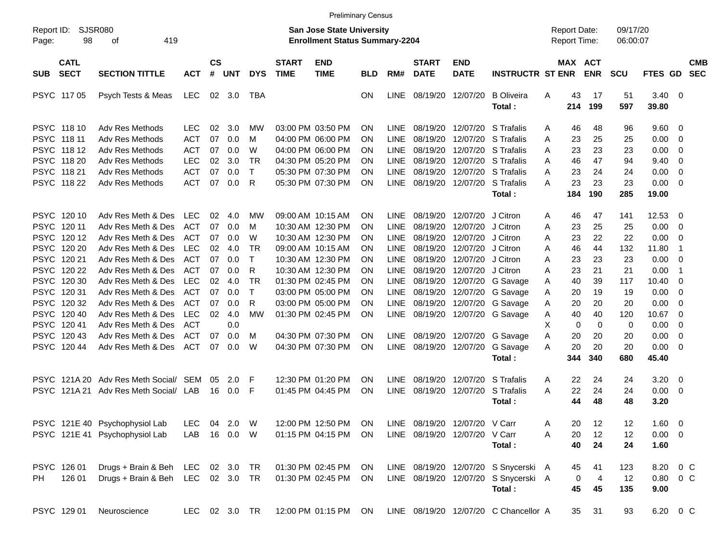|                     |                                           |                                                                                                                                  |                                        |                    |                   |                          |                             | <b>Preliminary Census</b>                                          |                 |                                           |                                  |                                  |                                                                                        |                                            |                            |                      |                                    |                     |                          |
|---------------------|-------------------------------------------|----------------------------------------------------------------------------------------------------------------------------------|----------------------------------------|--------------------|-------------------|--------------------------|-----------------------------|--------------------------------------------------------------------|-----------------|-------------------------------------------|----------------------------------|----------------------------------|----------------------------------------------------------------------------------------|--------------------------------------------|----------------------------|----------------------|------------------------------------|---------------------|--------------------------|
| Report ID:<br>Page: | 98                                        | <b>SJSR080</b><br>419<br>оf                                                                                                      |                                        |                    |                   |                          |                             | San Jose State University<br><b>Enrollment Status Summary-2204</b> |                 |                                           |                                  |                                  |                                                                                        | <b>Report Date:</b><br><b>Report Time:</b> |                            | 09/17/20<br>06:00:07 |                                    |                     |                          |
| <b>SUB</b>          | <b>CATL</b><br><b>SECT</b>                | <b>SECTION TITTLE</b>                                                                                                            | <b>ACT</b>                             | $\mathsf{cs}$<br># | <b>UNT</b>        | <b>DYS</b>               | <b>START</b><br><b>TIME</b> | <b>END</b><br><b>TIME</b>                                          | <b>BLD</b>      | RM#                                       | <b>START</b><br><b>DATE</b>      | <b>END</b><br><b>DATE</b>        | <b>INSTRUCTR ST ENR</b>                                                                | <b>MAX ACT</b>                             | <b>ENR</b>                 | <b>SCU</b>           | FTES GD                            |                     | <b>CMB</b><br><b>SEC</b> |
|                     | PSYC 117 05                               | Psych Tests & Meas                                                                                                               | LEC                                    |                    | 02 3.0            | TBA                      |                             |                                                                    | <b>ON</b>       | LINE                                      | 08/19/20                         | 12/07/20                         | <b>B</b> Oliveira<br>Total:                                                            | 43<br>Α<br>214                             | 17<br>199                  | 51<br>597            | 3.40<br>39.80                      | $\overline{0}$      |                          |
|                     | PSYC 118 10<br>PSYC 118 11                | Adv Res Methods<br>Adv Res Methods                                                                                               | <b>LEC</b><br><b>ACT</b>               | 02<br>07           | 3.0<br>0.0        | МW<br>м                  |                             | 03:00 PM 03:50 PM<br>04:00 PM 06:00 PM                             | ΟN<br>ΟN        | <b>LINE</b><br><b>LINE</b>                | 08/19/20<br>08/19/20             | 12/07/20<br>12/07/20             | S Trafalis<br>S Trafalis                                                               | 46<br>A<br>23<br>Α                         | 48<br>25                   | 96<br>25             | 9.60<br>0.00                       | 0<br>0              |                          |
|                     | PSYC 118 12<br>PSYC 118 20<br>PSYC 118 21 | Adv Res Methods<br>Adv Res Methods<br>Adv Res Methods                                                                            | <b>ACT</b><br><b>LEC</b><br><b>ACT</b> | 07<br>02<br>07     | 0.0<br>3.0<br>0.0 | W<br><b>TR</b><br>$\top$ |                             | 04:00 PM 06:00 PM<br>04:30 PM 05:20 PM<br>05:30 PM 07:30 PM        | ON<br>ON<br>ON  | <b>LINE</b><br><b>LINE</b><br><b>LINE</b> | 08/19/20<br>08/19/20<br>08/19/20 | 12/07/20<br>12/07/20<br>12/07/20 | S Trafalis<br>S Trafalis<br>S Trafalis                                                 | 23<br>Α<br>46<br>A<br>23<br>Α              | 23<br>47<br>24             | 23<br>94<br>24       | 0.00<br>9.40<br>0.00               | 0<br>0<br>0         |                          |
|                     | PSYC 118 22                               | Adv Res Methods                                                                                                                  | <b>ACT</b>                             | 07                 | 0.0               | R                        |                             | 05:30 PM 07:30 PM                                                  | ΟN              | <b>LINE</b>                               | 08/19/20                         | 12/07/20                         | S Trafalis<br>Total:                                                                   | 23<br>A<br>184                             | 23<br>190                  | 23<br>285            | 0.00<br>19.00                      | 0                   |                          |
|                     | PSYC 120 10<br>PSYC 120 11                | Adv Res Meth & Des<br>Adv Res Meth & Des                                                                                         | <b>LEC</b><br><b>ACT</b>               | 02<br>07           | 4.0<br>0.0        | МW<br>м                  |                             | 09:00 AM 10:15 AM<br>10:30 AM 12:30 PM                             | <b>ON</b><br>ΟN | <b>LINE</b><br><b>LINE</b>                | 08/19/20<br>08/19/20             | 12/07/20<br>12/07/20             | J Citron<br>J Citron                                                                   | 46<br>A<br>23<br>Α                         | 47<br>25                   | 141<br>25            | 12.53<br>0.00                      | 0<br>$\overline{0}$ |                          |
|                     | PSYC 12012<br>PSYC 120 20<br>PSYC 120 21  | Adv Res Meth & Des<br>Adv Res Meth & Des<br>Adv Res Meth & Des                                                                   | <b>ACT</b><br><b>LEC</b><br><b>ACT</b> | 07<br>02<br>07     | 0.0<br>4.0<br>0.0 | W<br><b>TR</b><br>т      |                             | 10:30 AM 12:30 PM<br>09:00 AM 10:15 AM<br>10:30 AM 12:30 PM        | ON<br>ON<br>ON  | <b>LINE</b><br><b>LINE</b><br><b>LINE</b> | 08/19/20<br>08/19/20<br>08/19/20 | 12/07/20<br>12/07/20<br>12/07/20 | J Citron<br>J Citron<br>J Citron                                                       | 23<br>Α<br>46<br>Α<br>23<br>Α              | 22<br>44<br>23             | 22<br>132<br>23      | 0.00<br>11.80<br>0.00              | 0<br>-1<br>0        |                          |
|                     | PSYC 120 22<br>PSYC 120 30                | Adv Res Meth & Des<br>Adv Res Meth & Des                                                                                         | <b>ACT</b><br><b>LEC</b>               | 07<br>02           | 0.0<br>4.0        | R<br><b>TR</b>           |                             | 10:30 AM 12:30 PM<br>01:30 PM 02:45 PM                             | ON<br>ON        | <b>LINE</b><br><b>LINE</b>                | 08/19/20<br>08/19/20             | 12/07/20<br>12/07/20             | J Citron<br>G Savage                                                                   | 23<br>Α<br>40<br>Α                         | 21<br>39                   | 21<br>117            | 0.00<br>10.40                      | $\mathbf 1$<br>0    |                          |
|                     | PSYC 12031<br>PSYC 120 32<br>PSYC 120 40  | Adv Res Meth & Des<br>Adv Res Meth & Des<br>Adv Res Meth & Des                                                                   | <b>ACT</b><br><b>ACT</b><br><b>LEC</b> | 07<br>07<br>02     | 0.0<br>0.0<br>4.0 | т<br>R<br><b>MW</b>      |                             | 03:00 PM 05:00 PM<br>03:00 PM 05:00 PM<br>01:30 PM 02:45 PM        | ON<br>ON<br>ON  | <b>LINE</b><br><b>LINE</b><br>LINE        | 08/19/20<br>08/19/20<br>08/19/20 | 12/07/20<br>12/07/20<br>12/07/20 | G Savage<br>G Savage<br>G Savage                                                       | 20<br>Α<br>20<br>A<br>40<br>A              | 19<br>20<br>40             | 19<br>20<br>120      | 0.00<br>0.00<br>10.67              | 0<br>0<br>0         |                          |
|                     | PSYC 12041<br>PSYC 120 43                 | Adv Res Meth & Des<br>Adv Res Meth & Des                                                                                         | <b>ACT</b><br><b>ACT</b>               | 07                 | 0.0<br>0.0        | M                        |                             | 04:30 PM 07:30 PM                                                  | <b>ON</b>       | LINE                                      | 08/19/20                         | 12/07/20                         | G Savage                                                                               | X.<br>0<br>20<br>A                         | 0<br>20                    | 0<br>20              | 0.00<br>0.00                       | 0<br>0              |                          |
|                     | PSYC 120 44                               | Adv Res Meth & Des                                                                                                               | <b>ACT</b>                             | 07                 | 0.0               | W                        |                             | 04:30 PM 07:30 PM                                                  | <b>ON</b>       | LINE                                      | 08/19/20                         | 12/07/20                         | G Savage<br>Total:                                                                     | 20<br>A<br>344                             | 20<br>340                  | 20<br>680            | 0.00<br>45.40                      | 0                   |                          |
|                     | PSYC 121A 20<br>PSYC 121A 21              | Adv Res Meth Social/ SEM<br>Adv Res Meth Social/ LAB                                                                             |                                        | 05<br>16           | 2.0<br>0.0        | F<br>F                   |                             | 12:30 PM 01:20 PM<br>01:45 PM 04:45 PM                             | ΟN<br>ON        | <b>LINE</b><br>LINE                       | 08/19/20<br>08/19/20             | 12/07/20<br>12/07/20             | S Trafalis<br>S Trafalis<br>Total:                                                     | 22<br>A<br>22<br>A<br>44                   | 24<br>24<br>48             | 24<br>24<br>48       | 3.20<br>0.00<br>3.20               | 0<br>0              |                          |
|                     |                                           | PSYC 121E 40 Psychophysiol Lab LEC 04 2.0 W 12:00 PM 12:50 PM ON LINE 08/19/20 12/07/20 V Carr<br>PSYC 121E 41 Psychophysiol Lab | LAB                                    |                    | 16  0.0  W        |                          |                             | 01:15 PM 04:15 PM                                                  | <b>ON</b>       |                                           | LINE 08/19/20 12/07/20 V Carr    |                                  | Total:                                                                                 | 20<br>Α<br>Α<br>20<br>40                   | 12<br>12<br>24             | 12<br>12<br>24       | $1.60 \t 0$<br>$0.00 \t 0$<br>1.60 |                     |                          |
| PH.                 | PSYC 126 01<br>126 01                     | Drugs + Brain & Beh LEC 02 3.0<br>Drugs + Brain & Beh LEC 02 3.0 TR                                                              |                                        |                    |                   | TR                       |                             | 01:30 PM 02:45 PM<br>01:30 PM 02:45 PM                             | ON.<br>ON       |                                           |                                  |                                  | LINE 08/19/20 12/07/20 S Snycerski A<br>LINE 08/19/20 12/07/20 S Snycerski A<br>Total: | 45<br>0<br>45                              | 41<br>$\overline{4}$<br>45 | 123<br>12<br>135     | 8.20<br>0.80<br>9.00               | $0\,C$<br>$0\,C$    |                          |
|                     | PSYC 129 01                               | Neuroscience                                                                                                                     | LEC 02 3.0 TR                          |                    |                   |                          |                             | 12:00 PM 01:15 PM                                                  | ON              |                                           |                                  |                                  | LINE 08/19/20 12/07/20 C Chancellor A                                                  | 35                                         | 31                         | 93                   | 6.20 0 C                           |                     |                          |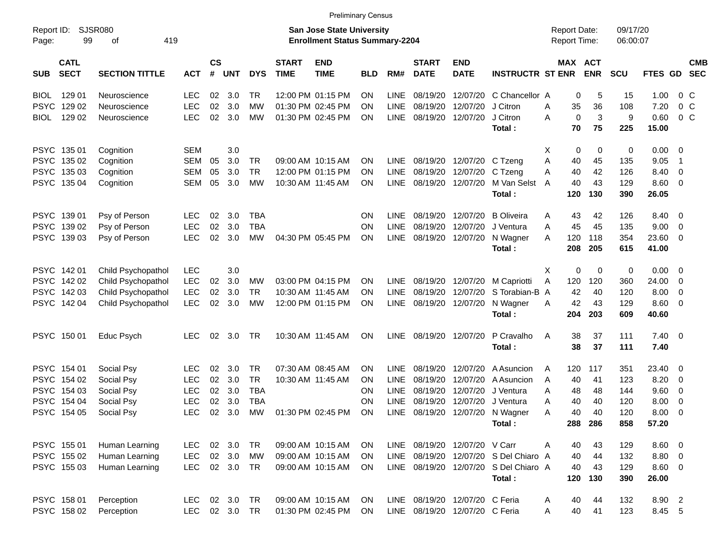|                                          |                                   |            |                    |            |            |                             | <b>Preliminary Census</b>                                                 |            |             |                             |                                |                                       |                                            |                       |                      |                |                          |                          |
|------------------------------------------|-----------------------------------|------------|--------------------|------------|------------|-----------------------------|---------------------------------------------------------------------------|------------|-------------|-----------------------------|--------------------------------|---------------------------------------|--------------------------------------------|-----------------------|----------------------|----------------|--------------------------|--------------------------|
| Report ID:<br>Page:                      | <b>SJSR080</b><br>99<br>οf<br>419 |            |                    |            |            |                             | <b>San Jose State University</b><br><b>Enrollment Status Summary-2204</b> |            |             |                             |                                |                                       | <b>Report Date:</b><br><b>Report Time:</b> |                       | 09/17/20<br>06:00:07 |                |                          |                          |
| <b>CATL</b><br><b>SECT</b><br><b>SUB</b> | <b>SECTION TITTLE</b>             | <b>ACT</b> | $\mathsf{cs}$<br># | <b>UNT</b> | <b>DYS</b> | <b>START</b><br><b>TIME</b> | <b>END</b><br><b>TIME</b>                                                 | <b>BLD</b> | RM#         | <b>START</b><br><b>DATE</b> | <b>END</b><br><b>DATE</b>      | <b>INSTRUCTR ST ENR</b>               |                                            | MAX ACT<br><b>ENR</b> | <b>SCU</b>           | FTES GD        |                          | <b>CMB</b><br><b>SEC</b> |
| 129 01<br><b>BIOL</b>                    | Neuroscience                      | <b>LEC</b> | 02                 | 3.0        | <b>TR</b>  |                             | 12:00 PM 01:15 PM                                                         | ON         | LINE        | 08/19/20                    |                                | 12/07/20 C Chancellor A               |                                            | 5<br>0                | 15                   | 1.00           | $0\,$ C                  |                          |
| <b>PSYC</b><br>129 02                    | Neuroscience                      | <b>LEC</b> | 02                 | 3.0        | МW         |                             | 01:30 PM 02:45 PM                                                         | ON         | <b>LINE</b> | 08/19/20                    | 12/07/20                       | J Citron                              | Α                                          | 36<br>35              | 108                  | 7.20           | 0 <sup>o</sup>           |                          |
| 129 02<br><b>BIOL</b>                    | Neuroscience                      | <b>LEC</b> | 02                 | 3.0        | МW         |                             | 01:30 PM 02:45 PM                                                         | OΝ         | <b>LINE</b> | 08/19/20                    | 12/07/20                       | J Citron                              | Α                                          | $\mathbf 0$<br>3      | 9                    | 0.60           | $0\,$ C                  |                          |
|                                          |                                   |            |                    |            |            |                             |                                                                           |            |             |                             |                                | Total:                                |                                            | 70<br>75              | 225                  | 15.00          |                          |                          |
| PSYC 135 01                              | Cognition                         | <b>SEM</b> |                    | 3.0        |            |                             |                                                                           |            |             |                             |                                |                                       | Х                                          | 0<br>0                | 0                    | $0.00 \t 0$    |                          |                          |
| PSYC 135 02                              | Cognition                         | SEM        | 05                 | 3.0        | TR         |                             | 09:00 AM 10:15 AM                                                         | OΝ         | <b>LINE</b> | 08/19/20                    | 12/07/20 C Tzeng               |                                       | Α                                          | 45<br>40              | 135                  | 9.05           | $\overline{\mathbf{1}}$  |                          |
| PSYC 135 03                              | Cognition                         | SEM        | 05                 | 3.0        | <b>TR</b>  |                             | 12:00 PM 01:15 PM                                                         | ON         | <b>LINE</b> | 08/19/20                    | 12/07/20 C Tzeng               |                                       | Α                                          | 40<br>42              | 126                  | 8.40           | 0                        |                          |
| PSYC 135 04                              | Cognition                         | SEM        | 05                 | 3.0        | МW         |                             | 10:30 AM 11:45 AM                                                         | OΝ         | <b>LINE</b> | 08/19/20                    | 12/07/20                       | M Van Selst                           | A                                          | 40<br>43              | 129                  | $8.60 \quad 0$ |                          |                          |
|                                          |                                   |            |                    |            |            |                             |                                                                           |            |             |                             |                                | Total:                                | 120                                        | 130                   | 390                  | 26.05          |                          |                          |
| PSYC 139 01                              | Psy of Person                     | <b>LEC</b> | 02                 | 3.0        | <b>TBA</b> |                             |                                                                           | <b>ON</b>  | <b>LINE</b> | 08/19/20                    | 12/07/20                       | <b>B</b> Oliveira                     | Α                                          | 42<br>43              | 126                  | 8.40 0         |                          |                          |
| PSYC 139 02                              | Psy of Person                     | <b>LEC</b> | 02                 | 3.0        | <b>TBA</b> |                             |                                                                           | ΟN         | <b>LINE</b> | 08/19/20                    | 12/07/20                       | J Ventura                             | Α                                          | 45<br>45              | 135                  | 9.00           | $\overline{\phantom{0}}$ |                          |
| PSYC 139 03                              | Psy of Person                     | <b>LEC</b> | 02                 | 3.0        | MW         |                             | 04:30 PM 05:45 PM                                                         | <b>ON</b>  | <b>LINE</b> | 08/19/20                    | 12/07/20                       | N Wagner                              | 120<br>A                                   | 118                   | 354                  | 23.60 0        |                          |                          |
|                                          |                                   |            |                    |            |            |                             |                                                                           |            |             |                             |                                | Total:                                | 208                                        | 205                   | 615                  | 41.00          |                          |                          |
| PSYC 142 01                              | Child Psychopathol                | <b>LEC</b> |                    | 3.0        |            |                             |                                                                           |            |             |                             |                                |                                       | X                                          | 0<br>0                | 0                    | $0.00 \t 0$    |                          |                          |
| PSYC 142 02                              | Child Psychopathol                | <b>LEC</b> | 02                 | 3.0        | МW         |                             | 03:00 PM 04:15 PM                                                         | <b>ON</b>  | <b>LINE</b> | 08/19/20                    |                                | 12/07/20 M Capriotti                  | Α<br>120                                   | 120                   | 360                  | 24.00          | - 0                      |                          |
| PSYC 142 03                              | Child Psychopathol                | <b>LEC</b> | 02                 | 3.0        | <b>TR</b>  |                             | 10:30 AM 11:45 AM                                                         | ON         | <b>LINE</b> | 08/19/20                    | 12/07/20                       | S Torabian-B A                        |                                            | 42<br>40              | 120                  | 8.00           | $\overline{\mathbf{0}}$  |                          |
| PSYC 142 04                              | Child Psychopathol                | <b>LEC</b> | 02                 | 3.0        | МW         |                             | 12:00 PM 01:15 PM                                                         | <b>ON</b>  | <b>LINE</b> | 08/19/20                    | 12/07/20                       | N Wagner                              | A                                          | 42<br>43              | 129                  | $8.60$ 0       |                          |                          |
|                                          |                                   |            |                    |            |            |                             |                                                                           |            |             |                             |                                | Total:                                | 204                                        | 203                   | 609                  | 40.60          |                          |                          |
| PSYC 150 01                              | Educ Psych                        | <b>LEC</b> | 02                 | 3.0        | TR         |                             | 10:30 AM 11:45 AM                                                         | <b>ON</b>  | <b>LINE</b> | 08/19/20                    | 12/07/20                       | P Cravalho                            | A                                          | 38<br>37              | 111                  | $7.40 \quad 0$ |                          |                          |
|                                          |                                   |            |                    |            |            |                             |                                                                           |            |             |                             |                                | Total:                                |                                            | 38<br>37              | 111                  | 7.40           |                          |                          |
| PSYC 154 01                              | Social Psy                        | LEC        | 02                 | 3.0        | TR         |                             | 07:30 AM 08:45 AM                                                         | ON         | <b>LINE</b> | 08/19/20                    | 12/07/20                       | A Asuncion                            | 120<br>A                                   | 117                   | 351                  | 23.40          | $\overline{\phantom{0}}$ |                          |
| PSYC 154 02                              | Social Psy                        | <b>LEC</b> | 02                 | 3.0        | TR         |                             | 10:30 AM 11:45 AM                                                         | ΟN         | LINE        | 08/19/20                    | 12/07/20                       | A Asuncion                            | Α                                          | 40<br>41              | 123                  | 8.20           | $\overline{\mathbf{0}}$  |                          |
| PSYC 154 03                              | Social Psy                        | <b>LEC</b> | 02                 | 3.0        | <b>TBA</b> |                             |                                                                           | ΟN         | <b>LINE</b> | 08/19/20                    | 12/07/20                       | J Ventura                             | A                                          | 48<br>48              | 144                  | 9.60           | $\overline{\mathbf{0}}$  |                          |
| PSYC 154 04                              | Social Psy                        | <b>LEC</b> | 02                 | 3.0        | <b>TBA</b> |                             |                                                                           | ΟN         | <b>LINE</b> | 08/19/20                    | 12/07/20                       | J Ventura                             | A                                          | 40<br>40              | 120                  | 8.00           | $\overline{\mathbf{0}}$  |                          |
| PSYC 154 05                              | Social Psy                        | LEC        | 02                 | 3.0        | MW         |                             | 01:30 PM 02:45 PM                                                         | <b>ON</b>  | <b>LINE</b> | 08/19/20                    |                                | 12/07/20 N Wagner                     | Α                                          | 40<br>40              | 120                  | 8.00           | $\overline{\mathbf{0}}$  |                          |
|                                          |                                   |            |                    |            |            |                             |                                                                           |            |             |                             |                                | Total:                                |                                            | 288 286               | 858                  | 57.20          |                          |                          |
| PSYC 155 01                              | Human Learning                    | LEC        |                    | 02 3.0     | TR         |                             | 09:00 AM 10:15 AM                                                         | <b>ON</b>  |             |                             | LINE 08/19/20 12/07/20 V Carr  |                                       | A                                          | 40<br>43              | 129                  | $8.60$ 0       |                          |                          |
| PSYC 155 02                              | Human Learning                    | <b>LEC</b> |                    | 02 3.0     | MW         |                             | 09:00 AM 10:15 AM                                                         | ON.        | <b>LINE</b> | 08/19/20                    |                                | 12/07/20 S Del Chiaro A               |                                            | 40<br>44              | 132                  | 8.80 0         |                          |                          |
| PSYC 155 03                              | Human Learning                    | <b>LEC</b> |                    | 02 3.0 TR  |            |                             | 09:00 AM 10:15 AM                                                         | ON.        |             |                             |                                | LINE 08/19/20 12/07/20 S Del Chiaro A |                                            | 40<br>43              | 129                  | $8.60$ 0       |                          |                          |
|                                          |                                   |            |                    |            |            |                             |                                                                           |            |             |                             |                                | Total:                                | 120                                        | 130                   | 390                  | 26.00          |                          |                          |
| PSYC 158 01                              | Perception                        | <b>LEC</b> |                    | 02 3.0 TR  |            |                             | 09:00 AM 10:15 AM                                                         | ON         |             |                             | LINE 08/19/20 12/07/20 C Feria |                                       | A                                          | 40<br>44              | 132                  | 8.90 2         |                          |                          |
| PSYC 158 02                              | Perception                        | LEC.       |                    | 02 3.0 TR  |            |                             | 01:30 PM 02:45 PM                                                         | ON.        |             |                             | LINE 08/19/20 12/07/20 C Feria |                                       | A                                          | 40<br>41              | 123                  | 8.45 5         |                          |                          |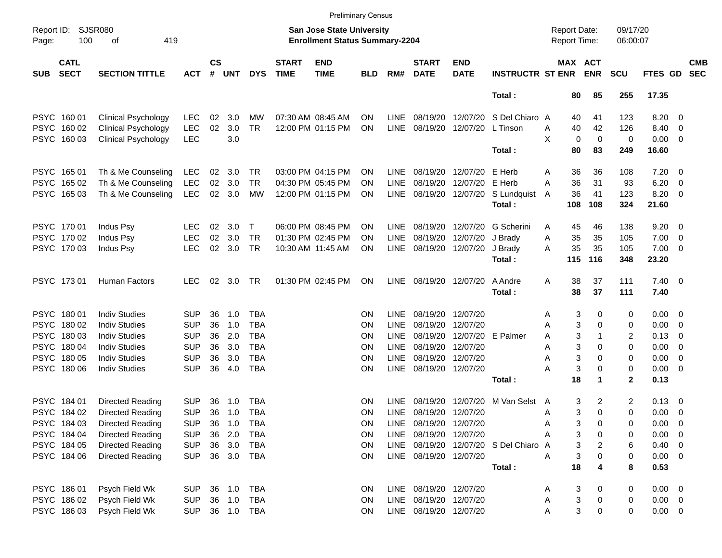|                     |                            |                             |            |                    |            |             |                             |                                                                    | <b>Preliminary Census</b> |             |                             |                           |                                |                                     |                       |                      |                |                          |                          |
|---------------------|----------------------------|-----------------------------|------------|--------------------|------------|-------------|-----------------------------|--------------------------------------------------------------------|---------------------------|-------------|-----------------------------|---------------------------|--------------------------------|-------------------------------------|-----------------------|----------------------|----------------|--------------------------|--------------------------|
| Report ID:<br>Page: | 100                        | <b>SJSR080</b><br>419<br>оf |            |                    |            |             |                             | San Jose State University<br><b>Enrollment Status Summary-2204</b> |                           |             |                             |                           |                                | <b>Report Date:</b><br>Report Time: |                       | 09/17/20<br>06:00:07 |                |                          |                          |
| <b>SUB</b>          | <b>CATL</b><br><b>SECT</b> | <b>SECTION TITTLE</b>       | <b>ACT</b> | $\mathsf{cs}$<br># | <b>UNT</b> | <b>DYS</b>  | <b>START</b><br><b>TIME</b> | <b>END</b><br><b>TIME</b>                                          | <b>BLD</b>                | RM#         | <b>START</b><br><b>DATE</b> | <b>END</b><br><b>DATE</b> | <b>INSTRUCTR ST ENR</b>        |                                     | MAX ACT<br><b>ENR</b> | <b>SCU</b>           | FTES GD        |                          | <b>CMB</b><br><b>SEC</b> |
|                     |                            |                             |            |                    |            |             |                             |                                                                    |                           |             |                             |                           | Total:                         | 80                                  | 85                    | 255                  | 17.35          |                          |                          |
|                     | PSYC 160 01                | <b>Clinical Psychology</b>  | <b>LEC</b> | 02                 | 3.0        | MW          |                             | 07:30 AM 08:45 AM                                                  | ΟN                        | <b>LINE</b> | 08/19/20                    | 12/07/20                  | S Del Chiaro A                 |                                     | 41<br>40              | 123                  | 8.20           | $\overline{\phantom{0}}$ |                          |
|                     | PSYC 160 02                | <b>Clinical Psychology</b>  | <b>LEC</b> | 02                 | 3.0        | <b>TR</b>   |                             | 12:00 PM 01:15 PM                                                  | ΟN                        | <b>LINE</b> | 08/19/20                    | 12/07/20                  | L Tinson                       | 40<br>Α                             | 42                    | 126                  | 8.40           | $\overline{\phantom{0}}$ |                          |
|                     | PSYC 160 03                | <b>Clinical Psychology</b>  | <b>LEC</b> |                    | 3.0        |             |                             |                                                                    |                           |             |                             |                           |                                | X                                   | 0<br>$\mathbf 0$      | 0                    | $0.00 \t 0$    |                          |                          |
|                     |                            |                             |            |                    |            |             |                             |                                                                    |                           |             |                             |                           | Total:                         | 80                                  | 83                    | 249                  | 16.60          |                          |                          |
|                     | PSYC 165 01                | Th & Me Counseling          | <b>LEC</b> | 02                 | 3.0        | TR          |                             | 03:00 PM 04:15 PM                                                  | ΟN                        | <b>LINE</b> | 08/19/20                    | 12/07/20                  | E Herb                         | A                                   | 36<br>36              | 108                  | $7.20 \t 0$    |                          |                          |
|                     | PSYC 165 02                | Th & Me Counseling          | <b>LEC</b> | 02                 | 3.0        | <b>TR</b>   |                             | 04:30 PM 05:45 PM                                                  | ΟN                        | <b>LINE</b> | 08/19/20                    | 12/07/20                  | E Herb                         | 36<br>Α                             | 31                    | 93                   | 6.20           | $\overline{\mathbf{0}}$  |                          |
|                     | PSYC 165 03                | Th & Me Counseling          | LEC        | 02                 | 3.0        | MW          |                             | 12:00 PM 01:15 PM                                                  | ON                        | LINE        | 08/19/20                    | 12/07/20                  | S Lundquist                    | 36<br>A                             | 41                    | 123                  | 8.20 0         |                          |                          |
|                     |                            |                             |            |                    |            |             |                             |                                                                    |                           |             |                             |                           | Total:                         | 108                                 | 108                   | 324                  | 21.60          |                          |                          |
|                     | PSYC 170 01                | Indus Psy                   | <b>LEC</b> | 02                 | 3.0        | $\mathsf T$ |                             | 06:00 PM 08:45 PM                                                  | ΟN                        | <b>LINE</b> | 08/19/20                    | 12/07/20                  | G Scherini                     | 45<br>A                             | 46                    | 138                  | $9.20 \ 0$     |                          |                          |
|                     | PSYC 170 02                | Indus Psy                   | <b>LEC</b> | 02                 | 3.0        | <b>TR</b>   |                             | 01:30 PM 02:45 PM                                                  | ΟN                        | <b>LINE</b> | 08/19/20                    | 12/07/20                  | J Brady                        | 35<br>A                             | 35                    | 105                  | 7.00           | $\overline{\phantom{0}}$ |                          |
|                     | PSYC 170 03                | Indus Psy                   | <b>LEC</b> | 02                 | 3.0        | TR          |                             | 10:30 AM 11:45 AM                                                  | ΟN                        | LINE        | 08/19/20                    | 12/07/20                  | J Brady                        | А                                   | 35<br>35              | 105                  | $7.00 \t 0$    |                          |                          |
|                     |                            |                             |            |                    |            |             |                             |                                                                    |                           |             |                             |                           | Total:                         | 115                                 | 116                   | 348                  | 23.20          |                          |                          |
|                     | PSYC 17301                 | Human Factors               | <b>LEC</b> | 02                 | 3.0        | TR          |                             | 01:30 PM 02:45 PM                                                  | ON                        | LINE        |                             | 08/19/20 12/07/20         | A Andre                        | 38<br>Α                             | 37                    | 111                  | $7.40 \quad 0$ |                          |                          |
|                     |                            |                             |            |                    |            |             |                             |                                                                    |                           |             |                             |                           | Total:                         | 38                                  | 37                    | 111                  | 7.40           |                          |                          |
|                     | PSYC 180 01                | <b>Indiv Studies</b>        | <b>SUP</b> | 36                 | 1.0        | TBA         |                             |                                                                    | ΟN                        | <b>LINE</b> | 08/19/20                    | 12/07/20                  |                                | Α                                   | 3<br>0                | 0                    | $0.00 \t 0$    |                          |                          |
|                     | PSYC 180 02                | <b>Indiv Studies</b>        | <b>SUP</b> | 36                 | 1.0        | <b>TBA</b>  |                             |                                                                    | ON                        | <b>LINE</b> | 08/19/20                    | 12/07/20                  |                                | Α                                   | 3<br>$\Omega$         | 0                    | 0.00           | $\overline{\phantom{0}}$ |                          |
|                     | PSYC 18003                 | <b>Indiv Studies</b>        | <b>SUP</b> | 36                 | 2.0        | <b>TBA</b>  |                             |                                                                    | ΟN                        | <b>LINE</b> | 08/19/20                    |                           | 12/07/20 E Palmer              | A                                   | 3<br>1                | 2                    | 0.13           | $\overline{\phantom{0}}$ |                          |
|                     | PSYC 180 04                | <b>Indiv Studies</b>        | <b>SUP</b> | 36                 | 3.0        | <b>TBA</b>  |                             |                                                                    | ΟN                        | <b>LINE</b> | 08/19/20                    | 12/07/20                  |                                | Α                                   | 3<br>$\Omega$         | 0                    | 0.00           | $\overline{\phantom{0}}$ |                          |
|                     | PSYC 180 05                | <b>Indiv Studies</b>        | <b>SUP</b> | 36                 | 3.0        | <b>TBA</b>  |                             |                                                                    | ΟN                        | <b>LINE</b> | 08/19/20                    | 12/07/20                  |                                | Α                                   | 3<br>$\Omega$         | 0                    | $0.00 \t 0$    |                          |                          |
|                     | PSYC 180 06                | <b>Indiv Studies</b>        | <b>SUP</b> | 36                 | 4.0        | <b>TBA</b>  |                             |                                                                    | ON                        | <b>LINE</b> |                             | 08/19/20 12/07/20         |                                | Α                                   | 3<br>0                | 0                    | $0.00 \t 0$    |                          |                          |
|                     |                            |                             |            |                    |            |             |                             |                                                                    |                           |             |                             |                           | Total:                         | 18                                  | 1                     | $\mathbf{2}$         | 0.13           |                          |                          |
|                     | PSYC 184 01                | Directed Reading            | <b>SUP</b> | 36                 | 1.0        | <b>TBA</b>  |                             |                                                                    | ΟN                        | <b>LINE</b> | 08/19/20                    | 12/07/20                  | M Van Selst                    | A                                   | 3<br>2                | 2                    | $0.13 \ 0$     |                          |                          |
|                     | PSYC 184 02                | Directed Reading            | <b>SUP</b> | 36                 | 1.0        | TBA         |                             |                                                                    | ΟN                        | <b>LINE</b> |                             | 08/19/20 12/07/20         |                                | Α                                   | 3<br>$\Omega$         | 0                    | $0.00 \t 0$    |                          |                          |
|                     | PSYC 184 03                | Directed Reading            | <b>SUP</b> |                    | 36 1.0     | TBA         |                             |                                                                    | ΟN                        |             | LINE 08/19/20 12/07/20      |                           |                                | Α                                   | 3<br>0                | 0                    | $0.00 \t 0$    |                          |                          |
|                     | PSYC 184 04                | Directed Reading            | <b>SUP</b> | 36                 | 2.0        | TBA         |                             |                                                                    | ON                        |             | LINE 08/19/20 12/07/20      |                           |                                |                                     | 3<br>0                | 0                    | $0.00 \t 0$    |                          |                          |
|                     | PSYC 184 05                | Directed Reading            | <b>SUP</b> | 36                 | 3.0        | TBA         |                             |                                                                    | <b>ON</b>                 | LINE        |                             |                           | 08/19/20 12/07/20 S Del Chiaro | A                                   | 3<br>2                | 6                    | $0.40 \ 0$     |                          |                          |
|                     | PSYC 184 06                | Directed Reading            | <b>SUP</b> |                    |            | 36 3.0 TBA  |                             |                                                                    | <b>ON</b>                 |             | LINE 08/19/20 12/07/20      |                           |                                | Α                                   | 3<br>0                | 0                    | $0.00 \t 0$    |                          |                          |
|                     |                            |                             |            |                    |            |             |                             |                                                                    |                           |             |                             |                           | Total:                         | 18                                  | 4                     | 8                    | 0.53           |                          |                          |
|                     | PSYC 186 01                | Psych Field Wk              | <b>SUP</b> |                    |            | 36 1.0 TBA  |                             |                                                                    | <b>ON</b>                 |             | LINE 08/19/20 12/07/20      |                           |                                | A                                   | 3<br>0                | 0                    | $0.00 \t 0$    |                          |                          |
|                     | PSYC 186 02                | Psych Field Wk              | <b>SUP</b> |                    | 36 1.0     | TBA         |                             |                                                                    | ON                        |             | LINE 08/19/20 12/07/20      |                           |                                | Α                                   | 3<br>0                | 0                    | $0.00 \t 0$    |                          |                          |
|                     | PSYC 18603                 | Psych Field Wk              | <b>SUP</b> |                    |            | 36 1.0 TBA  |                             |                                                                    | <b>ON</b>                 |             | LINE 08/19/20 12/07/20      |                           |                                | Α                                   | 3<br>0                | 0                    | $0.00 \t 0$    |                          |                          |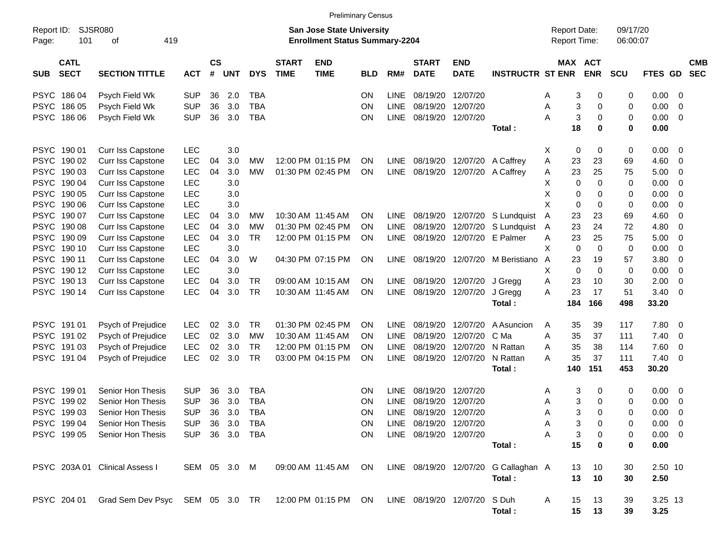|                     |                            |                                                                  |                |                    |            |            |                             |                                                                    | <b>Preliminary Census</b> |             |                             |                              |                                      |                                     |                       |                      |                |                         |                          |
|---------------------|----------------------------|------------------------------------------------------------------|----------------|--------------------|------------|------------|-----------------------------|--------------------------------------------------------------------|---------------------------|-------------|-----------------------------|------------------------------|--------------------------------------|-------------------------------------|-----------------------|----------------------|----------------|-------------------------|--------------------------|
| Report ID:<br>Page: | 101                        | SJSR080<br>419<br>0f                                             |                |                    |            |            |                             | San Jose State University<br><b>Enrollment Status Summary-2204</b> |                           |             |                             |                              |                                      | <b>Report Date:</b><br>Report Time: |                       | 09/17/20<br>06:00:07 |                |                         |                          |
| <b>SUB</b>          | <b>CATL</b><br><b>SECT</b> | <b>SECTION TITTLE</b>                                            | <b>ACT</b>     | $\mathsf{cs}$<br># | <b>UNT</b> | <b>DYS</b> | <b>START</b><br><b>TIME</b> | <b>END</b><br><b>TIME</b>                                          | <b>BLD</b>                | RM#         | <b>START</b><br><b>DATE</b> | <b>END</b><br><b>DATE</b>    | <b>INSTRUCTR ST ENR</b>              |                                     | MAX ACT<br><b>ENR</b> | <b>SCU</b>           | <b>FTES GD</b> |                         | <b>CMB</b><br><b>SEC</b> |
| <b>PSYC</b>         | 186 04                     | Psych Field Wk                                                   | <b>SUP</b>     | 36                 | 2.0        | <b>TBA</b> |                             |                                                                    | <b>ON</b>                 | LINE        | 08/19/20                    | 12/07/20                     |                                      | Α                                   | 3<br>0                | 0                    | 0.00           | - 0                     |                          |
| <b>PSYC</b>         | 186 05                     | Psych Field Wk                                                   | <b>SUP</b>     | 36                 | 3.0        | <b>TBA</b> |                             |                                                                    | <b>ON</b>                 | <b>LINE</b> | 08/19/20                    | 12/07/20                     |                                      | Α                                   | 3<br>0                | 0                    | 0.00           | 0                       |                          |
|                     | PSYC 186 06                | Psych Field Wk                                                   | <b>SUP</b>     | 36                 | 3.0        | <b>TBA</b> |                             |                                                                    | <b>ON</b>                 | <b>LINE</b> | 08/19/20                    | 12/07/20                     |                                      | A                                   | 3<br>0                | 0                    | 0.00           | 0                       |                          |
|                     |                            |                                                                  |                |                    |            |            |                             |                                                                    |                           |             |                             |                              | Total:                               | 18                                  | 0                     | 0                    | 0.00           |                         |                          |
| <b>PSYC</b>         | 190 01                     | Curr Iss Capstone                                                | LEC            |                    | 3.0        |            |                             |                                                                    |                           |             |                             |                              |                                      | X                                   | 0<br>0                | 0                    | 0.00           | - 0                     |                          |
|                     | PSYC 190 02                | Curr Iss Capstone                                                | LEC            | 04                 | 3.0        | MW         |                             | 12:00 PM 01:15 PM                                                  | <b>ON</b>                 | LINE.       | 08/19/20                    | 12/07/20                     | A Caffrey                            | Α<br>23                             | 23                    | 69                   | 4.60           | 0                       |                          |
| <b>PSYC</b>         | 190 03                     | Curr Iss Capstone                                                | LEC            | 04                 | 3.0        | МW         |                             | 01:30 PM 02:45 PM                                                  | ON                        |             | LINE 08/19/20               |                              | 12/07/20 A Caffrey                   | 23<br>A                             | 25                    | 75                   | 5.00           | 0                       |                          |
| <b>PSYC</b>         | 190 04                     | Curr Iss Capstone                                                | LEC            |                    | 3.0        |            |                             |                                                                    |                           |             |                             |                              |                                      | X.                                  | 0<br>0                | 0                    | 0.00           | 0                       |                          |
| <b>PSYC</b>         | 190 05                     | Curr Iss Capstone                                                | <b>LEC</b>     |                    | 3.0        |            |                             |                                                                    |                           |             |                             |                              |                                      | х                                   | 0<br>0                | 0                    | 0.00           | 0                       |                          |
| <b>PSYC</b>         | 190 06                     | Curr Iss Capstone                                                | LEC            |                    | 3.0        |            |                             |                                                                    |                           |             |                             |                              |                                      | х                                   | 0<br>0                | 0                    | 0.00           | 0                       |                          |
| <b>PSYC</b>         | 190 07                     | Curr Iss Capstone                                                | <b>LEC</b>     | 04                 | 3.0        | МW         |                             | 10:30 AM 11:45 AM                                                  | <b>ON</b>                 | LINE        | 08/19/20                    | 12/07/20                     | S Lundquist                          | 23<br>A                             | 23                    | 69                   | 4.60           | 0                       |                          |
| <b>PSYC</b>         | 190 08                     | Curr Iss Capstone                                                | LEC            | 04                 | 3.0        | MW         |                             | 01:30 PM 02:45 PM                                                  | <b>ON</b>                 | <b>LINE</b> | 08/19/20                    | 12/07/20                     | S Lundquist                          | 23<br>A                             | 24                    | 72                   | 4.80           | 0                       |                          |
| <b>PSYC</b>         | 190 09                     | Curr Iss Capstone                                                | <b>LEC</b>     | 04                 | 3.0        | TR         |                             | 12:00 PM 01:15 PM                                                  | <b>ON</b>                 | <b>LINE</b> | 08/19/20                    | 12/07/20                     | E Palmer                             | 23<br>A                             | 25                    | 75                   | 5.00           | 0                       |                          |
| <b>PSYC</b>         | 190 10                     | Curr Iss Capstone                                                | LEC            |                    | 3.0        |            |                             |                                                                    |                           |             |                             |                              |                                      | х                                   | $\mathbf 0$<br>0      | 0                    | 0.00           | 0                       |                          |
| <b>PSYC</b>         | 190 11                     | Curr Iss Capstone                                                | LEC            | 04                 | 3.0        | W          |                             | 04:30 PM 07:15 PM                                                  | <b>ON</b>                 |             | LINE 08/19/20               |                              | 12/07/20 M Beristiano                | A<br>23                             | 19                    | 57                   | 3.80           | 0                       |                          |
| <b>PSYC</b>         | 190 12                     | Curr Iss Capstone                                                | LEC            |                    | 3.0        |            |                             |                                                                    |                           |             |                             |                              |                                      | X.                                  | 0<br>0                | 0                    | 0.00           | 0                       |                          |
| <b>PSYC</b>         | 190 13                     | Curr Iss Capstone                                                | <b>LEC</b>     | 04                 | 3.0        | TR         |                             | 09:00 AM 10:15 AM                                                  | <b>ON</b>                 |             | LINE 08/19/20               | 12/07/20                     | J Gregg                              | Α<br>23                             | 10                    | 30                   | 2.00           | 0                       |                          |
|                     | PSYC 190 14                | Curr Iss Capstone                                                | <b>LEC</b>     | 04                 | 3.0        | <b>TR</b>  |                             | 10:30 AM 11:45 AM                                                  | ON                        |             | LINE 08/19/20               | 12/07/20                     | J Gregg                              | A<br>23                             | 17                    | 51                   | 3.40           | 0                       |                          |
|                     |                            |                                                                  |                |                    |            |            |                             |                                                                    |                           |             |                             |                              | Total:                               | 184                                 | 166                   | 498                  | 33.20          |                         |                          |
| <b>PSYC</b>         | 191 01                     | Psych of Prejudice                                               | LEC            | 02                 | 3.0        | TR         |                             | 01:30 PM 02:45 PM                                                  | <b>ON</b>                 | LINE.       | 08/19/20                    | 12/07/20                     | A Asuncion                           | 35<br>Α                             | 39                    | 117                  | 7.80           | 0                       |                          |
| <b>PSYC</b>         | 191 02                     | Psych of Prejudice                                               | <b>LEC</b>     | 02                 | 3.0        | MW         |                             | 10:30 AM 11:45 AM                                                  | <b>ON</b>                 | <b>LINE</b> | 08/19/20                    | 12/07/20                     | C Ma                                 | 35<br>Α                             | 37                    | 111                  | 7.40           | 0                       |                          |
| <b>PSYC</b>         | 191 03                     | Psych of Prejudice                                               | <b>LEC</b>     | 02                 | 3.0        | TR         |                             | 12:00 PM 01:15 PM                                                  | <b>ON</b>                 | <b>LINE</b> | 08/19/20                    | 12/07/20                     | N Rattan                             | 35<br>Α                             | 38                    | 114                  | 7.60           | 0                       |                          |
|                     | PSYC 19104                 | Psych of Prejudice                                               | <b>LEC</b>     | 02                 | 3.0        | TR         |                             | 03:00 PM 04:15 PM                                                  | <b>ON</b>                 | <b>LINE</b> | 08/19/20                    | 12/07/20                     | N Rattan                             | Α<br>35                             | 37                    | 111                  | 7.40           | - 0                     |                          |
|                     |                            |                                                                  |                |                    |            |            |                             |                                                                    |                           |             |                             |                              | Total:                               | 140                                 | 151                   | 453                  | 30.20          |                         |                          |
| <b>PSYC</b>         | 199 01                     | Senior Hon Thesis                                                | <b>SUP</b>     | 36                 | 3.0        | <b>TBA</b> |                             |                                                                    | <b>ON</b>                 | LINE.       | 08/19/20                    | 12/07/20                     |                                      | Α                                   | 3<br>0                | 0                    | 0.00           | $\overline{\mathbf{0}}$ |                          |
| <b>PSYC</b>         | 199 02                     | Senior Hon Thesis                                                | <b>SUP</b>     | 36                 | 3.0        | <b>TBA</b> |                             |                                                                    | <b>ON</b>                 | <b>LINE</b> | 08/19/20                    | 12/07/20                     |                                      | Α                                   | 3<br>0                | 0                    | 0.00           | 0                       |                          |
|                     | PSYC 199 03                | Senior Hon Thesis                                                | <b>SUP</b>     | 36                 | 3.0        | <b>TBA</b> |                             |                                                                    | <b>ON</b>                 | <b>LINE</b> | 08/19/20 12/07/20           |                              |                                      | A                                   | 3<br>0                | 0                    | 0.00           | 0                       |                          |
|                     | PSYC 199 04                | Senior Hon Thesis                                                | SUP 36 3.0 TBA |                    |            |            |                             |                                                                    | $\mathsf{ON}$             |             | LINE 08/19/20 12/07/20      |                              |                                      | A                                   | 3<br>0                |                      | $0.00 \t 0$    |                         |                          |
|                     | PSYC 199 05                | Senior Hon Thesis                                                | SUP 36 3.0 TBA |                    |            |            |                             |                                                                    | <b>ON</b>                 |             | LINE 08/19/20 12/07/20      |                              |                                      | A                                   | 3<br>0                | 0                    | $0.00 \quad 0$ |                         |                          |
|                     |                            |                                                                  |                |                    |            |            |                             |                                                                    |                           |             |                             |                              | Total:                               | 15                                  | $\mathbf 0$           | 0                    | 0.00           |                         |                          |
|                     |                            | PSYC 203A 01 Clinical Assess I                                   | SEM 05 3.0 M   |                    |            |            |                             | 09:00 AM 11:45 AM ON                                               |                           |             |                             |                              | LINE 08/19/20 12/07/20 G Callaghan A | 13                                  | 10                    | 30                   | 2.50 10        |                         |                          |
|                     |                            |                                                                  |                |                    |            |            |                             |                                                                    |                           |             |                             |                              | Total:                               | 13                                  | 10                    | 30                   | 2.50           |                         |                          |
|                     |                            | PSYC 204 01 Grad Sem Dev Psyc SEM 05 3.0 TR 12:00 PM 01:15 PM ON |                |                    |            |            |                             |                                                                    |                           |             |                             | LINE 08/19/20 12/07/20 S Duh |                                      | A<br>15                             | 13                    | 39                   | 3.25 13        |                         |                          |
|                     |                            |                                                                  |                |                    |            |            |                             |                                                                    |                           |             |                             |                              | Total:                               |                                     | 15 13                 | 39                   | 3.25           |                         |                          |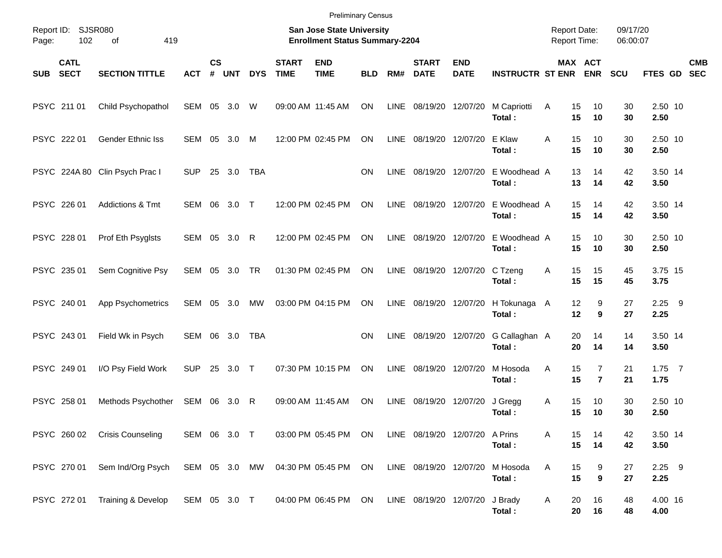| Page: | Report ID: SJSR080<br>102  | 419<br>of                      |               |                    |            |            |                             | <b>Preliminary Census</b><br><b>San Jose State University</b><br><b>Enrollment Status Summary-2204</b> |            |      |                                |                           |                         | <b>Report Date:</b><br>Report Time: |                                  | 09/17/20<br>06:00:07 |                  |            |
|-------|----------------------------|--------------------------------|---------------|--------------------|------------|------------|-----------------------------|--------------------------------------------------------------------------------------------------------|------------|------|--------------------------------|---------------------------|-------------------------|-------------------------------------|----------------------------------|----------------------|------------------|------------|
| SUB   | <b>CATL</b><br><b>SECT</b> | <b>SECTION TITTLE</b>          | <b>ACT</b>    | $\mathsf{cs}$<br># | <b>UNT</b> | <b>DYS</b> | <b>START</b><br><b>TIME</b> | <b>END</b><br><b>TIME</b>                                                                              | <b>BLD</b> | RM#  | <b>START</b><br><b>DATE</b>    | <b>END</b><br><b>DATE</b> | <b>INSTRUCTR ST ENR</b> |                                     | MAX ACT<br><b>ENR</b>            | <b>SCU</b>           | FTES GD SEC      | <b>CMB</b> |
|       | PSYC 211 01                | Child Psychopathol             | SEM 05 3.0    |                    |            | W          | 09:00 AM 11:45 AM           |                                                                                                        | ON         |      | LINE 08/19/20 12/07/20         |                           | M Capriotti<br>Total:   | Α<br>15<br>15                       | 10<br>10                         | 30<br>30             | 2.50 10<br>2.50  |            |
|       | PSYC 222 01                | <b>Gender Ethnic Iss</b>       | SEM 05 3.0    |                    |            | M          |                             | 12:00 PM 02:45 PM                                                                                      | ON         |      | LINE 08/19/20 12/07/20         |                           | E Klaw<br>Total:        | A<br>15<br>15                       | 10<br>10                         | 30<br>30             | 2.50 10<br>2.50  |            |
|       |                            | PSYC 224A 80 Clin Psych Prac I | <b>SUP</b>    |                    | 25 3.0     | <b>TBA</b> |                             |                                                                                                        | <b>ON</b>  | LINE | 08/19/20 12/07/20              |                           | E Woodhead A<br>Total:  | 13<br>13                            | 14<br>14                         | 42<br>42             | 3.50 14<br>3.50  |            |
|       | PSYC 226 01                | Addictions & Tmt               | SEM 06 3.0 T  |                    |            |            |                             | 12:00 PM 02:45 PM                                                                                      | ON         |      | LINE 08/19/20 12/07/20         |                           | E Woodhead A<br>Total:  | 15<br>15                            | 14<br>14                         | 42<br>42             | 3.50 14<br>3.50  |            |
|       | PSYC 228 01                | Prof Eth Psyglsts              | SEM 05 3.0 R  |                    |            |            |                             | 12:00 PM 02:45 PM                                                                                      | ON         |      | LINE 08/19/20 12/07/20         |                           | E Woodhead A<br>Total:  | 15<br>15                            | 10<br>10                         | 30<br>30             | 2.50 10<br>2.50  |            |
|       | PSYC 235 01                | Sem Cognitive Psy              | SEM 05 3.0 TR |                    |            |            |                             | 01:30 PM 02:45 PM                                                                                      | ON         |      | LINE 08/19/20 12/07/20         |                           | C Tzeng<br>Total:       | 15<br>A<br>15                       | 15<br>15                         | 45<br>45             | 3.75 15<br>3.75  |            |
|       | PSYC 240 01                | App Psychometrics              | SEM 05 3.0    |                    |            | MW         |                             | 03:00 PM 04:15 PM                                                                                      | ON         |      | LINE 08/19/20 12/07/20         |                           | H Tokunaga A<br>Total:  | 12<br>12                            | 9<br>9                           | 27<br>27             | $2.25$ 9<br>2.25 |            |
|       | PSYC 243 01                | Field Wk in Psych              | SEM 06 3.0    |                    |            | <b>TBA</b> |                             |                                                                                                        | <b>ON</b>  | LINE | 08/19/20 12/07/20              |                           | G Callaghan A<br>Total: | 20<br>20                            | 14<br>14                         | 14<br>14             | 3.50 14<br>3.50  |            |
|       | PSYC 249 01                | I/O Psy Field Work             | <b>SUP</b>    |                    | 25 3.0 T   |            |                             | 07:30 PM 10:15 PM                                                                                      | ON         | LINE | 08/19/20 12/07/20              |                           | M Hosoda<br>Total:      | 15<br>A<br>15                       | $\overline{7}$<br>$\overline{7}$ | 21<br>21             | $1.75$ 7<br>1.75 |            |
|       | PSYC 258 01                | Methods Psychother             | SEM 06 3.0    |                    |            | R          | 09:00 AM 11:45 AM           |                                                                                                        | ON         | LINE | 08/19/20                       | 12/07/20                  | J Gregg<br>Total:       | 15<br>Α<br>15                       | 10<br>10                         | 30<br>30             | 2.50 10<br>2.50  |            |
|       |                            | PSYC 260 02 Crisis Counseling  | SEM 06 3.0 T  |                    |            |            |                             | 03:00 PM 05:45 PM ON                                                                                   |            |      | LINE 08/19/20 12/07/20 A Prins |                           | Total:                  | 15<br>Α<br>15                       | 14<br>14                         | 42<br>42             | 3.50 14<br>3.50  |            |
|       | PSYC 270 01                | Sem Ind/Org Psych              | SEM 05 3.0 MW |                    |            |            |                             | 04:30 PM 05:45 PM ON                                                                                   |            |      | LINE 08/19/20 12/07/20         |                           | M Hosoda<br>Total:      | Α<br>15<br>15                       | 9<br>9                           | 27<br>27             | $2.25$ 9<br>2.25 |            |
|       | PSYC 272 01                | Training & Develop             | SEM 05 3.0 T  |                    |            |            |                             | 04:00 PM 06:45 PM ON                                                                                   |            |      | LINE 08/19/20 12/07/20         |                           | J Brady<br>Total:       | 20<br>A<br>20                       | 16<br>16                         | 48<br>48             | 4.00 16<br>4.00  |            |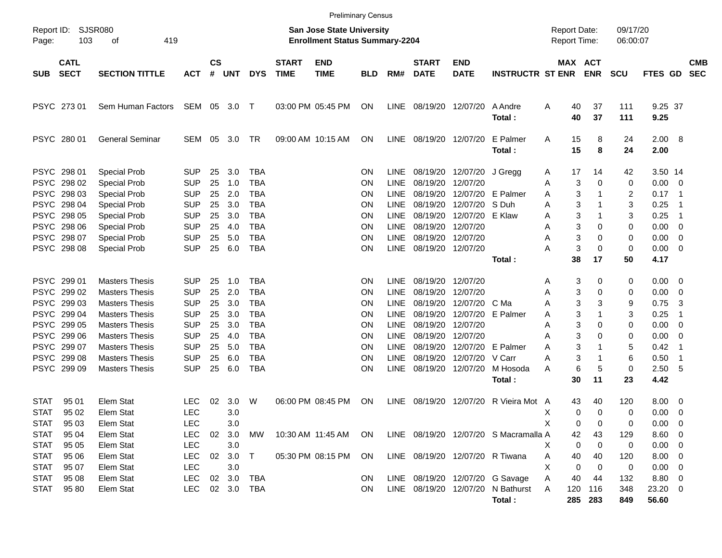|                            |                            |                                            |                          |                             |            |                          |                             | <b>Preliminary Census</b>                                                 |            |                            |                                 |                           |                                       |                                     |                       |                      |                      |                                            |                          |
|----------------------------|----------------------------|--------------------------------------------|--------------------------|-----------------------------|------------|--------------------------|-----------------------------|---------------------------------------------------------------------------|------------|----------------------------|---------------------------------|---------------------------|---------------------------------------|-------------------------------------|-----------------------|----------------------|----------------------|--------------------------------------------|--------------------------|
| Report ID:<br>Page:        | SJSR080<br>103             | 419<br>оf                                  |                          |                             |            |                          |                             | <b>San Jose State University</b><br><b>Enrollment Status Summary-2204</b> |            |                            |                                 |                           |                                       | <b>Report Date:</b><br>Report Time: |                       | 09/17/20<br>06:00:07 |                      |                                            |                          |
| SUB                        | <b>CATL</b><br><b>SECT</b> | <b>SECTION TITTLE</b>                      | <b>ACT</b>               | $\mathsf{cs}$<br>$\pmb{\#}$ | <b>UNT</b> | <b>DYS</b>               | <b>START</b><br><b>TIME</b> | <b>END</b><br><b>TIME</b>                                                 | <b>BLD</b> | RM#                        | <b>START</b><br><b>DATE</b>     | <b>END</b><br><b>DATE</b> | <b>INSTRUCTR ST ENR</b>               |                                     | MAX ACT<br><b>ENR</b> | <b>SCU</b>           | FTES GD              |                                            | <b>CMB</b><br><b>SEC</b> |
|                            | PSYC 273 01                | Sem Human Factors                          | SEM 05                   |                             | 3.0        | $\top$                   |                             | 03:00 PM 05:45 PM                                                         | <b>ON</b>  | LINE                       | 08/19/20                        | 12/07/20                  | A Andre<br>Total:                     | A<br>40<br>40                       | 37<br>37              | 111<br>111           | 9.25 37<br>9.25      |                                            |                          |
|                            | PSYC 280 01                | <b>General Seminar</b>                     | SEM                      | 05                          | 3.0        | TR                       |                             | 09:00 AM 10:15 AM                                                         | <b>ON</b>  | LINE                       | 08/19/20                        | 12/07/20                  | E Palmer<br>Total:                    | A<br>15<br>15                       | 8<br>8                | 24<br>24             | 2.00 8<br>2.00       |                                            |                          |
| <b>PSYC</b>                | PSYC 298 01<br>298 02      | <b>Special Prob</b><br><b>Special Prob</b> | <b>SUP</b><br><b>SUP</b> | 25<br>25                    | 3.0<br>1.0 | <b>TBA</b><br><b>TBA</b> |                             |                                                                           | ON<br>ON   | <b>LINE</b><br><b>LINE</b> | 08/19/20<br>08/19/20            | 12/07/20<br>12/07/20      | J Gregg                               | 17<br>A<br>3<br>Α                   | 14<br>0               | 42<br>0              | 3.50 14<br>0.00      | $\overline{\phantom{0}}$                   |                          |
| <b>PSYC</b><br><b>PSYC</b> | 298 03<br>298 04           | <b>Special Prob</b><br><b>Special Prob</b> | <b>SUP</b><br><b>SUP</b> | 25<br>25                    | 2.0<br>3.0 | <b>TBA</b><br><b>TBA</b> |                             |                                                                           | ΟN<br>ON   | <b>LINE</b><br><b>LINE</b> | 08/19/20<br>08/19/20            | 12/07/20<br>12/07/20      | E Palmer<br>S Duh                     | 3<br>Α<br>3<br>Α                    | 1<br>1                | 2<br>3               | 0.17<br>0.25         | $\overline{\phantom{0}}$ 1<br>- 1          |                          |
| <b>PSYC</b><br><b>PSYC</b> | 298 05<br>298 06           | <b>Special Prob</b><br><b>Special Prob</b> | <b>SUP</b><br><b>SUP</b> | 25<br>25                    | 3.0<br>4.0 | <b>TBA</b><br><b>TBA</b> |                             |                                                                           | ON<br>ON   | <b>LINE</b><br><b>LINE</b> | 08/19/20<br>08/19/20            | 12/07/20<br>12/07/20      | E Klaw                                | 3<br>Α<br>3<br>Α                    | 1<br>0                | 3<br>0               | 0.25<br>0.00         | $\overline{1}$<br>$\overline{\mathbf{0}}$  |                          |
| <b>PSYC</b><br><b>PSYC</b> | 298 07<br>298 08           | <b>Special Prob</b><br><b>Special Prob</b> | <b>SUP</b><br><b>SUP</b> | 25<br>25                    | 5.0<br>6.0 | <b>TBA</b><br><b>TBA</b> |                             |                                                                           | ON<br>ON   | <b>LINE</b><br><b>LINE</b> | 08/19/20<br>08/19/20            | 12/07/20<br>12/07/20      | Total:                                | 3<br>A<br>3<br>Α<br>38              | 0<br>0<br>17          | 0<br>0<br>50         | 0.00<br>0.00<br>4.17 | $\overline{0}$<br>$\overline{\phantom{0}}$ |                          |
|                            |                            |                                            |                          |                             |            |                          |                             |                                                                           |            |                            |                                 |                           |                                       |                                     |                       |                      |                      |                                            |                          |
|                            | PSYC 299 01                | <b>Masters Thesis</b>                      | <b>SUP</b>               | 25                          | 1.0        | <b>TBA</b>               |                             |                                                                           | ON         | <b>LINE</b>                | 08/19/20                        | 12/07/20                  |                                       | 3<br>Α                              | 0                     | 0                    | 0.00                 | $\overline{\phantom{0}}$                   |                          |
| <b>PSYC</b>                | 299 02                     | <b>Masters Thesis</b>                      | <b>SUP</b>               | 25                          | 2.0        | <b>TBA</b>               |                             |                                                                           | ON         | <b>LINE</b>                | 08/19/20                        | 12/07/20                  |                                       | 3<br>Α                              | 0                     | 0                    | 0.00                 | - 0                                        |                          |
| <b>PSYC</b>                | 299 03                     | <b>Masters Thesis</b>                      | <b>SUP</b>               | 25                          | 3.0        | <b>TBA</b>               |                             |                                                                           | ON         | <b>LINE</b>                | 08/19/20                        | 12/07/20                  | C Ma                                  | 3<br>Α                              | 3                     | 9                    | 0.75                 | 3                                          |                          |
| <b>PSYC</b>                | 299 04                     | <b>Masters Thesis</b>                      | <b>SUP</b>               | 25                          | 3.0        | <b>TBA</b>               |                             |                                                                           | ON         | <b>LINE</b>                | 08/19/20                        | 12/07/20                  | E Palmer                              | 3<br>Α                              | 1                     | 3                    | 0.25                 | $\overline{1}$                             |                          |
| <b>PSYC</b>                | 299 05                     | <b>Masters Thesis</b>                      | <b>SUP</b>               | 25                          | 3.0        | <b>TBA</b>               |                             |                                                                           | ON         | <b>LINE</b>                | 08/19/20                        | 12/07/20                  |                                       | 3<br>Α                              | 0                     | 0                    | 0.00                 | - 0                                        |                          |
| <b>PSYC</b>                | 299 06                     | <b>Masters Thesis</b>                      | <b>SUP</b>               | 25                          | 4.0        | <b>TBA</b>               |                             |                                                                           | ON         | <b>LINE</b>                | 08/19/20                        | 12/07/20                  |                                       | 3<br>Α                              | 0                     | 0                    | 0.00                 | - 0                                        |                          |
| <b>PSYC</b>                | 299 07                     | <b>Masters Thesis</b>                      | <b>SUP</b>               | 25                          | 5.0        | <b>TBA</b>               |                             |                                                                           | ON         | <b>LINE</b>                | 08/19/20                        | 12/07/20                  | E Palmer                              | 3<br>Α                              |                       | 5                    | 0.42                 | $\overline{\phantom{0}}$ 1                 |                          |
| <b>PSYC</b>                | 299 08                     | <b>Masters Thesis</b>                      | <b>SUP</b>               | 25                          | 6.0        | <b>TBA</b>               |                             |                                                                           | ON         | <b>LINE</b>                | 08/19/20                        | 12/07/20                  | V Carr                                | 3<br>Α                              | 1                     | 6                    | 0.50                 | $\overline{1}$                             |                          |
| <b>PSYC</b>                | 299 09                     | <b>Masters Thesis</b>                      | <b>SUP</b>               | 25                          | 6.0        | <b>TBA</b>               |                             |                                                                           | ΟN         | <b>LINE</b>                | 08/19/20                        | 12/07/20                  | M Hosoda<br>Total:                    | 6<br>A<br>30                        | 5<br>11               | 0<br>23              | $2.50\t5$<br>4.42    |                                            |                          |
| <b>STAT</b><br><b>STAT</b> | 95 01<br>95 02             | Elem Stat<br>Elem Stat                     | <b>LEC</b><br><b>LEC</b> | 02                          | 3.0<br>3.0 | W                        |                             | 06:00 PM 08:45 PM                                                         | ON         | <b>LINE</b>                | 08/19/20                        | 12/07/20                  | R Vieira Mot A                        | 43<br>X<br>0                        | 40<br>$\Omega$        | 120<br>0             | 8.00<br>0.00         | $\overline{\phantom{0}}$<br>- 0            |                          |
|                            | STAT 95 03                 | Elem Stat                                  | <b>LEC</b>               |                             | 3.0        |                          |                             |                                                                           |            |                            |                                 |                           |                                       | X<br>0                              | 0                     | 0                    | $0.00 \t 0$          |                                            |                          |
| STAT                       | 95 04                      | Elem Stat                                  | <b>LEC</b>               | 02                          | 3.0        | MW                       |                             | 10:30 AM 11:45 AM ON                                                      |            |                            |                                 |                           | LINE 08/19/20 12/07/20 S Macramalla A | 42                                  | 43                    | 129                  | $8.60$ 0             |                                            |                          |
| <b>STAT</b>                | 95 05                      | Elem Stat                                  | <b>LEC</b>               |                             | 3.0        |                          |                             |                                                                           |            |                            |                                 |                           |                                       | X<br>0                              | 0                     | 0                    | $0.00 \t 0$          |                                            |                          |
| <b>STAT</b>                | 95 06                      | Elem Stat                                  | <b>LEC</b>               |                             | 02 3.0 T   |                          |                             | 05:30 PM 08:15 PM ON                                                      |            |                            | LINE 08/19/20 12/07/20 R Tiwana |                           |                                       | 40<br>A                             | 40                    | 120                  | $8.00 \t 0$          |                                            |                          |
| <b>STAT</b>                | 95 07                      | Elem Stat                                  | <b>LEC</b>               |                             | 3.0        |                          |                             |                                                                           |            |                            |                                 |                           |                                       | X<br>0                              | 0                     | 0                    | $0.00 \t 0$          |                                            |                          |
| <b>STAT</b>                | 95 08                      | Elem Stat                                  | LEC                      |                             |            | 02 3.0 TBA               |                             |                                                                           | ON         |                            |                                 |                           | LINE 08/19/20 12/07/20 G Savage       | 40<br>A                             | 44                    | 132                  | 8.80 0               |                                            |                          |
| <b>STAT</b>                | 95 80                      | Elem Stat                                  | LEC                      |                             |            | 02 3.0 TBA               |                             |                                                                           | <b>ON</b>  |                            |                                 |                           | LINE 08/19/20 12/07/20 N Bathurst     | <b>A</b><br>120                     | 116                   | 348                  | 23.20 0              |                                            |                          |
|                            |                            |                                            |                          |                             |            |                          |                             |                                                                           |            |                            |                                 |                           | Total:                                |                                     | 285 283               | 849                  | 56.60                |                                            |                          |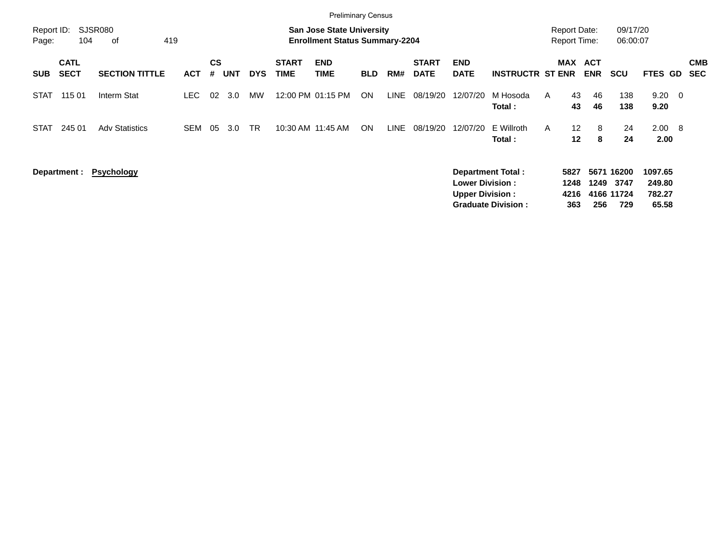|                     |                            |                       |            |                |     |            |                             | <b>Preliminary Census</b>                                                 |            |             |                             |                                                  |                                                       |              |                                            |             |                                         |                                      |                          |
|---------------------|----------------------------|-----------------------|------------|----------------|-----|------------|-----------------------------|---------------------------------------------------------------------------|------------|-------------|-----------------------------|--------------------------------------------------|-------------------------------------------------------|--------------|--------------------------------------------|-------------|-----------------------------------------|--------------------------------------|--------------------------|
| Report ID:<br>Page: | 104                        | SJSR080<br>419<br>0f  |            |                |     |            |                             | <b>San Jose State University</b><br><b>Enrollment Status Summary-2204</b> |            |             |                             |                                                  |                                                       |              | <b>Report Date:</b><br><b>Report Time:</b> |             | 09/17/20<br>06:00:07                    |                                      |                          |
| <b>SUB</b>          | <b>CATL</b><br><b>SECT</b> | <b>SECTION TITTLE</b> | <b>ACT</b> | <b>CS</b><br># | UNT | <b>DYS</b> | <b>START</b><br><b>TIME</b> | <b>END</b><br><b>TIME</b>                                                 | <b>BLD</b> | RM#         | <b>START</b><br><b>DATE</b> | <b>END</b><br><b>DATE</b>                        | <b>INSTRUCTR ST ENR</b>                               |              | MAX ACT                                    | <b>ENR</b>  | <b>SCU</b>                              | FTES GD                              | <b>CMB</b><br><b>SEC</b> |
| <b>STAT</b>         | 115 01                     | Interm Stat           | LEC.       | 02             | 3.0 | <b>MW</b>  |                             | 12:00 PM 01:15 PM                                                         | ON         | <b>LINE</b> | 08/19/20                    | 12/07/20                                         | M Hosoda<br>Total :                                   | A            | 43<br>43                                   | 46<br>46    | 138<br>138                              | $9.20 \quad 0$<br>9.20               |                          |
| <b>STAT</b>         | 245 01                     | <b>Adv Statistics</b> | <b>SEM</b> | 05             | 3.0 | <b>TR</b>  |                             | 10:30 AM 11:45 AM                                                         | <b>ON</b>  | LINE        | 08/19/20                    | 12/07/20                                         | E Willroth<br>Total:                                  | $\mathsf{A}$ | $12 \overline{ }$<br>$12 \,$               | 8<br>8      | 24<br>24                                | $2.00 \quad 8$<br>2.00               |                          |
|                     | Department :               | <b>Psychology</b>     |            |                |     |            |                             |                                                                           |            |             |                             | <b>Lower Division:</b><br><b>Upper Division:</b> | <b>Department Total:</b><br><b>Graduate Division:</b> |              | 5827<br>1248<br>4216<br>363                | 1249<br>256 | 5671 16200<br>3747<br>4166 11724<br>729 | 1097.65<br>249.80<br>782.27<br>65.58 |                          |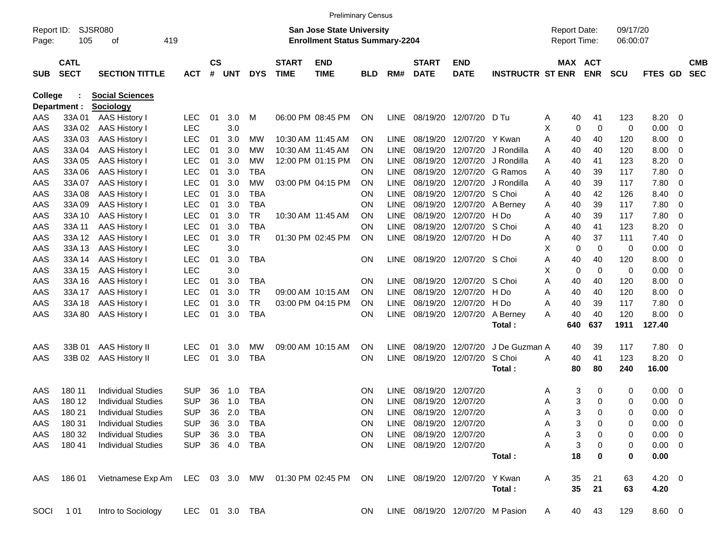|                     |                            |                                                      |                |               |        |            |                             |                                                                           | <b>Preliminary Census</b> |             |                             |                                 |                         |   |                                            |             |                      |             |                         |                          |
|---------------------|----------------------------|------------------------------------------------------|----------------|---------------|--------|------------|-----------------------------|---------------------------------------------------------------------------|---------------------------|-------------|-----------------------------|---------------------------------|-------------------------|---|--------------------------------------------|-------------|----------------------|-------------|-------------------------|--------------------------|
| Report ID:<br>Page: | 105                        | <b>SJSR080</b><br>419<br>οf                          |                |               |        |            |                             | <b>San Jose State University</b><br><b>Enrollment Status Summary-2204</b> |                           |             |                             |                                 |                         |   | <b>Report Date:</b><br><b>Report Time:</b> |             | 09/17/20<br>06:00:07 |             |                         |                          |
| <b>SUB</b>          | <b>CATL</b><br><b>SECT</b> | <b>SECTION TITTLE</b>                                | <b>ACT</b>     | $\mathsf{cs}$ | # UNT  | <b>DYS</b> | <b>START</b><br><b>TIME</b> | <b>END</b><br><b>TIME</b>                                                 | <b>BLD</b>                | RM#         | <b>START</b><br><b>DATE</b> | <b>END</b><br><b>DATE</b>       | <b>INSTRUCTR ST ENR</b> |   | <b>MAX ACT</b>                             | <b>ENR</b>  | <b>SCU</b>           | FTES GD     |                         | <b>CMB</b><br><b>SEC</b> |
| <b>College</b>      |                            | <b>Social Sciences</b>                               |                |               |        |            |                             |                                                                           |                           |             |                             |                                 |                         |   |                                            |             |                      |             |                         |                          |
|                     | Department :               | Sociology                                            |                |               |        |            |                             |                                                                           |                           |             |                             |                                 |                         |   |                                            |             |                      |             |                         |                          |
| AAS                 | 33A 01                     | AAS History I                                        | <b>LEC</b>     | 01            | 3.0    | M          |                             | 06:00 PM 08:45 PM                                                         | <b>ON</b>                 |             |                             | LINE 08/19/20 12/07/20          | D Tu                    | A | 40                                         | 41          | 123                  | 8.20        | - 0                     |                          |
| AAS                 | 33A 02                     | AAS History I                                        | <b>LEC</b>     |               | 3.0    |            |                             |                                                                           |                           |             |                             |                                 |                         | X | $\mathbf 0$                                | $\mathbf 0$ | 0                    | 0.00        | 0                       |                          |
| AAS                 | 33A03                      | AAS History I                                        | <b>LEC</b>     | 01            | 3.0    | МW         |                             | 10:30 AM 11:45 AM                                                         | <b>ON</b>                 | <b>LINE</b> | 08/19/20                    | 12/07/20                        | Y Kwan                  | A | 40                                         | 40          | 120                  | 8.00        | 0                       |                          |
| AAS                 | 33A 04                     | AAS History I                                        | <b>LEC</b>     | 01            | 3.0    | МW         |                             | 10:30 AM 11:45 AM                                                         | <b>ON</b>                 | <b>LINE</b> | 08/19/20                    | 12/07/20                        | J Rondilla              | A | 40                                         | 40          | 120                  | 8.00        | 0                       |                          |
| AAS                 | 33A 05                     | AAS History I                                        | <b>LEC</b>     | 01            | 3.0    | <b>MW</b>  |                             | 12:00 PM 01:15 PM                                                         | <b>ON</b>                 | <b>LINE</b> | 08/19/20                    | 12/07/20                        | J Rondilla              | A | 40                                         | 41          | 123                  | 8.20        | 0                       |                          |
| AAS                 | 33A 06                     | AAS History I                                        | <b>LEC</b>     | 01            | 3.0    | <b>TBA</b> |                             |                                                                           | <b>ON</b>                 | <b>LINE</b> | 08/19/20                    | 12/07/20                        | G Ramos                 | A | 40                                         | 39          | 117                  | 7.80        | 0                       |                          |
| AAS                 | 33A 07                     | AAS History I                                        | <b>LEC</b>     | 01            | 3.0    | <b>MW</b>  |                             | 03:00 PM 04:15 PM                                                         | <b>ON</b>                 | <b>LINE</b> | 08/19/20                    | 12/07/20                        | J Rondilla              | A | 40                                         | 39          | 117                  | 7.80        | 0                       |                          |
| AAS                 | 33A 08                     | AAS History I                                        | <b>LEC</b>     | 01            | 3.0    | <b>TBA</b> |                             |                                                                           | <b>ON</b>                 | <b>LINE</b> | 08/19/20                    | 12/07/20                        | S Choi                  | A | 40                                         | 42          | 126                  | 8.40        | 0                       |                          |
| AAS                 | 33A 09                     | <b>AAS History I</b>                                 | <b>LEC</b>     | 01            | 3.0    | <b>TBA</b> |                             |                                                                           | <b>ON</b>                 | <b>LINE</b> | 08/19/20                    | 12/07/20                        | A Berney                | Α | 40                                         | 39          | 117                  | 7.80        | 0                       |                          |
| AAS                 | 33A 10                     | AAS History I                                        | <b>LEC</b>     | 01            | 3.0    | <b>TR</b>  |                             | 10:30 AM 11:45 AM                                                         | <b>ON</b>                 | <b>LINE</b> | 08/19/20                    | 12/07/20                        | H Do                    | A | 40                                         | 39          | 117                  | 7.80        | 0                       |                          |
| AAS                 | 33A 11                     | AAS History I                                        | <b>LEC</b>     | 01            | 3.0    | <b>TBA</b> |                             |                                                                           | <b>ON</b>                 | <b>LINE</b> | 08/19/20                    | 12/07/20                        | S Choi                  | A | 40                                         | 41          | 123                  | 8.20        | 0                       |                          |
| AAS                 | 33A 12                     | AAS History I                                        | <b>LEC</b>     | 01            | 3.0    | <b>TR</b>  |                             | 01:30 PM 02:45 PM                                                         | <b>ON</b>                 | <b>LINE</b> | 08/19/20                    | 12/07/20                        | H Do                    | A | 40                                         | 37          | 111                  | 7.40        | 0                       |                          |
| AAS                 | 33A 13                     | <b>AAS History I</b>                                 | <b>LEC</b>     |               | 3.0    |            |                             |                                                                           |                           |             |                             |                                 |                         | X | 0                                          | 0           | 0                    | 0.00        | 0                       |                          |
| AAS                 | 33A 14                     | <b>AAS History I</b>                                 | <b>LEC</b>     | 01            | 3.0    | <b>TBA</b> |                             |                                                                           | <b>ON</b>                 | <b>LINE</b> |                             | 08/19/20 12/07/20 S Choi        |                         | A | 40                                         | 40          | 120                  | 8.00        | 0                       |                          |
| AAS                 | 33A 15                     | <b>AAS History I</b>                                 | <b>LEC</b>     |               | 3.0    |            |                             |                                                                           |                           |             |                             |                                 |                         | X | $\mathbf 0$                                | $\mathbf 0$ | 0                    | 0.00        | 0                       |                          |
| AAS                 | 33A 16                     | AAS History I                                        | <b>LEC</b>     | 01            | 3.0    | TBA        |                             |                                                                           | <b>ON</b>                 | <b>LINE</b> | 08/19/20                    | 12/07/20                        | S Choi                  | Α | 40                                         | 40          | 120                  | 8.00        | 0                       |                          |
| AAS                 | 33A 17                     | AAS History I                                        | <b>LEC</b>     | 01            | 3.0    | <b>TR</b>  |                             | 09:00 AM 10:15 AM                                                         | <b>ON</b>                 | <b>LINE</b> | 08/19/20                    | 12/07/20                        | H Do                    | Α | 40                                         | 40          | 120                  | 8.00        | 0                       |                          |
| AAS                 | 33A 18                     | AAS History I                                        | <b>LEC</b>     | 01            | 3.0    | <b>TR</b>  |                             | 03:00 PM 04:15 PM                                                         | <b>ON</b>                 | <b>LINE</b> | 08/19/20                    | 12/07/20                        | H Do                    | Α | 40                                         | 39          | 117                  | 7.80        | 0                       |                          |
| AAS                 | 33A 80                     | <b>AAS History I</b>                                 | <b>LEC</b>     | 01            | 3.0    | <b>TBA</b> |                             |                                                                           | <b>ON</b>                 | LINE        |                             | 08/19/20 12/07/20               | A Berney                | A | 40                                         | 40          | 120                  | 8.00        | 0                       |                          |
|                     |                            |                                                      |                |               |        |            |                             |                                                                           |                           |             |                             |                                 | Total:                  |   | 640                                        | 637         | 1911                 | 127.40      |                         |                          |
| AAS                 | 33B 01                     | AAS History II                                       | <b>LEC</b>     | 01            | 3.0    | MW         |                             | 09:00 AM 10:15 AM                                                         | <b>ON</b>                 | LINE        | 08/19/20                    | 12/07/20                        | J De Guzman A           |   | 40                                         | 39          | 117                  | 7.80        | $\overline{\mathbf{0}}$ |                          |
| AAS                 | 33B 02                     | <b>AAS History II</b>                                | <b>LEC</b>     | 01            | 3.0    | <b>TBA</b> |                             |                                                                           | ON                        | <b>LINE</b> |                             | 08/19/20 12/07/20               | S Choi                  | A | 40                                         | 41          | 123                  | 8.20        | 0                       |                          |
|                     |                            |                                                      |                |               |        |            |                             |                                                                           |                           |             |                             |                                 | Total:                  |   | 80                                         | 80          | 240                  | 16.00       |                         |                          |
| AAS                 | 180 11                     | <b>Individual Studies</b>                            | <b>SUP</b>     | 36            | 1.0    | TBA        |                             |                                                                           | <b>ON</b>                 | <b>LINE</b> | 08/19/20                    | 12/07/20                        |                         | A | 3                                          | 0           | 0                    | 0.00        | $\mathbf 0$             |                          |
| AAS                 | 180 12                     | <b>Individual Studies</b>                            | <b>SUP</b>     | 36            | 1.0    | <b>TBA</b> |                             |                                                                           | ON                        | <b>LINE</b> | 08/19/20                    | 12/07/20                        |                         | Α | 3                                          | 0           | 0                    | 0.00        | 0                       |                          |
| AAS                 | 180 21                     | <b>Individual Studies</b>                            | <b>SUP</b>     | 36            | 2.0    | <b>TBA</b> |                             |                                                                           | <b>ON</b>                 | LINE        |                             | 08/19/20 12/07/20               |                         | Α | 3                                          | 0           | 0                    | 0.00        | 0                       |                          |
| AAS                 | 180 31                     | <b>Individual Studies</b>                            | SUP.           |               | 36 3.0 | TBA        |                             |                                                                           | <b>ON</b>                 |             | LINE 08/19/20 12/07/20      |                                 |                         | Α | 3                                          | 0           | 0                    | $0.00 \t 0$ |                         |                          |
| AAS                 | 180 32                     | <b>Individual Studies</b>                            | <b>SUP</b>     |               | 36 3.0 | TBA        |                             |                                                                           | ON                        |             | LINE 08/19/20 12/07/20      |                                 |                         | Α | 3                                          | 0           | 0                    | $0.00 \t 0$ |                         |                          |
| AAS                 | 180 41                     | <b>Individual Studies</b>                            | SUP 36 4.0     |               |        | TBA        |                             |                                                                           | <b>ON</b>                 |             | LINE 08/19/20 12/07/20      |                                 |                         | А | 3                                          | 0           | 0                    | $0.00 \t 0$ |                         |                          |
|                     |                            |                                                      |                |               |        |            |                             |                                                                           |                           |             |                             |                                 | Total:                  |   | 18                                         | 0           | 0                    | 0.00        |                         |                          |
| AAS                 | 186 01                     | Vietnamese Exp Am LEC 03 3.0 MW 01:30 PM 02:45 PM ON |                |               |        |            |                             |                                                                           |                           |             |                             | LINE 08/19/20 12/07/20 Y Kwan   |                         | A | 35                                         | 21          | 63                   | $4.20 \ 0$  |                         |                          |
|                     |                            |                                                      |                |               |        |            |                             |                                                                           |                           |             |                             |                                 | Total:                  |   | 35                                         | 21          | 63                   | 4.20        |                         |                          |
| SOCI                | 1 0 1                      | Intro to Sociology                                   | LEC 01 3.0 TBA |               |        |            |                             |                                                                           | ON                        |             |                             | LINE 08/19/20 12/07/20 M Pasion |                         | A | 40                                         | 43          | 129                  | 8.60 0      |                         |                          |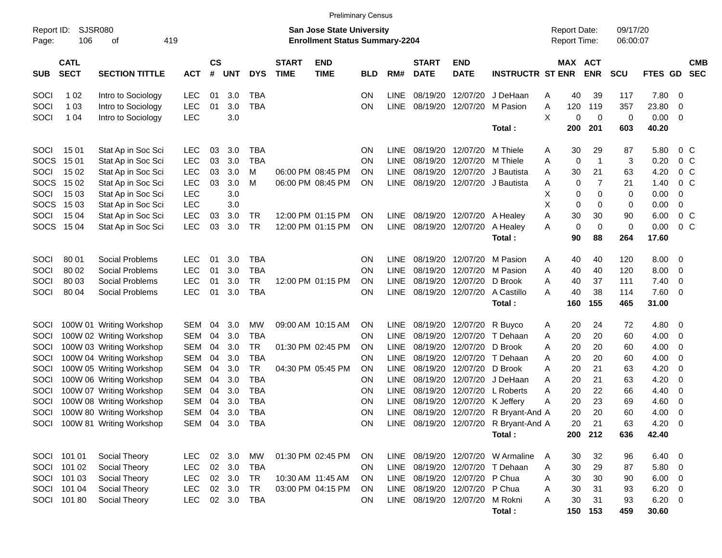|                     |                            |                               |            |                    |                |            |                             |                                                                           | <b>Preliminary Census</b> |             |                             |                           |                                       |                                     |     |                              |                      |                |                         |                          |
|---------------------|----------------------------|-------------------------------|------------|--------------------|----------------|------------|-----------------------------|---------------------------------------------------------------------------|---------------------------|-------------|-----------------------------|---------------------------|---------------------------------------|-------------------------------------|-----|------------------------------|----------------------|----------------|-------------------------|--------------------------|
| Report ID:<br>Page: | SJSR080<br>106             | оf                            | 419        |                    |                |            |                             | <b>San Jose State University</b><br><b>Enrollment Status Summary-2204</b> |                           |             |                             |                           |                                       | <b>Report Date:</b><br>Report Time: |     |                              | 09/17/20<br>06:00:07 |                |                         |                          |
| <b>SUB</b>          | <b>CATL</b><br><b>SECT</b> | <b>SECTION TITTLE</b>         | <b>ACT</b> | $\mathsf{cs}$<br># | <b>UNT</b>     | <b>DYS</b> | <b>START</b><br><b>TIME</b> | <b>END</b><br><b>TIME</b>                                                 | <b>BLD</b>                | RM#         | <b>START</b><br><b>DATE</b> | <b>END</b><br><b>DATE</b> | <b>INSTRUCTR ST ENR</b>               |                                     |     | <b>MAX ACT</b><br><b>ENR</b> | <b>SCU</b>           | FTES GD        |                         | <b>CMB</b><br><b>SEC</b> |
| SOCI                | 1 0 2                      | Intro to Sociology            | <b>LEC</b> | 01                 | 3.0            | TBA        |                             |                                                                           | ΟN                        | <b>LINE</b> | 08/19/20                    | 12/07/20                  | J DeHaan                              | A                                   | 40  | 39                           | 117                  | 7.80           | $\overline{\mathbf{0}}$ |                          |
| SOCI                | 1 0 3                      | Intro to Sociology            | <b>LEC</b> | 01                 | 3.0            | <b>TBA</b> |                             |                                                                           | ON                        | <b>LINE</b> | 08/19/20                    | 12/07/20                  | M Pasion                              | Α                                   | 120 | 119                          | 357                  | 23.80          | 0                       |                          |
| SOCI                | 1 0 4                      | Intro to Sociology            | <b>LEC</b> |                    | 3.0            |            |                             |                                                                           |                           |             |                             |                           |                                       | X                                   | 0   | 0                            | 0                    | 0.00           | 0                       |                          |
|                     |                            |                               |            |                    |                |            |                             |                                                                           |                           |             |                             |                           | Total:                                |                                     | 200 | 201                          | 603                  | 40.20          |                         |                          |
| SOCI                | 1501                       | Stat Ap in Soc Sci            | <b>LEC</b> | 03                 | 3.0            | TBA        |                             |                                                                           | ΟN                        | <b>LINE</b> | 08/19/20                    | 12/07/20                  | M Thiele                              | Α                                   | 30  | 29                           | 87                   | 5.80           |                         | $0\,$ C                  |
| SOCS                | 1501                       | Stat Ap in Soc Sci            | <b>LEC</b> | 03                 | 3.0            | <b>TBA</b> |                             |                                                                           | ΟN                        | <b>LINE</b> | 08/19/20                    | 12/07/20                  | M Thiele                              | Α                                   | 0   | $\mathbf{1}$                 | 3                    | 0.20           |                         | 0 <sup>C</sup>           |
| SOCI                | 15 02                      | Stat Ap in Soc Sci            | <b>LEC</b> | 03                 | 3.0            | м          |                             | 06:00 PM 08:45 PM                                                         | ΟN                        | <b>LINE</b> | 08/19/20                    | 12/07/20                  | J Bautista                            | Α                                   | 30  | 21                           | 63                   | 4.20           |                         | 0 <sup>o</sup>           |
| <b>SOCS</b>         | 15 02                      | Stat Ap in Soc Sci            | <b>LEC</b> | 03                 | 3.0            | M          |                             | 06:00 PM 08:45 PM                                                         | ON                        | <b>LINE</b> | 08/19/20                    | 12/07/20                  | J Bautista                            | Α                                   | 0   | $\overline{7}$               | 21                   | 1.40           |                         | 0 <sup>o</sup>           |
| SOCI                | 15 03                      | Stat Ap in Soc Sci            | <b>LEC</b> |                    | 3.0            |            |                             |                                                                           |                           |             |                             |                           |                                       | X                                   | 0   | 0                            | 0                    | 0.00           | 0                       |                          |
| <b>SOCS</b>         | 15 03                      | Stat Ap in Soc Sci            | <b>LEC</b> |                    | 3.0            |            |                             |                                                                           |                           |             |                             |                           |                                       | X                                   | 0   | 0                            | 0                    | 0.00           | 0                       |                          |
| SOCI                | 15 04                      | Stat Ap in Soc Sci            | <b>LEC</b> | 03                 | 3.0            | TR         |                             | 12:00 PM 01:15 PM                                                         | ΟN                        | LINE        |                             | 08/19/20 12/07/20         | A Healey                              | Α                                   | 30  | 30                           | 90                   | 6.00           |                         | $0\,$ C                  |
| <b>SOCS</b>         | 15 04                      | Stat Ap in Soc Sci            | <b>LEC</b> | 03                 | 3.0            | <b>TR</b>  |                             | 12:00 PM 01:15 PM                                                         | ΟN                        | <b>LINE</b> |                             | 08/19/20 12/07/20         | A Healey                              | Α                                   | 0   | 0                            | 0                    | 0.00           |                         | 0 <sup>o</sup>           |
|                     |                            |                               |            |                    |                |            |                             |                                                                           |                           |             |                             |                           | Total:                                |                                     | 90  | 88                           | 264                  | 17.60          |                         |                          |
| SOCI                | 80 01                      | Social Problems               | <b>LEC</b> | 01                 | 3.0            | TBA        |                             |                                                                           | ΟN                        | <b>LINE</b> | 08/19/20                    | 12/07/20                  | M Pasion                              | A                                   | 40  | 40                           | 120                  | 8.00           | 0                       |                          |
| SOCI                | 80 02                      | Social Problems               | <b>LEC</b> | 01                 | 3.0            | <b>TBA</b> |                             |                                                                           | ΟN                        | <b>LINE</b> | 08/19/20                    | 12/07/20                  | M Pasion                              | Α                                   | 40  | 40                           | 120                  | 8.00           | 0                       |                          |
| SOCI                | 80 03                      | Social Problems               | <b>LEC</b> | 01                 | 3.0            | <b>TR</b>  |                             | 12:00 PM 01:15 PM                                                         | ΟN                        | <b>LINE</b> | 08/19/20                    | 12/07/20                  | D Brook                               | Α                                   | 40  | 37                           | 111                  | 7.40           | $\mathbf 0$             |                          |
| SOCI                | 80 04                      | Social Problems               | <b>LEC</b> | 01                 | 3.0            | <b>TBA</b> |                             |                                                                           | ΟN                        | <b>LINE</b> |                             | 08/19/20 12/07/20         | A Castillo                            | А                                   | 40  | 38                           | 114                  | 7.60           | $\overline{0}$          |                          |
|                     |                            |                               |            |                    |                |            |                             |                                                                           |                           |             |                             |                           | Total:                                |                                     | 160 | 155                          | 465                  | 31.00          |                         |                          |
| <b>SOCI</b>         |                            | 100W 01 Writing Workshop      | <b>SEM</b> | 04                 | 3.0            | MW         |                             | 09:00 AM 10:15 AM                                                         | ΟN                        | <b>LINE</b> | 08/19/20                    | 12/07/20                  | R Buyco                               | Α                                   | 20  | 24                           | 72                   | 4.80           | 0                       |                          |
| SOCI                |                            | 100W 02 Writing Workshop      | <b>SEM</b> | 04                 | 3.0            | <b>TBA</b> |                             |                                                                           | ΟN                        | <b>LINE</b> | 08/19/20                    | 12/07/20                  | T Dehaan                              | Α                                   | 20  | 20                           | 60                   | 4.00           | 0                       |                          |
| SOCI                |                            | 100W 03 Writing Workshop      | <b>SEM</b> | 04                 | 3.0            | <b>TR</b>  |                             | 01:30 PM 02:45 PM                                                         | ΟN                        | <b>LINE</b> | 08/19/20                    | 12/07/20                  | D Brook                               | A                                   | 20  | 20                           | 60                   | 4.00           | 0                       |                          |
| SOCI                |                            | 100W 04 Writing Workshop      | <b>SEM</b> | 04                 | 3.0            | <b>TBA</b> |                             |                                                                           | ΟN                        | <b>LINE</b> | 08/19/20                    | 12/07/20                  | T Dehaan                              | A                                   | 20  | 20                           | 60                   | 4.00           | 0                       |                          |
| SOCI                |                            | 100W 05 Writing Workshop      | <b>SEM</b> | 04                 | 3.0            | <b>TR</b>  |                             | 04:30 PM 05:45 PM                                                         | ΟN                        | <b>LINE</b> | 08/19/20                    | 12/07/20                  | D Brook                               | Α                                   | 20  | 21                           | 63                   | 4.20           | 0                       |                          |
| SOCI                |                            | 100W 06 Writing Workshop      | <b>SEM</b> | 04                 | 3.0            | <b>TBA</b> |                             |                                                                           | ΟN                        | <b>LINE</b> | 08/19/20                    | 12/07/20                  | J DeHaan                              | A                                   | 20  | 21                           | 63                   | 4.20           | 0                       |                          |
| SOCI                |                            | 100W 07 Writing Workshop      | <b>SEM</b> | 04                 | 3.0            | <b>TBA</b> |                             |                                                                           | ON                        | <b>LINE</b> | 08/19/20                    | 12/07/20                  | L Roberts                             | Α                                   | 20  | 22                           | 66                   | 4.40           | 0                       |                          |
| SOCI                |                            | 100W 08 Writing Workshop      | <b>SEM</b> | 04                 | 3.0            | <b>TBA</b> |                             |                                                                           | ON                        | <b>LINE</b> | 08/19/20                    | 12/07/20                  | K Jeffery                             | Α                                   | 20  | 23                           | 69                   | 4.60           | 0                       |                          |
| SOCI                |                            | 100W 80 Writing Workshop      | <b>SEM</b> | 04                 | 3.0            | <b>TBA</b> |                             |                                                                           | ON                        | <b>LINE</b> |                             | 08/19/20 12/07/20         | R Bryant-And A                        |                                     | 20  | 20                           | 60                   | 4.00           | $\mathbf 0$             |                          |
|                     |                            | SOCI 100W 81 Writing Workshop |            |                    | SEM 04 3.0 TBA |            |                             |                                                                           | ON                        |             |                             |                           | LINE 08/19/20 12/07/20 R Bryant-And A |                                     | 20  | 21                           | 63                   | $4.20 \ 0$     |                         |                          |
|                     |                            |                               |            |                    |                |            |                             |                                                                           |                           |             |                             |                           | Total:                                |                                     | 200 | 212                          | 636                  | 42.40          |                         |                          |
|                     | SOCI 101 01                | Social Theory                 | <b>LEC</b> |                    | 02 3.0         | МW         |                             | 01:30 PM 02:45 PM                                                         | <b>ON</b>                 |             |                             |                           | LINE 08/19/20 12/07/20 W Armaline     | A                                   | 30  | 32                           | 96                   | $6.40 \quad 0$ |                         |                          |
|                     | SOCI 101 02                | Social Theory                 | <b>LEC</b> |                    | 02 3.0         | TBA        |                             |                                                                           | ON.                       |             | LINE 08/19/20 12/07/20      |                           | T Dehaan                              | Α                                   | 30  | 29                           | 87                   | $5.80\ 0$      |                         |                          |
|                     | SOCI 101 03                | Social Theory                 | <b>LEC</b> |                    | 02 3.0         | TR         |                             | 10:30 AM 11:45 AM                                                         | <b>ON</b>                 |             |                             | LINE 08/19/20 12/07/20    | P Chua                                | Α                                   | 30  | 30                           | 90                   | $6.00 \t 0$    |                         |                          |
|                     | SOCI 101 04                | Social Theory                 | <b>LEC</b> |                    | 02 3.0         | <b>TR</b>  |                             | 03:00 PM 04:15 PM                                                         | <b>ON</b>                 |             |                             | LINE 08/19/20 12/07/20    | P Chua                                | Α                                   | 30  | 31                           | 93                   | $6.20 \quad 0$ |                         |                          |
|                     | SOCI 101 80                | Social Theory                 | <b>LEC</b> |                    | 02 3.0 TBA     |            |                             |                                                                           | ON.                       |             |                             | LINE 08/19/20 12/07/20    | M Rokni                               | Α                                   | 30  | 31                           | 93                   | $6.20\ 0$      |                         |                          |
|                     |                            |                               |            |                    |                |            |                             |                                                                           |                           |             |                             |                           | Total:                                |                                     |     | 150 153                      | 459                  | 30.60          |                         |                          |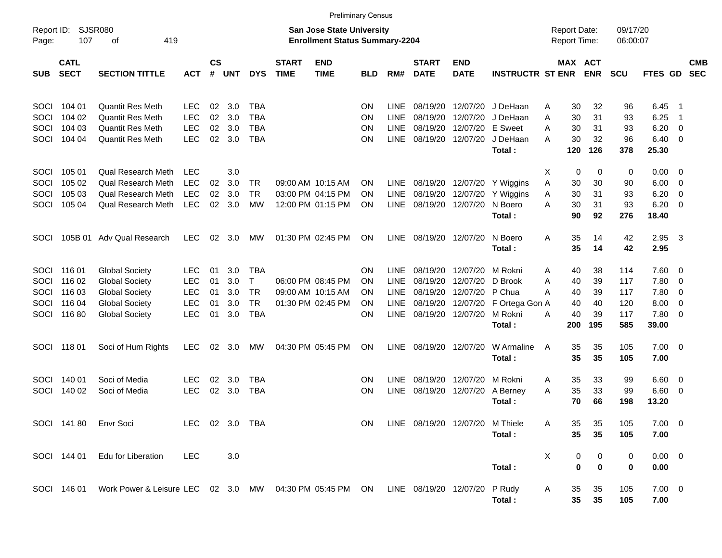|             |                            |                                                                                            |            |                    |                |                |                             |                                                                    | <b>Preliminary Census</b> |             |                             |                           |                         |   |                 |                                            |                      |                         |                          |                          |
|-------------|----------------------------|--------------------------------------------------------------------------------------------|------------|--------------------|----------------|----------------|-----------------------------|--------------------------------------------------------------------|---------------------------|-------------|-----------------------------|---------------------------|-------------------------|---|-----------------|--------------------------------------------|----------------------|-------------------------|--------------------------|--------------------------|
| Page:       | Report ID: SJSR080<br>107  | 419<br>οf                                                                                  |            |                    |                |                |                             | San Jose State University<br><b>Enrollment Status Summary-2204</b> |                           |             |                             |                           |                         |   |                 | <b>Report Date:</b><br><b>Report Time:</b> | 09/17/20<br>06:00:07 |                         |                          |                          |
| <b>SUB</b>  | <b>CATL</b><br><b>SECT</b> | <b>SECTION TITTLE</b>                                                                      | <b>ACT</b> | $\mathsf{cs}$<br># | <b>UNT</b>     | <b>DYS</b>     | <b>START</b><br><b>TIME</b> | <b>END</b><br><b>TIME</b>                                          | BLD                       | RM#         | <b>START</b><br><b>DATE</b> | <b>END</b><br><b>DATE</b> | <b>INSTRUCTR ST ENR</b> |   |                 | <b>MAX ACT</b><br><b>ENR</b>               | <b>SCU</b>           | <b>FTES GD</b>          |                          | <b>CMB</b><br><b>SEC</b> |
| <b>SOCI</b> | 104 01                     | <b>Quantit Res Meth</b>                                                                    | LEC.       | 02                 | 3.0            | TBA            |                             |                                                                    | ON                        | <b>LINE</b> | 08/19/20                    | 12/07/20                  | J DeHaan                | Α | 30              | 32                                         | 96                   | 6.45                    | - 1                      |                          |
| SOCI        | 104 02                     | <b>Quantit Res Meth</b>                                                                    | <b>LEC</b> | 02                 | 3.0            | <b>TBA</b>     |                             |                                                                    | ΟN                        | <b>LINE</b> | 08/19/20                    | 12/07/20                  | J DeHaan                | A | 30              | 31                                         | 93                   | 6.25                    | $\overline{1}$           |                          |
| SOCI        | 104 03                     | <b>Quantit Res Meth</b>                                                                    | <b>LEC</b> | 02                 | 3.0            | <b>TBA</b>     |                             |                                                                    | ΟN                        | <b>LINE</b> | 08/19/20                    | 12/07/20                  | E Sweet                 | А | 30              | 31                                         | 93                   | 6.20                    | $\overline{\mathbf{0}}$  |                          |
| <b>SOCI</b> | 104 04                     | <b>Quantit Res Meth</b>                                                                    | <b>LEC</b> | 02                 | 3.0            | <b>TBA</b>     |                             |                                                                    | ΟN                        | <b>LINE</b> |                             | 08/19/20 12/07/20         | J DeHaan<br>Total:      | А | 30<br>120       | 32<br>126                                  | 96<br>378            | $6.40 \quad 0$<br>25.30 |                          |                          |
| <b>SOCI</b> | 105 01                     | <b>Qual Research Meth</b>                                                                  | <b>LEC</b> |                    | 3.0            |                |                             |                                                                    |                           |             |                             |                           |                         | Х | 0               | 0                                          | 0                    | $0.00 \ 0$              |                          |                          |
| SOCI        | 105 02                     | Qual Research Meth                                                                         | <b>LEC</b> | 02                 | 3.0            | TR             |                             | 09:00 AM 10:15 AM                                                  | ΟN                        | LINE.       | 08/19/20                    | 12/07/20                  | Y Wiggins               | A | 30              | 30                                         | 90                   | 6.00                    | $\overline{\phantom{0}}$ |                          |
| SOCI        | 105 03                     | <b>Qual Research Meth</b>                                                                  | <b>LEC</b> | 02                 | 3.0            | <b>TR</b>      |                             | 03:00 PM 04:15 PM                                                  | ΟN                        | <b>LINE</b> | 08/19/20                    | 12/07/20                  | Y Wiggins               | A | 30              | 31                                         | 93                   | 6.20                    | 0                        |                          |
| <b>SOCI</b> | 105 04                     | <b>Qual Research Meth</b>                                                                  | LEC        | 02                 | 3.0            | МW             |                             | 12:00 PM 01:15 PM                                                  | ΟN                        | LINE        |                             | 08/19/20 12/07/20         | N Boero                 | А | 30              | 31                                         | 93                   | 6.20                    | $\overline{\phantom{0}}$ |                          |
|             |                            |                                                                                            |            |                    |                |                |                             |                                                                    |                           |             |                             |                           | Total:                  |   | 90              | 92                                         | 276                  | 18.40                   |                          |                          |
| SOCI        | 105B 01                    | Adv Qual Research                                                                          | LEC        |                    | $02 \quad 3.0$ | МW             |                             | 01:30 PM 02:45 PM                                                  | <b>ON</b>                 | LINE        | 08/19/20 12/07/20           |                           | N Boero                 | A | 35              | 14                                         | 42                   | 2.95                    | $\overline{\mathbf{3}}$  |                          |
|             |                            |                                                                                            |            |                    |                |                |                             |                                                                    |                           |             |                             |                           | Total:                  |   | 35              | 14                                         | 42                   | 2.95                    |                          |                          |
|             | SOCI 116 01                | <b>Global Society</b>                                                                      | <b>LEC</b> | 01                 | 3.0            | <b>TBA</b>     |                             |                                                                    | ΟN                        | <b>LINE</b> | 08/19/20                    | 12/07/20                  | M Rokni                 | A | 40              | 38                                         | 114                  | $7.60 \quad 0$          |                          |                          |
| SOCI        | 116 02                     | <b>Global Society</b>                                                                      | <b>LEC</b> | 01                 | 3.0            | $\mathsf{T}$   |                             | 06:00 PM 08:45 PM                                                  | ΟN                        | <b>LINE</b> | 08/19/20                    | 12/07/20                  | D Brook                 | A | 40              | 39                                         | 117                  | 7.80                    | $\overline{\mathbf{0}}$  |                          |
| SOCI        | 116 03                     | <b>Global Society</b>                                                                      | <b>LEC</b> | 01                 | 3.0            | <b>TR</b>      |                             | 09:00 AM 10:15 AM                                                  | ΟN                        | <b>LINE</b> | 08/19/20                    | 12/07/20                  | P Chua                  | A | 40              | 39                                         | 117                  | 7.80                    | $\overline{\mathbf{0}}$  |                          |
| SOCI        | 116 04                     | <b>Global Society</b>                                                                      | <b>LEC</b> | 01                 | 3.0            | <b>TR</b>      |                             | 01:30 PM 02:45 PM                                                  | ΟN                        | LINE        | 08/19/20                    | 12/07/20                  | F Ortega Gon A          |   | 40              | 40                                         | 120                  | 8.00                    | $\overline{\mathbf{0}}$  |                          |
|             | SOCI 116 80                | <b>Global Society</b>                                                                      | <b>LEC</b> | 01                 | 3.0            | <b>TBA</b>     |                             |                                                                    | ΟN                        | <b>LINE</b> | 08/19/20                    | 12/07/20                  | M Rokni<br>Total:       | A | 40<br>200       | 39<br>195                                  | 117<br>585           | $7.80\quad 0$<br>39.00  |                          |                          |
|             |                            |                                                                                            |            |                    |                |                |                             |                                                                    |                           |             |                             |                           |                         |   |                 |                                            |                      |                         |                          |                          |
|             | SOCI 118 01                | Soci of Hum Rights                                                                         | <b>LEC</b> | 02                 | 3.0            | MW             |                             | 04:30 PM 05:45 PM                                                  | ON                        | <b>LINE</b> |                             | 08/19/20 12/07/20         | W Armaline<br>Total:    | A | 35<br>35        | 35<br>35                                   | 105<br>105           | $7.00 \t 0$<br>7.00     |                          |                          |
|             |                            |                                                                                            |            |                    |                |                |                             |                                                                    |                           |             |                             |                           |                         |   |                 |                                            |                      |                         |                          |                          |
| SOCI        | 140 01                     | Soci of Media                                                                              | <b>LEC</b> | 02                 | 3.0            | <b>TBA</b>     |                             |                                                                    | ON                        | <b>LINE</b> | 08/19/20                    | 12/07/20                  | M Rokni                 | A | 35              | 33                                         | 99                   | $6.60 \quad 0$          |                          |                          |
| <b>SOCI</b> | 140 02                     | Soci of Media                                                                              | <b>LEC</b> | 02                 | 3.0            | <b>TBA</b>     |                             |                                                                    | ON                        | <b>LINE</b> | 08/19/20                    | 12/07/20                  | A Berney                | A | 35              | 33                                         | 99                   | $6.60$ 0                |                          |                          |
|             |                            |                                                                                            |            |                    |                |                |                             |                                                                    |                           |             |                             |                           | Total:                  |   | 70              | 66                                         | 198                  | 13.20                   |                          |                          |
|             |                            | SOCI 141 80 Envr Soci                                                                      |            |                    |                | LEC 02 3.0 TBA |                             |                                                                    | ON                        |             | LINE 08/19/20 12/07/20      |                           | M Thiele                | A | 35              | 35                                         | 105                  | 7.00 0                  |                          |                          |
|             |                            |                                                                                            |            |                    |                |                |                             |                                                                    |                           |             |                             |                           | Total:                  |   | 35              | 35                                         | 105                  | 7.00                    |                          |                          |
|             | SOCI 144 01                | Edu for Liberation                                                                         | <b>LEC</b> |                    | 3.0            |                |                             |                                                                    |                           |             |                             |                           |                         | Х | 0               | 0                                          | 0                    | $0.00 \t 0$             |                          |                          |
|             |                            |                                                                                            |            |                    |                |                |                             |                                                                    |                           |             |                             |                           | Total:                  |   | 0               | $\bf{0}$                                   | 0                    | 0.00                    |                          |                          |
|             |                            | SOCI 146 01 Work Power & Leisure LEC 02 3.0 MW 04:30 PM 05:45 PM ON LINE 08/19/20 12/07/20 |            |                    |                |                |                             |                                                                    |                           |             |                             |                           | P Rudy                  | A | 35              | 35                                         | 105                  | $7.00 \t 0$             |                          |                          |
|             |                            |                                                                                            |            |                    |                |                |                             |                                                                    |                           |             |                             |                           | Total:                  |   | $35\phantom{a}$ | 35                                         | 105                  | 7.00                    |                          |                          |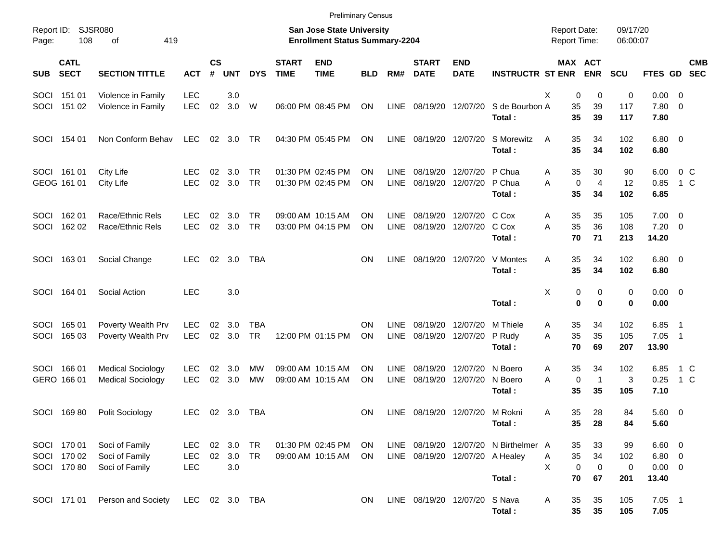|                     |                                           |                                                      |                                 |                |                      |                         |                             | <b>Preliminary Census</b>                                                 |            |                            |                                 |                                             |                                                 |                                            |                            |                       |                                              |                                                      |
|---------------------|-------------------------------------------|------------------------------------------------------|---------------------------------|----------------|----------------------|-------------------------|-----------------------------|---------------------------------------------------------------------------|------------|----------------------------|---------------------------------|---------------------------------------------|-------------------------------------------------|--------------------------------------------|----------------------------|-----------------------|----------------------------------------------|------------------------------------------------------|
| Report ID:<br>Page: | 108                                       | SJSR080<br>οf<br>419                                 |                                 |                |                      |                         |                             | <b>San Jose State University</b><br><b>Enrollment Status Summary-2204</b> |            |                            |                                 |                                             |                                                 | <b>Report Date:</b><br><b>Report Time:</b> |                            | 09/17/20<br>06:00:07  |                                              |                                                      |
| <b>SUB</b>          | <b>CATL</b><br><b>SECT</b>                | <b>SECTION TITTLE</b>                                | <b>ACT</b>                      | <b>CS</b><br># | <b>UNT</b>           | <b>DYS</b>              | <b>START</b><br><b>TIME</b> | <b>END</b><br><b>TIME</b>                                                 | <b>BLD</b> | RM#                        | <b>START</b><br><b>DATE</b>     | <b>END</b><br><b>DATE</b>                   | <b>INSTRUCTR ST ENR</b>                         |                                            | MAX ACT<br><b>ENR</b>      | <b>SCU</b>            |                                              | <b>CMB</b><br>FTES GD SEC                            |
|                     | SOCI 151 01<br>SOCI 151 02                | Violence in Family<br>Violence in Family             | <b>LEC</b><br><b>LEC</b>        | 02             | 3.0<br>3.0           | W                       |                             | 06:00 PM 08:45 PM                                                         | ON         |                            | LINE 08/19/20 12/07/20          |                                             | S de Bourbon A<br>Total:                        | Χ<br>35<br>35                              | 0<br>0<br>39<br>39         | 0<br>117<br>117       | $0.00 \t 0$<br>7.80 0<br>7.80                |                                                      |
|                     | SOCI 154 01                               | Non Conform Behav                                    | LEC                             |                | 02 3.0               | TR                      |                             | 04:30 PM 05:45 PM                                                         | ON         | LINE                       | 08/19/20 12/07/20               |                                             | S Morewitz<br>Total:                            | 35<br>A<br>35                              | 34<br>34                   | 102<br>102            | $6.80$ 0<br>6.80                             |                                                      |
|                     | SOCI 161 01<br>GEOG 161 01                | City Life<br>City Life                               | <b>LEC</b><br><b>LEC</b>        | 02             | 3.0<br>02 3.0        | TR<br><b>TR</b>         |                             | 01:30 PM 02:45 PM<br>01:30 PM 02:45 PM                                    | ΟN<br>ΟN   | <b>LINE</b><br><b>LINE</b> | 08/19/20                        | 12/07/20 P Chua<br>08/19/20 12/07/20 P Chua | Total:                                          | 35<br>A<br>A<br>0<br>35                    | 30<br>$\overline{4}$<br>34 | 90<br>12<br>102       | 6.00<br>0.85<br>6.85                         | $0\,$ C<br>1 C                                       |
| SOCI<br>SOCI        | 162 01<br>162 02                          | Race/Ethnic Rels<br>Race/Ethnic Rels                 | <b>LEC</b><br><b>LEC</b>        | 02<br>02       | 3.0<br>3.0           | TR<br><b>TR</b>         |                             | 09:00 AM 10:15 AM<br>03:00 PM 04:15 PM                                    | ΟN<br>ON   | <b>LINE</b><br><b>LINE</b> | 08/19/20<br>08/19/20            | 12/07/20 C Cox<br>12/07/20 C Cox            | Total:                                          | 35<br>Α<br>35<br>A<br>70                   | 35<br>36<br>71             | 105<br>108<br>213     | $7.00 \t 0$<br>$7.20 \t 0$<br>14.20          |                                                      |
|                     | SOCI 163 01                               | Social Change                                        | <b>LEC</b>                      |                | 02 3.0               | TBA                     |                             |                                                                           | <b>ON</b>  | <b>LINE</b>                |                                 |                                             | 08/19/20 12/07/20 V Montes<br>Total:            | 35<br>Α<br>35                              | 34<br>34                   | 102<br>102            | $6.80$ 0<br>6.80                             |                                                      |
|                     | SOCI 164 01                               | Social Action                                        | <b>LEC</b>                      |                | 3.0                  |                         |                             |                                                                           |            |                            |                                 |                                             | Total:                                          | X                                          | 0<br>0<br>0<br>0           | 0<br>0                | $0.00 \t 0$<br>0.00                          |                                                      |
| SOCI<br>SOCI        | 165 01<br>165 03                          | Poverty Wealth Prv<br>Poverty Wealth Prv             | <b>LEC</b><br><b>LEC</b>        | 02             | 3.0<br>02 3.0        | <b>TBA</b><br><b>TR</b> |                             | 12:00 PM 01:15 PM                                                         | ON<br>ON   | <b>LINE</b><br><b>LINE</b> | 08/19/20<br>08/19/20            | 12/07/20<br>12/07/20                        | M Thiele<br>P Rudy<br>Total:                    | 35<br>A<br>35<br>A<br>70                   | 34<br>35<br>69             | 102<br>105<br>207     | 6.85<br>7.05<br>13.90                        | $\overline{\phantom{1}}$<br>$\overline{\phantom{1}}$ |
|                     | SOCI 166 01<br>GERO 166 01                | <b>Medical Sociology</b><br><b>Medical Sociology</b> | <b>LEC</b><br><b>LEC</b>        | 02<br>02       | 3.0<br>3.0           | МW<br>MW                |                             | 09:00 AM 10:15 AM<br>09:00 AM 10:15 AM                                    | ΟN<br>ON   | <b>LINE</b><br>LINE        | 08/19/20<br>08/19/20            | 12/07/20<br>12/07/20                        | N Boero<br>N Boero<br>Total:                    | 35<br>A<br>0<br>A<br>35                    | 34<br>$\mathbf 1$<br>35    | 102<br>3<br>105       | 6.85<br>0.25<br>7.10                         | 1 C<br>1 C                                           |
|                     | SOCI 16980                                | Polit Sociology                                      | <b>LEC</b>                      |                | 02 3.0               | TBA                     |                             |                                                                           | ON         | LINE.                      |                                 | 08/19/20 12/07/20 M Rokni                   | Total:                                          | 35<br>A<br>35                              | 28<br>28                   | 84<br>84              | 5.60 0<br>5.60                               |                                                      |
|                     | SOCI 170 01<br>SOCI 170 02<br>SOCI 170 80 | Soci of Family<br>Soci of Family<br>Soci of Family   | <b>LEC</b><br>LEC<br><b>LEC</b> | 02             | 02 3.0<br>3.0<br>3.0 | TR<br><b>TR</b>         |                             | 01:30 PM 02:45 PM<br>09:00 AM 10:15 AM                                    | ON.<br>ON  |                            | LINE 08/19/20 12/07/20 A Healey |                                             | LINE 08/19/20 12/07/20 N Birthelmer A<br>Total: | 35<br>35<br>A<br>X<br>$\pmb{0}$<br>70      | 33<br>34<br>0<br>67        | 99<br>102<br>0<br>201 | $6.60$ 0<br>$6.80$ 0<br>$0.00 \t 0$<br>13.40 |                                                      |
|                     | SOCI 171 01                               | Person and Society                                   | LEC 02 3.0 TBA                  |                |                      |                         |                             |                                                                           | ON.        |                            | LINE 08/19/20 12/07/20 S Nava   |                                             | Total:                                          | 35<br>A<br>35                              | 35<br>35                   | 105<br>105            | $7.05$ 1<br>7.05                             |                                                      |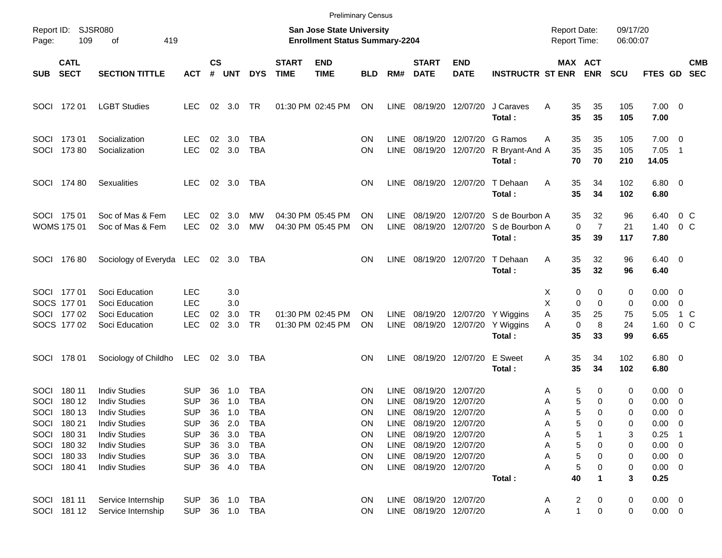|                             |                                                                                                       |                                                                                                                                                                                              |                                                                                                       |                                        |                                                         |                                                                                                |                             |                                                                    | <b>Preliminary Census</b>                                  |                                                            |                                                                                                                                                              |                           |                                                    |                                            |                                                                                     |                                           |                                                                                                            |                                                                                   |                          |
|-----------------------------|-------------------------------------------------------------------------------------------------------|----------------------------------------------------------------------------------------------------------------------------------------------------------------------------------------------|-------------------------------------------------------------------------------------------------------|----------------------------------------|---------------------------------------------------------|------------------------------------------------------------------------------------------------|-----------------------------|--------------------------------------------------------------------|------------------------------------------------------------|------------------------------------------------------------|--------------------------------------------------------------------------------------------------------------------------------------------------------------|---------------------------|----------------------------------------------------|--------------------------------------------|-------------------------------------------------------------------------------------|-------------------------------------------|------------------------------------------------------------------------------------------------------------|-----------------------------------------------------------------------------------|--------------------------|
| Page:                       | Report ID: SJSR080<br>109                                                                             | 419<br>оf                                                                                                                                                                                    |                                                                                                       |                                        |                                                         |                                                                                                |                             | San Jose State University<br><b>Enrollment Status Summary-2204</b> |                                                            |                                                            |                                                                                                                                                              |                           |                                                    | <b>Report Date:</b><br><b>Report Time:</b> |                                                                                     | 09/17/20<br>06:00:07                      |                                                                                                            |                                                                                   |                          |
| <b>SUB</b>                  | <b>CATL</b><br><b>SECT</b>                                                                            | <b>SECTION TITTLE</b>                                                                                                                                                                        | <b>ACT</b>                                                                                            | $\mathsf{cs}$<br>#                     | <b>UNT</b>                                              | <b>DYS</b>                                                                                     | <b>START</b><br><b>TIME</b> | <b>END</b><br><b>TIME</b>                                          | <b>BLD</b>                                                 | RM#                                                        | <b>START</b><br><b>DATE</b>                                                                                                                                  | <b>END</b><br><b>DATE</b> | <b>INSTRUCTR ST ENR</b>                            |                                            | MAX ACT<br><b>ENR</b>                                                               | <b>SCU</b>                                | <b>FTES GD</b>                                                                                             |                                                                                   | <b>CMB</b><br><b>SEC</b> |
|                             | SOCI 172 01                                                                                           | <b>LGBT Studies</b>                                                                                                                                                                          | <b>LEC</b>                                                                                            |                                        | $02 \quad 3.0$                                          | TR                                                                                             |                             | 01:30 PM 02:45 PM                                                  | ON                                                         | LINE                                                       | 08/19/20 12/07/20                                                                                                                                            |                           | J Caraves<br>Total:                                | 35<br>A<br>35                              | 35<br>35                                                                            | 105<br>105                                | $7.00 \t 0$<br>7.00                                                                                        |                                                                                   |                          |
|                             | SOCI 173 01<br>SOCI 173 80                                                                            | Socialization<br>Socialization                                                                                                                                                               | LEC.<br><b>LEC</b>                                                                                    | 02<br>02                               | 3.0<br>3.0                                              | <b>TBA</b><br><b>TBA</b>                                                                       |                             |                                                                    | ON<br>ON                                                   | <b>LINE</b><br><b>LINE</b>                                 | 08/19/20<br>08/19/20                                                                                                                                         | 12/07/20<br>12/07/20      | G Ramos<br>R Bryant-And A<br>Total:                | 35<br>Α<br>35<br>70                        | 35<br>35<br>70                                                                      | 105<br>105<br>210                         | $7.00 \quad 0$<br>7.05<br>14.05                                                                            | $\overline{\phantom{1}}$                                                          |                          |
|                             | SOCI 174 80                                                                                           | <b>Sexualities</b>                                                                                                                                                                           | <b>LEC</b>                                                                                            |                                        | $02 \quad 3.0$                                          | TBA                                                                                            |                             |                                                                    | ON                                                         | <b>LINE</b>                                                |                                                                                                                                                              | 08/19/20 12/07/20         | T Dehaan<br>Total:                                 | 35<br>A<br>35                              | 34<br>34                                                                            | 102<br>102                                | $6.80$ 0<br>6.80                                                                                           |                                                                                   |                          |
|                             | SOCI 175 01<br><b>WOMS 175 01</b>                                                                     | Soc of Mas & Fem<br>Soc of Mas & Fem                                                                                                                                                         | <b>LEC</b><br><b>LEC</b>                                                                              | 02<br>02                               | 3.0<br>3.0                                              | MW<br><b>MW</b>                                                                                |                             | 04:30 PM 05:45 PM<br>04:30 PM 05:45 PM                             | ΟN<br>ΟN                                                   | <b>LINE</b><br><b>LINE</b>                                 | 08/19/20<br>08/19/20                                                                                                                                         | 12/07/20<br>12/07/20      | S de Bourbon A<br>S de Bourbon A<br>Total:         | 35<br>35                                   | 32<br>$\overline{7}$<br>0<br>39                                                     | 96<br>21<br>117                           | 6.40<br>1.40<br>7.80                                                                                       | 0 C<br>0 C                                                                        |                          |
|                             | SOCI 176 80                                                                                           | Sociology of Everyda LEC                                                                                                                                                                     |                                                                                                       |                                        | 02 3.0                                                  | TBA                                                                                            |                             |                                                                    | <b>ON</b>                                                  | <b>LINE</b>                                                |                                                                                                                                                              | 08/19/20 12/07/20         | T Dehaan<br>Total:                                 | 35<br>Α<br>35                              | 32<br>32                                                                            | 96<br>96                                  | $6.40 \quad 0$<br>6.40                                                                                     |                                                                                   |                          |
|                             | SOCI 177 01<br>SOCS 177 01<br>SOCI 177 02<br>SOCS 177 02                                              | Soci Education<br>Soci Education<br>Soci Education<br>Soci Education                                                                                                                         | <b>LEC</b><br><b>LEC</b><br><b>LEC</b><br><b>LEC</b>                                                  | 02<br>02                               | 3.0<br>3.0<br>3.0<br>3.0                                | <b>TR</b><br><b>TR</b>                                                                         |                             | 01:30 PM 02:45 PM<br>01:30 PM 02:45 PM                             | ΟN<br>ON                                                   | LINE.<br>LINE                                              | 08/19/20                                                                                                                                                     | 12/07/20                  | 08/19/20 12/07/20 Y Wiggins<br>Y Wiggins<br>Total: | X<br>X<br>35<br>Α<br>Α<br>35               | 0<br>0<br>0<br>$\mathbf 0$<br>25<br>0<br>8<br>33                                    | 0<br>0<br>75<br>24<br>99                  | $0.00 \quad 0$<br>0.00<br>5.05<br>1.60<br>6.65                                                             | - 0<br>1 C<br>0 <sup>o</sup>                                                      |                          |
|                             | SOCI 178 01                                                                                           | Sociology of Childho                                                                                                                                                                         | LEC                                                                                                   |                                        | 02 3.0                                                  | TBA                                                                                            |                             |                                                                    | OΝ                                                         | <b>LINE</b>                                                | 08/19/20 12/07/20                                                                                                                                            |                           | <b>E</b> Sweet<br>Total:                           | 35<br>A<br>35                              | 34<br>34                                                                            | 102<br>102                                | $6.80$ 0<br>6.80                                                                                           |                                                                                   |                          |
| <b>SOCI</b><br>SOCI<br>SOCI | 180 11<br>180 12<br>180 13<br>SOCI 180 21<br>SOCI 180 31<br>SOCI 180 32<br>SOCI 180 33<br>SOCI 180 41 | <b>Indiv Studies</b><br><b>Indiv Studies</b><br><b>Indiv Studies</b><br><b>Indiv Studies</b><br><b>Indiv Studies</b><br><b>Indiv Studies</b><br><b>Indiv Studies</b><br><b>Indiv Studies</b> | <b>SUP</b><br><b>SUP</b><br><b>SUP</b><br>SUP<br><b>SUP</b><br><b>SUP</b><br><b>SUP</b><br><b>SUP</b> | 36<br>36<br>36<br>36<br>36<br>36<br>36 | 1.0<br>1.0<br>1.0<br>2.0<br>3.0<br>3.0<br>3.0<br>36 4.0 | <b>TBA</b><br><b>TBA</b><br><b>TBA</b><br><b>TBA</b><br><b>TBA</b><br><b>TBA</b><br>TBA<br>TBA |                             |                                                                    | ON<br>ΟN<br>ΟN<br>ON<br>ON<br>ON<br><b>ON</b><br><b>ON</b> | <b>LINE</b><br><b>LINE</b><br>LINE<br>LINE<br>LINE<br>LINE | 08/19/20<br>08/19/20<br>08/19/20 12/07/20<br>08/19/20 12/07/20<br>08/19/20 12/07/20<br>LINE 08/19/20 12/07/20<br>08/19/20 12/07/20<br>LINE 08/19/20 12/07/20 | 12/07/20<br>12/07/20      | Total:                                             | Α<br>Α<br>Α<br>Α<br>А<br>А<br>А<br>А<br>40 | 5<br>0<br>5<br>0<br>5<br>$\Omega$<br>0<br>5<br>5<br>5<br>0<br>5<br>0<br>5<br>0<br>1 | 0<br>0<br>0<br>0<br>3<br>0<br>0<br>0<br>3 | $0.00 \quad 0$<br>0.00<br>0.00<br>$0.00 \t 0$<br>0.25<br>$0.00 \t 0$<br>$0.00 \t 0$<br>$0.00 \t 0$<br>0.25 | $\overline{\phantom{0}}$<br>$\overline{\mathbf{0}}$<br>$\overline{\phantom{0}}$ 1 |                          |
|                             | SOCI 181 11<br>SOCI 181 12                                                                            | Service Internship<br>Service Internship                                                                                                                                                     | <b>SUP</b><br><b>SUP</b>                                                                              |                                        |                                                         | 36 1.0 TBA<br>36 1.0 TBA                                                                       |                             |                                                                    | <b>ON</b><br><b>ON</b>                                     |                                                            | LINE 08/19/20 12/07/20<br>LINE 08/19/20 12/07/20                                                                                                             |                           |                                                    | A<br>Α                                     | 2<br>0<br>$\mathbf{1}$<br>0                                                         | 0<br>0                                    | $0.00 \t 0$<br>$0.00 \t 0$                                                                                 |                                                                                   |                          |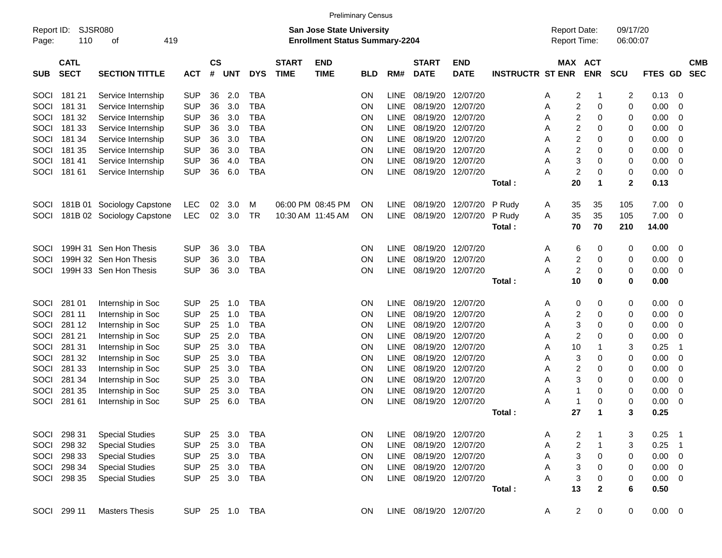|                     |                            |                             |            |                |            |            |                             |                                                                           | <b>Preliminary Census</b> |             |                             |                           |                         |                                     |                       |                      |         |                |                          |
|---------------------|----------------------------|-----------------------------|------------|----------------|------------|------------|-----------------------------|---------------------------------------------------------------------------|---------------------------|-------------|-----------------------------|---------------------------|-------------------------|-------------------------------------|-----------------------|----------------------|---------|----------------|--------------------------|
| Report ID:<br>Page: | 110                        | <b>SJSR080</b><br>419<br>οf |            |                |            |            |                             | <b>San Jose State University</b><br><b>Enrollment Status Summary-2204</b> |                           |             |                             |                           |                         | <b>Report Date:</b><br>Report Time: |                       | 09/17/20<br>06:00:07 |         |                |                          |
| <b>SUB</b>          | <b>CATL</b><br><b>SECT</b> | <b>SECTION TITTLE</b>       | <b>ACT</b> | <b>CS</b><br># | <b>UNT</b> | <b>DYS</b> | <b>START</b><br><b>TIME</b> | <b>END</b><br><b>TIME</b>                                                 | <b>BLD</b>                | RM#         | <b>START</b><br><b>DATE</b> | <b>END</b><br><b>DATE</b> | <b>INSTRUCTR ST ENR</b> |                                     | MAX ACT<br><b>ENR</b> | <b>SCU</b>           | FTES GD |                | <b>CMB</b><br><b>SEC</b> |
| SOCI                | 181 21                     | Service Internship          | <b>SUP</b> | 36             | 2.0        | TBA        |                             |                                                                           | ΟN                        | LINE        | 08/19/20                    | 12/07/20                  |                         | 2<br>A                              | -1                    | 2                    | 0.13    | 0              |                          |
| SOCI                | 181 31                     | Service Internship          | <b>SUP</b> | 36             | 3.0        | TBA        |                             |                                                                           | ΟN                        | <b>LINE</b> | 08/19/20                    | 12/07/20                  |                         | $\overline{c}$<br>Α                 | 0                     | 0                    | 0.00    | 0              |                          |
| SOCI                | 181 32                     | Service Internship          | <b>SUP</b> | 36             | 3.0        | TBA        |                             |                                                                           | ΟN                        | <b>LINE</b> | 08/19/20                    | 12/07/20                  |                         | 2<br>Α                              | 0                     | 0                    | 0.00    | 0              |                          |
| SOCI                | 181 33                     | Service Internship          | <b>SUP</b> | 36             | 3.0        | TBA        |                             |                                                                           | ΟN                        | LINE        | 08/19/20                    | 12/07/20                  |                         | 2<br>Α                              | 0                     | 0                    | 0.00    | 0              |                          |
| SOCI                | 181 34                     | Service Internship          | <b>SUP</b> | 36             | 3.0        | TBA        |                             |                                                                           | ΟN                        | LINE        | 08/19/20                    | 12/07/20                  |                         | $\overline{2}$<br>Α                 | 0                     | 0                    | 0.00    | 0              |                          |
| SOCI                | 181 35                     | Service Internship          | <b>SUP</b> | 36             | 3.0        | TBA        |                             |                                                                           | ON                        | LINE        | 08/19/20                    | 12/07/20                  |                         | 2<br>Α                              | 0                     | 0                    | 0.00    | 0              |                          |
| SOCI                | 18141                      | Service Internship          | <b>SUP</b> | 36             | 4.0        | TBA        |                             |                                                                           | ON                        | <b>LINE</b> | 08/19/20                    | 12/07/20                  |                         | 3<br>A                              | 0                     | 0                    | 0.00    | 0              |                          |
| SOCI                | 181 61                     | Service Internship          | <b>SUP</b> | 36             | 6.0        | TBA        |                             |                                                                           | ON                        | <b>LINE</b> | 08/19/20                    | 12/07/20                  |                         | $\overline{2}$<br>А                 | 0                     | 0                    | 0.00    | 0              |                          |
|                     |                            |                             |            |                |            |            |                             |                                                                           |                           |             |                             |                           | Total:                  | 20                                  | 1                     | $\mathbf{2}$         | 0.13    |                |                          |
| SOCI                |                            | 181B 01 Sociology Capstone  | <b>LEC</b> | 02             | 3.0        | м          |                             | 06:00 PM 08:45 PM                                                         | ON                        | <b>LINE</b> | 08/19/20                    | 12/07/20                  | P Rudy                  | 35<br>A                             | 35                    | 105                  | 7.00    | 0              |                          |
| SOCI                |                            | 181B 02 Sociology Capstone  | <b>LEC</b> | 02             | 3.0        | TR         |                             | 10:30 AM 11:45 AM                                                         | ON                        | <b>LINE</b> | 08/19/20                    | 12/07/20                  | P Rudy                  | Α<br>35                             | 35                    | 105                  | 7.00    | 0              |                          |
|                     |                            |                             |            |                |            |            |                             |                                                                           |                           |             |                             |                           | Total:                  | 70                                  | 70                    | 210                  | 14.00   |                |                          |
| <b>SOCI</b>         |                            | 199H 31 Sen Hon Thesis      | <b>SUP</b> | 36             | 3.0        | TBA        |                             |                                                                           | ON                        | <b>LINE</b> | 08/19/20                    | 12/07/20                  |                         | A<br>6                              | 0                     | 0                    | 0.00    | 0              |                          |
| <b>SOCI</b>         |                            | 199H 32 Sen Hon Thesis      | <b>SUP</b> | 36             | 3.0        | TBA        |                             |                                                                           | ΟN                        | <b>LINE</b> | 08/19/20                    | 12/07/20                  |                         | 2<br>Α                              | 0                     | 0                    | 0.00    | 0              |                          |
| SOCI                |                            | 199H 33 Sen Hon Thesis      | <b>SUP</b> | 36             | 3.0        | TBA        |                             |                                                                           | ON                        | <b>LINE</b> | 08/19/20                    | 12/07/20                  |                         | $\overline{\mathbf{c}}$<br>Α        | 0                     | 0                    | 0.00    | 0              |                          |
|                     |                            |                             |            |                |            |            |                             |                                                                           |                           |             |                             |                           | Total:                  | 10                                  | 0                     | 0                    | 0.00    |                |                          |
| SOCI                | 281 01                     | Internship in Soc           | <b>SUP</b> | 25             | 1.0        | TBA        |                             |                                                                           | ΟN                        | LINE        | 08/19/20                    | 12/07/20                  |                         | 0<br>A                              | 0                     | 0                    | 0.00    | 0              |                          |
| SOCI                | 281 11                     | Internship in Soc           | <b>SUP</b> | 25             | 1.0        | TBA        |                             |                                                                           | ΟN                        | <b>LINE</b> | 08/19/20                    | 12/07/20                  |                         | 2<br>Α                              | 0                     | 0                    | 0.00    | 0              |                          |
| SOCI                | 281 12                     | Internship in Soc           | <b>SUP</b> | 25             | 1.0        | TBA        |                             |                                                                           | ON                        | LINE        | 08/19/20                    | 12/07/20                  |                         | 3<br>Α                              | 0                     | 0                    | 0.00    | 0              |                          |
| SOCI                | 281 21                     | Internship in Soc           | <b>SUP</b> | 25             | 2.0        | TBA        |                             |                                                                           | ON                        | LINE        | 08/19/20                    | 12/07/20                  |                         | $\overline{2}$<br>Α                 | 0                     | 0                    | 0.00    | 0              |                          |
| SOCI                | 281 31                     | Internship in Soc           | <b>SUP</b> | 25             | 3.0        | TBA        |                             |                                                                           | ON                        | LINE        | 08/19/20                    | 12/07/20                  |                         | 10<br>Α                             | -1                    | 3                    | 0.25    | $\mathbf 1$    |                          |
| SOCI                | 281 32                     | Internship in Soc           | <b>SUP</b> | 25             | 3.0        | TBA        |                             |                                                                           | ON                        | LINE        | 08/19/20                    | 12/07/20                  |                         | 3<br>Α                              | 0                     | 0                    | 0.00    | 0              |                          |
| SOCI                | 281 33                     | Internship in Soc           | <b>SUP</b> | 25             | 3.0        | TBA        |                             |                                                                           | ON                        | LINE        | 08/19/20                    | 12/07/20                  |                         | 2<br>Α                              | 0                     | 0                    | 0.00    | 0              |                          |
| SOCI                | 281 34                     | Internship in Soc           | <b>SUP</b> | 25             | 3.0        | TBA        |                             |                                                                           | ON                        | LINE        | 08/19/20                    | 12/07/20                  |                         | 3<br>Α                              | 0                     | 0                    | 0.00    | 0              |                          |
| SOCI                | 281 35                     | Internship in Soc           | <b>SUP</b> | 25             | 3.0        | TBA        |                             |                                                                           | ON                        | <b>LINE</b> | 08/19/20                    | 12/07/20                  |                         | Α<br>-1                             | 0                     | 0                    | 0.00    | 0              |                          |
| SOCI                | 281 61                     | Internship in Soc           | <b>SUP</b> | 25             | 6.0        | <b>TBA</b> |                             |                                                                           | ON                        | <b>LINE</b> | 08/19/20                    | 12/07/20                  |                         | А<br>-1                             | 0                     | 0                    | 0.00    | 0              |                          |
|                     |                            |                             |            |                |            |            |                             |                                                                           |                           |             |                             |                           | Total:                  | 27                                  | 1                     | 3                    | 0.25    |                |                          |
| SOCI                | 298 31                     | <b>Special Studies</b>      | <b>SUP</b> | 25             | 3.0        | TBA        |                             |                                                                           | ΟN                        | LINE        | 08/19/20 12/07/20           |                           |                         | 2<br>Α                              | -1                    | 3                    | 0.25    | -1             |                          |
| SOCI                | 298 32                     | <b>Special Studies</b>      | <b>SUP</b> | 25             | 3.0        | <b>TBA</b> |                             |                                                                           | ON                        | <b>LINE</b> | 08/19/20                    | 12/07/20                  |                         | 2<br>Α                              | 1                     | 3                    | 0.25    | $\overline{1}$ |                          |
| SOCI                | 298 33                     | <b>Special Studies</b>      | <b>SUP</b> | 25             | 3.0        | TBA        |                             |                                                                           | ON                        | LINE        | 08/19/20 12/07/20           |                           |                         | 3<br>A                              | 0                     | 0                    | 0.00    | 0              |                          |
| SOCI                | 298 34                     | <b>Special Studies</b>      | <b>SUP</b> | 25             | 3.0        | <b>TBA</b> |                             |                                                                           | ON                        | <b>LINE</b> | 08/19/20 12/07/20           |                           |                         | 3<br>Α                              | 0                     | 0                    | 0.00    | 0              |                          |
| SOCI                | 298 35                     | <b>Special Studies</b>      | <b>SUP</b> | 25             | 3.0        | <b>TBA</b> |                             |                                                                           | ON                        |             | LINE 08/19/20 12/07/20      |                           |                         | 3<br>Α                              | 0                     | 0                    | 0.00    | 0              |                          |
|                     |                            |                             |            |                |            |            |                             |                                                                           |                           |             |                             |                           | Total:                  | 13                                  | 2                     | 6                    | 0.50    |                |                          |
| SOCI                | 299 11                     | <b>Masters Thesis</b>       | SUP.       |                | 25 1.0 TBA |            |                             |                                                                           | <b>ON</b>                 |             | LINE 08/19/20 12/07/20      |                           |                         | A                                   | $\overline{2}$<br>0   | 0                    | 0.00    | 0              |                          |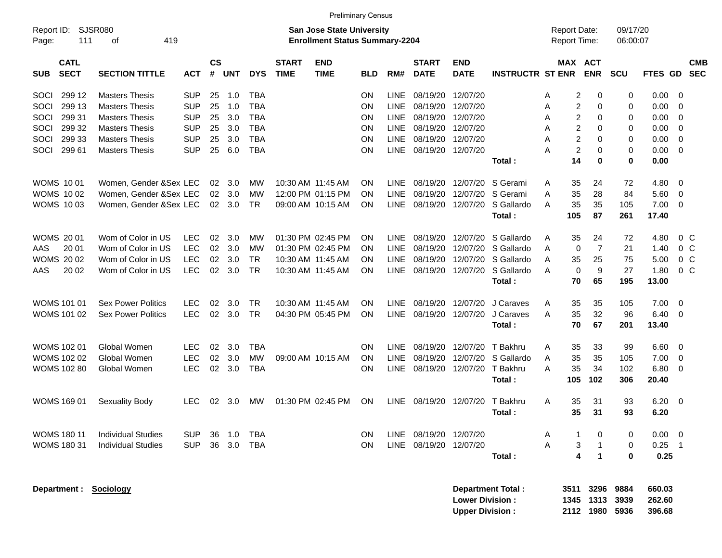|            |                    |                           |            |                 |            |            |              |                                       | <b>Preliminary Census</b> |             |               |                        |                         |                     |                |                |            |         |                |
|------------|--------------------|---------------------------|------------|-----------------|------------|------------|--------------|---------------------------------------|---------------------------|-------------|---------------|------------------------|-------------------------|---------------------|----------------|----------------|------------|---------|----------------|
| Report ID: |                    | SJSR080                   |            |                 |            |            |              | <b>San Jose State University</b>      |                           |             |               |                        |                         | <b>Report Date:</b> |                |                | 09/17/20   |         |                |
| Page:      | 111                | 419<br>оf                 |            |                 |            |            |              | <b>Enrollment Status Summary-2204</b> |                           |             |               |                        |                         | Report Time:        |                |                | 06:00:07   |         |                |
|            | <b>CATL</b>        |                           |            | $\mathsf{cs}$   |            |            | <b>START</b> | <b>END</b>                            |                           |             | <b>START</b>  | <b>END</b>             |                         |                     |                | <b>MAX ACT</b> |            |         | <b>CMB</b>     |
| <b>SUB</b> | <b>SECT</b>        | <b>SECTION TITTLE</b>     | <b>ACT</b> | #               | <b>UNT</b> | <b>DYS</b> | <b>TIME</b>  | <b>TIME</b>                           | <b>BLD</b>                | RM#         | <b>DATE</b>   | <b>DATE</b>            | <b>INSTRUCTR ST ENR</b> |                     |                | <b>ENR</b>     | <b>SCU</b> | FTES GD | <b>SEC</b>     |
| SOCI       | 299 12             | <b>Masters Thesis</b>     | <b>SUP</b> | 25              | 1.0        | TBA        |              |                                       | ΟN                        | <b>LINE</b> | 08/19/20      | 12/07/20               |                         | A                   | 2              | 0              | 0          | 0.00    | 0              |
| SOCI       | 299 13             | <b>Masters Thesis</b>     | <b>SUP</b> | 25              | 1.0        | <b>TBA</b> |              |                                       | ΟN                        | <b>LINE</b> | 08/19/20      | 12/07/20               |                         | A                   | 2              | 0              | 0          | 0.00    | 0              |
| SOCI       | 299 31             | <b>Masters Thesis</b>     | <b>SUP</b> | 25              | 3.0        | <b>TBA</b> |              |                                       | ΟN                        | <b>LINE</b> | 08/19/20      | 12/07/20               |                         | A                   | 2              | 0              | 0          | 0.00    | 0              |
| SOCI       | 299 32             | <b>Masters Thesis</b>     | <b>SUP</b> | 25              | 3.0        | <b>TBA</b> |              |                                       | ON                        | <b>LINE</b> | 08/19/20      | 12/07/20               |                         | A                   | 2              | 0              | 0          | 0.00    | 0              |
| SOCI       | 299 33             | <b>Masters Thesis</b>     | <b>SUP</b> | 25              | 3.0        | <b>TBA</b> |              |                                       | ΟN                        | <b>LINE</b> | 08/19/20      | 12/07/20               |                         | А                   | $\overline{c}$ | 0              | 0          | 0.00    | 0              |
| SOCI       | 299 61             | <b>Masters Thesis</b>     | <b>SUP</b> | 25              | 6.0        | <b>TBA</b> |              |                                       | ΟN                        | <b>LINE</b> | 08/19/20      | 12/07/20               |                         | А                   | $\overline{c}$ | 0              | 0          | 0.00    | 0              |
|            |                    |                           |            |                 |            |            |              |                                       |                           |             |               |                        | Total:                  |                     | 14             | $\bf{0}$       | 0          | 0.00    |                |
|            | WOMS 1001          | Women, Gender &Sex LEC    |            | 02              | 3.0        | MW         |              | 10:30 AM 11:45 AM                     | ON.                       | <b>LINE</b> | 08/19/20      | 12/07/20               | S Gerami                | A                   | 35             | 24             | 72         | 4.80    | 0              |
|            | <b>WOMS 1002</b>   | Women, Gender & Sex LEC   |            | 02              | 3.0        | <b>MW</b>  |              | 12:00 PM 01:15 PM                     | ΟN                        | <b>LINE</b> | 08/19/20      | 12/07/20               | S Gerami                | A                   | 35             | 28             | 84         | 5.60    | 0              |
|            | <b>WOMS 1003</b>   | Women, Gender & Sex LEC   |            | 02 <sub>o</sub> | 3.0        | <b>TR</b>  |              | 09:00 AM 10:15 AM                     | ΟN                        | <b>LINE</b> | 08/19/20      | 12/07/20               | S Gallardo              | A                   | 35             | 35             | 105        | 7.00    | 0              |
|            |                    |                           |            |                 |            |            |              |                                       |                           |             |               |                        | Total:                  |                     | 105            | 87             | 261        | 17.40   |                |
|            | <b>WOMS 2001</b>   | Wom of Color in US        | <b>LEC</b> | 02              | 3.0        | МW         |              | 01:30 PM 02:45 PM                     | ΟN                        | <b>LINE</b> | 08/19/20      | 12/07/20               | S Gallardo              | A                   | 35             | 24             | 72         | 4.80    | 0 <sup>o</sup> |
| AAS        | 20 01              | Wom of Color in US        | <b>LEC</b> | 02              | 3.0        | <b>MW</b>  |              | 01:30 PM 02:45 PM                     | ΟN                        | <b>LINE</b> | 08/19/20      | 12/07/20               | S Gallardo              | A                   | 0              | $\overline{7}$ | 21         | 1.40    | 0 <sup>o</sup> |
|            | <b>WOMS 2002</b>   | Wom of Color in US        | <b>LEC</b> | 02              | 3.0        | <b>TR</b>  |              | 10:30 AM 11:45 AM                     | ΟN                        | <b>LINE</b> | 08/19/20      | 12/07/20               | S Gallardo              | Α                   | 35             | 25             | 75         | 5.00    | 0 <sup>o</sup> |
| AAS        | 20 02              | Wom of Color in US        | <b>LEC</b> | 02              | 3.0        | <b>TR</b>  |              | 10:30 AM 11:45 AM                     | ΟN                        | LINE        | 08/19/20      | 12/07/20               | S Gallardo              | A                   | 0              | 9              | 27         | 1.80    | 0 <sup>o</sup> |
|            |                    |                           |            |                 |            |            |              |                                       |                           |             |               |                        | Total:                  |                     | 70             | 65             | 195        | 13.00   |                |
|            | <b>WOMS 101 01</b> | <b>Sex Power Politics</b> | <b>LEC</b> | 02              | 3.0        | <b>TR</b>  |              | 10:30 AM 11:45 AM                     | ΟN                        | <b>LINE</b> | 08/19/20      | 12/07/20               | J Caraves               | A                   | 35             | 35             | 105        | 7.00    | 0              |
|            | WOMS 101 02        | <b>Sex Power Politics</b> | <b>LEC</b> | 02              | 3.0        | <b>TR</b>  |              | 04:30 PM 05:45 PM                     | ON                        | <b>LINE</b> | 08/19/20      | 12/07/20               | J Caraves               | A                   | 35             | 32             | 96         | 6.40    | 0              |
|            |                    |                           |            |                 |            |            |              |                                       |                           |             |               |                        | Total:                  |                     | 70             | 67             | 201        | 13.40   |                |
|            | <b>WOMS 102 01</b> | Global Women              | LEC        | 02              | 3.0        | <b>TBA</b> |              |                                       | ON                        | <b>LINE</b> | 08/19/20      | 12/07/20               | T Bakhru                | A                   | 35             | 33             | 99         | 6.60    | 0              |
|            | <b>WOMS 102 02</b> | Global Women              | <b>LEC</b> | 02              | 3.0        | <b>MW</b>  |              | 09:00 AM 10:15 AM                     | ΟN                        | <b>LINE</b> | 08/19/20      | 12/07/20               | S Gallardo              | A                   | 35             | 35             | 105        | 7.00    | 0              |
|            | <b>WOMS 102 80</b> | Global Women              | <b>LEC</b> | 02              | 3.0        | <b>TBA</b> |              |                                       | ΟN                        | <b>LINE</b> | 08/19/20      | 12/07/20               | T Bakhru                | A                   | 35             | 34             | 102        | 6.80    | 0              |
|            |                    |                           |            |                 |            |            |              |                                       |                           |             |               |                        | Total :                 |                     | 105            | 102            | 306        | 20.40   |                |
|            | WOMS 169 01        | <b>Sexuality Body</b>     | <b>LEC</b> | 02              | 3.0        | МW         |              | 01:30 PM 02:45 PM                     | ON                        |             | LINE 08/19/20 | 12/07/20               | T Bakhru                | A                   | 35             | 31             | 93         | 6.20    | - 0            |
|            |                    |                           |            |                 |            |            |              |                                       |                           |             |               |                        | Total:                  |                     | 35             | 31             | 93         | 6.20    |                |
|            |                    |                           |            |                 |            |            |              |                                       |                           |             |               |                        |                         |                     |                |                |            |         |                |
|            | <b>WOMS 180 11</b> | <b>Individual Studies</b> | SUP        | 36              | 1.0        | <b>TBA</b> |              |                                       | 0N                        | LINE        | 08/19/20      | 12/07/20               |                         |                     |                | 0              | 0          | 0.00    | 0              |
|            | <b>WOMS 180 31</b> | <b>Individual Studies</b> | <b>SUP</b> | 36              | 3.0        | <b>TBA</b> |              |                                       | ON                        |             | LINE 08/19/20 | 12/07/20               |                         | Α                   | 3              | 1              | 0          | 0.25    | - 1            |
|            |                    |                           |            |                 |            |            |              |                                       |                           |             |               |                        | Total:                  |                     | 4              | $\mathbf{1}$   | 0          | 0.25    |                |
|            | Department :       | <b>Sociology</b>          |            |                 |            |            |              |                                       |                           |             |               |                        | Department Total:       |                     | 3511           | 3296           | 9884       | 660.03  |                |
|            |                    |                           |            |                 |            |            |              |                                       |                           |             |               | <b>Lower Division:</b> |                         |                     | 1345           | 1313           | 3939       | 262.60  |                |
|            |                    |                           |            |                 |            |            |              |                                       |                           |             |               | <b>Upper Division:</b> |                         |                     |                | 2112 1980 5936 |            | 396.68  |                |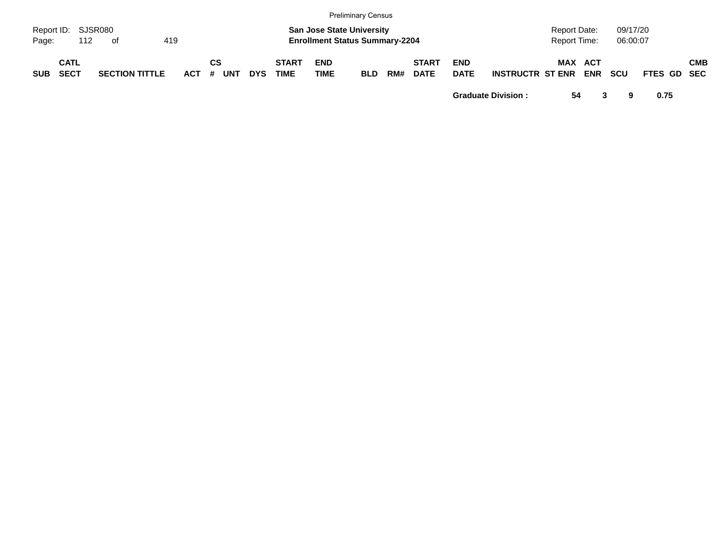|                             |                            |     |      |                       |     |            |         |            |            |                             |                                                                           | Preliminary Census |     |                             |                           |                         |                                     |            |                      |             |            |
|-----------------------------|----------------------------|-----|------|-----------------------|-----|------------|---------|------------|------------|-----------------------------|---------------------------------------------------------------------------|--------------------|-----|-----------------------------|---------------------------|-------------------------|-------------------------------------|------------|----------------------|-------------|------------|
| Report ID: SJSR080<br>Page: |                            | 112 | - of |                       | 419 |            |         |            |            |                             | <b>San Jose State University</b><br><b>Enrollment Status Summary-2204</b> |                    |     |                             |                           |                         | <b>Report Date:</b><br>Report Time: |            | 09/17/20<br>06:00:07 |             |            |
| <b>SUB</b>                  | <b>CATL</b><br><b>SECT</b> |     |      | <b>SECTION TITTLE</b> |     | <b>ACT</b> | СS<br># | <b>UNT</b> | <b>DYS</b> | <b>START</b><br><b>TIME</b> | <b>END</b><br>TIME                                                        | <b>BLD</b>         | RM# | <b>START</b><br><b>DATE</b> | <b>END</b><br><b>DATE</b> | <b>INSTRUCTR ST ENR</b> | MAX ACT                             | <b>ENR</b> | <b>SCU</b>           | FTES GD SEC | <b>CMB</b> |

**Graduate Division : 54 3 9 0.75**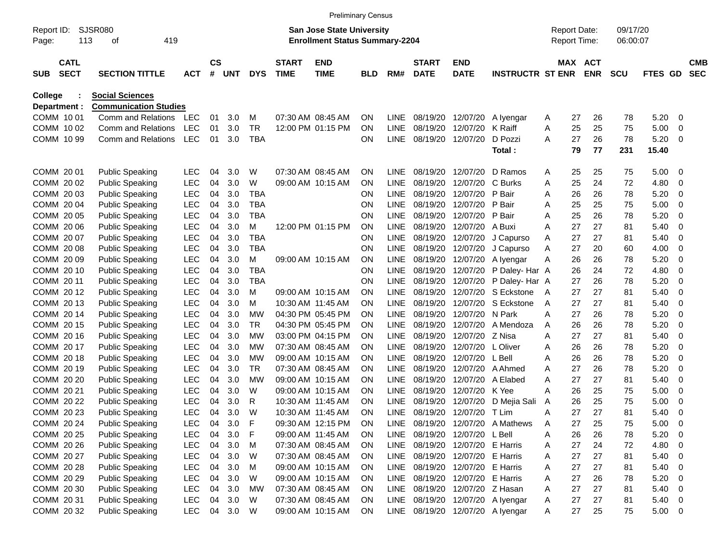|                                |                            |                                                        |                          |                |            |                        |                             |                                                                           | <b>Preliminary Census</b> |                            |                             |                           |                                  |        |                                            |          |                      |              |                |                          |
|--------------------------------|----------------------------|--------------------------------------------------------|--------------------------|----------------|------------|------------------------|-----------------------------|---------------------------------------------------------------------------|---------------------------|----------------------------|-----------------------------|---------------------------|----------------------------------|--------|--------------------------------------------|----------|----------------------|--------------|----------------|--------------------------|
| Report ID:<br>Page:            |                            | <b>SJSR080</b><br>113<br>419<br>οf                     |                          |                |            |                        |                             | <b>San Jose State University</b><br><b>Enrollment Status Summary-2204</b> |                           |                            |                             |                           |                                  |        | <b>Report Date:</b><br><b>Report Time:</b> |          | 09/17/20<br>06:00:07 |              |                |                          |
| <b>SUB</b>                     | <b>CATL</b><br><b>SECT</b> | <b>SECTION TITTLE</b>                                  | <b>ACT</b>               | <b>CS</b><br># | UNT        | <b>DYS</b>             | <b>START</b><br><b>TIME</b> | <b>END</b><br><b>TIME</b>                                                 | BLD                       | RM#                        | <b>START</b><br><b>DATE</b> | <b>END</b><br><b>DATE</b> | <b>INSTRUCTR ST ENR</b>          | MAX    | <b>ACT</b><br><b>ENR</b>                   |          | <b>SCU</b>           | <b>FTES</b>  | <b>GD</b>      | <b>CMB</b><br><b>SEC</b> |
| <b>College</b><br>Department : |                            | <b>Social Sciences</b><br><b>Communication Studies</b> |                          |                |            |                        |                             |                                                                           |                           |                            |                             |                           |                                  |        |                                            |          |                      |              |                |                          |
| COMM 1001                      |                            | Comm and Relations                                     | <b>LEC</b>               | 01             | 3.0        | м                      |                             | 07:30 AM 08:45 AM                                                         | ON                        | <b>LINE</b>                | 08/19/20                    | 12/07/20                  | A Iyengar                        | A      | 27                                         | 26       | 78                   | 5.20         | 0              |                          |
| COMM 1002                      |                            | Comm and Relations                                     | <b>LEC</b>               | 01             | 3.0        | <b>TR</b>              |                             | 12:00 PM 01:15 PM                                                         | ON                        | <b>LINE</b>                | 08/19/20                    | 12/07/20                  | K Raiff                          | A      | 25                                         | 25       | 75                   | 5.00         | 0              |                          |
| COMM 10 99                     |                            | Comm and Relations                                     | <b>LEC</b>               | 01             | 3.0        | <b>TBA</b>             |                             |                                                                           | ΟN                        | <b>LINE</b>                | 08/19/20                    | 12/07/20                  | D Pozzi                          | A      | 27                                         | 26       | 78                   | 5.20         | 0              |                          |
|                                |                            |                                                        |                          |                |            |                        |                             |                                                                           |                           |                            |                             |                           | Total:                           |        | 79                                         | 77       | 231                  | 15.40        |                |                          |
| COMM 20 01                     |                            | <b>Public Speaking</b>                                 | <b>LEC</b>               | 04             | 3.0        | W                      |                             | 07:30 AM 08:45 AM                                                         | ΟN                        | <b>LINE</b>                | 08/19/20                    | 12/07/20                  | D Ramos                          | A      | 25                                         | 25       | 75                   | 5.00         | 0              |                          |
| COMM 20 02                     |                            | <b>Public Speaking</b>                                 | <b>LEC</b>               | 04             | 3.0        | W                      |                             | 09:00 AM 10:15 AM                                                         | ON                        | <b>LINE</b>                | 08/19/20                    | 12/07/20                  | C Burks                          | A      | 25                                         | 24       | 72                   | 4.80         | $\mathbf 0$    |                          |
| COMM 20 03                     |                            | <b>Public Speaking</b>                                 | <b>LEC</b>               | 04             | 3.0        | <b>TBA</b>             |                             |                                                                           | ΟN                        | <b>LINE</b>                | 08/19/20                    | 12/07/20                  | P Bair                           | A      | 26                                         | 26       | 78                   | 5.20         | 0              |                          |
| COMM 2004                      |                            | <b>Public Speaking</b>                                 | <b>LEC</b>               | 04             | 3.0        | <b>TBA</b>             |                             |                                                                           | ON                        | <b>LINE</b>                | 08/19/20                    | 12/07/20                  | P Bair                           | A      | 25                                         | 25       | 75                   | 5.00         | 0              |                          |
| COMM 20 05                     |                            | <b>Public Speaking</b>                                 | <b>LEC</b>               | 04             | 3.0        | <b>TBA</b>             |                             |                                                                           | ΟN                        | <b>LINE</b>                | 08/19/20                    | 12/07/20                  | P Bair                           | Α      | 25                                         | 26       | 78                   | 5.20         | $\mathbf 0$    |                          |
| COMM 20 06                     |                            | <b>Public Speaking</b>                                 | <b>LEC</b>               | 04             | 3.0        | М                      |                             | 12:00 PM 01:15 PM                                                         | ON                        | <b>LINE</b>                | 08/19/20                    | 12/07/20                  | A Buxi                           | Α      | 27                                         | 27       | 81                   | 5.40         | $\mathbf 0$    |                          |
| COMM 20 07                     |                            | <b>Public Speaking</b>                                 | <b>LEC</b>               | 04             | 3.0        | <b>TBA</b>             |                             |                                                                           | ON                        | <b>LINE</b>                | 08/19/20                    | 12/07/20                  | J Capurso                        | A      | 27                                         | 27       | 81                   | 5.40         | 0              |                          |
| COMM 20 08                     |                            | <b>Public Speaking</b>                                 | <b>LEC</b>               | 04             | 3.0        | <b>TBA</b>             |                             |                                                                           | ΟN                        | <b>LINE</b>                | 08/19/20                    | 12/07/20                  | J Capurso                        | A      | 27                                         | 20       | 60                   | 4.00         | $\mathbf 0$    |                          |
| COMM 20 09                     |                            | <b>Public Speaking</b>                                 | <b>LEC</b>               | 04             | 3.0        | М                      |                             | 09:00 AM 10:15 AM                                                         | ON                        | <b>LINE</b>                | 08/19/20                    | 12/07/20                  | A Iyengar                        | A      | 26                                         | 26       | 78                   | 5.20         | $\mathbf 0$    |                          |
| COMM 20 10                     |                            | <b>Public Speaking</b>                                 | <b>LEC</b>               | 04             | 3.0        | <b>TBA</b>             |                             |                                                                           | ON                        | <b>LINE</b>                | 08/19/20                    | 12/07/20                  | P Daley- Har A                   |        | 26                                         | 24       | 72                   | 4.80         | 0              |                          |
| COMM 20 11                     |                            | <b>Public Speaking</b>                                 | <b>LEC</b>               | 04             | 3.0        | <b>TBA</b>             |                             |                                                                           | ON                        | <b>LINE</b>                | 08/19/20                    | 12/07/20                  | P Daley- Har A                   |        | 27                                         | 26       | 78                   | 5.20         | $\mathbf 0$    |                          |
| COMM 2012                      |                            | <b>Public Speaking</b>                                 | <b>LEC</b>               | 04             | 3.0        | М                      |                             | 09:00 AM 10:15 AM                                                         | ON                        | <b>LINE</b>                | 08/19/20                    | 12/07/20                  | S Eckstone                       | A      | 27                                         | 27       | 81                   | 5.40         | $\mathbf 0$    |                          |
| COMM 2013                      |                            | <b>Public Speaking</b>                                 | <b>LEC</b>               | 04             | 3.0        | М                      |                             | 10:30 AM 11:45 AM                                                         | ON                        | <b>LINE</b>                | 08/19/20                    | 12/07/20                  | S Eckstone                       | A      | 27                                         | 27       | 81                   | 5.40         | 0              |                          |
| COMM 2014                      |                            | <b>Public Speaking</b>                                 | <b>LEC</b>               | 04             | 3.0        | МW                     |                             | 04:30 PM 05:45 PM                                                         | ON                        | <b>LINE</b>                | 08/19/20                    | 12/07/20                  | N Park                           | A      | 27                                         | 26       | 78                   | 5.20         | $\mathbf 0$    |                          |
| COMM 20 15                     |                            | <b>Public Speaking</b>                                 | <b>LEC</b>               | 04             | 3.0        | <b>TR</b>              |                             | 04:30 PM 05:45 PM                                                         | ON                        | <b>LINE</b>                | 08/19/20                    | 12/07/20                  | A Mendoza                        | A      | 26                                         | 26       | 78                   | 5.20         | $\mathbf 0$    |                          |
| COMM 20 16                     |                            | <b>Public Speaking</b>                                 | <b>LEC</b>               | 04             | 3.0        | <b>MW</b>              |                             | 03:00 PM 04:15 PM                                                         | ON                        | <b>LINE</b>                | 08/19/20                    | 12/07/20                  | Z Nisa                           | A      | 27                                         | 27       | 81                   | 5.40         | $\mathbf 0$    |                          |
| COMM 20 17                     |                            | <b>Public Speaking</b>                                 | <b>LEC</b>               | 04             | 3.0        | <b>MW</b>              |                             | 07:30 AM 08:45 AM                                                         | ON                        | <b>LINE</b>                | 08/19/20                    | 12/07/20                  | L Oliver                         | A      | 26                                         | 26       | 78                   | 5.20         | 0              |                          |
| COMM 2018                      |                            | <b>Public Speaking</b>                                 | <b>LEC</b><br><b>LEC</b> | 04             | 3.0        | <b>MW</b><br><b>TR</b> |                             | 09:00 AM 10:15 AM<br>07:30 AM 08:45 AM                                    | ON                        | <b>LINE</b>                | 08/19/20                    | 12/07/20                  | L Bell                           | Α      | 26                                         | 26<br>26 | 78                   | 5.20         | $\mathbf 0$    |                          |
| COMM 20 19<br>COMM 20 20       |                            | <b>Public Speaking</b>                                 | <b>LEC</b>               | 04<br>04       | 3.0<br>3.0 | <b>MW</b>              |                             | 09:00 AM 10:15 AM                                                         | ON<br>ON                  | <b>LINE</b><br><b>LINE</b> | 08/19/20<br>08/19/20        | 12/07/20<br>12/07/20      | A Ahmed<br>A Elabed              | A      | 27<br>27                                   | 27       | 78<br>81             | 5.20<br>5.40 | $\mathbf 0$    |                          |
| COMM 20 21                     |                            | <b>Public Speaking</b><br><b>Public Speaking</b>       | LEC                      | 04             | 3.0        | W                      |                             | 09:00 AM 10:15 AM                                                         | ON                        | <b>LINE</b>                | 08/19/20                    | 12/07/20                  | K Yee                            | Α<br>Α | 26                                         | 25       | 75                   | 5.00         | 0<br>0         |                          |
| COMM 20 22                     |                            | <b>Public Speaking</b>                                 | <b>LEC</b>               | 04             | 3.0        | R                      |                             | 10:30 AM 11:45 AM                                                         | ON                        | LINE                       | 08/19/20                    | 12/07/20                  | D Mejia Sali                     | A      | 26                                         | 25       | 75                   | 5.00         | $\mathbf 0$    |                          |
| COMM 20 23                     |                            | <b>Public Speaking</b>                                 | LEC                      | 04             | 3.0        | W                      |                             | 10:30 AM 11:45 AM                                                         | ON                        | <b>LINE</b>                | 08/19/20                    | 12/07/20                  | T Lim                            | A      | 27                                         | 27       | 81                   | 5.40         | $\overline{0}$ |                          |
| COMM 20 24                     |                            | <b>Public Speaking</b>                                 | LEC                      | 04             | 3.0        | F                      |                             | 09:30 AM 12:15 PM                                                         | ON                        | LINE                       | 08/19/20                    | 12/07/20                  | A Mathews                        | A      | 27                                         | 25       | 75                   | 5.00         | $\mathbf 0$    |                          |
| COMM 20 25                     |                            | <b>Public Speaking</b>                                 | <b>LEC</b>               | 04             | 3.0        | F                      |                             | 09:00 AM 11:45 AM                                                         | ON                        | LINE                       | 08/19/20                    | 12/07/20                  | L Bell                           | Α      | 26                                         | 26       | 78                   | 5.20         | 0              |                          |
| COMM 20 26                     |                            | <b>Public Speaking</b>                                 | LEC                      | 04             | 3.0        | M                      |                             | 07:30 AM 08:45 AM                                                         | <b>ON</b>                 | <b>LINE</b>                | 08/19/20                    | 12/07/20                  | E Harris                         | A      | 27                                         | 24       | 72                   | 4.80         | 0              |                          |
| COMM 20 27                     |                            | <b>Public Speaking</b>                                 | LEC                      | 04             | 3.0        | W                      |                             | 07:30 AM 08:45 AM                                                         | <b>ON</b>                 | LINE                       | 08/19/20                    | 12/07/20                  | E Harris                         | Α      | 27                                         | 27       | 81                   | 5.40         | 0              |                          |
| COMM 20 28                     |                            | <b>Public Speaking</b>                                 | LEC                      | 04             | 3.0        | M                      |                             | 09:00 AM 10:15 AM                                                         | <b>ON</b>                 | LINE                       | 08/19/20                    | 12/07/20                  | E Harris                         | Α      | 27                                         | 27       | 81                   | 5.40         | 0              |                          |
| COMM 20 29                     |                            | <b>Public Speaking</b>                                 | LEC                      | 04             | 3.0        | W                      |                             | 09:00 AM 10:15 AM                                                         | <b>ON</b>                 | <b>LINE</b>                | 08/19/20                    | 12/07/20                  | E Harris                         | Α      | 27                                         | 26       | 78                   | 5.20         | 0              |                          |
| COMM 20 30                     |                            | <b>Public Speaking</b>                                 | LEC                      | 04             | 3.0        | <b>MW</b>              |                             | 07:30 AM 08:45 AM                                                         | <b>ON</b>                 | LINE                       | 08/19/20                    | 12/07/20                  | Z Hasan                          | Α      | 27                                         | 27       | 81                   | 5.40         | 0              |                          |
| COMM 20 31                     |                            | <b>Public Speaking</b>                                 | LEC                      | 04             | 3.0        | W                      |                             | 07:30 AM 08:45 AM                                                         | ON                        | LINE                       | 08/19/20                    |                           | 12/07/20 A lyengar               | A      | 27                                         | 27       | 81                   | 5.40         | - 0            |                          |
| COMM 20 32                     |                            | <b>Public Speaking</b>                                 | LEC                      |                | 04 3.0     | W                      |                             | 09:00 AM 10:15 AM                                                         | ON                        |                            |                             |                           | LINE 08/19/20 12/07/20 A lyengar | A      | 27                                         | 25       | 75                   | $5.00 \t 0$  |                |                          |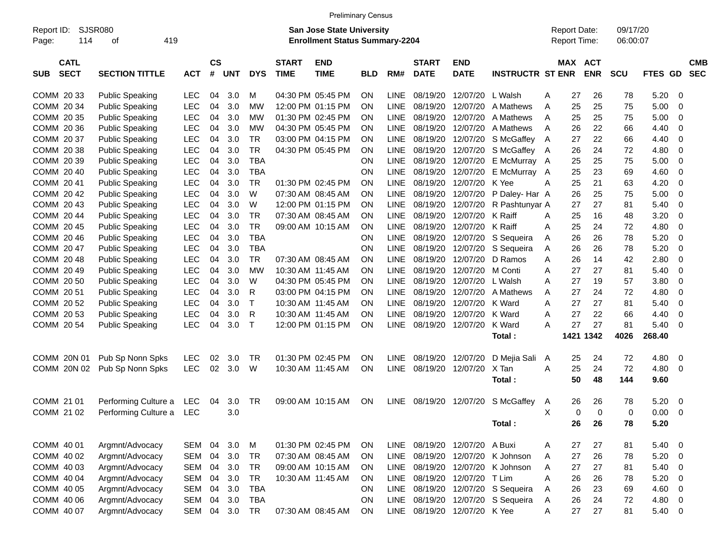|                                          |                        |            |                    |     |              |                             | <b>Preliminary Census</b>                                                 |            |             |                             |                           |                         |                                     |                              |                      |                          |                          |
|------------------------------------------|------------------------|------------|--------------------|-----|--------------|-----------------------------|---------------------------------------------------------------------------|------------|-------------|-----------------------------|---------------------------|-------------------------|-------------------------------------|------------------------------|----------------------|--------------------------|--------------------------|
| Report ID:<br>114<br>Page:               | SJSR080<br>419<br>оf   |            |                    |     |              |                             | <b>San Jose State University</b><br><b>Enrollment Status Summary-2204</b> |            |             |                             |                           |                         | <b>Report Date:</b><br>Report Time: |                              | 09/17/20<br>06:00:07 |                          |                          |
| <b>CATL</b><br><b>SECT</b><br><b>SUB</b> | <b>SECTION TITTLE</b>  | <b>ACT</b> | $\mathsf{cs}$<br># | UNT | <b>DYS</b>   | <b>START</b><br><b>TIME</b> | <b>END</b><br><b>TIME</b>                                                 | <b>BLD</b> | RM#         | <b>START</b><br><b>DATE</b> | <b>END</b><br><b>DATE</b> | <b>INSTRUCTR ST ENR</b> |                                     | <b>MAX ACT</b><br><b>ENR</b> | SCU                  | <b>FTES</b><br><b>GD</b> | <b>CMB</b><br><b>SEC</b> |
| COMM 20 33                               | <b>Public Speaking</b> | <b>LEC</b> | 04                 | 3.0 | M            |                             | 04:30 PM 05:45 PM                                                         | ΟN         | <b>LINE</b> | 08/19/20                    | 12/07/20                  | L Walsh                 | 27<br>Α                             | 26                           | 78                   | 5.20                     | $\mathbf 0$              |
| COMM 20 34                               | <b>Public Speaking</b> | LEC        | 04                 | 3.0 | <b>MW</b>    |                             | 12:00 PM 01:15 PM                                                         | ΟN         | <b>LINE</b> | 08/19/20                    | 12/07/20                  | A Mathews               | 25<br>A                             | 25                           | 75                   | 5.00                     | 0                        |
| COMM 20 35                               | <b>Public Speaking</b> | LEC        | 04                 | 3.0 | МW           |                             | 01:30 PM 02:45 PM                                                         | ΟN         | <b>LINE</b> | 08/19/20                    | 12/07/20                  | A Mathews               | 25<br>A                             | 25                           | 75                   | 5.00                     | 0                        |
| COMM 20 36                               | <b>Public Speaking</b> | LEC        | 04                 | 3.0 | <b>MW</b>    |                             | 04:30 PM 05:45 PM                                                         | ΟN         | <b>LINE</b> | 08/19/20                    | 12/07/20                  | A Mathews               | 26<br>A                             | 22                           | 66                   | 4.40                     | 0                        |
| COMM 20 37                               | <b>Public Speaking</b> | LEC        | 04                 | 3.0 | <b>TR</b>    |                             | 03:00 PM 04:15 PM                                                         | ΟN         | <b>LINE</b> | 08/19/20                    | 12/07/20                  | S McGaffey              | 27<br>A                             | 22                           | 66                   | 4.40                     | 0                        |
| COMM 20 38                               | <b>Public Speaking</b> | LEC        | 04                 | 3.0 | <b>TR</b>    |                             | 04:30 PM 05:45 PM                                                         | ΟN         | <b>LINE</b> | 08/19/20                    | 12/07/20                  | S McGaffey A            | 26                                  | 24                           | 72                   | 4.80                     | $\mathbf 0$              |
| COMM 20 39                               | <b>Public Speaking</b> | LEC        | 04                 | 3.0 | <b>TBA</b>   |                             |                                                                           | ON         | <b>LINE</b> | 08/19/20                    | 12/07/20                  | E McMurray A            | 25                                  | 25                           | 75                   | 5.00                     | $\mathbf 0$              |
| COMM 20 40                               | <b>Public Speaking</b> | LEC        | 04                 | 3.0 | <b>TBA</b>   |                             |                                                                           | ON         | <b>LINE</b> | 08/19/20                    | 12/07/20                  | E McMurray A            | 25                                  | 23                           | 69                   | 4.60                     | 0                        |
| COMM 20 41                               | <b>Public Speaking</b> | LEC        | 04                 | 3.0 | <b>TR</b>    | 01:30 PM 02:45 PM           |                                                                           | ON         | <b>LINE</b> | 08/19/20                    | 12/07/20                  | K Yee                   | 25<br>A                             | 21                           | 63                   | 4.20                     | $\mathbf 0$              |
| COMM 20 42                               | <b>Public Speaking</b> | LEC        | 04                 | 3.0 | W            |                             | 07:30 AM 08:45 AM                                                         | ΟN         | <b>LINE</b> | 08/19/20                    | 12/07/20                  | P Daley- Har A          | 26                                  | 25                           | 75                   | 5.00                     | $\mathbf 0$              |
| COMM 20 43                               | <b>Public Speaking</b> | LEC        | 04                 | 3.0 | W            |                             | 12:00 PM 01:15 PM                                                         | ΟN         | <b>LINE</b> | 08/19/20                    | 12/07/20                  | R Pashtunyar A          | 27                                  | 27                           | 81                   | 5.40                     | $\mathbf 0$              |
| COMM 20 44                               | <b>Public Speaking</b> | LEC        | 04                 | 3.0 | <b>TR</b>    |                             | 07:30 AM 08:45 AM                                                         | ΟN         | <b>LINE</b> | 08/19/20                    | 12/07/20                  | K Raiff                 | 25<br>A                             | 16                           | 48                   | 3.20                     | 0                        |
| COMM 20 45                               | <b>Public Speaking</b> | LEC        | 04                 | 3.0 | <b>TR</b>    |                             | 09:00 AM 10:15 AM                                                         | ΟN         | <b>LINE</b> | 08/19/20                    | 12/07/20                  | K Raiff                 | 25<br>A                             | 24                           | 72                   | 4.80                     | $\mathbf 0$              |
| COMM 20 46                               | <b>Public Speaking</b> | LEC        | 04                 | 3.0 | <b>TBA</b>   |                             |                                                                           | ON         | <b>LINE</b> | 08/19/20                    | 12/07/20                  | S Sequeira              | 26<br>Α                             | 26                           | 78                   | 5.20                     | $\mathbf 0$              |
| COMM 20 47                               | <b>Public Speaking</b> | LEC        | 04                 | 3.0 | <b>TBA</b>   |                             |                                                                           | ON         | <b>LINE</b> | 08/19/20                    | 12/07/20                  | S Sequeira              | 26<br>A                             | 26                           | 78                   | 5.20                     | $\mathbf 0$              |
| COMM 20 48                               | <b>Public Speaking</b> | LEC        | 04                 | 3.0 | <b>TR</b>    |                             | 07:30 AM 08:45 AM                                                         | ON         | <b>LINE</b> | 08/19/20                    | 12/07/20                  | D Ramos                 | 26<br>A                             | 14                           | 42                   | 2.80                     | $\mathbf 0$              |
| COMM 20 49                               | <b>Public Speaking</b> | LEC        | 04                 | 3.0 | <b>MW</b>    | 10:30 AM 11:45 AM           |                                                                           | ΟN         | <b>LINE</b> | 08/19/20                    | 12/07/20                  | M Conti                 | 27<br>A                             | 27                           | 81                   | 5.40                     | $\mathbf 0$              |
| COMM 20 50                               | <b>Public Speaking</b> | <b>LEC</b> | 04                 | 3.0 | W            |                             | 04:30 PM 05:45 PM                                                         | ΟN         | <b>LINE</b> | 08/19/20                    | 12/07/20                  | L Walsh                 | 27<br>Α                             | 19                           | 57                   | 3.80                     | $\mathbf 0$              |
| COMM 20 51                               | <b>Public Speaking</b> | <b>LEC</b> | 04                 | 3.0 | R            |                             | 03:00 PM 04:15 PM                                                         | ΟN         | <b>LINE</b> | 08/19/20                    | 12/07/20                  | A Mathews               | 27<br>A                             | 24                           | 72                   | 4.80                     | $\mathbf 0$              |
| COMM 20 52                               | <b>Public Speaking</b> | <b>LEC</b> | 04                 | 3.0 | $\top$       | 10:30 AM 11:45 AM           |                                                                           | ΟN         | <b>LINE</b> | 08/19/20                    | 12/07/20                  | K Ward                  | 27<br>A                             | 27                           | 81                   | 5.40                     | 0                        |
| COMM 20 53                               | <b>Public Speaking</b> | <b>LEC</b> | 04                 | 3.0 | R            |                             | 10:30 AM 11:45 AM                                                         | ΟN         | <b>LINE</b> | 08/19/20                    | 12/07/20                  | K Ward                  | 27<br>A                             | 22                           | 66                   | 4.40                     | $\mathbf 0$              |
| COMM 20 54                               | <b>Public Speaking</b> | <b>LEC</b> | 04                 | 3.0 | $\mathsf{T}$ |                             | 12:00 PM 01:15 PM                                                         | ON         | <b>LINE</b> | 08/19/20                    | 12/07/20                  | K Ward                  | 27<br>A                             | 27                           | 81                   | 5.40                     | $\mathbf 0$              |
|                                          |                        |            |                    |     |              |                             |                                                                           |            |             |                             |                           | Total:                  |                                     | 1421 1342                    | 4026                 | 268.40                   |                          |
| COMM 20N 01                              | Pub Sp Nonn Spks       | <b>LEC</b> | 02                 | 3.0 | <b>TR</b>    |                             | 01:30 PM 02:45 PM                                                         | ΟN         | <b>LINE</b> | 08/19/20                    | 12/07/20                  | D Mejia Sali A          | 25                                  | 24                           | 72                   | 4.80                     | $\mathbf 0$              |
| COMM 20N 02                              | Pub Sp Nonn Spks       | <b>LEC</b> | 02                 | 3.0 | W            |                             | 10:30 AM 11:45 AM                                                         | ON         | <b>LINE</b> | 08/19/20                    | 12/07/20                  | X Tan                   | A<br>25                             | 24                           | 72                   | 4.80                     | $\mathbf 0$              |
|                                          |                        |            |                    |     |              |                             |                                                                           |            |             |                             |                           | Total:                  | 50                                  | 48                           | 144                  | 9.60                     |                          |
| COMM 21 01                               | Performing Culture a   | <b>LEC</b> | 04                 | 3.0 | <b>TR</b>    |                             | 09:00 AM 10:15 AM                                                         | ΟN         | <b>LINE</b> | 08/19/20                    | 12/07/20                  | S McGaffey              | 26<br>A                             | 26                           | 78                   | 5.20                     | $\mathbf 0$              |
| COMM 21 02                               | Performing Culture a   | <b>LEC</b> |                    | 3.0 |              |                             |                                                                           |            |             |                             |                           |                         | X                                   | $\Omega$<br>0                | 0                    | 0.00                     | $\mathbf 0$              |
|                                          |                        |            |                    |     |              |                             |                                                                           |            |             |                             |                           | Total:                  | 26                                  | 26                           | 78                   | 5.20                     |                          |
|                                          |                        |            |                    |     |              |                             |                                                                           |            |             |                             |                           |                         |                                     |                              |                      |                          |                          |
| COMM 40 01                               | Argmnt/Advocacy        | SEM        | 04                 | 3.0 | M            |                             | 01:30 PM 02:45 PM                                                         | ON         | LINE        | 08/19/20                    | 12/07/20                  | A Buxi                  | 27<br>Α                             | 27                           | 81                   | 5.40                     | $\mathbf 0$              |
| COMM 40 02                               | Argmnt/Advocacy        | SEM        | 04                 | 3.0 | <b>TR</b>    |                             | 07:30 AM 08:45 AM                                                         | ON         | <b>LINE</b> | 08/19/20                    | 12/07/20                  | K Johnson               | 27<br>Α                             | 26                           | 78                   | 5.20                     | 0                        |
| COMM 40 03                               | Argmnt/Advocacy        | SEM        | 04                 | 3.0 | <b>TR</b>    |                             | 09:00 AM 10:15 AM                                                         | ON         | LINE        | 08/19/20                    | 12/07/20                  | K Johnson               | 27<br>Α                             | 27                           | 81                   | 5.40                     | 0                        |
| COMM 40 04                               | Argmnt/Advocacy        | SEM        | 04                 | 3.0 | <b>TR</b>    |                             | 10:30 AM 11:45 AM                                                         | ON         | LINE        | 08/19/20                    | 12/07/20                  | T Lim                   | Α<br>26                             | 26                           | 78                   | 5.20                     | 0                        |
| COMM 40 05                               | Argmnt/Advocacy        | SEM        | 04                 | 3.0 | <b>TBA</b>   |                             |                                                                           | <b>ON</b>  | LINE        | 08/19/20                    | 12/07/20                  | S Sequeira              | 26<br>Α                             | 23                           | 69                   | 4.60                     | $\mathbf 0$              |
| COMM 40 06                               | Argmnt/Advocacy        | SEM        | 04                 | 3.0 | <b>TBA</b>   |                             |                                                                           | ON         | LINE        | 08/19/20                    | 12/07/20                  | S Sequeira              | 26<br>A                             | 24                           | 72                   | 4.80                     | 0                        |
| COMM 40 07                               | Argmnt/Advocacy        | SEM 04     |                    | 3.0 | TR           |                             | 07:30 AM 08:45 AM                                                         | ON         |             | LINE 08/19/20               | 12/07/20 K Yee            |                         | 27<br>Α                             | 27                           | 81                   | 5.40                     | 0                        |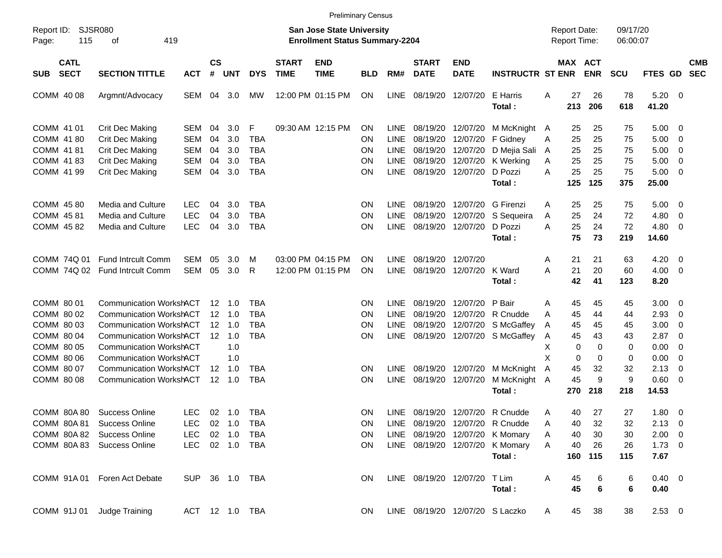|                                          |                                                                                                    |                                        |                |                                         |                                 |                             |                                                                    | <b>Preliminary Census</b>           |                                    |                                  |                                                    |                                                       |                                     |                      |                       |                       |                                    |                                   |                          |
|------------------------------------------|----------------------------------------------------------------------------------------------------|----------------------------------------|----------------|-----------------------------------------|---------------------------------|-----------------------------|--------------------------------------------------------------------|-------------------------------------|------------------------------------|----------------------------------|----------------------------------------------------|-------------------------------------------------------|-------------------------------------|----------------------|-----------------------|-----------------------|------------------------------------|-----------------------------------|--------------------------|
| Report ID:<br>115<br>Page:               | <b>SJSR080</b><br>419<br>оf                                                                        |                                        |                |                                         |                                 |                             | San Jose State University<br><b>Enrollment Status Summary-2204</b> |                                     |                                    |                                  |                                                    |                                                       | <b>Report Date:</b><br>Report Time: |                      |                       | 09/17/20<br>06:00:07  |                                    |                                   |                          |
| <b>CATL</b><br><b>SECT</b><br><b>SUB</b> | <b>SECTION TITTLE</b>                                                                              | <b>ACT</b>                             | <b>CS</b><br># | <b>UNT</b>                              | <b>DYS</b>                      | <b>START</b><br><b>TIME</b> | <b>END</b><br><b>TIME</b>                                          | <b>BLD</b>                          | RM#                                | <b>START</b><br><b>DATE</b>      | <b>END</b><br><b>DATE</b>                          | <b>INSTRUCTR ST ENR</b>                               |                                     |                      | MAX ACT<br><b>ENR</b> | <b>SCU</b>            | FTES GD                            |                                   | <b>CMB</b><br><b>SEC</b> |
| COMM 40 08                               | Argmnt/Advocacy                                                                                    | SEM                                    | 04             | 3.0                                     | <b>MW</b>                       |                             | 12:00 PM 01:15 PM                                                  | <b>ON</b>                           | <b>LINE</b>                        | 08/19/20                         | 12/07/20                                           | E Harris<br>Total:                                    | Α                                   | 27<br>213            | 26<br>206             | 78<br>618             | 5.20<br>41.20                      | $\overline{\phantom{0}}$          |                          |
| COMM 41 01<br>COMM 41 80<br>COMM 41 81   | <b>Crit Dec Making</b><br>Crit Dec Making<br>Crit Dec Making                                       | <b>SEM</b><br><b>SEM</b><br><b>SEM</b> | 04<br>04<br>04 | 3.0<br>3.0<br>3.0                       | F<br><b>TBA</b><br><b>TBA</b>   |                             | 09:30 AM 12:15 PM                                                  | <b>ON</b><br><b>ON</b><br><b>ON</b> | LINE<br><b>LINE</b><br><b>LINE</b> | 08/19/20<br>08/19/20<br>08/19/20 | 12/07/20<br>12/07/20<br>12/07/20                   | M McKnight A<br>F Gidney<br>D Mejia Sali              | A<br>A                              | 25<br>25<br>25       | 25<br>25<br>25        | 75<br>75<br>75        | 5.00<br>5.00<br>5.00               | 0<br>0<br>0                       |                          |
| COMM 41 83<br>COMM 41 99                 | Crit Dec Making<br>Crit Dec Making                                                                 | <b>SEM</b><br><b>SEM</b>               | 04<br>04       | 3.0<br>3.0                              | TBA<br><b>TBA</b>               |                             |                                                                    | <b>ON</b><br>ΟN                     | <b>LINE</b><br><b>LINE</b>         | 08/19/20                         | 12/07/20<br>08/19/20 12/07/20                      | K Werking<br>D Pozzi<br>Total:                        | A<br>Α                              | 25<br>25<br>125      | 25<br>25<br>125       | 75<br>75<br>375       | 5.00<br>5.00<br>25.00              | 0<br>$\overline{\mathbf{0}}$      |                          |
| COMM 4580<br>COMM 4581<br>COMM 4582      | Media and Culture<br>Media and Culture<br><b>Media and Culture</b>                                 | <b>LEC</b><br><b>LEC</b><br><b>LEC</b> | 04<br>04<br>04 | 3.0<br>3.0<br>3.0                       | TBA<br><b>TBA</b><br><b>TBA</b> |                             |                                                                    | <b>ON</b><br><b>ON</b><br>ΟN        | LINE<br>LINE<br><b>LINE</b>        | 08/19/20                         | 08/19/20 12/07/20<br>12/07/20<br>08/19/20 12/07/20 | <b>G</b> Firenzi<br>S Sequeira<br>D Pozzi<br>Total:   | Α<br>A<br>А                         | 25<br>25<br>25<br>75 | 25<br>24<br>24<br>73  | 75<br>72<br>72<br>219 | 5.00<br>4.80<br>4.80<br>14.60      | $\overline{\mathbf{0}}$<br>0<br>0 |                          |
| COMM 74Q 01<br>COMM 74Q 02               | <b>Fund Intrcult Comm</b><br><b>Fund Intrcult Comm</b>                                             | <b>SEM</b><br><b>SEM</b>               | 05<br>05       | 3.0<br>3.0                              | м<br>R                          |                             | 03:00 PM 04:15 PM<br>12:00 PM 01:15 PM                             | ΟN<br>ΟN                            | LINE<br><b>LINE</b>                | 08/19/20                         | 08/19/20 12/07/20<br>12/07/20                      | K Ward<br>Total:                                      | Α<br>Α                              | 21<br>21<br>42       | 21<br>20<br>41        | 63<br>60<br>123       | 4.20<br>4.00<br>8.20               | - 0<br>$\overline{\mathbf{0}}$    |                          |
| COMM 80 01<br>COMM 80 02                 | <b>Communication WorkshACT</b><br><b>Communication WorkshACT</b>                                   |                                        |                | $12 \quad 1.0$<br>$12 \quad 1.0$        | TBA<br><b>TBA</b>               |                             |                                                                    | <b>ON</b><br><b>ON</b>              | LINE<br>LINE                       | 08/19/20<br>08/19/20             | 12/07/20<br>12/07/20                               | P Bair<br>R Cnudde                                    | Α<br>A                              | 45<br>45             | 45<br>44              | 45<br>44              | 3.00<br>2.93                       | $\overline{\mathbf{0}}$<br>0      |                          |
| COMM 80 03<br>COMM 80 04<br>COMM 80 05   | <b>Communication WorkshACT</b><br><b>Communication WorkshACT</b><br><b>Communication WorkshACT</b> |                                        |                | $12 \quad 1.0$<br>$12 \quad 1.0$<br>1.0 | <b>TBA</b><br><b>TBA</b>        |                             |                                                                    | <b>ON</b><br>ΟN                     | LINE<br><b>LINE</b>                | 08/19/20                         | 12/07/20<br>08/19/20 12/07/20                      | S McGaffey<br>S McGaffey                              | A<br>A<br>Х                         | 45<br>45<br>0        | 45<br>43<br>0         | 45<br>43<br>0         | 3.00<br>2.87<br>0.00               | 0<br>0<br>0                       |                          |
| COMM 80 06<br>COMM 80 07<br>COMM 80 08   | <b>Communication WorkshACT</b><br><b>Communication WorkshACT</b><br><b>Communication WorkshACT</b> |                                        | 12             | 1.0<br>1.0<br>$12 \quad 1.0$            | TBA<br>TBA                      |                             |                                                                    | <b>ON</b><br><b>ON</b>              | <b>LINE</b><br>LINE                | 08/19/20                         | 08/19/20 12/07/20<br>12/07/20                      | M McKnight<br>M McKnight A<br>Total:                  | X<br>A                              | 0<br>45<br>45<br>270 | 0<br>32<br>9<br>218   | 0<br>32<br>9<br>218   | 0.00<br>2.13<br>0.60<br>14.53      | 0<br>0<br>$\overline{\mathbf{0}}$ |                          |
| COMM 80A 80<br>COMM 80A 81               | <b>Success Online</b><br><b>Success Online</b>                                                     | <b>LEC</b><br>LEC                      |                | $02 \quad 1.0$<br>02 1.0                | TBA<br>TBA                      |                             |                                                                    | <b>ON</b><br>ΟN                     | LINE.                              |                                  | 08/19/20 12/07/20                                  | R Cnudde<br>LINE 08/19/20 12/07/20 R Cnudde           | A<br>A                              | 40<br>40             | 27<br>32              | 27<br>32              | $1.80 \ 0$<br>$2.13 \ 0$           |                                   |                          |
| COMM 80A 82                              | <b>Success Online</b><br>COMM 80A 83 Success Online                                                | LEC.<br><b>LEC</b>                     |                | $02$ 1.0                                | TBA<br>02 1.0 TBA               |                             |                                                                    | ΟN<br>ON.                           |                                    |                                  | LINE 08/19/20 12/07/20                             | LINE 08/19/20 12/07/20 K Momary<br>K Momary<br>Total: | A<br>Α                              | 40<br>40<br>160      | 30<br>26<br>115       | 30<br>26<br>115       | $2.00 \t 0$<br>$1.73 \t 0$<br>7.67 |                                   |                          |
|                                          | COMM 91A 01 Foren Act Debate                                                                       | SUP 36 1.0 TBA                         |                |                                         |                                 |                             |                                                                    | ON.                                 |                                    | LINE 08/19/20 12/07/20           |                                                    | T Lim<br>Total:                                       | A                                   | 45<br>45             | 6<br>6                | 6<br>6                | $0.40 \ 0$<br>0.40                 |                                   |                          |
| COMM 91J 01                              | Judge Training                                                                                     | ACT 12 1.0 TBA                         |                |                                         |                                 |                             |                                                                    | ON.                                 |                                    |                                  |                                                    | LINE 08/19/20 12/07/20 S Laczko                       | A                                   | 45                   | 38                    | 38                    | $2.53 \t 0$                        |                                   |                          |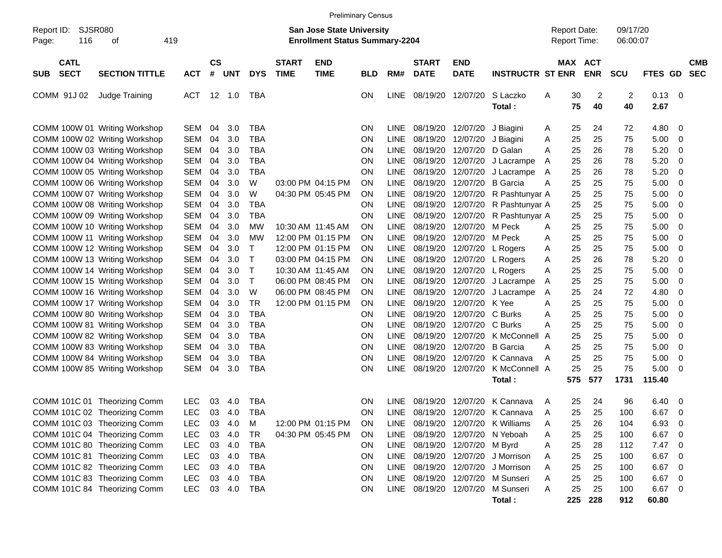|                                   |                                                                                                                                                                   |                                                                    |                            |                                      |                                                      |                             | <b>Preliminary Census</b>                                                        |                                                  |                                                                         |                                                          |                                                          |                                                                                             |                       |                                            |                            |                            |                                      |                                                                                                  |                          |
|-----------------------------------|-------------------------------------------------------------------------------------------------------------------------------------------------------------------|--------------------------------------------------------------------|----------------------------|--------------------------------------|------------------------------------------------------|-----------------------------|----------------------------------------------------------------------------------|--------------------------------------------------|-------------------------------------------------------------------------|----------------------------------------------------------|----------------------------------------------------------|---------------------------------------------------------------------------------------------|-----------------------|--------------------------------------------|----------------------------|----------------------------|--------------------------------------|--------------------------------------------------------------------------------------------------|--------------------------|
| Report ID:<br>116<br>Page:        | SJSR080<br>419<br>οf                                                                                                                                              |                                                                    |                            |                                      |                                                      |                             | <b>San Jose State University</b><br><b>Enrollment Status Summary-2204</b>        |                                                  |                                                                         |                                                          |                                                          |                                                                                             |                       | <b>Report Date:</b><br><b>Report Time:</b> |                            | 09/17/20<br>06:00:07       |                                      |                                                                                                  |                          |
| <b>CATL</b><br><b>SECT</b><br>SUB | <b>SECTION TITTLE</b>                                                                                                                                             | <b>ACT</b>                                                         | $\mathsf{cs}$<br>#         | <b>UNT</b>                           | <b>DYS</b>                                           | <b>START</b><br><b>TIME</b> | <b>END</b><br><b>TIME</b>                                                        | <b>BLD</b>                                       | RM#                                                                     | <b>START</b><br><b>DATE</b>                              | <b>END</b><br><b>DATE</b>                                | <b>INSTRUCTR ST ENR</b>                                                                     |                       | MAX ACT                                    | <b>ENR</b>                 | <b>SCU</b>                 | FTES GD                              |                                                                                                  | <b>CMB</b><br><b>SEC</b> |
| COMM 91J 02                       | Judge Training                                                                                                                                                    | <b>ACT</b>                                                         |                            | $12 \quad 1.0$                       | TBA                                                  |                             |                                                                                  | <b>ON</b>                                        | <b>LINE</b>                                                             | 08/19/20                                                 | 12/07/20                                                 | S Laczko<br>Total:                                                                          | Α                     | 30<br>75                                   | 2<br>40                    | 2<br>40                    | 0.13<br>2.67                         | - 0                                                                                              |                          |
|                                   | COMM 100W 01 Writing Workshop<br>COMM 100W 02 Writing Workshop<br>COMM 100W 03 Writing Workshop<br>COMM 100W 04 Writing Workshop                                  | <b>SEM</b><br><b>SEM</b><br><b>SEM</b><br><b>SEM</b>               | 04<br>04<br>04<br>04       | 3.0<br>3.0<br>3.0<br>3.0             | TBA<br>TBA<br>TBA<br>TBA                             |                             |                                                                                  | <b>ON</b><br>ON<br>ΟN<br>ON                      | LINE<br><b>LINE</b><br><b>LINE</b><br><b>LINE</b>                       | 08/19/20<br>08/19/20<br>08/19/20<br>08/19/20             | 12/07/20<br>12/07/20<br>12/07/20<br>12/07/20             | J Biagini<br>J Biagini<br>D Galan<br>J Lacrampe                                             | A<br>Α<br>A<br>A      | 25<br>25<br>25<br>25                       | 24<br>25<br>26<br>26       | 72<br>75<br>78<br>78       | 4.80<br>5.00<br>5.20<br>5.20         | 0<br>0<br>0<br>0                                                                                 |                          |
|                                   | COMM 100W 05 Writing Workshop<br>COMM 100W 06 Writing Workshop<br>COMM 100W 07 Writing Workshop<br>COMM 100W 08 Writing Workshop                                  | <b>SEM</b><br><b>SEM</b><br><b>SEM</b><br><b>SEM</b>               | 04<br>04<br>04<br>04       | 3.0<br>3.0<br>3.0<br>3.0             | TBA<br>W<br>W<br>TBA                                 |                             | 03:00 PM 04:15 PM<br>04:30 PM 05:45 PM                                           | ON<br><b>ON</b><br>ON<br>ON                      | <b>LINE</b><br><b>LINE</b><br><b>LINE</b><br><b>LINE</b>                | 08/19/20<br>08/19/20<br>08/19/20<br>08/19/20             | 12/07/20<br>12/07/20<br>12/07/20<br>12/07/20             | J Lacrampe<br><b>B</b> Garcia<br>R Pashtunyar A<br>R Pashtunyar A                           | A<br>A                | 25<br>25<br>25<br>25                       | 26<br>25<br>25<br>25       | 78<br>75<br>75<br>75       | 5.20<br>5.00<br>5.00<br>5.00         | 0<br>0<br>0<br>0                                                                                 |                          |
|                                   | COMM 100W 09 Writing Workshop<br>COMM 100W 10 Writing Workshop<br>COMM 100W 11 Writing Workshop<br>COMM 100W 12 Writing Workshop<br>COMM 100W 13 Writing Workshop | <b>SEM</b><br><b>SEM</b><br><b>SEM</b><br><b>SEM</b><br><b>SEM</b> | 04<br>04<br>04<br>04<br>04 | 3.0<br>3.0<br>3.0<br>3.0<br>3.0      | TBA<br>МW<br>МW<br>Т<br>т                            |                             | 10:30 AM 11:45 AM<br>12:00 PM 01:15 PM<br>12:00 PM 01:15 PM<br>03:00 PM 04:15 PM | ON<br>ON<br><b>ON</b><br><b>ON</b><br><b>ON</b>  | <b>LINE</b><br><b>LINE</b><br><b>LINE</b><br><b>LINE</b><br><b>LINE</b> | 08/19/20<br>08/19/20<br>08/19/20<br>08/19/20<br>08/19/20 | 12/07/20<br>12/07/20<br>12/07/20<br>12/07/20             | R Pashtunyar A<br>M Peck<br>M Peck<br>L Rogers<br>12/07/20 L Rogers                         | Α<br>Α<br>Α<br>Α      | 25<br>25<br>25<br>25<br>25                 | 25<br>25<br>25<br>25<br>26 | 75<br>75<br>75<br>75<br>78 | 5.00<br>5.00<br>5.00<br>5.00<br>5.20 | 0<br>0<br>0<br>0<br>0                                                                            |                          |
|                                   | COMM 100W 14 Writing Workshop<br>COMM 100W 15 Writing Workshop<br>COMM 100W 16 Writing Workshop<br>COMM 100W 17 Writing Workshop                                  | <b>SEM</b><br><b>SEM</b><br><b>SEM</b><br><b>SEM</b>               | 04<br>04<br>04<br>04       | 3.0<br>3.0<br>3.0<br>3.0             | Т<br>т<br>W<br>TR                                    |                             | 10:30 AM 11:45 AM<br>06:00 PM 08:45 PM<br>06:00 PM 08:45 PM<br>12:00 PM 01:15 PM | <b>ON</b><br><b>ON</b><br><b>ON</b><br><b>ON</b> | <b>LINE</b><br><b>LINE</b><br><b>LINE</b><br><b>LINE</b>                | 08/19/20<br>08/19/20<br>08/19/20<br>08/19/20             | 12/07/20<br>12/07/20<br>12/07/20<br>12/07/20 K Yee       | L Rogers<br>J Lacrampe<br>J Lacrampe                                                        | Α<br>A<br>A<br>A      | 25<br>25<br>25<br>25                       | 25<br>25<br>24<br>25       | 75<br>75<br>72<br>75       | 5.00<br>5.00<br>4.80<br>5.00         | 0<br>0<br>0<br>0                                                                                 |                          |
|                                   | COMM 100W 80 Writing Workshop<br>COMM 100W 81 Writing Workshop<br>COMM 100W 82 Writing Workshop<br>COMM 100W 83 Writing Workshop<br>COMM 100W 84 Writing Workshop | <b>SEM</b><br><b>SEM</b><br><b>SEM</b><br><b>SEM</b><br><b>SEM</b> | 04<br>04<br>04<br>04<br>04 | 3.0<br>3.0<br>3.0<br>3.0<br>3.0      | <b>TBA</b><br>TBA<br>TBA<br>TBA<br><b>TBA</b>        |                             |                                                                                  | ΟN<br>ON<br>ON<br>ON<br>ON                       | <b>LINE</b><br><b>LINE</b><br><b>LINE</b><br><b>LINE</b><br><b>LINE</b> | 08/19/20<br>08/19/20<br>08/19/20<br>08/19/20<br>08/19/20 | 12/07/20<br>12/07/20<br>12/07/20<br>12/07/20<br>12/07/20 | C Burks<br>C Burks<br>K McConnell<br><b>B</b> Garcia<br>K Cannava                           | A<br>A<br>A<br>A<br>A | 25<br>25<br>25<br>25<br>25                 | 25<br>25<br>25<br>25<br>25 | 75<br>75<br>75<br>75<br>75 | 5.00<br>5.00<br>5.00<br>5.00<br>5.00 | 0<br>0<br>0<br>0<br>0                                                                            |                          |
|                                   | COMM 100W 85 Writing Workshop<br>COMM 101C 01 Theorizing Comm                                                                                                     | <b>SEM</b><br><b>LEC</b>                                           | 04<br>03                   | 3.0<br>4.0                           | <b>TBA</b><br><b>TBA</b>                             |                             |                                                                                  | ON<br><b>ON</b>                                  | <b>LINE</b><br>LINE                                                     | 08/19/20<br>08/19/20                                     | 12/07/20<br>12/07/20                                     | K McConnell A<br>Total:<br>K Cannava                                                        | Α                     | 25<br>575<br>25                            | 25<br>577<br>24            | 75<br>1731<br>96           | 5.00<br>115.40<br>6.40               | -0<br>0                                                                                          |                          |
|                                   | COMM 101C 02 Theorizing Comm<br>COMM 101C 03 Theorizing Comm<br>COMM 101C 04 Theorizing Comm                                                                      | <b>LEC</b><br>LEC<br><b>LEC</b>                                    | 03<br>03<br>03             | 4.0<br>4.0<br>4.0                    | <b>TBA</b><br>M<br>TR                                |                             | 12:00 PM 01:15 PM<br>04:30 PM 05:45 PM                                           | <b>ON</b><br><b>ON</b><br><b>ON</b>              | <b>LINE</b><br>LINE<br>LINE                                             |                                                          |                                                          | 08/19/20 12/07/20 K Cannava<br>08/19/20 12/07/20 K Williams<br>08/19/20 12/07/20 N Yeboah   | A<br>Α<br>Α           | 25<br>25<br>25                             | 25<br>26<br>25             | 100<br>104<br>100          | 6.67<br>6.93<br>6.67                 | 0<br>- 0<br>- 0                                                                                  |                          |
|                                   | COMM 101C 80 Theorizing Comm<br>COMM 101C 81 Theorizing Comm<br>COMM 101C 82 Theorizing Comm<br>COMM 101C 83 Theorizing Comm                                      | <b>LEC</b><br><b>LEC</b><br><b>LEC</b><br><b>LEC</b>               |                            | 03 4.0<br>03 4.0<br>03 4.0<br>03 4.0 | <b>TBA</b><br><b>TBA</b><br><b>TBA</b><br><b>TBA</b> |                             |                                                                                  | <b>ON</b><br><b>ON</b><br><b>ON</b><br><b>ON</b> | LINE<br>LINE<br>LINE                                                    |                                                          | LINE 08/19/20 12/07/20 M Byrd                            | 08/19/20 12/07/20 J Morrison<br>08/19/20 12/07/20 J Morrison<br>08/19/20 12/07/20 M Sunseri | A<br>A<br>Α<br>A      | 25<br>25<br>25<br>25                       | 28<br>25<br>25<br>25       | 112<br>100<br>100<br>100   | 7.47<br>6.67<br>6.67<br>6.67         | $\overline{\phantom{0}}$<br>$\overline{0}$<br>$\overline{\mathbf{0}}$<br>$\overline{\mathbf{0}}$ |                          |
|                                   | COMM 101C 84 Theorizing Comm                                                                                                                                      | <b>LEC</b>                                                         |                            | 03 4.0                               | TBA                                                  |                             |                                                                                  | <b>ON</b>                                        |                                                                         |                                                          |                                                          | LINE 08/19/20 12/07/20 M Sunseri<br>Total:                                                  | A                     | 25<br>225                                  | 25<br>228                  | 100<br>912                 | 6.67 0<br>60.80                      |                                                                                                  |                          |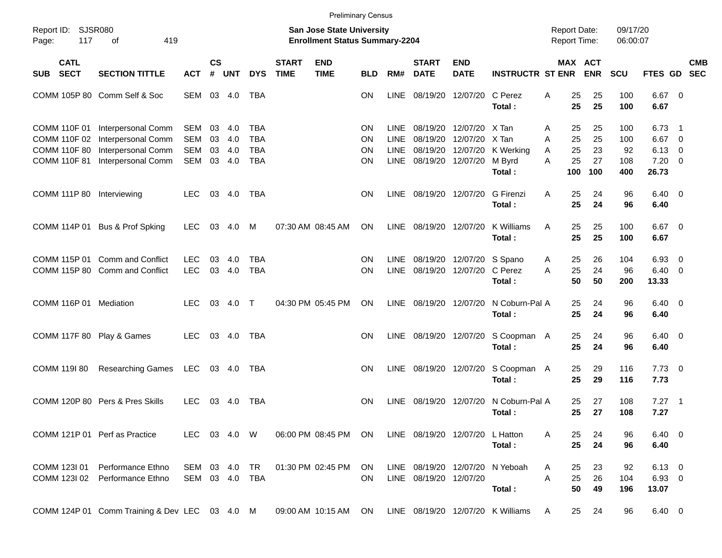|                     |                                                                            |                                                                                      |                                               |                      |                          |                                               |                             |                                                                           | <b>Preliminary Census</b>                 |                                            |                                                       |                                  |                                             |                                          |                      |                         |                                    |                                             |            |
|---------------------|----------------------------------------------------------------------------|--------------------------------------------------------------------------------------|-----------------------------------------------|----------------------|--------------------------|-----------------------------------------------|-----------------------------|---------------------------------------------------------------------------|-------------------------------------------|--------------------------------------------|-------------------------------------------------------|----------------------------------|---------------------------------------------|------------------------------------------|----------------------|-------------------------|------------------------------------|---------------------------------------------|------------|
| Report ID:<br>Page: | 117                                                                        | <b>SJSR080</b><br>419<br>оf                                                          |                                               |                      |                          |                                               |                             | <b>San Jose State University</b><br><b>Enrollment Status Summary-2204</b> |                                           |                                            |                                                       |                                  |                                             | <b>Report Date:</b><br>Report Time:      |                      | 09/17/20<br>06:00:07    |                                    |                                             |            |
| <b>SUB</b>          | <b>CATL</b><br><b>SECT</b>                                                 | <b>SECTION TITTLE</b>                                                                | <b>ACT</b>                                    | $\mathsf{cs}$<br>#   | <b>UNT</b>               | <b>DYS</b>                                    | <b>START</b><br><b>TIME</b> | <b>END</b><br><b>TIME</b>                                                 | <b>BLD</b>                                | RM#                                        | <b>START</b><br><b>DATE</b>                           | <b>END</b><br><b>DATE</b>        | <b>INSTRUCTR ST ENR</b>                     | <b>MAX ACT</b>                           | <b>ENR</b>           | SCU                     | FTES GD SEC                        |                                             | <b>CMB</b> |
|                     |                                                                            | COMM 105P 80 Comm Self & Soc                                                         | SEM 03 4.0                                    |                      |                          | <b>TBA</b>                                    |                             |                                                                           | <b>ON</b>                                 | LINE                                       | 08/19/20                                              | 12/07/20                         | C Perez<br>Total:                           | 25<br>A<br>25                            | 25<br>25             | 100<br>100              | $6.67$ 0<br>6.67                   |                                             |            |
|                     | COMM 110F 01<br>COMM 110F 02<br><b>COMM 110F 80</b><br><b>COMM 110F 81</b> | Interpersonal Comm<br>Interpersonal Comm<br>Interpersonal Comm<br>Interpersonal Comm | SEM<br><b>SEM</b><br><b>SEM</b><br><b>SEM</b> | 03<br>03<br>03<br>03 | 4.0<br>4.0<br>4.0<br>4.0 | TBA<br><b>TBA</b><br><b>TBA</b><br><b>TBA</b> |                             |                                                                           | <b>ON</b><br><b>ON</b><br><b>ON</b><br>ΟN | LINE<br><b>LINE</b><br><b>LINE</b><br>LINE | 08/19/20<br>08/19/20<br>08/19/20<br>08/19/20 12/07/20 | 12/07/20<br>12/07/20<br>12/07/20 | X Tan<br>X Tan<br>K Werking<br>M Byrd       | 25<br>A<br>25<br>A<br>25<br>A<br>25<br>A | 25<br>25<br>23<br>27 | 100<br>100<br>92<br>108 | 6.73<br>6.67<br>6.13<br>7.20       | -1<br>- 0<br>$\overline{0}$<br>$\mathbf{0}$ |            |
|                     | <b>COMM 111P 80</b>                                                        | Interviewing                                                                         | <b>LEC</b>                                    |                      | 03 4.0                   | <b>TBA</b>                                    |                             |                                                                           | <b>ON</b>                                 | LINE                                       | 08/19/20 12/07/20                                     |                                  | Total:<br>G Firenzi<br>Total:               | 100<br>25<br>A<br>25                     | 100<br>24<br>24      | 400<br>96<br>96         | 26.73<br>$6.40 \quad 0$<br>6.40    |                                             |            |
|                     | COMM 114P 01                                                               | Bus & Prof Spking                                                                    | <b>LEC</b>                                    | 03                   | 4.0                      | M                                             |                             | 07:30 AM 08:45 AM                                                         | <b>ON</b>                                 | LINE                                       | 08/19/20 12/07/20                                     |                                  | K Williams<br>Total:                        | 25<br>A<br>25                            | 25<br>25             | 100<br>100              | $6.67$ 0<br>6.67                   |                                             |            |
|                     | COMM 115P 01<br>COMM 115P 80                                               | Comm and Conflict<br><b>Comm and Conflict</b>                                        | <b>LEC</b><br><b>LEC</b>                      | 03<br>03             | 4.0<br>4.0               | <b>TBA</b><br><b>TBA</b>                      |                             |                                                                           | <b>ON</b><br><b>ON</b>                    | LINE<br><b>LINE</b>                        | 08/19/20 12/07/20                                     | 08/19/20 12/07/20                | S Spano<br>C Perez<br>Total:                | 25<br>A<br>25<br>A<br>50                 | 26<br>24<br>50       | 104<br>96<br>200        | 6.93<br>6.40<br>13.33              | 0<br>$\mathbf{0}$                           |            |
|                     |                                                                            | COMM 116P 01 Mediation                                                               | <b>LEC</b>                                    | 03                   | 4.0                      | $\top$                                        |                             | 04:30 PM 05:45 PM                                                         | <b>ON</b>                                 |                                            | LINE 08/19/20 12/07/20                                |                                  | N Coburn-Pal A<br>Total:                    | 25<br>25                                 | 24<br>24             | 96<br>96                | $6.40 \quad 0$<br>6.40             |                                             |            |
|                     | <b>COMM 117F 80</b>                                                        | Play & Games                                                                         | <b>LEC</b>                                    |                      | 03 4.0                   | <b>TBA</b>                                    |                             |                                                                           | <b>ON</b>                                 |                                            | LINE 08/19/20 12/07/20                                |                                  | S Coopman A<br>Total:                       | 25<br>25                                 | 24<br>24             | 96<br>96                | $6.40 \quad 0$<br>6.40             |                                             |            |
|                     | COMM 119I 80                                                               | <b>Researching Games</b><br>COMM 120P 80 Pers & Pres Skills                          | LEC<br><b>LEC</b>                             | 03                   | 03 4.0<br>- 4.0          | TBA<br>TBA                                    |                             |                                                                           | <b>ON</b><br><b>ON</b>                    | <b>LINE</b>                                | LINE 08/19/20 12/07/20<br>08/19/20 12/07/20           |                                  | S Coopman A<br>Total:<br>N Coburn-Pal A     | 25<br>25<br>25                           | 29<br>29<br>27       | 116<br>116<br>108       | $7.73 \quad 0$<br>7.73<br>$7.27$ 1 |                                             |            |
|                     |                                                                            | COMM 121P 01 Perf as Practice                                                        | LEC 03 4.0 W                                  |                      |                          |                                               |                             | 06:00 PM 08:45 PM ON                                                      |                                           |                                            |                                                       | LINE 08/19/20 12/07/20 L Hatton  | Total :                                     | 25<br>A<br>25                            | 27<br>24             | 108<br>96               | 7.27<br>$6.40 \quad 0$             |                                             |            |
|                     | COMM 123I 01                                                               | Performance Ethno                                                                    | SEM 03 4.0                                    |                      |                          | TR                                            |                             | 01:30 PM 02:45 PM                                                         | <b>ON</b>                                 |                                            | LINE 08/19/20 12/07/20                                |                                  | Total:<br>N Yeboah                          | 25<br>25<br>A                            | 24<br>23             | 96<br>92                | 6.40<br>$6.13 \quad 0$             |                                             |            |
|                     | COMM 123I 02                                                               | Performance Ethno<br>COMM 124P 01 Comm Training & Dev LEC 03 4.0 M                   | SEM 03 4.0                                    |                      |                          | TBA                                           |                             | 09:00 AM 10:15 AM                                                         | <b>ON</b><br>ON                           |                                            | LINE 08/19/20 12/07/20                                |                                  | Total:<br>LINE 08/19/20 12/07/20 K Williams | A<br>25<br>50<br>25<br>A                 | 26<br>49<br>24       | 104<br>196<br>96        | 6.93 0<br>13.07<br>$6.40\ 0$       |                                             |            |
|                     |                                                                            |                                                                                      |                                               |                      |                          |                                               |                             |                                                                           |                                           |                                            |                                                       |                                  |                                             |                                          |                      |                         |                                    |                                             |            |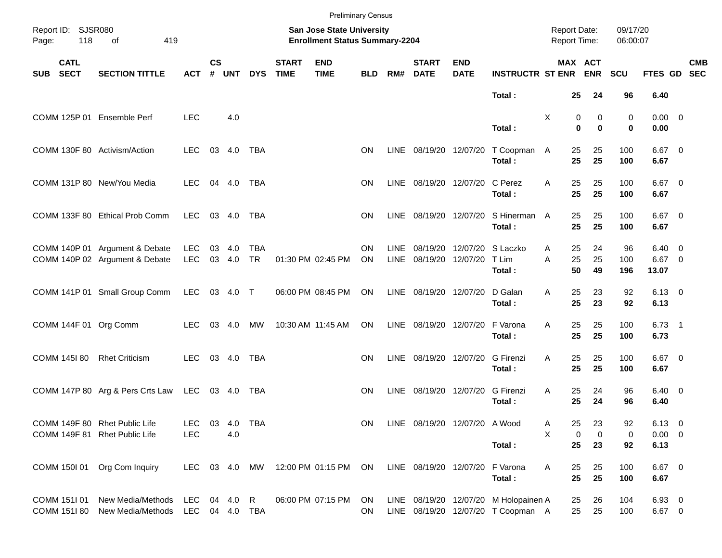|              |                                        |                                                                  |                              |                    |               |                         |                             |                                                                    | <b>Preliminary Census</b> |                     |                               |                           |                                                                             |                                     |                                |                      |                                       |            |
|--------------|----------------------------------------|------------------------------------------------------------------|------------------------------|--------------------|---------------|-------------------------|-----------------------------|--------------------------------------------------------------------|---------------------------|---------------------|-------------------------------|---------------------------|-----------------------------------------------------------------------------|-------------------------------------|--------------------------------|----------------------|---------------------------------------|------------|
| Page:        | Report ID: SJSR080<br>118<br>419<br>οf |                                                                  |                              |                    |               |                         |                             | San Jose State University<br><b>Enrollment Status Summary-2204</b> |                           |                     |                               |                           |                                                                             | <b>Report Date:</b><br>Report Time: |                                | 09/17/20<br>06:00:07 |                                       |            |
| <b>SUB</b>   | <b>CATL</b><br><b>SECT</b>             | <b>SECTION TITTLE</b>                                            | <b>ACT</b>                   | $\mathsf{cs}$<br># | <b>UNT</b>    | <b>DYS</b>              | <b>START</b><br><b>TIME</b> | <b>END</b><br><b>TIME</b>                                          | <b>BLD</b>                | RM#                 | <b>START</b><br><b>DATE</b>   | <b>END</b><br><b>DATE</b> | <b>INSTRUCTR ST ENR ENR</b>                                                 |                                     | MAX ACT                        | <b>SCU</b>           | FTES GD SEC                           | <b>CMB</b> |
|              |                                        |                                                                  |                              |                    |               |                         |                             |                                                                    |                           |                     |                               |                           | Total:                                                                      |                                     | 25<br>24                       | 96                   | 6.40                                  |            |
|              |                                        | COMM 125P 01 Ensemble Perf                                       | <b>LEC</b>                   |                    | 4.0           |                         |                             |                                                                    |                           |                     |                               |                           | Total:                                                                      | Χ                                   | 0<br>0<br>$\bf{0}$<br>$\bf{0}$ | 0<br>0               | $0.00 \t 0$<br>0.00                   |            |
|              |                                        | COMM 130F 80 Activism/Action                                     | LEC.                         |                    | 03 4.0        | TBA                     |                             |                                                                    | ON                        |                     | LINE 08/19/20 12/07/20        |                           | T Coopman A<br>Total:                                                       | 25<br>25                            | 25<br>25                       | 100<br>100           | $6.67$ 0<br>6.67                      |            |
|              |                                        | COMM 131P 80 New/You Media                                       | <b>LEC</b>                   |                    | 04 4.0        | TBA                     |                             |                                                                    | ON                        |                     | LINE 08/19/20 12/07/20        |                           | C Perez<br>Total:                                                           | 25<br>A<br>25                       | 25<br>25                       | 100<br>100           | $6.67$ 0<br>6.67                      |            |
|              |                                        | COMM 133F 80 Ethical Prob Comm                                   | LEC                          |                    | 03 4.0        | <b>TBA</b>              |                             |                                                                    | ON                        |                     | LINE 08/19/20 12/07/20        |                           | S Hinerman A<br>Total:                                                      | 25<br>25                            | 25<br>25                       | 100<br>100           | $6.67$ 0<br>6.67                      |            |
|              |                                        | COMM 140P 01 Argument & Debate<br>COMM 140P 02 Argument & Debate | LEC<br><b>LEC</b>            | 03                 | 4.0<br>03 4.0 | <b>TBA</b><br><b>TR</b> |                             | 01:30 PM 02:45 PM                                                  | ON<br>ON                  | <b>LINE</b><br>LINE |                               | 08/19/20 12/07/20         | 08/19/20 12/07/20 S Laczko<br>T Lim<br>Total:                               | Α<br>25<br>A                        | 24<br>25<br>25<br>50<br>49     | 96<br>100<br>196     | $6.40 \quad 0$<br>6.67 0<br>13.07     |            |
|              |                                        | COMM 141P 01 Small Group Comm                                    | <b>LEC</b>                   |                    | 03 4.0        | $\top$                  |                             | 06:00 PM 08:45 PM                                                  | ON                        |                     | LINE 08/19/20 12/07/20        |                           | D Galan<br>Total:                                                           | 25<br>A<br>25                       | 23<br>23                       | 92<br>92             | $6.13 \quad 0$<br>6.13                |            |
|              |                                        | COMM 144F 01 Org Comm                                            | <b>LEC</b>                   |                    | 03 4.0        | МW                      |                             | 10:30 AM 11:45 AM                                                  | <b>ON</b>                 |                     | LINE 08/19/20 12/07/20        |                           | F Varona<br>Total:                                                          | 25<br>A<br>25                       | 25<br>25                       | 100<br>100           | $6.73$ 1<br>6.73                      |            |
|              | COMM 145I 80                           | <b>Rhet Criticism</b>                                            | <b>LEC</b>                   |                    | 03 4.0        | <b>TBA</b>              |                             |                                                                    | ON                        | LINE                |                               | 08/19/20 12/07/20         | <b>G</b> Firenzi<br>Total:                                                  | 25<br>A<br>25                       | 25<br>25                       | 100<br>100           | $6.67$ 0<br>6.67                      |            |
|              |                                        | COMM 147P 80 Arg & Pers Crts Law LEC 03 4.0                      |                              |                    |               | TBA                     |                             |                                                                    | <b>ON</b>                 | LINE                | 08/19/20 12/07/20             |                           | <b>G</b> Firenzi<br>Total:                                                  | 25<br>A<br>25                       | 24<br>24                       | 96<br>96             | $6.40 \quad 0$<br>6.40                |            |
|              | COMM 149F 81                           | COMM 149F 80 Rhet Public Life<br><b>Rhet Public Life</b>         | <b>LEC</b><br><b>LEC</b>     |                    | 03 4.0<br>4.0 | TBA                     |                             |                                                                    | ON.                       |                     | LINE 08/19/20 12/07/20 A Wood |                           | Total:                                                                      | 25<br>A<br>X<br>25                  | 23<br>0<br>0<br>23             | 92<br>0<br>92        | $6.13 \quad 0$<br>$0.00 \t 0$<br>6.13 |            |
|              | COMM 150I 01                           | Org Com Inquiry                                                  | LEC 03 4.0 MW                |                    |               |                         |                             | 12:00 PM 01:15 PM                                                  | ON                        |                     | LINE 08/19/20 12/07/20        |                           | F Varona<br>Total:                                                          | 25<br>A                             | 25<br>25<br>25                 | 100<br>100           | 6.67 0<br>6.67                        |            |
| COMM 151I 01 | COMM 151I 80                           | New Media/Methods<br>New Media/Methods                           | LEC 04 4.0<br>LEC 04 4.0 TBA |                    |               | R                       |                             | 06:00 PM 07:15 PM                                                  | ON<br>ON                  |                     |                               |                           | LINE 08/19/20 12/07/20 M Holopainen A<br>LINE 08/19/20 12/07/20 T Coopman A | 25                                  | 26<br>25<br>25                 | 104<br>100           | $6.93$ 0<br>6.67 0                    |            |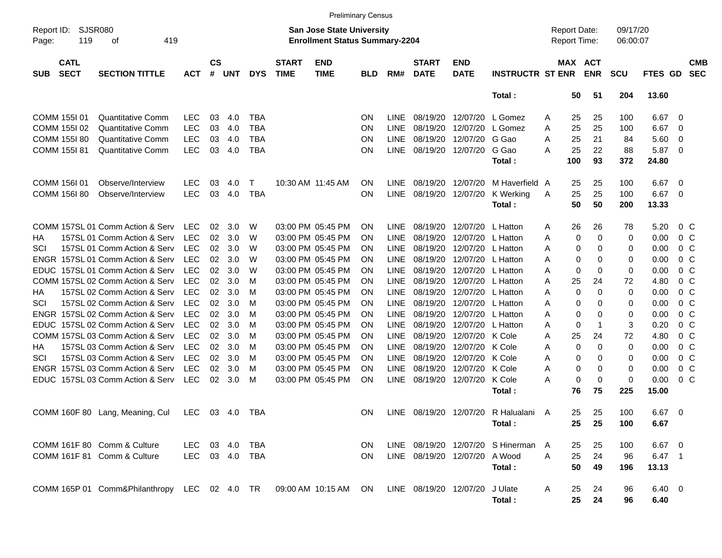|             |                                           |                                                                   |            |                    |            |            |                             |                                                                           | <b>Preliminary Census</b> |             |                               |                           |                                      |   |                                     |                       |                      |           |                         |                          |
|-------------|-------------------------------------------|-------------------------------------------------------------------|------------|--------------------|------------|------------|-----------------------------|---------------------------------------------------------------------------|---------------------------|-------------|-------------------------------|---------------------------|--------------------------------------|---|-------------------------------------|-----------------------|----------------------|-----------|-------------------------|--------------------------|
| Page:       | SJSR080<br>Report ID:<br>119<br>419<br>οf |                                                                   |            |                    |            |            |                             | <b>San Jose State University</b><br><b>Enrollment Status Summary-2204</b> |                           |             |                               |                           |                                      |   | <b>Report Date:</b><br>Report Time: |                       | 09/17/20<br>06:00:07 |           |                         |                          |
| <b>SUB</b>  | <b>CATL</b><br><b>SECT</b>                | <b>SECTION TITTLE</b>                                             | <b>ACT</b> | $\mathsf{cs}$<br># | <b>UNT</b> | <b>DYS</b> | <b>START</b><br><b>TIME</b> | <b>END</b><br><b>TIME</b>                                                 | <b>BLD</b>                | RM#         | <b>START</b><br><b>DATE</b>   | <b>END</b><br><b>DATE</b> | <b>INSTRUCTR ST ENR</b>              |   |                                     | MAX ACT<br><b>ENR</b> | <b>SCU</b>           | FTES GD   |                         | <b>CMB</b><br><b>SEC</b> |
|             |                                           |                                                                   |            |                    |            |            |                             |                                                                           |                           |             |                               |                           | Total:                               |   | 50                                  | 51                    | 204                  | 13.60     |                         |                          |
|             | COMM 155I 01                              | <b>Quantitative Comm</b>                                          | <b>LEC</b> | 03                 | 4.0        | <b>TBA</b> |                             |                                                                           | <b>ON</b>                 | LINE        | 08/19/20                      | 12/07/20                  | L Gomez                              | Α | 25                                  | 25                    | 100                  | 6.67      | 0                       |                          |
|             | COMM 155I 02                              | Quantitative Comm                                                 | <b>LEC</b> | 03                 | 4.0        | <b>TBA</b> |                             |                                                                           | <b>ON</b>                 | <b>LINE</b> | 08/19/20                      | 12/07/20                  | L Gomez                              | Α | 25                                  | 25                    | 100                  | 6.67      | - 0                     |                          |
|             | COMM 155I 80                              | <b>Quantitative Comm</b>                                          | <b>LEC</b> | 03                 | 4.0        | <b>TBA</b> |                             |                                                                           | <b>ON</b>                 | <b>LINE</b> | 08/19/20                      | 12/07/20                  | G Gao                                | A | 25                                  | 21                    | 84                   | 5.60      | $\overline{0}$          |                          |
|             | COMM 155I 81                              | <b>Quantitative Comm</b>                                          | <b>LEC</b> | 03                 | 4.0        | <b>TBA</b> |                             |                                                                           | <b>ON</b>                 | <b>LINE</b> | 08/19/20                      | 12/07/20                  | G Gao                                | A | 25                                  | 22                    | 88                   | 5.87      | $\overline{0}$          |                          |
|             |                                           |                                                                   |            |                    |            |            |                             |                                                                           |                           |             |                               |                           | Total:                               |   | 100                                 | 93                    | 372                  | 24.80     |                         |                          |
|             | COMM 156I 01                              | Observe/Interview                                                 | <b>LEC</b> | 03                 | 4.0        | т          |                             | 10:30 AM 11:45 AM                                                         | <b>ON</b>                 | <b>LINE</b> | 08/19/20                      | 12/07/20                  | M Haverfield A                       |   | 25                                  | 25                    | 100                  | 6.67      | $\overline{\mathbf{0}}$ |                          |
|             | COMM 156I 80                              | Observe/Interview                                                 | <b>LEC</b> | 03                 | 4.0        | <b>TBA</b> |                             |                                                                           | <b>ON</b>                 | <b>LINE</b> | 08/19/20                      | 12/07/20                  | K Werking                            | A | 25                                  | 25                    | 100                  | 6.67      | - 0                     |                          |
|             |                                           |                                                                   |            |                    |            |            |                             |                                                                           |                           |             |                               |                           | Total:                               |   | 50                                  | 50                    | 200                  | 13.33     |                         |                          |
|             |                                           | COMM 157SL 01 Comm Action & Serv                                  | <b>LEC</b> | 02                 | 3.0        | W          |                             | 03:00 PM 05:45 PM                                                         | <b>ON</b>                 | <b>LINE</b> | 08/19/20                      | 12/07/20                  | L Hatton                             | A | 26                                  | 26                    | 78                   | 5.20      | $0\,$ C                 |                          |
| HA          |                                           | 157SL 01 Comm Action & Serv                                       | <b>LEC</b> | 02                 | 3.0        | W          |                             | 03:00 PM 05:45 PM                                                         | <b>ON</b>                 | <b>LINE</b> | 08/19/20                      | 12/07/20                  | L Hatton                             | Α | 0                                   | $\mathbf 0$           | 0                    | 0.00      | 0 <sup>o</sup>          |                          |
| SCI         |                                           | 157SL 01 Comm Action & Serv                                       | <b>LEC</b> | 02                 | 3.0        | W          |                             | 03:00 PM 05:45 PM                                                         | <b>ON</b>                 | <b>LINE</b> | 08/19/20                      | 12/07/20                  | L Hatton                             | Α | 0                                   | 0                     | 0                    | 0.00      | 0 <sup>o</sup>          |                          |
|             |                                           | ENGR 157SL 01 Comm Action & Serv                                  | <b>LEC</b> | 02                 | 3.0        | W          |                             | 03:00 PM 05:45 PM                                                         | <b>ON</b>                 | <b>LINE</b> | 08/19/20                      | 12/07/20                  | L Hatton                             | Α | 0                                   | 0                     | 0                    | 0.00      | 0 <sup>o</sup>          |                          |
| <b>EDUC</b> |                                           | 157SL 01 Comm Action & Serv                                       | <b>LEC</b> | 02                 | 3.0        | W          |                             | 03:00 PM 05:45 PM                                                         | <b>ON</b>                 | <b>LINE</b> | 08/19/20                      | 12/07/20                  | L Hatton                             | Α | 0                                   | 0                     | 0                    | 0.00      | 0 <sup>o</sup>          |                          |
|             |                                           | COMM 157SL 02 Comm Action & Serv                                  | <b>LEC</b> | 02                 | 3.0        | M          |                             | 03:00 PM 05:45 PM                                                         | <b>ON</b>                 | <b>LINE</b> | 08/19/20                      | 12/07/20                  | L Hatton                             | Α | 25                                  | 24                    | 72                   | 4.80      | 0 <sup>o</sup>          |                          |
| HA          |                                           | 157SL 02 Comm Action & Serv                                       | <b>LEC</b> | 02                 | 3.0        | M          |                             | 03:00 PM 05:45 PM                                                         | <b>ON</b>                 | <b>LINE</b> | 08/19/20                      | 12/07/20                  | L Hatton                             | Α | 0                                   | $\mathbf 0$           | 0                    | 0.00      | 0 <sup>o</sup>          |                          |
| SCI         |                                           | 157SL 02 Comm Action & Serv                                       | <b>LEC</b> | 02                 | 3.0        | M          |                             | 03:00 PM 05:45 PM                                                         | <b>ON</b>                 | <b>LINE</b> | 08/19/20                      | 12/07/20                  | L Hatton                             | Α | 0                                   | 0                     | 0                    | 0.00      | 0 <sup>o</sup>          |                          |
|             |                                           | ENGR 157SL 02 Comm Action & Serv                                  | <b>LEC</b> | 02                 | 3.0        | M          |                             | 03:00 PM 05:45 PM                                                         | <b>ON</b>                 | <b>LINE</b> | 08/19/20                      | 12/07/20                  | L Hatton                             | Α | 0                                   | 0                     | 0                    | 0.00      | 0 <sup>o</sup>          |                          |
| <b>EDUC</b> |                                           | 157SL 02 Comm Action & Serv                                       | <b>LEC</b> | 02                 | 3.0        | M          |                             | 03:00 PM 05:45 PM                                                         | <b>ON</b>                 | <b>LINE</b> | 08/19/20                      | 12/07/20                  | L Hatton                             | Α | $\mathbf 0$                         | $\mathbf 1$           | 3                    | 0.20      | 0 <sup>o</sup>          |                          |
|             |                                           | COMM 157SL 03 Comm Action & Serv                                  | <b>LEC</b> | 02                 | 3.0        | M          |                             | 03:00 PM 05:45 PM                                                         | <b>ON</b>                 | <b>LINE</b> | 08/19/20                      | 12/07/20                  | K Cole                               | Α | 25                                  | 24                    | 72                   | 4.80      | 0 <sup>o</sup>          |                          |
| HA          |                                           | 157SL 03 Comm Action & Serv                                       | <b>LEC</b> | 02                 | 3.0        | M          |                             | 03:00 PM 05:45 PM                                                         | <b>ON</b>                 | <b>LINE</b> | 08/19/20                      | 12/07/20                  | K Cole                               | Α | 0                                   | 0                     | 0                    | 0.00      | 0 <sup>o</sup>          |                          |
| SCI         |                                           | 157SL 03 Comm Action & Serv                                       | <b>LEC</b> | 02                 | 3.0        | M          |                             | 03:00 PM 05:45 PM                                                         | <b>ON</b>                 | <b>LINE</b> | 08/19/20                      | 12/07/20                  | K Cole                               | Α | 0                                   | 0                     | 0                    | 0.00      | 0 <sup>o</sup>          |                          |
|             |                                           | ENGR 157SL 03 Comm Action & Serv                                  | <b>LEC</b> | 02                 | 3.0        | M          |                             | 03:00 PM 05:45 PM                                                         | <b>ON</b>                 | <b>LINE</b> | 08/19/20                      | 12/07/20                  | K Cole                               | A | 0                                   | 0                     | 0                    | 0.00      | 0 <sup>o</sup>          |                          |
|             |                                           | EDUC 157SL 03 Comm Action & Serv                                  | <b>LEC</b> | 02                 | 3.0        | M          |                             | 03:00 PM 05:45 PM                                                         | <b>ON</b>                 | <b>LINE</b> | 08/19/20                      | 12/07/20                  | K Cole                               | A | 0                                   | $\mathbf 0$           | 0                    | 0.00      | 0 <sup>o</sup>          |                          |
|             |                                           |                                                                   |            |                    |            |            |                             |                                                                           |                           |             |                               |                           | Total:                               |   | 76                                  | 75                    | 225                  | 15.00     |                         |                          |
|             |                                           | COMM 160F 80 Lang, Meaning, Cul                                   | LEC.       |                    | 03 4.0     | TBA        |                             |                                                                           | <b>ON</b>                 |             |                               |                           | LINE 08/19/20 12/07/20 R Halualani A |   | 25                                  | 25                    | 100                  | 6.67      | $\overline{\mathbf{0}}$ |                          |
|             |                                           |                                                                   |            |                    |            |            |                             |                                                                           |                           |             |                               |                           | Total:                               |   |                                     | 25 25                 | 100                  | 6.67      |                         |                          |
|             |                                           |                                                                   |            |                    |            |            |                             |                                                                           |                           |             |                               |                           |                                      |   |                                     |                       |                      |           |                         |                          |
|             |                                           | COMM 161F 80 Comm & Culture                                       | LEC 03 4.0 |                    |            | TBA        |                             |                                                                           | ON.                       |             |                               |                           | LINE 08/19/20 12/07/20 S Hinerman A  |   | 25                                  | 25                    | 100                  | $6.67$ 0  |                         |                          |
|             |                                           | COMM 161F 81 Comm & Culture                                       | LEC 03 4.0 |                    |            | TBA        |                             |                                                                           | ON.                       |             | LINE 08/19/20 12/07/20 A Wood |                           |                                      | A | 25                                  | 24                    | 96                   | 6.47 1    |                         |                          |
|             |                                           |                                                                   |            |                    |            |            |                             |                                                                           |                           |             |                               |                           | Total:                               |   | 50                                  | 49                    | 196                  | 13.13     |                         |                          |
|             |                                           | COMM 165P 01 Comm&Philanthropy LEC 02 4.0 TR 09:00 AM 10:15 AM ON |            |                    |            |            |                             |                                                                           |                           |             | LINE 08/19/20 12/07/20        |                           | J Ulate                              | A | 25                                  | 24                    | 96                   | $6.40\ 0$ |                         |                          |
|             |                                           |                                                                   |            |                    |            |            |                             |                                                                           |                           |             |                               |                           | Total:                               |   | 25                                  | 24                    | 96                   | 6.40      |                         |                          |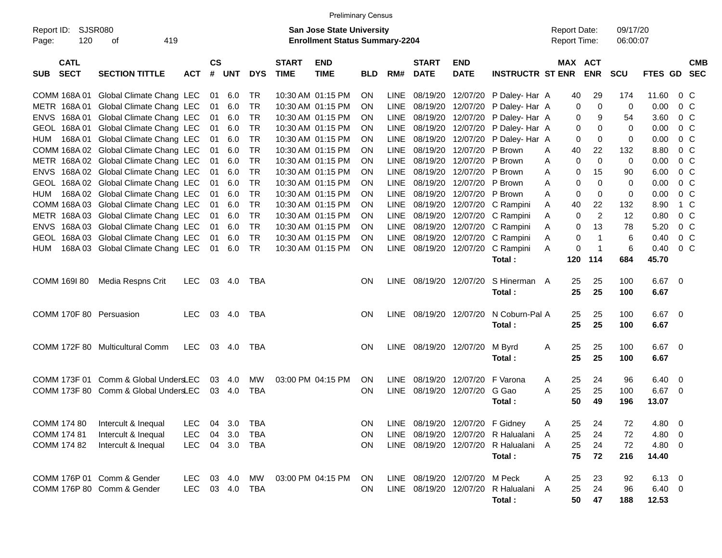|                                              |                                       |            |                         |            |            |                             | <b>Preliminary Census</b>                                                 |            |             |                             |                           |                         |                                     |             |                |                      |                |                          |                          |
|----------------------------------------------|---------------------------------------|------------|-------------------------|------------|------------|-----------------------------|---------------------------------------------------------------------------|------------|-------------|-----------------------------|---------------------------|-------------------------|-------------------------------------|-------------|----------------|----------------------|----------------|--------------------------|--------------------------|
| <b>SJSR080</b><br>Report ID:<br>120<br>Page: | 419<br>оf                             |            |                         |            |            |                             | <b>San Jose State University</b><br><b>Enrollment Status Summary-2204</b> |            |             |                             |                           |                         | <b>Report Date:</b><br>Report Time: |             |                | 09/17/20<br>06:00:07 |                |                          |                          |
| <b>CATL</b><br><b>SECT</b><br><b>SUB</b>     | <b>SECTION TITTLE</b>                 | <b>ACT</b> | <b>CS</b><br>$\pmb{\#}$ | <b>UNT</b> | <b>DYS</b> | <b>START</b><br><b>TIME</b> | <b>END</b><br><b>TIME</b>                                                 | <b>BLD</b> | RM#         | <b>START</b><br><b>DATE</b> | <b>END</b><br><b>DATE</b> | <b>INSTRUCTR ST ENR</b> | MAX ACT                             |             | <b>ENR</b>     | <b>SCU</b>           | <b>FTES GD</b> |                          | <b>CMB</b><br><b>SEC</b> |
| COMM 168A 01                                 | Global Climate Chang LEC              |            | 01                      | 6.0        | TR         |                             | 10:30 AM 01:15 PM                                                         | <b>ON</b>  | <b>LINE</b> | 08/19/20                    | 12/07/20                  | P Daley- Har A          |                                     | 40          | 29             | 174                  | 11.60          | $0\,$ C                  |                          |
| METR 168A01                                  | Global Climate Chang LEC              |            | 01                      | 6.0        | <b>TR</b>  |                             | 10:30 AM 01:15 PM                                                         | <b>ON</b>  | <b>LINE</b> | 08/19/20                    | 12/07/20                  | P Daley-Har A           |                                     | 0           | $\mathbf 0$    | $\mathbf 0$          | 0.00           | 0 <sup>o</sup>           |                          |
| 168A 01<br><b>ENVS</b>                       | Global Climate Chang LEC              |            | 01                      | 6.0        | <b>TR</b>  |                             | 10:30 AM 01:15 PM                                                         | ON         | <b>LINE</b> | 08/19/20                    | 12/07/20                  | P Daley-Har A           |                                     | 0           | 9              | 54                   | 3.60           | 0 <sup>o</sup>           |                          |
| 168A 01<br><b>GEOL</b>                       | Global Climate Chang LEC              |            | 01                      | 6.0        | <b>TR</b>  |                             | 10:30 AM 01:15 PM                                                         | ΟN         | <b>LINE</b> | 08/19/20                    | 12/07/20                  | P Daley-Har A           |                                     | 0           | 0              | $\Omega$             | 0.00           | 0 <sup>o</sup>           |                          |
| 168A01<br>HUM                                | Global Climate Chang LEC              |            | 01                      | 6.0        | <b>TR</b>  |                             | 10:30 AM 01:15 PM                                                         | ΟN         | <b>LINE</b> | 08/19/20                    | 12/07/20                  | P Daley-Har A           |                                     | 0           | $\mathbf 0$    | 0                    | 0.00           | $0\,C$                   |                          |
|                                              | COMM 168A 02 Global Climate Chang LEC |            | 01                      | 6.0        | <b>TR</b>  |                             | 10:30 AM 01:15 PM                                                         | ON         | <b>LINE</b> | 08/19/20                    | 12/07/20                  | P Brown                 | A                                   | 40          | 22             | 132                  | 8.80           | 0 <sup>o</sup>           |                          |
|                                              | METR 168A 02 Global Climate Chang LEC |            | 01                      | 6.0        | <b>TR</b>  |                             | 10:30 AM 01:15 PM                                                         | ON         | <b>LINE</b> | 08/19/20                    | 12/07/20                  | P Brown                 | Α                                   | 0           | $\mathbf 0$    | $\mathbf 0$          | 0.00           | 0 <sup>o</sup>           |                          |
| <b>ENVS</b>                                  | 168A 02 Global Climate Chang LEC      |            | 01                      | 6.0        | <b>TR</b>  |                             | 10:30 AM 01:15 PM                                                         | ON         | <b>LINE</b> | 08/19/20                    | 12/07/20                  | P Brown                 | A                                   | 0           | 15             | 90                   | 6.00           | 0 <sup>o</sup>           |                          |
| <b>GEOL</b>                                  | 168A 02 Global Climate Chang LEC      |            | 01                      | 6.0        | <b>TR</b>  |                             | 10:30 AM 01:15 PM                                                         | ON         | <b>LINE</b> | 08/19/20                    | 12/07/20                  | P Brown                 | Α                                   | 0           | $\Omega$       | 0                    | 0.00           | 0 <sup>o</sup>           |                          |
| HUM                                          | 168A 02 Global Climate Chang LEC      |            | 01                      | 6.0        | <b>TR</b>  |                             | 10:30 AM 01:15 PM                                                         | ON         | <b>LINE</b> | 08/19/20                    | 12/07/20                  | P Brown                 | Α                                   | 0           | 0              | 0                    | 0.00           | 0 <sup>o</sup>           |                          |
|                                              | COMM 168A 03 Global Climate Chang LEC |            | 01                      | 6.0        | <b>TR</b>  |                             | 10:30 AM 01:15 PM                                                         | ON         | <b>LINE</b> | 08/19/20                    | 12/07/20                  | C Rampini               | Α                                   | 40          | 22             | 132                  | 8.90           | 1 C                      |                          |
|                                              | METR 168A 03 Global Climate Chang LEC |            | 01                      | 6.0        | <b>TR</b>  |                             | 10:30 AM 01:15 PM                                                         | ON         | <b>LINE</b> | 08/19/20                    | 12/07/20                  | C Rampini               | Α                                   | 0           | $\overline{2}$ | 12                   | 0.80           | 0 <sup>o</sup>           |                          |
| <b>ENVS</b>                                  | 168A 03 Global Climate Chang LEC      |            | 01                      | 6.0        | <b>TR</b>  |                             | 10:30 AM 01:15 PM                                                         | ON         | <b>LINE</b> | 08/19/20                    | 12/07/20                  | C Rampini               | A                                   | 0           | 13             | 78                   | 5.20           | 0 <sup>o</sup>           |                          |
| <b>GEOL</b>                                  | 168A 03 Global Climate Chang LEC      |            | 01                      | 6.0        | <b>TR</b>  |                             | 10:30 AM 01:15 PM                                                         | <b>ON</b>  | <b>LINE</b> | 08/19/20                    | 12/07/20                  | C Rampini               | Α                                   | $\mathbf 0$ | $\mathbf{1}$   | 6                    | 0.40           | 0 <sup>o</sup>           |                          |
| HUM                                          | 168A 03 Global Climate Chang LEC      |            | 01                      | 6.0        | <b>TR</b>  |                             | 10:30 AM 01:15 PM                                                         | <b>ON</b>  | LINE        | 08/19/20                    | 12/07/20                  | C Rampini               | A                                   | 0           | $\mathbf{1}$   | 6                    | 0.40           | 0 <sup>o</sup>           |                          |
|                                              |                                       |            |                         |            |            |                             |                                                                           |            |             |                             |                           | Total:                  |                                     | 120         | 114            | 684                  | 45.70          |                          |                          |
|                                              |                                       |            |                         |            |            |                             |                                                                           |            |             |                             |                           |                         |                                     |             |                |                      |                |                          |                          |
| COMM 169I 80                                 | Media Respns Crit                     | <b>LEC</b> | 03                      | 4.0        | TBA        |                             |                                                                           | <b>ON</b>  | LINE        | 08/19/20 12/07/20           |                           | S Hinerman A            |                                     | 25          | 25             | 100                  | 6.67           | - 0                      |                          |
|                                              |                                       |            |                         |            |            |                             |                                                                           |            |             |                             |                           | Total:                  |                                     | 25          | 25             | 100                  | 6.67           |                          |                          |
|                                              |                                       |            |                         |            |            |                             |                                                                           |            |             |                             |                           |                         |                                     |             |                |                      |                |                          |                          |
| COMM 170F 80 Persuasion                      |                                       | <b>LEC</b> | 03                      | 4.0        | TBA        |                             |                                                                           | <b>ON</b>  | LINE        | 08/19/20 12/07/20           |                           | N Coburn-Pal A          |                                     | 25          | 25             | 100                  | 6.67           | $\overline{\mathbf{0}}$  |                          |
|                                              |                                       |            |                         |            |            |                             |                                                                           |            |             |                             |                           | Total:                  |                                     | 25          | 25             | 100                  | 6.67           |                          |                          |
|                                              |                                       |            |                         |            |            |                             |                                                                           |            |             |                             |                           |                         |                                     |             |                |                      |                |                          |                          |
|                                              | COMM 172F 80 Multicultural Comm       | <b>LEC</b> | 03                      | 4.0        | <b>TBA</b> |                             |                                                                           | <b>ON</b>  | LINE        | 08/19/20 12/07/20           |                           | M Byrd                  | Α                                   | 25          | 25             | 100                  | 6.67           | $\overline{\mathbf{0}}$  |                          |
|                                              |                                       |            |                         |            |            |                             |                                                                           |            |             |                             |                           | Total:                  |                                     | 25          | 25             | 100                  | 6.67           |                          |                          |
|                                              |                                       |            |                         |            |            |                             |                                                                           |            |             |                             |                           |                         |                                     |             |                |                      |                |                          |                          |
| COMM 173F 01                                 | Comm & Global UndersLEC               |            | 03                      | 4.0        | MW         |                             | 03:00 PM 04:15 PM                                                         | ON         | <b>LINE</b> | 08/19/20                    | 12/07/20                  | F Varona                | A                                   | 25          | 24             | 96                   | 6.40           | 0                        |                          |
|                                              | COMM 173F 80 Comm & Global UndersLEC  |            | 03                      | 4.0        | <b>TBA</b> |                             |                                                                           | ON         | <b>LINE</b> | 08/19/20                    | 12/07/20                  | G Gao                   | A                                   | 25          | 25             | 100                  | 6.67           | $\overline{\mathbf{0}}$  |                          |
|                                              |                                       |            |                         |            |            |                             |                                                                           |            |             |                             |                           | Total:                  |                                     | 50          | 49             | 196                  | 13.07          |                          |                          |
|                                              |                                       |            |                         |            |            |                             |                                                                           |            |             |                             |                           |                         |                                     |             |                |                      |                |                          |                          |
| COMM 174 80                                  | Intercult & Inequal                   | <b>LEC</b> | 04                      | 3.0        | TBA        |                             |                                                                           | <b>ON</b>  | LINE        | 08/19/20 12/07/20           |                           | F Gidney                | Α                                   | 25          | 24             | 72                   | 4.80           | $\overline{\phantom{0}}$ |                          |
| COMM 174 81                                  | Intercult & Inequal                   | <b>LEC</b> | 04                      | 3.0        | <b>TBA</b> |                             |                                                                           | ON         | LINE        | 08/19/20 12/07/20           |                           | R Halualani             | A                                   | 25          | 24             | 72                   | 4.80           | $\overline{\phantom{0}}$ |                          |
| COMM 174 82                                  | Intercult & Inequal                   | <b>LEC</b> |                         | 04 3.0     | TBA        |                             |                                                                           | ON         |             | LINE 08/19/20 12/07/20      |                           | R Halualani A           |                                     | 25          | 24             | 72                   | $4.80$ 0       |                          |                          |
|                                              |                                       |            |                         |            |            |                             |                                                                           |            |             |                             |                           | Total:                  |                                     | 75          | 72             | 216                  | 14.40          |                          |                          |
|                                              |                                       |            |                         |            |            |                             |                                                                           |            |             |                             |                           |                         |                                     |             |                |                      |                |                          |                          |
|                                              | COMM 176P 01 Comm & Gender            | <b>LEC</b> | 03                      | 4.0        | МW         |                             | 03:00 PM 04:15 PM                                                         | <b>ON</b>  |             | LINE 08/19/20 12/07/20      |                           | M Peck                  | A                                   | 25          | 23             | 92                   | $6.13 \quad 0$ |                          |                          |
|                                              | COMM 176P 80 Comm & Gender            | LEC        |                         | 03 4.0     | TBA        |                             |                                                                           | ON         |             | LINE 08/19/20 12/07/20      |                           | R Halualani             | A                                   | 25          | 24             | 96                   | $6.40\ 0$      |                          |                          |
|                                              |                                       |            |                         |            |            |                             |                                                                           |            |             |                             |                           | Total:                  |                                     | 50          | 47             | 188                  | 12.53          |                          |                          |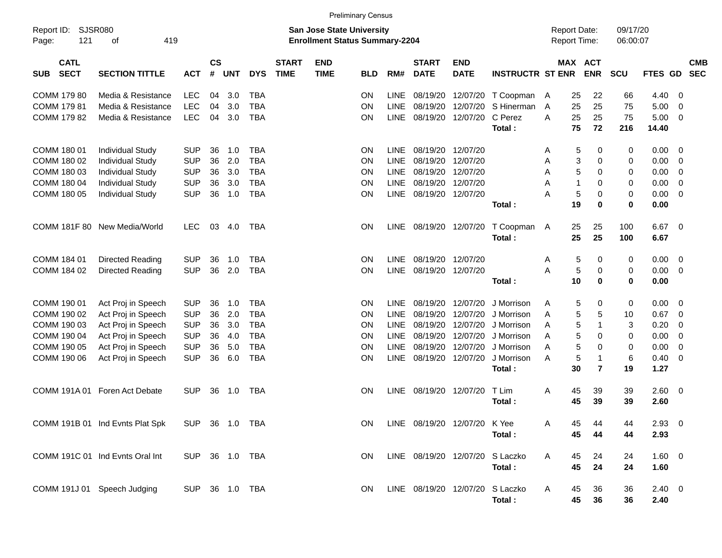|                                                                                        |                                                                                                                                     |                                                                                  |                                  |                                        |                                                                                  |                             |                                                                           | <b>Preliminary Census</b>               |                                                                                        |                                                                      |                                                                      |                                                                                            |                            |                                                                                                        |                                   |                                                      |                                                                    |                          |
|----------------------------------------------------------------------------------------|-------------------------------------------------------------------------------------------------------------------------------------|----------------------------------------------------------------------------------|----------------------------------|----------------------------------------|----------------------------------------------------------------------------------|-----------------------------|---------------------------------------------------------------------------|-----------------------------------------|----------------------------------------------------------------------------------------|----------------------------------------------------------------------|----------------------------------------------------------------------|--------------------------------------------------------------------------------------------|----------------------------|--------------------------------------------------------------------------------------------------------|-----------------------------------|------------------------------------------------------|--------------------------------------------------------------------|--------------------------|
| Report ID:<br>121<br>Page:                                                             | <b>SJSR080</b><br>419<br>оf                                                                                                         |                                                                                  |                                  |                                        |                                                                                  |                             | <b>San Jose State University</b><br><b>Enrollment Status Summary-2204</b> |                                         |                                                                                        |                                                                      |                                                                      |                                                                                            |                            | <b>Report Date:</b><br>Report Time:                                                                    | 09/17/20<br>06:00:07              |                                                      |                                                                    |                          |
| <b>CATL</b><br><b>SECT</b><br><b>SUB</b>                                               | <b>SECTION TITTLE</b>                                                                                                               | <b>ACT</b>                                                                       | $\mathsf{cs}$<br>#               | <b>UNT</b>                             | <b>DYS</b>                                                                       | <b>START</b><br><b>TIME</b> | <b>END</b><br><b>TIME</b>                                                 | <b>BLD</b>                              | RM#                                                                                    | <b>START</b><br><b>DATE</b>                                          | <b>END</b><br><b>DATE</b>                                            | <b>INSTRUCTR ST ENR</b>                                                                    |                            | MAX ACT<br><b>ENR</b>                                                                                  | SCU                               | FTES GD                                              |                                                                    | <b>CMB</b><br><b>SEC</b> |
| COMM 179 80<br>COMM 179 81<br>COMM 179 82                                              | Media & Resistance<br>Media & Resistance<br>Media & Resistance                                                                      | <b>LEC</b><br><b>LEC</b><br><b>LEC</b>                                           | 04<br>04<br>04                   | 3.0<br>3.0<br>3.0                      | <b>TBA</b><br><b>TBA</b><br><b>TBA</b>                                           |                             |                                                                           | ΟN<br>ON<br>ON                          | <b>LINE</b><br><b>LINE</b><br><b>LINE</b>                                              | 08/19/20<br>08/19/20<br>08/19/20                                     | 12/07/20<br>12/07/20<br>12/07/20                                     | T Coopman<br>S Hinerman<br>C Perez<br>Total:                                               | A<br>$\overline{A}$<br>A   | 25<br>22<br>25<br>25<br>25<br>25<br>75<br>72                                                           | 66<br>75<br>75<br>216             | 4.40<br>5.00<br>5.00<br>14.40                        | 0<br>0<br>$\mathbf 0$                                              |                          |
| COMM 180 01<br>COMM 180 02<br>COMM 180 03<br>COMM 180 04<br>COMM 180 05                | <b>Individual Study</b><br><b>Individual Study</b><br><b>Individual Study</b><br><b>Individual Study</b><br><b>Individual Study</b> | <b>SUP</b><br><b>SUP</b><br><b>SUP</b><br><b>SUP</b><br><b>SUP</b>               | 36<br>36<br>36<br>36<br>36       | 1.0<br>2.0<br>3.0<br>3.0<br>1.0        | <b>TBA</b><br><b>TBA</b><br><b>TBA</b><br><b>TBA</b><br><b>TBA</b>               |                             |                                                                           | <b>ON</b><br>ΟN<br>ΟN<br>ΟN<br>ΟN       | <b>LINE</b><br><b>LINE</b><br><b>LINE</b><br>LINE<br><b>LINE</b>                       | 08/19/20<br>08/19/20<br>08/19/20<br>08/19/20<br>08/19/20             | 12/07/20<br>12/07/20<br>12/07/20<br>12/07/20<br>12/07/20             | Total:                                                                                     | A<br>Α<br>A<br>A<br>A      | 5<br>0<br>3<br>$\mathbf 0$<br>5<br>0<br>$\mathbf 1$<br>0<br>5<br>0<br>19<br>0                          | 0<br>0<br>0<br>0<br>0<br>0        | 0.00<br>0.00<br>0.00<br>0.00<br>0.00<br>0.00         | 0<br>0<br>$\mathbf 0$<br>$\mathbf 0$<br>$\mathbf 0$                |                          |
|                                                                                        | COMM 181F 80 New Media/World                                                                                                        | <b>LEC</b>                                                                       | 03                               | 4.0                                    | <b>TBA</b>                                                                       |                             |                                                                           | <b>ON</b>                               |                                                                                        | LINE 08/19/20                                                        | 12/07/20                                                             | T Coopman<br>Total:                                                                        | A                          | 25<br>25<br>25<br>25                                                                                   | 100<br>100                        | 6.67<br>6.67                                         | 0                                                                  |                          |
| COMM 184 01<br>COMM 184 02                                                             | Directed Reading<br>Directed Reading                                                                                                | <b>SUP</b><br><b>SUP</b>                                                         | 36<br>36                         | 1.0<br>2.0                             | <b>TBA</b><br><b>TBA</b>                                                         |                             |                                                                           | <b>ON</b><br>ON                         | <b>LINE</b><br><b>LINE</b>                                                             | 08/19/20<br>08/19/20                                                 | 12/07/20<br>12/07/20                                                 | Total:                                                                                     | Α<br>A                     | 5<br>0<br>5<br>0<br>10<br>0                                                                            | 0<br>0<br>0                       | 0.00<br>0.00<br>0.00                                 | $\mathbf 0$<br>$\mathbf 0$                                         |                          |
| COMM 190 01<br>COMM 190 02<br>COMM 190 03<br>COMM 190 04<br>COMM 190 05<br>COMM 190 06 | Act Proj in Speech<br>Act Proj in Speech<br>Act Proj in Speech<br>Act Proj in Speech<br>Act Proj in Speech<br>Act Proj in Speech    | <b>SUP</b><br><b>SUP</b><br><b>SUP</b><br><b>SUP</b><br><b>SUP</b><br><b>SUP</b> | 36<br>36<br>36<br>36<br>36<br>36 | 1.0<br>2.0<br>3.0<br>4.0<br>5.0<br>6.0 | <b>TBA</b><br><b>TBA</b><br><b>TBA</b><br><b>TBA</b><br><b>TBA</b><br><b>TBA</b> |                             |                                                                           | <b>ON</b><br>ΟN<br>ΟN<br>ΟN<br>ΟN<br>ON | <b>LINE</b><br><b>LINE</b><br><b>LINE</b><br><b>LINE</b><br><b>LINE</b><br><b>LINE</b> | 08/19/20<br>08/19/20<br>08/19/20<br>08/19/20<br>08/19/20<br>08/19/20 | 12/07/20<br>12/07/20<br>12/07/20<br>12/07/20<br>12/07/20<br>12/07/20 | J Morrison<br>J Morrison<br>J Morrison<br>J Morrison<br>J Morrison<br>J Morrison<br>Total: | A<br>A<br>A<br>A<br>A<br>A | 5<br>0<br>5<br>5<br>5<br>$\mathbf{1}$<br>5<br>0<br>5<br>0<br>5<br>$\mathbf{1}$<br>30<br>$\overline{7}$ | 0<br>10<br>3<br>0<br>0<br>6<br>19 | 0.00<br>0.67<br>0.20<br>0.00<br>0.00<br>0.40<br>1.27 | 0<br>$\mathbf 0$<br>0<br>$\mathbf 0$<br>$\mathbf 0$<br>$\mathbf 0$ |                          |
|                                                                                        | COMM 191A 01 Foren Act Debate                                                                                                       | <b>SUP</b>                                                                       | 36                               | 1.0                                    | <b>TBA</b>                                                                       |                             |                                                                           | <b>ON</b>                               | <b>LINE</b>                                                                            | 08/19/20                                                             | 12/07/20                                                             | T Lim<br>Total:                                                                            | A                          | 39<br>45<br>39<br>45                                                                                   | 39<br>39                          | 2.60<br>2.60                                         | 0                                                                  |                          |
|                                                                                        | COMM 191B 01 Ind Evnts Plat Spk                                                                                                     | SUP 36 1.0 TBA                                                                   |                                  |                                        |                                                                                  |                             |                                                                           | ON                                      |                                                                                        |                                                                      | LINE 08/19/20 12/07/20                                               | K Yee<br>Total:                                                                            | Α                          | 45<br>44<br>45<br>44                                                                                   | 44<br>44                          | $2.93$ 0<br>2.93                                     |                                                                    |                          |
|                                                                                        | COMM 191C 01 Ind Evnts Oral Int                                                                                                     | SUP 36 1.0 TBA                                                                   |                                  |                                        |                                                                                  |                             |                                                                           | ON                                      |                                                                                        | LINE 08/19/20 12/07/20                                               |                                                                      | S Laczko<br>Total:                                                                         | A                          | 45<br>24<br>45<br>24                                                                                   | 24<br>24                          | 1.60 0<br>1.60                                       |                                                                    |                          |
|                                                                                        | COMM 191J 01 Speech Judging                                                                                                         | SUP 36 1.0 TBA                                                                   |                                  |                                        |                                                                                  |                             |                                                                           | ON                                      |                                                                                        | LINE 08/19/20 12/07/20                                               |                                                                      | S Laczko<br>Total:                                                                         | A                          | 36<br>45<br>45<br>36                                                                                   | 36<br>36                          | $2.40 \ 0$<br>2.40                                   |                                                                    |                          |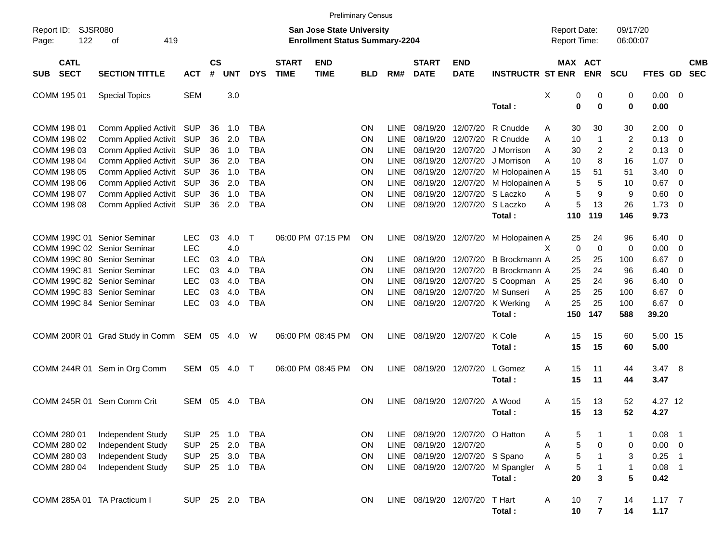|                                          |                                            |            |                    |            |              |                             |                                                                           | <b>Preliminary Census</b> |             |                             |                           |                         |                                            |                |                      |             |                         |                          |
|------------------------------------------|--------------------------------------------|------------|--------------------|------------|--------------|-----------------------------|---------------------------------------------------------------------------|---------------------------|-------------|-----------------------------|---------------------------|-------------------------|--------------------------------------------|----------------|----------------------|-------------|-------------------------|--------------------------|
| Report ID:<br>122<br>Page:               | <b>SJSR080</b><br>419<br>оf                |            |                    |            |              |                             | <b>San Jose State University</b><br><b>Enrollment Status Summary-2204</b> |                           |             |                             |                           |                         | <b>Report Date:</b><br><b>Report Time:</b> |                | 09/17/20<br>06:00:07 |             |                         |                          |
| <b>CATL</b><br><b>SECT</b><br><b>SUB</b> | <b>SECTION TITTLE</b>                      | <b>ACT</b> | $\mathsf{cs}$<br># | <b>UNT</b> | <b>DYS</b>   | <b>START</b><br><b>TIME</b> | <b>END</b><br><b>TIME</b>                                                 | <b>BLD</b>                | RM#         | <b>START</b><br><b>DATE</b> | <b>END</b><br><b>DATE</b> | <b>INSTRUCTR ST ENR</b> | MAX ACT                                    | <b>ENR</b>     | <b>SCU</b>           | FTES GD     |                         | <b>CMB</b><br><b>SEC</b> |
| COMM 195 01                              | <b>Special Topics</b>                      | <b>SEM</b> |                    | 3.0        |              |                             |                                                                           |                           |             |                             |                           | Total:                  | Χ<br>0                                     | 0<br>$\bf{0}$  | 0                    | $0.00 \t 0$ |                         |                          |
|                                          |                                            |            |                    |            |              |                             |                                                                           |                           |             |                             |                           |                         | 0                                          |                | 0                    | 0.00        |                         |                          |
| COMM 198 01                              | Comm Applied Activit SUP                   |            | 36                 | 1.0        | TBA          |                             |                                                                           | <b>ON</b>                 | <b>LINE</b> | 08/19/20                    | 12/07/20                  | R Cnudde                | 30<br>Α                                    | 30             | 30                   | 2.00        | - 0                     |                          |
| COMM 198 02                              | Comm Applied Activit                       | <b>SUP</b> | 36                 | 2.0        | <b>TBA</b>   |                             |                                                                           | <b>ON</b>                 | <b>LINE</b> | 08/19/20                    | 12/07/20                  | R Cnudde                | 10<br>A                                    | 1              | 2                    | 0.13        | - 0                     |                          |
| COMM 198 03                              | Comm Applied Activit                       | <b>SUP</b> | 36                 | 1.0        | <b>TBA</b>   |                             |                                                                           | ΟN                        | <b>LINE</b> | 08/19/20                    | 12/07/20                  | J Morrison              | A<br>30                                    | 2              | $\overline{2}$       | 0.13        | 0                       |                          |
| COMM 198 04                              | Comm Applied Activit                       | <b>SUP</b> | 36                 | 2.0        | <b>TBA</b>   |                             |                                                                           | ΟN                        | <b>LINE</b> | 08/19/20                    | 12/07/20                  | J Morrison              | A<br>10                                    | 8              | 16                   | 1.07        | $\overline{0}$          |                          |
| COMM 198 05                              | Comm Applied Activit                       | <b>SUP</b> | 36                 | 1.0        | <b>TBA</b>   |                             |                                                                           | ΟN                        | <b>LINE</b> | 08/19/20                    | 12/07/20                  | M Holopainen A          | 15                                         | 51             | 51                   | 3.40        | $\overline{0}$          |                          |
| COMM 198 06                              | Comm Applied Activit                       | <b>SUP</b> | 36                 | 2.0        | <b>TBA</b>   |                             |                                                                           | ΟN                        | <b>LINE</b> | 08/19/20                    | 12/07/20                  | M Holopainen A          | 5                                          | 5              | 10                   | 0.67        | $\overline{0}$          |                          |
| COMM 198 07                              | Comm Applied Activit                       | <b>SUP</b> | 36                 | 1.0        | <b>TBA</b>   |                             |                                                                           | ΟN                        | <b>LINE</b> | 08/19/20                    | 12/07/20                  | S Laczko                | 5<br>A                                     | 9              | 9                    | 0.60        | $\overline{0}$          |                          |
| COMM 198 08                              | Comm Applied Activit                       | SUP        | 36                 | 2.0        | <b>TBA</b>   |                             |                                                                           | ΟN                        | <b>LINE</b> | 08/19/20                    | 12/07/20                  | S Laczko                | 5<br>A                                     | 13             | 26                   | 1.73        | $\overline{0}$          |                          |
|                                          |                                            |            |                    |            |              |                             |                                                                           |                           |             |                             |                           | Total:                  | 110                                        | 119            | 146                  | 9.73        |                         |                          |
|                                          |                                            |            |                    |            |              |                             |                                                                           |                           |             |                             |                           |                         |                                            |                |                      |             |                         |                          |
| COMM 199C 01 Senior Seminar              |                                            | <b>LEC</b> | 03                 | 4.0        | Τ            |                             | 06:00 PM 07:15 PM                                                         | ON                        | <b>LINE</b> | 08/19/20 12/07/20           |                           | M Holopainen A          | 25                                         | 24             | 96                   | 6.40        | $\overline{\mathbf{0}}$ |                          |
| COMM 199C 02 Senior Seminar              |                                            | <b>LEC</b> |                    | 4.0        |              |                             |                                                                           |                           |             |                             |                           |                         | 0<br>X.                                    | $\mathbf 0$    | 0                    | 0.00        | $\overline{\mathbf{0}}$ |                          |
| COMM 199C 80 Senior Seminar              |                                            | <b>LEC</b> | 03                 | 4.0        | TBA          |                             |                                                                           | ΟN                        | <b>LINE</b> | 08/19/20                    | 12/07/20                  | B Brockmann A           | 25                                         | 25             | 100                  | 6.67        | $\overline{0}$          |                          |
| COMM 199C 81 Senior Seminar              |                                            | <b>LEC</b> | 03                 | 4.0        | <b>TBA</b>   |                             |                                                                           | ΟN                        | <b>LINE</b> | 08/19/20                    | 12/07/20                  | B Brockmann A           | 25                                         | 24             | 96                   | 6.40        | $\overline{0}$          |                          |
| COMM 199C 82 Senior Seminar              |                                            | <b>LEC</b> | 03                 | 4.0        | <b>TBA</b>   |                             |                                                                           | ΟN                        | <b>LINE</b> | 08/19/20                    | 12/07/20                  | S Coopman A             | 25                                         | 24             | 96                   | 6.40        | 0                       |                          |
| COMM 199C 83 Senior Seminar              |                                            | <b>LEC</b> | 03                 | 4.0        | <b>TBA</b>   |                             |                                                                           | ΟN                        | <b>LINE</b> | 08/19/20                    | 12/07/20                  | M Sunseri               | Α<br>25                                    | 25             | 100                  | 6.67        | 0                       |                          |
| COMM 199C 84 Senior Seminar              |                                            | <b>LEC</b> | 03                 | 4.0        | <b>TBA</b>   |                             |                                                                           | ΟN                        | <b>LINE</b> | 08/19/20 12/07/20           |                           | K Werking               | 25<br>A                                    | 25             | 100                  | 6.67        | $\overline{0}$          |                          |
|                                          |                                            |            |                    |            |              |                             |                                                                           |                           |             |                             |                           | Total:                  | 150                                        | 147            | 588                  | 39.20       |                         |                          |
|                                          |                                            |            |                    |            |              |                             |                                                                           |                           |             |                             |                           |                         |                                            |                |                      |             |                         |                          |
|                                          | COMM 200R 01 Grad Study in Comm SEM 05 4.0 |            |                    |            | W            |                             | 06:00 PM 08:45 PM                                                         | ΟN                        | <b>LINE</b> | 08/19/20                    | 12/07/20                  | K Cole                  | A<br>15                                    | 15             | 60                   | 5.00 15     |                         |                          |
|                                          |                                            |            |                    |            |              |                             |                                                                           |                           |             |                             |                           | Total:                  | 15                                         | 15             | 60                   | 5.00        |                         |                          |
|                                          |                                            |            |                    |            |              |                             |                                                                           |                           |             |                             |                           |                         |                                            |                |                      |             |                         |                          |
|                                          | COMM 244R 01 Sem in Org Comm               | SEM        | 05                 | 4.0        | $\top$       |                             | 06:00 PM 08:45 PM                                                         | <b>ON</b>                 | <b>LINE</b> | 08/19/20                    | 12/07/20                  | L Gomez                 | A<br>15                                    | 11             | 44                   | 3.47        | - 8                     |                          |
|                                          |                                            |            |                    |            |              |                             |                                                                           |                           |             |                             |                           | Total:                  | 15                                         | 11             | 44                   | 3.47        |                         |                          |
|                                          |                                            |            |                    |            |              |                             |                                                                           |                           |             |                             |                           |                         |                                            |                |                      |             |                         |                          |
|                                          | COMM 245R 01 Sem Comm Crit                 | <b>SEM</b> | 05                 | 4.0        | TBA          |                             |                                                                           | ΟN                        | <b>LINE</b> | 08/19/20 12/07/20           |                           | A Wood                  | A<br>15                                    | 13             | 52                   | 4.27 12     |                         |                          |
|                                          |                                            |            |                    |            |              |                             |                                                                           |                           |             |                             |                           | Total:                  | 15                                         | 13             | 52                   | 4.27        |                         |                          |
|                                          |                                            |            |                    |            |              |                             |                                                                           |                           |             |                             |                           |                         |                                            |                |                      |             |                         |                          |
| COMM 280 01                              | Independent Study                          | <b>SUP</b> | 25                 | 1.0        | TBA          |                             |                                                                           | 0N                        | <b>LINE</b> | 08/19/20 12/07/20 O Hatton  |                           |                         | 5<br>Α                                     |                | 1                    | 0.08        | - 1                     |                          |
| COMM 280 02                              | Independent Study                          | <b>SUP</b> | 25                 | 2.0        | <b>TBA</b>   |                             |                                                                           | ON                        | LINE        | 08/19/20                    | 12/07/20                  |                         | 5<br>Α                                     | 0              | 0                    | $0.00 \t 0$ |                         |                          |
| COMM 280 03                              | Independent Study                          | <b>SUP</b> | 25                 | 3.0        | <b>TBA</b>   |                             |                                                                           | ON                        | LINE        |                             | 08/19/20 12/07/20 S Spano |                         | 5<br>Α                                     |                | 3                    | 0.25        | - 1                     |                          |
| COMM 280 04                              | Independent Study                          | <b>SUP</b> |                    | 25 1.0     | <b>TBA</b>   |                             |                                                                           | <b>ON</b>                 |             | LINE 08/19/20 12/07/20      |                           | M Spangler              | 5<br>Α                                     |                | 1                    | 0.08        | - 1                     |                          |
|                                          |                                            |            |                    |            |              |                             |                                                                           |                           |             |                             |                           | Total:                  | 20                                         | 3              | 5                    | 0.42        |                         |                          |
|                                          |                                            |            |                    |            |              |                             |                                                                           |                           |             |                             |                           |                         |                                            |                |                      |             |                         |                          |
| COMM 285A 01 TA Practicum I              |                                            | <b>SUP</b> |                    |            | 25  2.0  TBA |                             |                                                                           | ON.                       |             | LINE 08/19/20 12/07/20      |                           | T Hart                  | A<br>10                                    | 7              | 14                   | $1.17 \t 7$ |                         |                          |
|                                          |                                            |            |                    |            |              |                             |                                                                           |                           |             |                             |                           | Total:                  | $10$                                       | $\overline{7}$ | 14                   | 1.17        |                         |                          |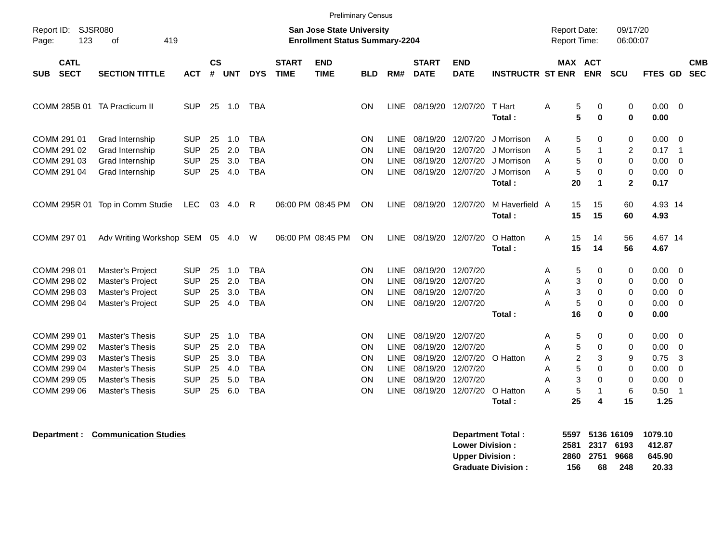|                                                                                        |                                                                                                                              |                                                                                  |                                  |                                        |                                                                                  |                             |                                                                           | <b>Preliminary Census</b>        |                                                                                 |                                                                   |                                                                   |                                                                |                                                                             |                                                          |                                               |                                                      |                                                                                                                     |                          |
|----------------------------------------------------------------------------------------|------------------------------------------------------------------------------------------------------------------------------|----------------------------------------------------------------------------------|----------------------------------|----------------------------------------|----------------------------------------------------------------------------------|-----------------------------|---------------------------------------------------------------------------|----------------------------------|---------------------------------------------------------------------------------|-------------------------------------------------------------------|-------------------------------------------------------------------|----------------------------------------------------------------|-----------------------------------------------------------------------------|----------------------------------------------------------|-----------------------------------------------|------------------------------------------------------|---------------------------------------------------------------------------------------------------------------------|--------------------------|
| <b>SJSR080</b><br>Report ID:<br>123<br>Page:                                           | 419<br>оf                                                                                                                    |                                                                                  |                                  |                                        |                                                                                  |                             | <b>San Jose State University</b><br><b>Enrollment Status Summary-2204</b> |                                  |                                                                                 |                                                                   |                                                                   |                                                                | <b>Report Date:</b><br>Report Time:                                         |                                                          | 09/17/20<br>06:00:07                          |                                                      |                                                                                                                     |                          |
| <b>CATL</b><br><b>SECT</b><br><b>SUB</b>                                               | <b>SECTION TITTLE</b>                                                                                                        | <b>ACT</b>                                                                       | <b>CS</b><br>$\#$                | <b>UNT</b>                             | <b>DYS</b>                                                                       | <b>START</b><br><b>TIME</b> | <b>END</b><br><b>TIME</b>                                                 | <b>BLD</b>                       | RM#                                                                             | <b>START</b><br><b>DATE</b>                                       | <b>END</b><br><b>DATE</b>                                         | <b>INSTRUCTR ST ENR</b>                                        | MAX ACT                                                                     | <b>ENR</b>                                               | <b>SCU</b>                                    | <b>FTES GD</b>                                       |                                                                                                                     | <b>CMB</b><br><b>SEC</b> |
| COMM 285B 01 TA Practicum II                                                           |                                                                                                                              | <b>SUP</b>                                                                       | 25                               | 1.0                                    | TBA                                                                              |                             |                                                                           | ΟN                               | LINE                                                                            |                                                                   | 08/19/20 12/07/20                                                 | T Hart<br>Total:                                               | 5<br>Α<br>5                                                                 | 0<br>$\mathbf 0$                                         | 0<br>$\bf{0}$                                 | 0.00<br>0.00                                         | $\overline{\phantom{0}}$                                                                                            |                          |
| COMM 291 01<br>COMM 291 02<br>COMM 291 03<br>COMM 291 04                               | Grad Internship<br>Grad Internship<br>Grad Internship<br>Grad Internship                                                     | <b>SUP</b><br><b>SUP</b><br><b>SUP</b><br><b>SUP</b>                             | 25<br>25<br>25<br>25             | 1.0<br>2.0<br>3.0<br>4.0               | <b>TBA</b><br><b>TBA</b><br><b>TBA</b><br><b>TBA</b>                             |                             |                                                                           | ΟN<br>ΟN<br>ΟN<br>ΟN             | LINE<br><b>LINE</b><br><b>LINE</b><br><b>LINE</b>                               | 08/19/20 12/07/20<br>08/19/20<br>08/19/20                         | 12/07/20<br>12/07/20<br>08/19/20 12/07/20                         | J Morrison<br>J Morrison<br>J Morrison<br>J Morrison<br>Total: | 5<br>A<br>5<br>A<br>5<br>A<br>5<br>A<br>20                                  | 0<br>1<br>0<br>0<br>$\blacktriangleleft$                 | 0<br>$\overline{2}$<br>0<br>0<br>$\mathbf{2}$ | 0.00<br>0.17<br>0.00<br>0.00<br>0.17                 | - 0<br>$\overline{\phantom{0}}$<br>$\overline{0}$<br>$\overline{\mathbf{0}}$                                        |                          |
|                                                                                        | COMM 295R 01 Top in Comm Studie                                                                                              | LEC                                                                              | 03                               | 4.0                                    | -R                                                                               |                             | 06:00 PM 08:45 PM                                                         | ΟN                               | LINE                                                                            | 08/19/20 12/07/20                                                 |                                                                   | M Haverfield A<br>Total:                                       | 15<br>15                                                                    | 15<br>15                                                 | 60<br>60                                      | 4.93 14<br>4.93                                      |                                                                                                                     |                          |
| COMM 297 01                                                                            | Adv Writing Workshop SEM 05 4.0                                                                                              |                                                                                  |                                  |                                        | W                                                                                |                             | 06:00 PM 08:45 PM                                                         | ΟN                               |                                                                                 | LINE 08/19/20 12/07/20                                            |                                                                   | O Hatton<br>Total:                                             | 15<br>A<br>15                                                               | 14<br>14                                                 | 56<br>56                                      | 4.67 14<br>4.67                                      |                                                                                                                     |                          |
| COMM 298 01<br>COMM 298 02<br>COMM 298 03<br>COMM 298 04                               | Master's Project<br>Master's Project<br>Master's Project<br>Master's Project                                                 | <b>SUP</b><br><b>SUP</b><br><b>SUP</b><br><b>SUP</b>                             | 25<br>25<br>25<br>25             | 1.0<br>2.0<br>3.0<br>4.0               | <b>TBA</b><br><b>TBA</b><br><b>TBA</b><br><b>TBA</b>                             |                             |                                                                           | ON<br>ΟN<br>ΟN<br>ON             | LINE<br><b>LINE</b><br><b>LINE</b><br><b>LINE</b>                               | 08/19/20 12/07/20<br>08/19/20<br>08/19/20<br>08/19/20 12/07/20    | 12/07/20<br>12/07/20                                              | Total:                                                         | 5<br>A<br>3<br>A<br>3<br>A<br>5<br>A<br>16                                  | 0<br>0<br>0<br>0<br>$\bf{0}$                             | 0<br>0<br>0<br>0<br>0                         | 0.00<br>0.00<br>0.00<br>0.00<br>0.00                 | $\overline{\mathbf{0}}$<br>$\overline{0}$<br>$\overline{0}$<br>$\overline{0}$                                       |                          |
| COMM 299 01<br>COMM 299 02<br>COMM 299 03<br>COMM 299 04<br>COMM 299 05<br>COMM 299 06 | <b>Master's Thesis</b><br>Master's Thesis<br>Master's Thesis<br>Master's Thesis<br>Master's Thesis<br><b>Master's Thesis</b> | <b>SUP</b><br><b>SUP</b><br><b>SUP</b><br><b>SUP</b><br><b>SUP</b><br><b>SUP</b> | 25<br>25<br>25<br>25<br>25<br>25 | 1.0<br>2.0<br>3.0<br>4.0<br>5.0<br>6.0 | <b>TBA</b><br><b>TBA</b><br><b>TBA</b><br><b>TBA</b><br><b>TBA</b><br><b>TBA</b> |                             |                                                                           | ΟN<br>ΟN<br>ΟN<br>ΟN<br>ΟN<br>ΟN | LINE<br><b>LINE</b><br><b>LINE</b><br><b>LINE</b><br><b>LINE</b><br><b>LINE</b> | 08/19/20<br>08/19/20<br>08/19/20<br>08/19/20<br>08/19/20 12/07/20 | 12/07/20<br>12/07/20<br>12/07/20<br>12/07/20<br>08/19/20 12/07/20 | O Hatton<br>O Hatton<br>Total:                                 | 5<br>Α<br>5<br>A<br>$\overline{c}$<br>Α<br>5<br>Α<br>3<br>A<br>5<br>A<br>25 | 0<br>0<br>3<br>$\Omega$<br>$\Omega$<br>$\mathbf{1}$<br>4 | 0<br>0<br>9<br>0<br>$\mathbf 0$<br>6<br>15    | 0.00<br>0.00<br>0.75<br>0.00<br>0.00<br>0.50<br>1.25 | $\overline{\mathbf{0}}$<br>$\overline{0}$<br>3<br>$\mathbf 0$<br>$\overline{\mathbf{0}}$<br>$\overline{\mathbf{1}}$ |                          |

**Department : Communication Studies** 

| Department Total:         | 5597 |    | 5136 16109     | 1079.10 |
|---------------------------|------|----|----------------|---------|
| <b>Lower Division:</b>    |      |    | 2581 2317 6193 | 412.87  |
| Upper Division:           |      |    | 2860 2751 9668 | 645.90  |
| <b>Graduate Division:</b> | 156  | 68 | 248            | 20.33   |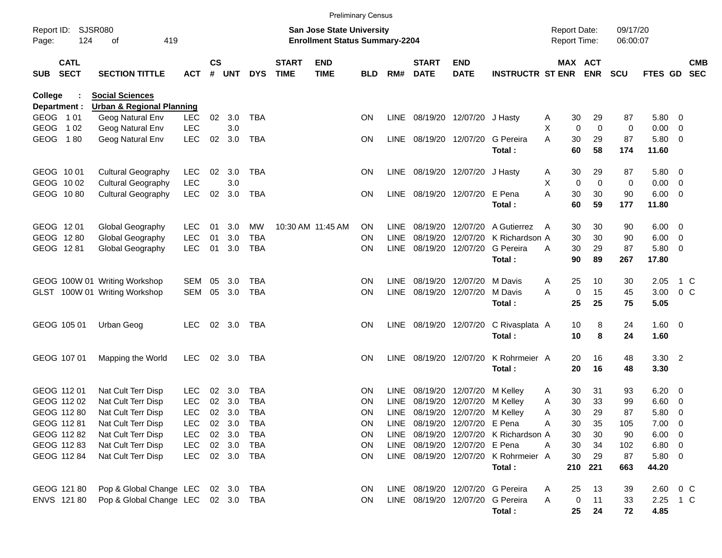|                     |                            |                                      |            |                    |            |            |                             |                                                                           | <b>Preliminary Census</b> |             |                             |                               |                                       |                                     |                            |                      |                |                          |                          |
|---------------------|----------------------------|--------------------------------------|------------|--------------------|------------|------------|-----------------------------|---------------------------------------------------------------------------|---------------------------|-------------|-----------------------------|-------------------------------|---------------------------------------|-------------------------------------|----------------------------|----------------------|----------------|--------------------------|--------------------------|
| Report ID:<br>Page: | 124                        | <b>SJSR080</b><br>419<br>οf          |            |                    |            |            |                             | <b>San Jose State University</b><br><b>Enrollment Status Summary-2204</b> |                           |             |                             |                               |                                       | <b>Report Date:</b><br>Report Time: |                            | 09/17/20<br>06:00:07 |                |                          |                          |
| <b>SUB</b>          | <b>CATL</b><br><b>SECT</b> | <b>SECTION TITTLE</b>                | <b>ACT</b> | $\mathsf{cs}$<br># | <b>UNT</b> | <b>DYS</b> | <b>START</b><br><b>TIME</b> | <b>END</b><br><b>TIME</b>                                                 | <b>BLD</b>                | RM#         | <b>START</b><br><b>DATE</b> | <b>END</b><br><b>DATE</b>     | <b>INSTRUCTR ST ENR</b>               |                                     | MAX ACT<br><b>ENR</b>      | <b>SCU</b>           | <b>FTES GD</b> |                          | <b>CMB</b><br><b>SEC</b> |
| <b>College</b>      |                            | <b>Social Sciences</b>               |            |                    |            |            |                             |                                                                           |                           |             |                             |                               |                                       |                                     |                            |                      |                |                          |                          |
|                     | Department :               | <b>Urban &amp; Regional Planning</b> |            |                    |            |            |                             |                                                                           |                           |             |                             |                               |                                       |                                     |                            |                      |                |                          |                          |
| GEOG 101            |                            | Geog Natural Env                     | <b>LEC</b> | 02                 | 3.0        | <b>TBA</b> |                             |                                                                           | <b>ON</b>                 | LINE        |                             | 08/19/20 12/07/20 J Hasty     |                                       | 30<br>A                             | 29                         | 87                   | 5.80           | $\overline{\phantom{0}}$ |                          |
| GEOG                | 1 0 2                      | Geog Natural Env                     | <b>LEC</b> |                    | 3.0        |            |                             |                                                                           |                           |             |                             | 08/19/20 12/07/20             |                                       | X                                   | 0<br>0                     | 0                    | 0.00           | $\overline{\mathbf{0}}$  |                          |
| GEOG                | 180                        | Geog Natural Env                     | <b>LEC</b> | 02                 | 3.0        | <b>TBA</b> |                             |                                                                           | <b>ON</b>                 | LINE        |                             |                               | G Pereira<br>Total:                   | 30<br>A<br>60                       | 29<br>58                   | 87<br>174            | 5.80<br>11.60  | $\overline{\mathbf{0}}$  |                          |
|                     | GEOG 1001                  | <b>Cultural Geography</b>            | <b>LEC</b> | 02                 | 3.0        | <b>TBA</b> |                             |                                                                           | <b>ON</b>                 | LINE        |                             | 08/19/20 12/07/20             | J Hasty                               | 30<br>A                             | 29                         | 87                   | 5.80           | $\overline{\mathbf{0}}$  |                          |
|                     | GEOG 1002                  | <b>Cultural Geography</b>            | <b>LEC</b> |                    | 3.0        |            |                             |                                                                           |                           |             |                             |                               |                                       | X                                   | $\mathbf 0$<br>$\mathbf 0$ | 0                    | 0.00           | $\overline{\mathbf{0}}$  |                          |
|                     | GEOG 1080                  | <b>Cultural Geography</b>            | <b>LEC</b> | 02                 | 3.0        | <b>TBA</b> |                             |                                                                           | ON                        | LINE        |                             | 08/19/20 12/07/20             | E Pena<br>Total:                      | 30<br>A<br>60                       | 30<br>59                   | 90<br>177            | 6.00<br>11.80  | $\overline{\phantom{0}}$ |                          |
|                     | GEOG 1201                  | Global Geography                     | <b>LEC</b> | 01                 | 3.0        | <b>MW</b>  |                             | 10:30 AM 11:45 AM                                                         | <b>ON</b>                 | LINE        | 08/19/20                    | 12/07/20                      | A Gutierrez                           | 30<br>A                             | 30                         | 90                   | 6.00           | $\overline{\phantom{0}}$ |                          |
|                     | GEOG 1280                  | Global Geography                     | <b>LEC</b> | 01                 | 3.0        | <b>TBA</b> |                             |                                                                           | <b>ON</b>                 | <b>LINE</b> | 08/19/20                    | 12/07/20                      | K Richardson A                        | 30                                  | 30                         | 90                   | 6.00           | $\overline{\mathbf{0}}$  |                          |
|                     | GEOG 1281                  | Global Geography                     | <b>LEC</b> | 01                 | 3.0        | <b>TBA</b> |                             |                                                                           | <b>ON</b>                 | <b>LINE</b> |                             | 08/19/20 12/07/20             | G Pereira                             | 30<br>A                             | 29                         | 87                   | 5.80           | $\overline{\mathbf{0}}$  |                          |
|                     |                            |                                      |            |                    |            |            |                             |                                                                           |                           |             |                             |                               | Total:                                | 90                                  | 89                         | 267                  | 17.80          |                          |                          |
|                     |                            | GEOG 100W 01 Writing Workshop        | SEM        | 05                 | 3.0        | <b>TBA</b> |                             |                                                                           | <b>ON</b>                 | <b>LINE</b> | 08/19/20 12/07/20           |                               | M Davis                               | 25<br>A                             | 10                         | 30                   | 2.05           | 1 C                      |                          |
|                     |                            | GLST 100W 01 Writing Workshop        | <b>SEM</b> | 05                 | 3.0        | <b>TBA</b> |                             |                                                                           | <b>ON</b>                 | <b>LINE</b> |                             | 08/19/20 12/07/20             | M Davis                               | A                                   | 15<br>$\mathbf 0$          | 45                   | 3.00           | 0 <sup>o</sup>           |                          |
|                     |                            |                                      |            |                    |            |            |                             |                                                                           |                           |             |                             |                               | Total:                                | 25                                  | 25                         | 75                   | 5.05           |                          |                          |
|                     | GEOG 105 01                | Urban Geog                           | <b>LEC</b> | 02                 | 3.0        | TBA        |                             |                                                                           | <b>ON</b>                 | LINE        |                             | 08/19/20 12/07/20             | C Rivasplata A                        | 10                                  | 8                          | 24                   | 1.60           | $\overline{\phantom{0}}$ |                          |
|                     |                            |                                      |            |                    |            |            |                             |                                                                           |                           |             |                             |                               | Total:                                | 10                                  | 8                          | 24                   | 1.60           |                          |                          |
|                     | GEOG 107 01                | Mapping the World                    | <b>LEC</b> | 02                 | 3.0        | <b>TBA</b> |                             |                                                                           | <b>ON</b>                 | <b>LINE</b> |                             | 08/19/20 12/07/20             | K Rohrmeier A                         | 20                                  | 16                         | 48                   | 3.30           | $\overline{\phantom{0}}$ |                          |
|                     |                            |                                      |            |                    |            |            |                             |                                                                           |                           |             |                             |                               | Total:                                | 20                                  | 16                         | 48                   | 3.30           |                          |                          |
|                     | GEOG 112 01                | Nat Cult Terr Disp                   | <b>LEC</b> | 02                 | 3.0        | <b>TBA</b> |                             |                                                                           | <b>ON</b>                 | <b>LINE</b> | 08/19/20                    | 12/07/20                      | M Kelley                              | 30<br>A                             | 31                         | 93                   | 6.20           | $\overline{\mathbf{0}}$  |                          |
|                     | GEOG 112 02                | Nat Cult Terr Disp                   | <b>LEC</b> | 02                 | 3.0        | <b>TBA</b> |                             |                                                                           | ON                        | <b>LINE</b> | 08/19/20                    | 12/07/20                      | M Kelley                              | 30<br>Α                             | 33                         | 99                   | 6.60           | $\overline{\mathbf{0}}$  |                          |
|                     | GEOG 112 80                | Nat Cult Terr Disp                   | <b>LEC</b> | 02                 | 3.0        | <b>TBA</b> |                             |                                                                           | <b>ON</b>                 | LINE        |                             | 08/19/20 12/07/20             | M Kelley                              | 30<br>A                             | 29                         | 87                   | 5.80           | 0                        |                          |
|                     | GEOG 112 81                | Nat Cult Terr Disp                   | <b>LEC</b> | 02                 | 3.0        | TBA        |                             |                                                                           | <b>ON</b>                 |             |                             | LINE 08/19/20 12/07/20 E Pena |                                       | 30<br>Α                             | 35                         | 105                  | $7.00 \t 0$    |                          |                          |
|                     | GEOG 112 82                | Nat Cult Terr Disp                   | <b>LEC</b> |                    | 02 3.0     | TBA        |                             |                                                                           | <b>ON</b>                 |             |                             |                               | LINE 08/19/20 12/07/20 K Richardson A | 30                                  | 30                         | 90                   | $6.00 \quad 0$ |                          |                          |
|                     | GEOG 112 83                | Nat Cult Terr Disp                   | <b>LEC</b> |                    | 02 3.0     | TBA        |                             |                                                                           | <b>ON</b>                 |             |                             | LINE 08/19/20 12/07/20 E Pena |                                       | 30<br>Α                             | 34                         | 102                  | $6.80\quad 0$  |                          |                          |
|                     | GEOG 112 84                | Nat Cult Terr Disp                   | <b>LEC</b> |                    | 02 3.0     | TBA        |                             |                                                                           | <b>ON</b>                 |             |                             |                               | LINE 08/19/20 12/07/20 K Rohrmeier A  | 30                                  | 29                         | 87                   | 5.80 0         |                          |                          |
|                     |                            |                                      |            |                    |            |            |                             |                                                                           |                           |             |                             |                               | Total:                                | 210                                 | 221                        | 663                  | 44.20          |                          |                          |
|                     | GEOG 121 80                | Pop & Global Change LEC 02 3.0       |            |                    |            | TBA        |                             |                                                                           | <b>ON</b>                 |             |                             |                               | LINE 08/19/20 12/07/20 G Pereira      | 25<br>Α                             | 13                         | 39                   | 2.60           | $0\,$ C                  |                          |
|                     | ENVS 121 80                | Pop & Global Change LEC 02 3.0 TBA   |            |                    |            |            |                             |                                                                           | <b>ON</b>                 |             |                             |                               | LINE 08/19/20 12/07/20 G Pereira      | A                                   | 0<br>11                    | 33                   | 2.25 1 C       |                          |                          |
|                     |                            |                                      |            |                    |            |            |                             |                                                                           |                           |             |                             |                               | Total:                                | 25                                  | 24                         | 72                   | 4.85           |                          |                          |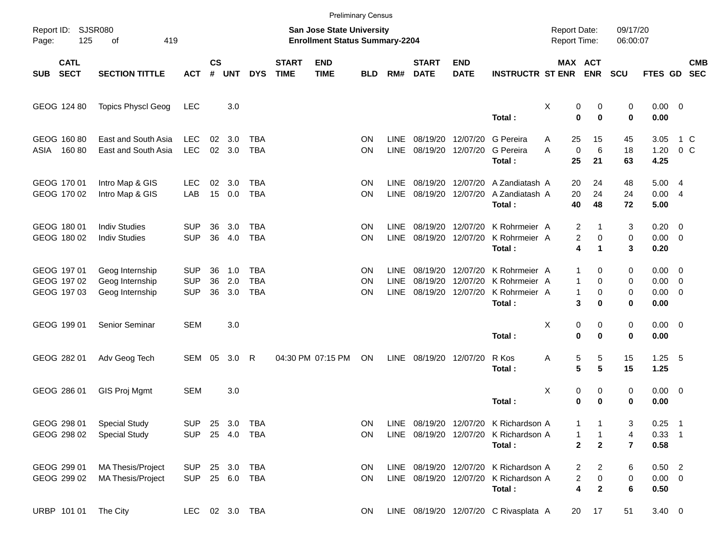|            |                                           |                                                       |                                        |                    |                   |                                        |                             |                                                                           | <b>Preliminary Census</b> |                                           |                             |                                                    |                                                                                          |                                     |                                  |                          |                                                   |               |                          |
|------------|-------------------------------------------|-------------------------------------------------------|----------------------------------------|--------------------|-------------------|----------------------------------------|-----------------------------|---------------------------------------------------------------------------|---------------------------|-------------------------------------------|-----------------------------|----------------------------------------------------|------------------------------------------------------------------------------------------|-------------------------------------|----------------------------------|--------------------------|---------------------------------------------------|---------------|--------------------------|
| Page:      | Report ID: SJSR080<br>125<br>419<br>of    |                                                       |                                        |                    |                   |                                        |                             | <b>San Jose State University</b><br><b>Enrollment Status Summary-2204</b> |                           |                                           |                             |                                                    |                                                                                          | <b>Report Date:</b><br>Report Time: |                                  | 09/17/20<br>06:00:07     |                                                   |               |                          |
| <b>SUB</b> | <b>CATL</b><br><b>SECT</b>                | <b>SECTION TITTLE</b>                                 | <b>ACT</b>                             | $\mathsf{cs}$<br># | <b>UNT</b>        | <b>DYS</b>                             | <b>START</b><br><b>TIME</b> | <b>END</b><br><b>TIME</b>                                                 | <b>BLD</b>                | RM#                                       | <b>START</b><br><b>DATE</b> | <b>END</b><br><b>DATE</b>                          | <b>INSTRUCTR ST ENR</b>                                                                  | MAX ACT                             | <b>ENR</b>                       | <b>SCU</b>               | FTES GD                                           |               | <b>CMB</b><br><b>SEC</b> |
|            | GEOG 124 80                               | <b>Topics Physcl Geog</b>                             | <b>LEC</b>                             |                    | 3.0               |                                        |                             |                                                                           |                           |                                           |                             |                                                    | Total:                                                                                   | X<br>0<br>$\mathbf 0$               | 0<br>$\mathbf 0$                 | 0<br>0                   | $0.00 \t 0$<br>0.00                               |               |                          |
| ASIA       | GEOG 160 80<br>16080                      | East and South Asia<br>East and South Asia            | <b>LEC</b><br><b>LEC</b>               | 02<br>02           | 3.0<br>3.0        | <b>TBA</b><br><b>TBA</b>               |                             |                                                                           | ON<br>ΟN                  | <b>LINE</b><br><b>LINE</b>                |                             | 08/19/20 12/07/20<br>08/19/20 12/07/20             | G Pereira<br>G Pereira<br>Total:                                                         | 25<br>Α<br>$\mathbf 0$<br>A<br>25   | 15<br>6<br>21                    | 45<br>18<br>63           | 3.05<br>1.20<br>4.25                              | 1 C<br>$0\,C$ |                          |
|            | GEOG 170 01<br>GEOG 170 02                | Intro Map & GIS<br>Intro Map & GIS                    | <b>LEC</b><br>LAB                      | 02<br>15           | 3.0<br>0.0        | TBA<br><b>TBA</b>                      |                             |                                                                           | ON<br>ON                  | <b>LINE</b><br><b>LINE</b>                |                             | 08/19/20 12/07/20<br>08/19/20 12/07/20             | A Zandiatash A<br>A Zandiatash A<br>Total:                                               | 20<br>20<br>40                      | 24<br>24<br>48                   | 48<br>24<br>72           | 5.004<br>0.004<br>5.00                            |               |                          |
|            | GEOG 180 01<br>GEOG 180 02                | <b>Indiv Studies</b><br><b>Indiv Studies</b>          | <b>SUP</b><br><b>SUP</b>               | 36<br>36           | 3.0<br>4.0        | <b>TBA</b><br><b>TBA</b>               |                             |                                                                           | ON<br>ON                  | <b>LINE</b><br><b>LINE</b>                |                             | 08/19/20 12/07/20<br>08/19/20 12/07/20             | K Rohrmeier A<br>K Rohrmeier A<br>Total:                                                 | 2<br>2<br>4                         | 0<br>$\blacktriangleleft$        | 3<br>0<br>3              | $0.20 \ 0$<br>$0.00 \t 0$<br>0.20                 |               |                          |
|            | GEOG 197 01<br>GEOG 197 02<br>GEOG 197 03 | Geog Internship<br>Geog Internship<br>Geog Internship | <b>SUP</b><br><b>SUP</b><br><b>SUP</b> | 36<br>36<br>36     | 1.0<br>2.0<br>3.0 | <b>TBA</b><br><b>TBA</b><br><b>TBA</b> |                             |                                                                           | ON<br>ΟN<br>ΟN            | <b>LINE</b><br><b>LINE</b><br><b>LINE</b> | 08/19/20                    | 08/19/20 12/07/20<br>12/07/20<br>08/19/20 12/07/20 | K Rohrmeier A<br>K Rohrmeier A<br>K Rohrmeier A<br>Total:                                | 1<br>1<br>1<br>3                    | 0<br>$\Omega$<br>0<br>$\bf{0}$   | 0<br>0<br>0<br>0         | $0.00 \t 0$<br>$0.00 \t 0$<br>$0.00 \t 0$<br>0.00 |               |                          |
|            | GEOG 199 01                               | Senior Seminar                                        | <b>SEM</b>                             |                    | 3.0               |                                        |                             |                                                                           |                           |                                           |                             |                                                    | Total:                                                                                   | Χ<br>0<br>$\mathbf 0$               | 0<br>0                           | 0<br>0                   | $0.00 \t 0$<br>0.00                               |               |                          |
|            | GEOG 282 01                               | Adv Geog Tech                                         | SEM                                    | 05                 | 3.0               | R                                      |                             | 04:30 PM 07:15 PM                                                         | ON                        | <b>LINE</b>                               |                             | 08/19/20 12/07/20                                  | R Kos<br>Total:                                                                          | 5<br>Α<br>5                         | 5<br>5                           | 15<br>15                 | $1.25$ 5<br>1.25                                  |               |                          |
|            | GEOG 286 01                               | GIS Proj Mgmt                                         | <b>SEM</b>                             |                    | 3.0               |                                        |                             |                                                                           |                           |                                           |                             |                                                    | Total:                                                                                   | х<br>0<br>0                         | 0<br>$\bf{0}$                    | 0<br>0                   | $0.00 \t 0$<br>0.00                               |               |                          |
|            | GEOG 298 01<br>GEOG 298 02                | <b>Special Study</b><br><b>Special Study</b>          | SUP 25 3.0 TBA<br>SUP 25 4.0 TBA       |                    |                   |                                        |                             |                                                                           | ΟN<br>ON.                 |                                           |                             |                                                    | LINE 08/19/20 12/07/20 K Richardson A<br>LINE 08/19/20 12/07/20 K Richardson A<br>Total: | 1<br>1<br>$\mathbf 2$               | 1<br>$\mathbf{2}$                | 3<br>4<br>$\overline{7}$ | $0.25$ 1<br>$0.33$ 1<br>0.58                      |               |                          |
|            | GEOG 299 01<br>GEOG 299 02                | <b>MA Thesis/Project</b><br><b>MA Thesis/Project</b>  | SUP<br>SUP 25 6.0 TBA                  |                    | 25 3.0            | TBA                                    |                             |                                                                           | <b>ON</b><br>ON.          |                                           |                             |                                                    | LINE 08/19/20 12/07/20 K Richardson A<br>LINE 08/19/20 12/07/20 K Richardson A<br>Total: | 2<br>2<br>4                         | $\mathbf{2}$<br>0<br>$\mathbf 2$ | 6<br>0<br>6              | $0.50$ 2<br>$0.00 \t 0$<br>0.50                   |               |                          |
|            | URBP 101 01                               | The City                                              | LEC 02 3.0 TBA                         |                    |                   |                                        |                             |                                                                           | ON.                       |                                           |                             |                                                    | LINE 08/19/20 12/07/20 C Rivasplata A                                                    | 20                                  | 17                               | 51                       | $3.40 \ 0$                                        |               |                          |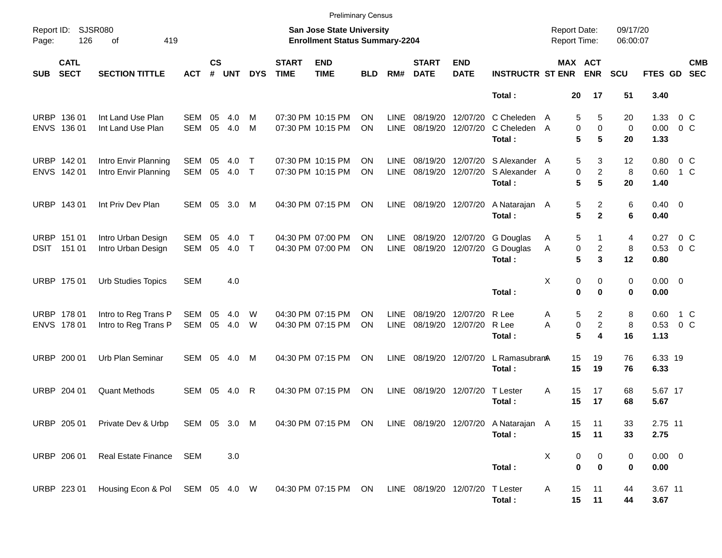|            |                                        |                                                                                                       |            |                    |            |                              |                             | <b>Preliminary Census</b>                                          |            |                            |                             |                           |                                          |        |                                            |                                                  |                        |                           |                          |
|------------|----------------------------------------|-------------------------------------------------------------------------------------------------------|------------|--------------------|------------|------------------------------|-----------------------------|--------------------------------------------------------------------|------------|----------------------------|-----------------------------|---------------------------|------------------------------------------|--------|--------------------------------------------|--------------------------------------------------|------------------------|---------------------------|--------------------------|
| Page:      | Report ID: SJSR080<br>126<br>419<br>оf |                                                                                                       |            |                    |            |                              |                             | San Jose State University<br><b>Enrollment Status Summary-2204</b> |            |                            |                             |                           |                                          |        | <b>Report Date:</b><br><b>Report Time:</b> | 09/17/20<br>06:00:07                             |                        |                           |                          |
| <b>SUB</b> | <b>CATL</b><br><b>SECT</b>             | <b>SECTION TITTLE</b>                                                                                 | <b>ACT</b> | $\mathsf{cs}$<br># | <b>UNT</b> | <b>DYS</b>                   | <b>START</b><br><b>TIME</b> | <b>END</b><br><b>TIME</b>                                          | <b>BLD</b> | RM#                        | <b>START</b><br><b>DATE</b> | <b>END</b><br><b>DATE</b> | <b>INSTRUCTR ST ENR</b>                  |        | <b>MAX ACT</b><br><b>ENR</b>               | <b>SCU</b>                                       | FTES GD                |                           | <b>CMB</b><br><b>SEC</b> |
|            |                                        |                                                                                                       |            |                    |            |                              |                             |                                                                    |            |                            |                             |                           | Total:                                   |        | 20<br>17                                   | 51                                               | 3.40                   |                           |                          |
|            | URBP 136 01<br>ENVS 136 01             | Int Land Use Plan<br>Int Land Use Plan                                                                | SEM<br>SEM | 05<br>05           | 4.0<br>4.0 | M<br>M                       |                             | 07:30 PM 10:15 PM<br>07:30 PM 10:15 PM                             | ΟN<br>ON   | <b>LINE</b><br><b>LINE</b> | 08/19/20<br>08/19/20        | 12/07/20<br>12/07/20      | C Cheleden<br>C Cheleden A<br>Total:     | A      | 5<br>0<br>5                                | 5<br>20<br>$\mathbf 0$<br>$\mathbf 0$<br>5<br>20 | 1.33<br>0.00<br>1.33   | $0\,$ C<br>0 <sup>o</sup> |                          |
|            | URBP 142 01<br>ENVS 142 01             | Intro Envir Planning<br>Intro Envir Planning                                                          | SEM<br>SEM | 05<br>05           | 4.0<br>4.0 | Т<br>$\top$                  |                             | 07:30 PM 10:15 PM<br>07:30 PM 10:15 PM                             | ΟN<br>ON   | <b>LINE</b><br>LINE        | 08/19/20<br>08/19/20        | 12/07/20<br>12/07/20      | S Alexander A<br>S Alexander A<br>Total: |        | 5<br>0<br>5                                | 3<br>12<br>$\overline{c}$<br>8<br>5<br>20        | 0.80<br>0.60<br>1.40   | $0\,$ C<br>1 C            |                          |
|            | URBP 143 01                            | Int Priv Dev Plan                                                                                     | SEM 05     |                    | 3.0        | M                            |                             | 04:30 PM 07:15 PM                                                  | ON         | LINE                       | 08/19/20 12/07/20           |                           | A Natarajan A<br>Total:                  |        | 5<br>5                                     | 2<br>6<br>$\overline{2}$<br>6                    | $0.40 \quad 0$<br>0.40 |                           |                          |
|            | URBP 151 01<br>DSIT 151 01             | Intro Urban Design<br>Intro Urban Design                                                              | SEM<br>SEM | 05<br>05           | 4.0<br>4.0 | $\mathsf{T}$<br>$\mathsf{T}$ |                             | 04:30 PM 07:00 PM<br>04:30 PM 07:00 PM                             | ΟN<br>ON   | <b>LINE</b><br>LINE        | 08/19/20<br>08/19/20        | 12/07/20<br>12/07/20      | G Douglas<br>G Douglas<br>Total:         | A<br>Α | 5<br>$\pmb{0}$<br>5                        | 4<br>1<br>$\overline{c}$<br>8<br>3<br>12         | 0.27<br>0.53<br>0.80   | $0\,$ C<br>0 <sup>o</sup> |                          |
|            | URBP 175 01                            | <b>Urb Studies Topics</b>                                                                             | <b>SEM</b> |                    | 4.0        |                              |                             |                                                                    |            |                            |                             |                           | Total:                                   | X      | 0<br>$\bf{0}$                              | 0<br>0<br>$\bf{0}$<br>0                          | $0.00 \t 0$<br>0.00    |                           |                          |
|            | URBP 178 01<br>ENVS 178 01             | Intro to Reg Trans P<br>Intro to Reg Trans P                                                          | SEM<br>SEM | 05<br>05           | 4.0<br>4.0 | W<br>W                       |                             | 04:30 PM 07:15 PM<br>04:30 PM 07:15 PM                             | ΟN<br>ON   | <b>LINE</b><br>LINE        | 08/19/20<br>08/19/20        | 12/07/20<br>12/07/20      | R Lee<br>R Lee<br>Total:                 | A<br>A | 5<br>$\pmb{0}$<br>5                        | 2<br>8<br>$\overline{c}$<br>8<br>4<br>16         | 0.60<br>0.53<br>1.13   | 1 C<br>0 <sup>o</sup>     |                          |
|            | URBP 200 01                            | Urb Plan Seminar                                                                                      | <b>SEM</b> | 05                 | 4.0        | M                            |                             | 04:30 PM 07:15 PM                                                  | ON         | LINE                       | 08/19/20 12/07/20           |                           | L RamasubramA<br>Total:                  |        | 15<br>19<br>15<br>19                       | 76<br>76                                         | 6.33 19<br>6.33        |                           |                          |
|            | URBP 204 01                            | <b>Quant Methods</b>                                                                                  | SEM        | 05                 | 4.0        | R                            |                             | 04:30 PM 07:15 PM                                                  | <b>ON</b>  | LINE                       | 08/19/20 12/07/20           |                           | T Lester<br>Total:                       | A      | 15<br>17<br>15<br>17                       | 68<br>68                                         | 5.67 17<br>5.67        |                           |                          |
|            |                                        | URBP 205 01 Private Dev & Urbp SEM 05 3.0 M 04:30 PM 07:15 PM ON LINE 08/19/20 12/07/20 A Natarajan A |            |                    |            |                              |                             |                                                                    |            |                            |                             |                           | Total:                                   |        | 11<br>15<br>15<br>$-11$                    | 33<br>33                                         | 2.75 11<br>2.75        |                           |                          |
|            | URBP 206 01                            | Real Estate Finance                                                                                   | SEM        |                    | 3.0        |                              |                             |                                                                    |            |                            |                             |                           | Total:                                   | Х      | 0<br>$\bf{0}$                              | 0<br>0<br>$\bf{0}$<br>0                          | $0.00 \t 0$<br>0.00    |                           |                          |
|            | URBP 223 01                            | Housing Econ & Pol SEM 05 4.0 W 04:30 PM 07:15 PM ON LINE 08/19/20 12/07/20                           |            |                    |            |                              |                             |                                                                    |            |                            |                             |                           | <b>T</b> Lester<br>Total:                | A      | 15<br>11<br>15 <sub>1</sub><br>11          | 44<br>44                                         | 3.67 11<br>3.67        |                           |                          |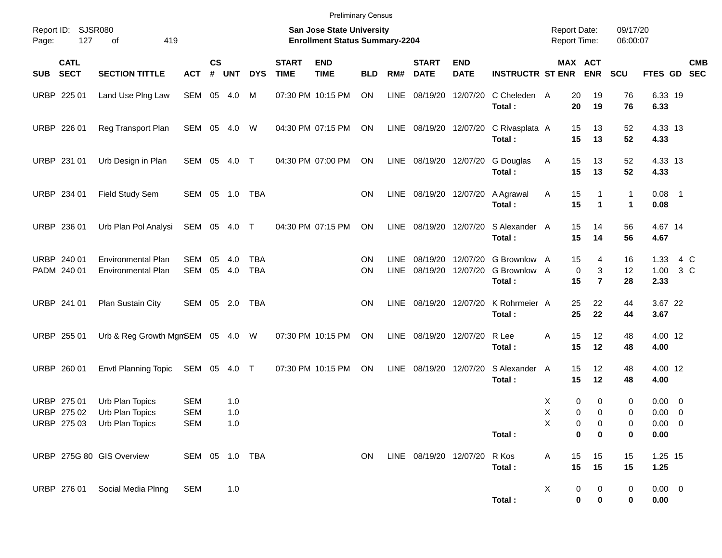|                     |                            |                                                 |               |                |            |                          |                             | <b>Preliminary Census</b>                                          |            |                            |                              |                           |                                        |   |                                     |                               |                      |                      |               |            |
|---------------------|----------------------------|-------------------------------------------------|---------------|----------------|------------|--------------------------|-----------------------------|--------------------------------------------------------------------|------------|----------------------------|------------------------------|---------------------------|----------------------------------------|---|-------------------------------------|-------------------------------|----------------------|----------------------|---------------|------------|
| Report ID:<br>Page: | 127                        | <b>SJSR080</b><br>419<br>of                     |               |                |            |                          |                             | San Jose State University<br><b>Enrollment Status Summary-2204</b> |            |                            |                              |                           |                                        |   | <b>Report Date:</b><br>Report Time: |                               | 09/17/20<br>06:00:07 |                      |               |            |
| SUB                 | <b>CATL</b><br><b>SECT</b> | <b>SECTION TITTLE</b>                           | <b>ACT</b>    | <b>CS</b><br># | <b>UNT</b> | <b>DYS</b>               | <b>START</b><br><b>TIME</b> | <b>END</b><br><b>TIME</b>                                          | <b>BLD</b> | RM#                        | <b>START</b><br><b>DATE</b>  | <b>END</b><br><b>DATE</b> | <b>INSTRUCTR ST ENR</b>                |   | MAX ACT                             | <b>ENR</b>                    | <b>SCU</b>           | FTES GD SEC          |               | <b>CMB</b> |
|                     | URBP 225 01                | Land Use Ping Law                               | SEM 05        |                | 4.0        | м                        |                             | 07:30 PM 10:15 PM                                                  | ON         | LINE                       | 08/19/20                     | 12/07/20                  | C Cheleden A<br>Total:                 |   | 20<br>20                            | 19<br>19                      | 76<br>76             | 6.33 19<br>6.33      |               |            |
|                     | URBP 226 01                | Reg Transport Plan                              | SEM 05        |                | 4.0        | W                        |                             | 04:30 PM 07:15 PM                                                  | ON         |                            | LINE 08/19/20 12/07/20       |                           | C Rivasplata A<br>Total:               |   | 15<br>15                            | 13<br>13                      | 52<br>52             | 4.33 13<br>4.33      |               |            |
|                     | URBP 231 01                | Urb Design in Plan                              | SEM 05        |                | 4.0        | $\top$                   |                             | 04:30 PM 07:00 PM                                                  | ON         |                            | LINE 08/19/20 12/07/20       |                           | G Douglas<br>Total:                    | A | 15<br>15                            | 13<br>13                      | 52<br>52             | 4.33 13<br>4.33      |               |            |
|                     | URBP 234 01                | Field Study Sem                                 | SEM 05        |                | 1.0        | TBA                      |                             |                                                                    | ON         |                            | LINE 08/19/20 12/07/20       |                           | A Agrawal<br>Total:                    | A | 15<br>15                            | 1                             | 1<br>$\mathbf 1$     | $0.08$ 1<br>0.08     |               |            |
|                     | URBP 236 01                | Urb Plan Pol Analysi                            | SEM 05        |                | 4.0        | $\top$                   |                             | 04:30 PM 07:15 PM                                                  | ON         |                            | LINE 08/19/20 12/07/20       |                           | S Alexander A<br>Total:                |   | 15<br>15                            | 14<br>14                      | 56<br>56             | 4.67 14<br>4.67      |               |            |
|                     | URBP 240 01<br>PADM 240 01 | <b>Environmental Plan</b><br>Environmental Plan | SEM<br>SEM 05 | 05             | 4.0<br>4.0 | <b>TBA</b><br><b>TBA</b> |                             |                                                                    | ΟN<br>ON   | <b>LINE</b><br><b>LINE</b> | 08/19/20<br>08/19/20         | 12/07/20<br>12/07/20      | G Brownlow A<br>G Brownlow A<br>Total: |   | 15<br>0<br>15                       | 4<br>3<br>$\overline{7}$      | 16<br>12<br>28       | 1.33<br>1.00<br>2.33 | 4 C<br>$3\,C$ |            |
|                     | URBP 241 01                | Plan Sustain City                               | SEM 05 2.0    |                |            | TBA                      |                             |                                                                    | ON         |                            | LINE 08/19/20 12/07/20       |                           | K Rohrmeier A<br>Total:                |   | 25<br>25                            | 22<br>22                      | 44<br>44             | 3.67 22<br>3.67      |               |            |
|                     | URBP 255 01                | Urb & Reg Growth MgmSEM 05 4.0 W                |               |                |            |                          |                             | 07:30 PM 10:15 PM                                                  | ON         |                            | LINE 08/19/20                | 12/07/20                  | R Lee<br>Total:                        | A | 15<br>15                            | 12<br>12                      | 48<br>48             | 4.00 12<br>4.00      |               |            |
|                     | URBP 260 01                | <b>Envtl Planning Topic</b>                     | SEM 05        |                | 4.0        | $\top$                   |                             | 07:30 PM 10:15 PM                                                  | ON         |                            | LINE 08/19/20 12/07/20       |                           | S Alexander A<br>Total:                |   | 15<br>15                            | 12<br>12                      | 48<br>48             | 4.00 12<br>4.00      |               |            |
|                     | URBP 275 01                | Urb Plan Topics                                 | <b>SEM</b>    |                | 1.0        |                          |                             |                                                                    |            |                            |                              |                           |                                        | Х | 0                                   | 0                             | 0                    | $0.00 \t 0$          |               |            |
|                     | URBP 275 02                | Urb Plan Topics                                 | <b>SEM</b>    |                | 1.0        |                          |                             |                                                                    |            |                            |                              |                           |                                        | X | 0                                   | $\mathbf 0$                   | 0                    | $0.00 \t 0$          |               |            |
|                     |                            | URBP 275 03 Urb Plan Topics                     | SEM           |                | 1.0        |                          |                             |                                                                    |            |                            |                              |                           |                                        | X | 0                                   | 0                             | 0                    | $0.00 \t 0$          |               |            |
|                     |                            |                                                 |               |                |            |                          |                             |                                                                    |            |                            |                              |                           | Total:                                 |   | 0                                   | 0                             | 0                    | 0.00                 |               |            |
|                     |                            | URBP 275G 80 GIS Overview                       |               |                |            | SEM 05 1.0 TBA           |                             |                                                                    | ON         |                            | LINE 08/19/20 12/07/20 R Kos |                           | Total:                                 | A | 15<br>15                            | 15<br>15                      | 15<br>15             | 1.25 15<br>1.25      |               |            |
|                     |                            | URBP 276 01 Social Media Plnng                  | SEM           |                | 1.0        |                          |                             |                                                                    |            |                            |                              |                           |                                        | X |                                     | $\overline{0}$<br>$\mathbf 0$ | 0                    | $0.00 \t 0$          |               |            |

**Total : 0 0 0 0.00**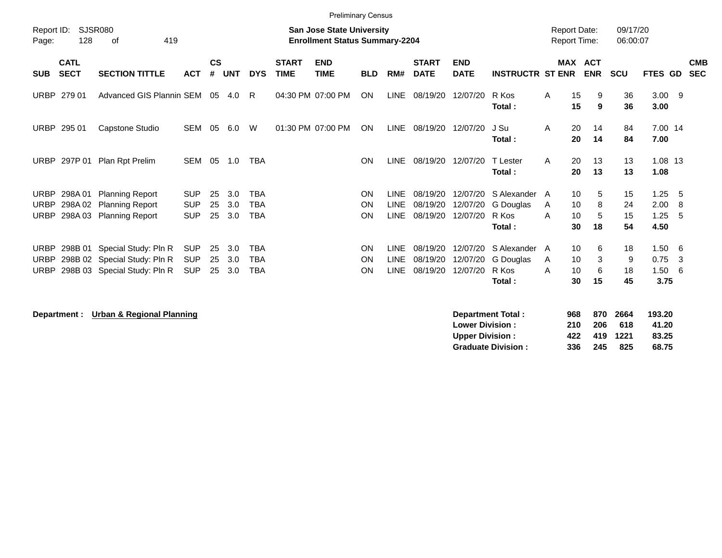| <b>Preliminary Census</b>                                                                         |                            |                                                                                              |                                        |                                                                           |                   |                                        |                             |                           |                              |                                           |                                  |                                     |                                             |                                     |                   |                      |                              |                  |                          |
|---------------------------------------------------------------------------------------------------|----------------------------|----------------------------------------------------------------------------------------------|----------------------------------------|---------------------------------------------------------------------------|-------------------|----------------------------------------|-----------------------------|---------------------------|------------------------------|-------------------------------------------|----------------------------------|-------------------------------------|---------------------------------------------|-------------------------------------|-------------------|----------------------|------------------------------|------------------|--------------------------|
| Report ID:<br><b>SJSR080</b><br>128<br>419<br>οf<br>Page:                                         |                            |                                                                                              |                                        | <b>San Jose State University</b><br><b>Enrollment Status Summary-2204</b> |                   |                                        |                             |                           |                              |                                           |                                  | <b>Report Date:</b><br>Report Time: |                                             | 09/17/20<br>06:00:07                |                   |                      |                              |                  |                          |
| <b>SUB</b>                                                                                        | <b>CATL</b><br><b>SECT</b> | <b>SECTION TITTLE</b>                                                                        | <b>ACT</b>                             | <b>CS</b><br>#                                                            | <b>UNT</b>        | <b>DYS</b>                             | <b>START</b><br><b>TIME</b> | <b>END</b><br><b>TIME</b> | <b>BLD</b>                   | RM#                                       | <b>START</b><br><b>DATE</b>      | <b>END</b><br><b>DATE</b>           | <b>INSTRUCTR ST ENR</b>                     | <b>MAX ACT</b>                      | <b>ENR</b>        | <b>SCU</b>           | FTES GD                      |                  | <b>CMB</b><br><b>SEC</b> |
| <b>URBP</b>                                                                                       | 279 01                     | Advanced GIS Plannin SEM                                                                     |                                        | 05                                                                        | 4.0               | R                                      |                             | 04:30 PM 07:00 PM         | ON                           | <b>LINE</b>                               | 08/19/20                         | 12/07/20                            | R Kos<br>Total:                             | 15<br>Α<br>15                       | 9<br>9            | 36<br>36             | $3.00$ 9<br>3.00             |                  |                          |
| <b>URBP</b>                                                                                       | 295 01                     | Capstone Studio                                                                              | <b>SEM</b>                             | 05                                                                        | 6.0               | W                                      |                             | 01:30 PM 07:00 PM         | ON                           | <b>LINE</b>                               | 08/19/20                         | 12/07/20                            | J Su<br>Total:                              | 20<br>A<br>20                       | 14<br>14          | 84<br>84             | 7.00 14<br>7.00              |                  |                          |
| <b>URBP</b>                                                                                       | 297P 01                    | Plan Rpt Prelim                                                                              | <b>SEM</b>                             | 05                                                                        | 1.0               | <b>TBA</b>                             |                             |                           | <b>ON</b>                    | <b>LINE</b>                               | 08/19/20                         | 12/07/20                            | T Lester<br>Total:                          | 20<br>A<br>20                       | 13<br>13          | 13<br>13             | 1.08 13<br>1.08              |                  |                          |
| <b>URBP</b><br><b>URBP</b><br><b>URBP</b>                                                         | 298A01<br>298A02<br>298A03 | <b>Planning Report</b><br><b>Planning Report</b><br><b>Planning Report</b>                   | <b>SUP</b><br><b>SUP</b><br><b>SUP</b> | 25<br>25<br>25                                                            | 3.0<br>3.0<br>3.0 | <b>TBA</b><br><b>TBA</b><br><b>TBA</b> |                             |                           | ON<br><b>ON</b><br>ON        | <b>LINE</b><br><b>LINE</b><br><b>LINE</b> | 08/19/20<br>08/19/20<br>08/19/20 | 12/07/20<br>12/07/20<br>12/07/20    | S Alexander<br>G Douglas<br>R Kos<br>Total: | 10<br>A<br>10<br>A<br>10<br>A<br>30 | 5<br>8<br>5<br>18 | 15<br>24<br>15<br>54 | 1.25<br>2.00<br>1.25<br>4.50 | - 5<br>-8<br>- 5 |                          |
| <b>URBP</b><br><b>URBP</b><br><b>URBP</b>                                                         |                            | 298B 01 Special Study: Pln R<br>298B 02 Special Study: Pln R<br>298B 03 Special Study: Pln R | <b>SUP</b><br><b>SUP</b><br><b>SUP</b> | 25<br>25<br>25                                                            | 3.0<br>3.0<br>3.0 | <b>TBA</b><br><b>TBA</b><br><b>TBA</b> |                             |                           | <b>ON</b><br><b>ON</b><br>ON | <b>LINE</b><br><b>LINE</b><br><b>LINE</b> | 08/19/20<br>08/19/20<br>08/19/20 | 12/07/20<br>12/07/20<br>12/07/20    | S Alexander<br>G Douglas<br>R Kos<br>Total: | 10<br>A<br>10<br>A<br>10<br>A<br>30 | 6<br>3<br>6<br>15 | 18<br>9<br>18<br>45  | 1.50<br>0.75<br>1.50<br>3.75 | - 6<br>3<br>-6   |                          |
| 870<br>193.20<br>Department: Urban & Regional Planning<br><b>Department Total:</b><br>968<br>2664 |                            |                                                                                              |                                        |                                                                           |                   |                                        |                             |                           |                              |                                           |                                  |                                     |                                             |                                     |                   |                      |                              |                  |                          |

| υσμαι υπσιπτυνιαι.        | JUU |      | <b>UIU LUUT</b> | 199.ZU |
|---------------------------|-----|------|-----------------|--------|
| <b>Lower Division :</b>   | 210 | -206 | 618             | 41.20  |
| <b>Upper Division:</b>    | 422 |      | 419 1221        | 83.25  |
| <b>Graduate Division:</b> | 336 | -245 | -825            | 68.75  |